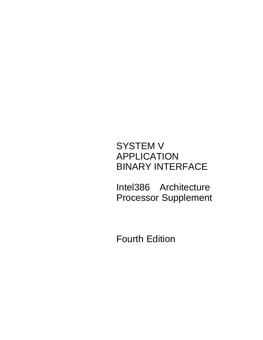# SYSTEM V APPLICATION BINARY INTERFACE

Intel386™ Architecture Processor Supplement

Fourth Edition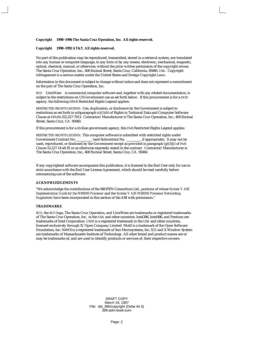#### **Copyright 1990**−**1996 The Santa Cruz Operation, Inc. All rights reserved.**

#### **Copyright 1990**−**1992 AT&T. All rights reserved.**

No part of this publication may be reproduced, transmitted, stored in a retrieval system, nor translated into any human or computer language, in any form or by any means, electronic, mechanical, magnetic, optical, chemical, manual, or otherwise, without the prior written permission of the copyright owner, The Santa Cruz Operation, Inc., 400 Encinal Street, Santa Cruz, California, 95060, USA. Copyright infringement is a serious matter under the United States and foreign Copyright Laws.

Information in this document is subject to change without notice and does not represent a commitment on the part of The Santa Cruz Operation, Inc.

SCO® UnixWare® is commercial computer software and, together with any related documentation, is subject to the restrictions on US Government use as set forth below. If this procurement is for a DOD agency, the following DFAR Restricted Rights Legend applies:

RESTRICTED RIGHTS LEGEND: Use, duplication, or disclosure by the Government is subject to restrictions as set forth in subparagraph (c)(1)(ii) of Rights in Technical Data and Computer Software Clause at DFARS 252.227-7013. Contractor/Manufacturer is The Santa Cruz Operation, Inc., 400 Encinal Street, Santa Cruz, CA 95060.

If this procurement is for a civilian government agency, this FAR Restricted Rights Legend applies:

RESTRICTED RIGHTS LEGEND: This computer software is submitted with restricted rights under Government Contract No. \_\_\_\_\_\_\_\_\_ (and Subcontract No. \_\_\_\_\_\_\_\_, if appropriate). It may not be used, reproduced, or disclosed by the Government except as provided in paragraph (g)(3)(i) of FAR Clause 52.227-14 alt III or as otherwise expressly stated in the contract. Contractor/Manufacturer is The Santa Cruz Operation, Inc., 400 Encinal Street, Santa Cruz, CA 95060.

If any copyrighted software accompanies this publication, it is licensed to the End User only for use in strict accordance with the End User License Agreement, which should be read carefully before commencing use of the software.

#### **ACKNOWLEDGEMENTS**

"We acknowledge the contributions of the 88OPEN Consortium Ltd., portions of whose *System V ABI Implementation Guide for the M88000 Processor* and the *System V ABI M88000 Processor Networking Supplement* have been incorporated in this section of the ABI with permission."

#### **TRADEMARKS**

SCO, the SCO logo, The Santa Cruz Operation, and UnixWare are trademarks or registered trademarks of The Santa Cruz Operation, Inc. in the USA and other countries. Intel386, Intel486, and Pentium are trademarks of Intel Corporation. UNIX is a registered trademark in the USA and other countries, licensed exclusively through X/Open Company Limited. Motif is a trademark of the Open Software Foundation, Inc. NeWS is a registered trademark of Sun Microsystems, Inc. X11 and X Window System are trademarks of Massachusetts Institute of Technology. All other brand and product names are or may be trademarks of, and are used to identify products or services of, their respective owners.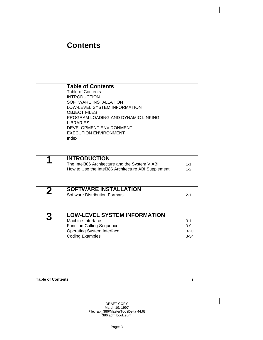# **Contents**

# **Table of Contents**

Table of Contents INTRODUCTION SOFTWARE INSTALLATION LOW-LEVEL SYSTEM INFORMATION OBJECT FILES PROGRAM LOADING AND DYNAMIC LINKING LIBRARIES DEVELOPMENT ENVIRONMENT EXECUTION ENVIRONMENT Index

# **1 INTRODUCTION**

| The Intel386 Architecture and the System V ABI      | 1-1     |
|-----------------------------------------------------|---------|
| How to Use the Intel386 Architecture ABI Supplement | $1 - 2$ |

# **2 SOFTWARE INSTALLATION**

Software Distribution Formats 2-1

# **3 LOW-LEVEL SYSTEM INFORMATION**

Machine Interface 3-1 Function Calling Sequence 3-9 Operating System Interface 3-20 Coding Examples 3-34

**Table of Contents i**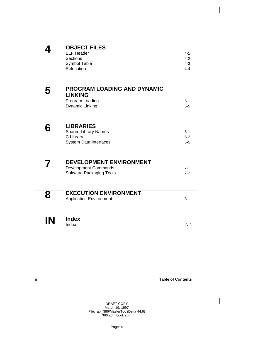|   | <b>OBJECT FILES</b>                                  |         |
|---|------------------------------------------------------|---------|
|   | <b>ELF Header</b>                                    | $4 - 1$ |
|   | <b>Sections</b>                                      | $4 - 2$ |
|   | Symbol Table                                         | $4 - 3$ |
|   | Relocation                                           | $4 - 4$ |
| 5 | <b>PROGRAM LOADING AND DYNAMIC</b><br><b>LINKING</b> |         |
|   |                                                      |         |
|   | Program Loading                                      | $5 - 1$ |
|   | Dynamic Linking                                      | $5-5$   |
| 6 | <b>LIBRARIES</b>                                     |         |
|   | <b>Shared Library Names</b>                          | $6 - 1$ |
|   | C Library                                            | $6 - 2$ |
|   | <b>System Data Interfaces</b>                        | $6-5$   |
|   | <b>DEVELOPMENT ENVIRONMENT</b>                       |         |
|   | <b>Development Commands</b>                          | $7 - 1$ |
|   | Software Packaging Tools                             | $7 - 2$ |
| 8 | <b>EXECUTION ENVIRONMENT</b>                         |         |
|   | <b>Application Environment</b>                       | $8 - 1$ |
|   | <b>Index</b>                                         |         |
|   | Index                                                | $IN-1$  |

**ii Table of Contents**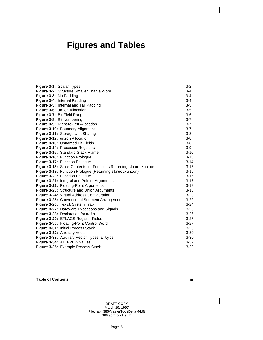# **Figures and Tables**

| Figure 3-1: Scalar Types                   |                                                                  | $3-2$    |
|--------------------------------------------|------------------------------------------------------------------|----------|
| Figure 3-2: Structure Smaller Than a Word  |                                                                  | $3 - 4$  |
| Figure 3-3: No Padding                     |                                                                  | $3 - 4$  |
| Figure 3-4: Internal Padding               |                                                                  | $3 - 4$  |
| Figure 3-5: Internal and Tail Padding      |                                                                  | $3-5$    |
| Figure 3-6: union Allocation               |                                                                  | $3-5$    |
| Figure 3-7: Bit-Field Ranges               |                                                                  | $3-6$    |
| Figure 3-8: Bit Numbering                  |                                                                  | $3 - 7$  |
| Figure 3-9: Right-to-Left Allocation       |                                                                  | $3 - 7$  |
| Figure 3-10: Boundary Alignment            |                                                                  | $3 - 7$  |
| Figure 3-11: Storage Unit Sharing          |                                                                  | $3 - 8$  |
| Figure 3-12: union Allocation              |                                                                  | $3 - 8$  |
| Figure 3-13: Unnamed Bit-Fields            |                                                                  | $3 - 8$  |
| Figure 3-14: Processor Registers           |                                                                  | $3-9$    |
| Figure 3-15: Standard Stack Frame          |                                                                  | $3 - 10$ |
| <b>Figure 3-16: Function Prologue</b>      |                                                                  | $3 - 13$ |
| Figure 3-17: Function Epilogue             |                                                                  | $3 - 14$ |
|                                            | Figure 3-18: Stack Contents for Functions Returning struct/union | $3 - 15$ |
|                                            | Figure 3-19: Function Prologue (Returning struct/union)          | $3 - 16$ |
| Figure 3-20: Function Epilogue             |                                                                  | $3 - 16$ |
|                                            | Figure 3-21: Integral and Pointer Arguments                      | $3 - 17$ |
| Figure 3-22: Floating-Point Arguments      |                                                                  | $3 - 18$ |
|                                            | Figure 3-23: Structure and Union Arguments                       | $3 - 18$ |
| Figure 3-24: Virtual Address Configuration |                                                                  | $3 - 20$ |
|                                            | Figure 3-25: Conventional Segment Arrangements                   | $3-22$   |
| Figure 3-26: _exit System Trap             |                                                                  | $3 - 24$ |
|                                            | Figure 3-27: Hardware Exceptions and Signals                     | $3 - 25$ |
| Figure 3-28: Declaration for main          |                                                                  | $3 - 26$ |
| Figure 3-29: EFLAGS Register Fields        |                                                                  | $3-27$   |
| Figure 3-30: Floating-Point Control Word   |                                                                  | $3-27$   |
| <b>Figure 3-31: Initial Process Stack</b>  |                                                                  | $3-28$   |
| Figure 3-32: Auxiliary Vector              |                                                                  | $3 - 30$ |
|                                            | Figure 3-33: Auxiliary Vector Types, a_type                      | $3 - 30$ |
| Figure 3-34: AT FPHW values                |                                                                  | $3 - 32$ |
| Figure 3-35: Example Process Stack         |                                                                  | $3 - 33$ |

**Table of Contents iii**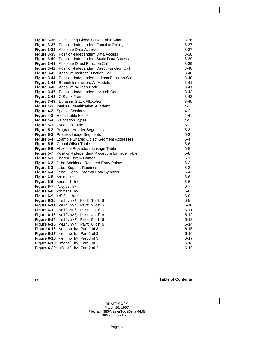| <b>Figure 3-36:</b> Calculating Global Offset Table Address                                                                                                                                                                                                           | $3 - 36$ |
|-----------------------------------------------------------------------------------------------------------------------------------------------------------------------------------------------------------------------------------------------------------------------|----------|
| Figure 3-37: Position-Independent Function Prologue                                                                                                                                                                                                                   | $3 - 37$ |
| <b>Figure 3-38:</b> Absolute Data Access                                                                                                                                                                                                                              | $3 - 37$ |
| Figure 3-39: Position-Independent Data Access                                                                                                                                                                                                                         | $3 - 38$ |
| Figure 3-40: Position-Independent Static Data Access                                                                                                                                                                                                                  | $3 - 39$ |
| Figure 3-41: Absolute Direct Function Call                                                                                                                                                                                                                            | $3-39$   |
| <b>Figure 3-42:</b> Position-Independent Direct Function Call                                                                                                                                                                                                         | $3-40$   |
| Figure 3-43: Absolute Indirect Function Call                                                                                                                                                                                                                          | $3-40$   |
| Figure 3-44: Position-Independent Indirect Function Call                                                                                                                                                                                                              | $3 - 40$ |
| Figure 3-45: Branch Instruction, All Models                                                                                                                                                                                                                           | $3 - 41$ |
| <b>Figure 3-46:</b> Absolute switch Code                                                                                                                                                                                                                              | $3 - 41$ |
| <b>Figure 3-47: Position-Independent switch Code</b>                                                                                                                                                                                                                  | $3-42$   |
| Figure 3-48: C Stack Frame                                                                                                                                                                                                                                            | $3 - 43$ |
| Figure 3-49: Dynamic Stack Allocation                                                                                                                                                                                                                                 | $3 - 45$ |
| Figure 4-1: Intel386 Identification, e_ident                                                                                                                                                                                                                          | $4 - 1$  |
| Figure 4-2: Special Sections                                                                                                                                                                                                                                          | $4 - 2$  |
| <b>Figure 4-3: Relocatable Fields</b>                                                                                                                                                                                                                                 | $4 - 4$  |
| <b>Figure 4-4: Relocation Types</b>                                                                                                                                                                                                                                   | $4 - 5$  |
| <b>Figure 5-1: Executable File</b>                                                                                                                                                                                                                                    | $5 - 1$  |
| Figure 5-2: Program Header Segments                                                                                                                                                                                                                                   | $5 - 2$  |
| <b>Figure 5-3: Process Image Segments</b>                                                                                                                                                                                                                             | $5-3$    |
| Figure 5-4: Example Shared Object Segment Addresses                                                                                                                                                                                                                   | $5 - 4$  |
| <b>Figure 5-5: Global Offset Table</b>                                                                                                                                                                                                                                | $5-6$    |
| <b>Figure 5-6:</b> Absolute Procedure Linkage Table                                                                                                                                                                                                                   | $5 - 8$  |
| <b>Figure 5-7:</b> Position-Independent Procedure Linkage Table                                                                                                                                                                                                       | $5 - 8$  |
| Figure 6-1: Shared Library Names                                                                                                                                                                                                                                      | $6 - 1$  |
| Figure 6-2: Libc Additional Required Entry Points                                                                                                                                                                                                                     | $6 - 2$  |
| <b>Figure 6-3:</b> Libc, Support Routines                                                                                                                                                                                                                             | $6-3$    |
| Figure 6-4: Libc, Global External Data Symbols                                                                                                                                                                                                                        | $6 - 4$  |
| <b>Figure 6-5:</b> $\langle$ aio.h>*                                                                                                                                                                                                                                  | $6-6$    |
| <b>Figure 6-6:</b> $\leq$ assert.h>                                                                                                                                                                                                                                   | $6-6$    |
| <b>Figure 6-7:</b> $\lt$ ctype.h>                                                                                                                                                                                                                                     | $6 - 7$  |
| Figure 6-8: <dirent.h></dirent.h>                                                                                                                                                                                                                                     | $6 - 8$  |
| Figure 6-9: $\alpha$ lfcn.h>*                                                                                                                                                                                                                                         | $6 - 8$  |
| Figure 6-10: <elf.h>*, Part 1 of 6</elf.h>                                                                                                                                                                                                                            | $6-9$    |
| Figure 6-11: <elf.h>*, Part 2 of 6</elf.h>                                                                                                                                                                                                                            | $6 - 10$ |
| Figure 6-12: <elf.h>*, Part 3 of 6</elf.h>                                                                                                                                                                                                                            | $6 - 11$ |
| Figure 6-13: <elf.h>*, Part 4 of 6</elf.h>                                                                                                                                                                                                                            | $6 - 12$ |
| Figure 6-14: <elf.h>*, Part 5 of 6</elf.h>                                                                                                                                                                                                                            | $6 - 13$ |
| Figure 6-15: <elf.h>*, Part 6 of 6</elf.h>                                                                                                                                                                                                                            | $6 - 14$ |
| <b>Figure 6-16:</b> $\leq$ $\leq$ $\leq$ $\leq$ $\leq$ $\leq$ $\leq$ $\leq$ $\leq$ $\leq$ $\leq$ $\leq$ $\leq$ $\leq$ $\leq$ $\leq$ $\leq$ $\leq$ $\leq$ $\leq$ $\leq$ $\leq$ $\leq$ $\leq$ $\leq$ $\leq$ $\leq$ $\leq$ $\leq$ $\leq$ $\leq$ $\leq$ $\leq$ $\leq$ $\$ | $6 - 15$ |
| Figure 6-17: <errno.h>, Part 2 of 3</errno.h>                                                                                                                                                                                                                         | $6 - 16$ |
| Figure 6-18: <errno.h>, Part 3 of 3</errno.h>                                                                                                                                                                                                                         | $6 - 17$ |
| <b>Figure 6-19:</b> $\le$ f cnt 1. h>, Part 1 of 2                                                                                                                                                                                                                    | $6 - 18$ |
| Figure 6-20: <fcnt1.h>, Part 2 of 2</fcnt1.h>                                                                                                                                                                                                                         | $6 - 19$ |

**iv Table of Contents**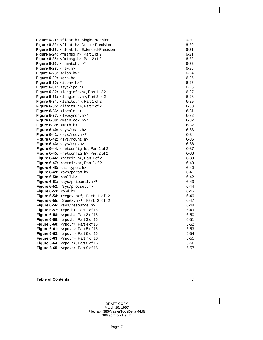|                                          | <b>Figure 6-21:</b> $\leq$ float. h>, Single-Precision                                                                                                                                                                                                                                                                                                                                                                                        | $6 - 20$ |
|------------------------------------------|-----------------------------------------------------------------------------------------------------------------------------------------------------------------------------------------------------------------------------------------------------------------------------------------------------------------------------------------------------------------------------------------------------------------------------------------------|----------|
|                                          | Figure 6-22: <float.h>, Double-Precision</float.h>                                                                                                                                                                                                                                                                                                                                                                                            | $6 - 20$ |
|                                          | <b>Figure 6-23:</b> <float.h>, Extended-Precision</float.h>                                                                                                                                                                                                                                                                                                                                                                                   | $6 - 21$ |
|                                          | Figure 6-24: <fmtmsg.h>, Part 1 of 2</fmtmsg.h>                                                                                                                                                                                                                                                                                                                                                                                               | $6 - 21$ |
|                                          | Figure 6-25: <fmtmsg.h>, Part 2 of 2</fmtmsg.h>                                                                                                                                                                                                                                                                                                                                                                                               | $6 - 22$ |
|                                          | <b>Figure 6-26:</b> $\langle$ fnmatch.h>*                                                                                                                                                                                                                                                                                                                                                                                                     | $6 - 22$ |
| Figure 6-27: $<$ ftw.h>                  |                                                                                                                                                                                                                                                                                                                                                                                                                                               | $6 - 23$ |
| Figure 6-28: $\langle$ glob.h>*          |                                                                                                                                                                                                                                                                                                                                                                                                                                               | $6 - 24$ |
| Figure 6-29: $\langle$ qrp.h>            |                                                                                                                                                                                                                                                                                                                                                                                                                                               | $6 - 25$ |
| Figure 6-30: $\langle$ iconv.h>*         |                                                                                                                                                                                                                                                                                                                                                                                                                                               | $6 - 25$ |
|                                          | Figure 6-31: <sys ipc.h=""></sys>                                                                                                                                                                                                                                                                                                                                                                                                             | $6 - 26$ |
|                                          | <b>Figure 6-32:</b> $\langle$ langinfo.h>, Part 1 of 2                                                                                                                                                                                                                                                                                                                                                                                        | $6 - 27$ |
|                                          | <b>Figure 6-33:</b> $\langle$ langinfo.h>, Part 2 of 2                                                                                                                                                                                                                                                                                                                                                                                        | $6 - 28$ |
|                                          | <b>Figure 6-34:</b> $\langle$ limits.h>, Part 1 of 2                                                                                                                                                                                                                                                                                                                                                                                          | $6 - 29$ |
|                                          | Figure 6-35: <limits.h>, Part 2 of 2</limits.h>                                                                                                                                                                                                                                                                                                                                                                                               | $6 - 30$ |
| <b>Figure 6-36:</b> $\langle$ -locale.h> |                                                                                                                                                                                                                                                                                                                                                                                                                                               | $6 - 31$ |
|                                          | <b>Figure 6-37:</b> $\langle$ lwpsynch.h>*                                                                                                                                                                                                                                                                                                                                                                                                    | $6 - 32$ |
|                                          | <b>Figure 6-38:</b> $\langle \text{machlock.h}\rangle^*$                                                                                                                                                                                                                                                                                                                                                                                      | $6 - 32$ |
| Figure 6-39: <math.h></math.h>           |                                                                                                                                                                                                                                                                                                                                                                                                                                               | $6 - 32$ |
|                                          | <b>Figure 6-40:</b> $\langle$ sys/mman.h>                                                                                                                                                                                                                                                                                                                                                                                                     | 6-33     |
|                                          | Figure 6-41: $\langle$ sys/mod.h>*                                                                                                                                                                                                                                                                                                                                                                                                            | $6 - 34$ |
|                                          | <b>Figure 6-42:</b> $\langle$ sys/mount.h>                                                                                                                                                                                                                                                                                                                                                                                                    | $6 - 35$ |
|                                          | <b>Figure 6-43:</b> $\langle \text{sys/msq.h} \rangle$                                                                                                                                                                                                                                                                                                                                                                                        | 6-36     |
|                                          | <b>Figure 6-44:</b> $\leq$ netconfig.h>, Part 1 of 2                                                                                                                                                                                                                                                                                                                                                                                          | $6 - 37$ |
|                                          | <b>Figure 6-45:</b> $\leq$ netconfig.h>, Part 2 of 2                                                                                                                                                                                                                                                                                                                                                                                          | $6 - 38$ |
|                                          | <b>Figure 6-46:</b> $\langle \text{netdir.h}\rangle$ , Part 1 of 2                                                                                                                                                                                                                                                                                                                                                                            | 6-39     |
|                                          | <b>Figure 6-47:</b> $\langle \text{netdir.h}\rangle$ , Part 2 of 2                                                                                                                                                                                                                                                                                                                                                                            | $6 - 40$ |
|                                          | <b>Figure 6-48:</b> $\langle$ nl_types.h>                                                                                                                                                                                                                                                                                                                                                                                                     | $6 - 40$ |
|                                          | <b>Figure 6-49:</b> $\langle$ sys/param.h>                                                                                                                                                                                                                                                                                                                                                                                                    | 6-41     |
| Figure 6-50: $<$ poll.h>                 |                                                                                                                                                                                                                                                                                                                                                                                                                                               | 6-42     |
|                                          | Figure 6-51: <sys priocntl.h="">*</sys>                                                                                                                                                                                                                                                                                                                                                                                                       | 6-43     |
|                                          | <b>Figure 6-52:</b> $<$ sys/procset.h>                                                                                                                                                                                                                                                                                                                                                                                                        | 6-44     |
| Figure 6-53: $<$ pwd.h>                  |                                                                                                                                                                                                                                                                                                                                                                                                                                               | $6 - 45$ |
|                                          | Figure 6-54: <regex.h>*, Part 1 of 2</regex.h>                                                                                                                                                                                                                                                                                                                                                                                                | 6-46     |
|                                          | Figure 6-55: <regex.h>*, Part 2 of 2</regex.h>                                                                                                                                                                                                                                                                                                                                                                                                | $6 - 47$ |
|                                          | <b>Figure 6-56:</b> $<$ sys/resource.h>                                                                                                                                                                                                                                                                                                                                                                                                       | 6-48     |
|                                          | <b>Figure 6-57:</b> $\langle$ rpc.h>, Part 1 of 16                                                                                                                                                                                                                                                                                                                                                                                            | $6 - 49$ |
|                                          | <b>Figure 6-58:</b> $\langle$ $\rangle$ $\langle$ $\rangle$ $\langle$ $\rangle$ $\langle$ $\rangle$ $\langle$ $\rangle$ $\langle$ $\rangle$ $\langle$ $\rangle$ $\langle$ $\rangle$ $\langle$ $\rangle$ $\langle$ $\rangle$ $\langle$ $\rangle$ $\langle$ $\rangle$ $\langle$ $\rangle$ $\langle$ $\rangle$ $\langle$ $\rangle$ $\langle$ $\rangle$ $\langle$ $\rangle$ $\langle$ $\rangle$ $\langle$ $\rangle$ $\langle$ $\rangle$ $\langle$ | $6 - 50$ |
|                                          | <b>Figure 6-59:</b> $\langle$ xpc.h>, Part 3 of 16                                                                                                                                                                                                                                                                                                                                                                                            | $6 - 51$ |
|                                          | Figure 6-60: <rpc.h>, Part 4 of 16</rpc.h>                                                                                                                                                                                                                                                                                                                                                                                                    | 6-52     |
|                                          | Figure 6-61: <rpc.h>, Part 5 of 16</rpc.h>                                                                                                                                                                                                                                                                                                                                                                                                    | $6 - 53$ |
|                                          | <b>Figure 6-62:</b> $\langle$ rpc.h>, Part 6 of 16                                                                                                                                                                                                                                                                                                                                                                                            | $6 - 54$ |
|                                          | Figure 6-63: <rpc.h>, Part 7 of 16</rpc.h>                                                                                                                                                                                                                                                                                                                                                                                                    | 6-55     |
|                                          | <b>Figure 6-64:</b> $\langle$ rpc.h>, Part 8 of 16                                                                                                                                                                                                                                                                                                                                                                                            | 6-56     |
|                                          | Figure 6-65: <rpc.h>, Part 9 of 16</rpc.h>                                                                                                                                                                                                                                                                                                                                                                                                    | $6 - 57$ |

**Table of Contents v**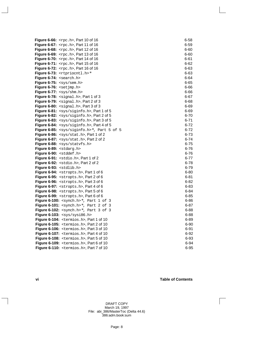|                                                | <b>Figure 6-66:</b> $\langle$ - $\langle$ - $\rangle$ - $\langle$ - $\rangle$ - $\langle$ - $\rangle$ - $\langle$ - $\rangle$ - $\langle$ - $\rangle$ - $\langle$ - $\rangle$ - $\langle$ - $\rangle$ - $\langle$ - $\rangle$ - $\langle$ - $\rangle$ - $\langle$ - $\rangle$ - $\langle$ - $\rangle$ - $\langle$ - $\rangle$ - $\langle$ - $\rangle$ - $\langle$ - $\rangle$ - $\langle$ | 6-58                 |
|------------------------------------------------|-------------------------------------------------------------------------------------------------------------------------------------------------------------------------------------------------------------------------------------------------------------------------------------------------------------------------------------------------------------------------------------------|----------------------|
|                                                | Figure 6-67: <rpc.h>, Part 11 of 16</rpc.h>                                                                                                                                                                                                                                                                                                                                               | $6 - 59$             |
|                                                | <b>Figure 6-68:</b> $\langle$ rpc.h>, Part 12 of 16                                                                                                                                                                                                                                                                                                                                       | $6 - 60$             |
|                                                | <b>Figure 6-69:</b> $\langle$ rpc.h>, Part 13 of 16                                                                                                                                                                                                                                                                                                                                       | 6-60                 |
|                                                | Figure 6-70: <rpc.h>, Part 14 of 16</rpc.h>                                                                                                                                                                                                                                                                                                                                               | $6 - 61$             |
|                                                | <b>Figure 6-71:</b> $\langle$ rpc.h>, Part 15 of 16                                                                                                                                                                                                                                                                                                                                       | $6 - 62$             |
|                                                | Figure 6-72: <rpc.h>, Part 16 of 16</rpc.h>                                                                                                                                                                                                                                                                                                                                               | 6-63                 |
|                                                | <b>Figure 6-73:</b> <rtpriocntl.h>*</rtpriocntl.h>                                                                                                                                                                                                                                                                                                                                        | 6-63                 |
| Figure 6-74: $<$ search.h>                     |                                                                                                                                                                                                                                                                                                                                                                                           | $6 - 64$             |
|                                                | <b>Figure 6-75:</b> $\langle$ sys/sem.h>                                                                                                                                                                                                                                                                                                                                                  | $6 - 65$             |
| <b>Figure 6-76:</b> $\leq$ set $\text{imp.h>}$ |                                                                                                                                                                                                                                                                                                                                                                                           | 6-66                 |
|                                                | Figure 6-77: $<$ sys/shm.h>                                                                                                                                                                                                                                                                                                                                                               | 6-66                 |
|                                                | <b>Figure 6-78:</b> $\langle$ signal.h>, Part 1 of 3                                                                                                                                                                                                                                                                                                                                      | 6-67                 |
|                                                | <b>Figure 6-79:</b> $\langle$ signal.h>, Part 2 of 3                                                                                                                                                                                                                                                                                                                                      | $6 - 68$             |
|                                                | <b>Figure 6-80:</b> $\langle$ signal.h>, Part 3 of 3                                                                                                                                                                                                                                                                                                                                      | $6 - 69$             |
|                                                | <b>Figure 6-81:</b> $<$ sys/siginfo.h>, Part 1 of 5                                                                                                                                                                                                                                                                                                                                       | 6-69                 |
|                                                | <b>Figure 6-82:</b> $\langle \text{sys/sight}$ .h>, Part 2 of 5                                                                                                                                                                                                                                                                                                                           | 6-70                 |
|                                                | <b>Figure 6-83:</b> $\langle \text{sys/signf0.h}\rangle$ , Part 3 of 5                                                                                                                                                                                                                                                                                                                    | $6 - 71$             |
|                                                | Figure 6-84: <sys siginfo.h="">, Part 4 of 5</sys>                                                                                                                                                                                                                                                                                                                                        | $6 - 72$             |
|                                                | Figure 6-85: <sys siginfo.h="">*, Part 5 of 5</sys>                                                                                                                                                                                                                                                                                                                                       | $6 - 72$             |
|                                                | <b>Figure 6-86:</b> $\langle \text{sys/stat.h}\rangle$ , Part 1 of 2                                                                                                                                                                                                                                                                                                                      | $6 - 73$             |
|                                                | Figure 6-87: <sys stat.h="">, Part 2 of 2</sys>                                                                                                                                                                                                                                                                                                                                           | $6 - 74$             |
|                                                | <b>Figure 6-88:</b> $\langle$ sys/statvfs.h>                                                                                                                                                                                                                                                                                                                                              | $6 - 75$             |
| Figure 6-89: $\lt$ stdarg.h>                   |                                                                                                                                                                                                                                                                                                                                                                                           | $6 - 76$             |
|                                                | Figure $6-90$ : $\lt$ stddef.h>                                                                                                                                                                                                                                                                                                                                                           | $6 - 76$             |
|                                                | <b>Figure 6-91:</b> $\lt$ stdio.h>, Part 1 of 2                                                                                                                                                                                                                                                                                                                                           | $6 - 77$             |
|                                                | <b>Figure 6-92:</b> $\lt$ stdio.h>, Part 2 of 2                                                                                                                                                                                                                                                                                                                                           | $6 - 78$             |
|                                                | <b>Figure 6-93:</b> $\lt$ stdlib.h>                                                                                                                                                                                                                                                                                                                                                       | $6 - 79$             |
|                                                | <b>Figure 6-94:</b> $\lt$ stropts.h>, Part 1 of 6                                                                                                                                                                                                                                                                                                                                         | $6 - 80$             |
|                                                | <b>Figure 6-95:</b> $\langle$ stropts.h>, Part 2 of 6                                                                                                                                                                                                                                                                                                                                     | $6 - 81$             |
|                                                | Figure 6-96: <stropts.h>, Part 3 of 6</stropts.h>                                                                                                                                                                                                                                                                                                                                         | $6 - 82$             |
|                                                | <b>Figure 6-97:</b> $\lt$ stropts.h>, Part 4 of 6                                                                                                                                                                                                                                                                                                                                         | $6 - 83$<br>$6 - 84$ |
|                                                | <b>Figure 6-98:</b> $\langle \text{stropts.h}\rangle$ , Part 5 of 6<br>Figure 6-99: <stropts.h>, Part 6 of 6</stropts.h>                                                                                                                                                                                                                                                                  | $6 - 85$             |
|                                                | Figure 6-100: <synch.h>*, Part 1 of 3</synch.h>                                                                                                                                                                                                                                                                                                                                           | 6-86                 |
|                                                | Figure 6-101: <synch.h>*, Part 2 of 3</synch.h>                                                                                                                                                                                                                                                                                                                                           | $6 - 87$             |
|                                                | Figure 6-102: <synch.h>*, Part 3 of 3</synch.h>                                                                                                                                                                                                                                                                                                                                           | 6-88                 |
|                                                | Figure 6-103: <sys sysi86.h=""></sys>                                                                                                                                                                                                                                                                                                                                                     | 6-88                 |
|                                                | <b>Figure 6-104:</b> $\leq$ $\leq$ $\leq$ $\leq$ $\leq$ $\leq$ $\leq$ $\leq$ $\leq$ $\leq$ $\leq$ $\leq$ $\leq$ $\leq$ $\leq$ $\leq$ $\leq$ $\leq$ $\leq$ $\leq$ $\leq$ $\leq$ $\leq$ $\leq$ $\leq$ $\leq$ $\leq$ $\leq$ $\leq$ $\leq$ $\leq$ $\leq$ $\leq$ $\leq$                                                                                                                        | 6-89                 |
|                                                | <b>Figure 6-105:</b> $\leq$ $\leq$ $\leq$ $\leq$ $\leq$ $\leq$ $\leq$ $\leq$ $\leq$ $\leq$ $\leq$ $\leq$ $\leq$ $\leq$ $\leq$ $\leq$ $\leq$ $\leq$ $\leq$ $\leq$ $\leq$ $\leq$ $\leq$ $\leq$ $\leq$ $\leq$ $\leq$ $\leq$ $\leq$ $\leq$ $\leq$ $\leq$ $\leq$ $\leq$                                                                                                                        | 6-90                 |
|                                                | Figure 6-106: <termios.h>, Part 3 of 10</termios.h>                                                                                                                                                                                                                                                                                                                                       | 6-91                 |
|                                                | <b>Figure 6-107:</b> $\leq$ $\leq$ $\leq$ $\leq$ $\leq$ $\leq$ $\leq$ $\leq$ $\leq$ $\leq$ $\leq$ $\leq$ $\leq$ $\leq$ $\leq$ $\leq$ $\leq$ $\leq$ $\leq$ $\leq$ $\leq$ $\leq$ $\leq$ $\leq$ $\leq$ $\leq$ $\leq$ $\leq$ $\leq$ $\leq$ $\leq$ $\leq$ $\leq$ $\leq$                                                                                                                        | $6 - 92$             |
|                                                | <b>Figure 6-108:</b> $\leq$ termios.h>, Part 5 of 10                                                                                                                                                                                                                                                                                                                                      | $6 - 93$             |
|                                                | Figure 6-109: <termios.h>, Part 6 of 10</termios.h>                                                                                                                                                                                                                                                                                                                                       | 6-94                 |
|                                                | Figure 6-110: <termios.h>, Part 7 of 10</termios.h>                                                                                                                                                                                                                                                                                                                                       | 6-95                 |
|                                                |                                                                                                                                                                                                                                                                                                                                                                                           |                      |

**vi Table of Contents**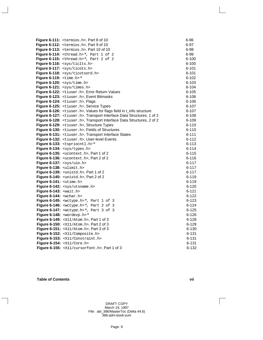|                                     | <b>Figure 6-111:</b> $\leq$ $\leq$ $\leq$ $\leq$ $\leq$ $\leq$ $\leq$ $\leq$ $\leq$ $\leq$ $\leq$ $\leq$ $\leq$ $\leq$ $\leq$ $\leq$ $\leq$ $\leq$ $\leq$ $\leq$ $\leq$ $\leq$ $\leq$ $\leq$ $\leq$ $\leq$ $\leq$ $\leq$ $\leq$ $\leq$ $\leq$ $\leq$ $\leq$ $\leq$ | 6-96      |
|-------------------------------------|--------------------------------------------------------------------------------------------------------------------------------------------------------------------------------------------------------------------------------------------------------------------|-----------|
|                                     | Figure 6-112: <termios.h>, Part 9 of 10</termios.h>                                                                                                                                                                                                                | 6-97      |
|                                     | <b>Figure 6-113:</b> $\leq$ $\leq$ $\leq$ $\leq$ $\leq$ $\leq$ $\leq$ $\leq$ $\leq$ $\leq$ $\leq$ $\leq$ $\leq$ $\leq$ $\leq$ $\leq$ $\leq$ $\leq$ $\leq$ $\leq$ $\leq$ $\leq$ $\leq$ $\leq$ $\leq$ $\leq$ $\leq$ $\leq$ $\leq$ $\leq$ $\leq$ $\leq$ $\leq$ $\leq$ | 6-98      |
|                                     | Figure 6-114: <thread.h>*, Part 1 of 2</thread.h>                                                                                                                                                                                                                  | 6-99      |
|                                     | Figure 6-115: <thread.h>*, Part 2 of 2</thread.h>                                                                                                                                                                                                                  | $6 - 100$ |
|                                     | Figure 6-116: $<$ sys/ticlts.h>                                                                                                                                                                                                                                    | $6 - 100$ |
|                                     | Figure 6-117: <sys ticots.h=""></sys>                                                                                                                                                                                                                              | $6 - 101$ |
|                                     | <b>Figure 6-118:</b> <sys ticotsord.h=""></sys>                                                                                                                                                                                                                    | $6 - 101$ |
| Figure 6-119: $\times$ time.h>*     |                                                                                                                                                                                                                                                                    | $6 - 102$ |
|                                     | Figure 6-120: <sys time.h=""></sys>                                                                                                                                                                                                                                | $6 - 103$ |
|                                     | <b>Figure 6-121:</b> $<$ sys/times.h>                                                                                                                                                                                                                              | 6-104     |
|                                     | Figure 6-122: <tiuser.h>, Error Return Values</tiuser.h>                                                                                                                                                                                                           | $6 - 105$ |
|                                     | Figure 6-123: <tiuser.h>, Event Bitmasks</tiuser.h>                                                                                                                                                                                                                | $6 - 106$ |
|                                     | <b>Figure 6-124:</b> $\lt$ tiuser.h>, Flags                                                                                                                                                                                                                        | $6 - 106$ |
|                                     | Figure 6-125: <tiuser.h>, Service Types</tiuser.h>                                                                                                                                                                                                                 | $6 - 107$ |
|                                     | Figure 6-126: <tiuser.h>, Values for flags field in t info structure</tiuser.h>                                                                                                                                                                                    | $6 - 107$ |
|                                     | Figure 6-127: <tiuser.h>, Transport Interface Data Structures, 1 of 2</tiuser.h>                                                                                                                                                                                   | $6 - 108$ |
|                                     | Figure 6-128: <tiuser.h>, Transport Interface Data Structures, 2 of 2</tiuser.h>                                                                                                                                                                                   | $6 - 109$ |
|                                     | Figure 6-129: <tiuser.h>, Structure Types</tiuser.h>                                                                                                                                                                                                               | $6 - 110$ |
|                                     | <b>Figure 6-130:</b> <tiuser.h>, Fields of Structures</tiuser.h>                                                                                                                                                                                                   | $6 - 110$ |
|                                     | Figure 6-131: <tiuser.h>, Transport Interface States</tiuser.h>                                                                                                                                                                                                    | $6 - 111$ |
|                                     | Figure 6-132: <tiuser.h>, User-level Events</tiuser.h>                                                                                                                                                                                                             | $6 - 112$ |
|                                     | <b>Figure 6-133:</b> $\lt$ tspriocntl.h>*                                                                                                                                                                                                                          | $6 - 113$ |
|                                     | Figure 6-134: <sys types.h=""></sys>                                                                                                                                                                                                                               | $6 - 114$ |
|                                     | <b>Figure 6-135:</b> $\leq$ $\leq$ $\leq$ $\leq$ $\leq$ $\leq$ $\leq$ $\leq$ $\leq$ $\leq$ $\leq$ $\leq$ $\leq$ $\leq$ $\leq$ $\leq$ $\leq$ $\leq$ $\leq$ $\leq$ $\leq$ $\leq$ $\leq$ $\leq$ $\leq$ $\leq$ $\leq$ $\leq$ $\leq$ $\leq$ $\leq$ $\leq$ $\leq$ $\leq$ | $6 - 115$ |
|                                     | <b>Figure 6-136:</b> $\leq$ $\leq$ $\leq$ $\leq$ $\leq$ $\leq$ $\leq$ $\leq$ $\leq$ $\leq$ $\leq$ $\leq$ $\leq$ $\leq$ $\leq$ $\leq$ $\leq$ $\leq$ $\leq$ $\leq$ $\leq$ $\leq$ $\leq$ $\leq$ $\leq$ $\leq$ $\leq$ $\leq$ $\leq$ $\leq$ $\leq$ $\leq$ $\leq$ $\leq$ | $6 - 116$ |
|                                     | Figure 6-137: <sys uio.h=""></sys>                                                                                                                                                                                                                                 | $6 - 117$ |
| Figure 6-138: <ulimit.h></ulimit.h> |                                                                                                                                                                                                                                                                    | $6 - 117$ |
|                                     | <b>Figure 6-139:</b> $\langle$ unistd.h>, Part 1 of 2                                                                                                                                                                                                              | $6 - 117$ |
|                                     | Figure 6-140: <unistd.h>, Part 2 of 2</unistd.h>                                                                                                                                                                                                                   | $6 - 119$ |
| Figure 6-141: <utime.h></utime.h>   |                                                                                                                                                                                                                                                                    | $6 - 119$ |
|                                     | Figure 6-142: <sys utsname.h=""></sys>                                                                                                                                                                                                                             | $6 - 120$ |
| Figure 6-143: <wait.h></wait.h>     |                                                                                                                                                                                                                                                                    | $6 - 121$ |
| Figure 6-144: <wchar.h></wchar.h>   |                                                                                                                                                                                                                                                                    | $6 - 122$ |
|                                     | Figure 6-145: <wctype.h>*, Part 1 of 3</wctype.h>                                                                                                                                                                                                                  | $6 - 123$ |
|                                     | Figure 6-146: <wctype.h>*, Part 2 of 3</wctype.h>                                                                                                                                                                                                                  | $6 - 124$ |
|                                     | Figure 6-147: <wctype.h>*, Part 3 of 3</wctype.h>                                                                                                                                                                                                                  | $6 - 125$ |
|                                     | Figure 6-148: <wordexp.h>*</wordexp.h>                                                                                                                                                                                                                             | $6 - 126$ |
|                                     | Figure 6-149: <x11 atom.h="">, Part 1 of 3</x11>                                                                                                                                                                                                                   | $6 - 128$ |
|                                     | <b>Figure 6-150:</b> $\times$ X11/Atom.h>, Part 2 of 3                                                                                                                                                                                                             | $6 - 129$ |
|                                     | Figure 6-151: <x11 atom.h="">, Part 3 of 3</x11>                                                                                                                                                                                                                   | 6-130     |
|                                     | Figure 6-152: <x11 composite.h=""></x11>                                                                                                                                                                                                                           | $6 - 131$ |
|                                     | Figure 6-153: $\langle x11/Constraint.h \rangle$                                                                                                                                                                                                                   | $6 - 131$ |
|                                     | Figure 6-154: $\langle \text{X11/Core.h}\rangle$                                                                                                                                                                                                                   | 6-131     |
|                                     | Figure 6-155: <x11 cursorfont.h="">, Part 1 of 3</x11>                                                                                                                                                                                                             | 6-132     |

**Table of Contents vii**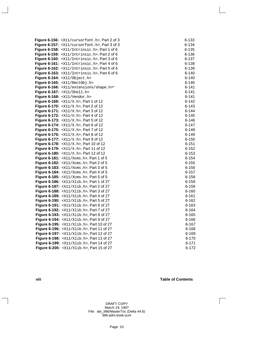| Figure 6-156: <x11 cursorfont.h="">, Part 2 of 3</x11>                                                                                | 6-133              |
|---------------------------------------------------------------------------------------------------------------------------------------|--------------------|
| <b>Figure 6-157:</b> $\times$ X11/cursorfont.h>, Part 3 of 3                                                                          | 6-134              |
| <b>Figure 6-158:</b> $\langle x11/Tntrinsic.h\rangle$ , Part 1 of 6                                                                   | 6-135              |
| <b>Figure 6-159:</b> $\langle x11/Tntrinsic.h \rangle$ , Part 2 of 6                                                                  | 6-136              |
| <b>Figure 6-160:</b> $\langle x11/Tntrinsic.h \rangle$ , Part 3 of 6                                                                  | 6-137              |
| <b>Figure 6-161:</b> $\langle x11/Tntrinsic.h\rangle$ , Part 4 of 6                                                                   | 6-138              |
| Figure 6-162: <x11 intrinsic.h="">, Part 5 of 6</x11>                                                                                 | 6-139              |
| <b>Figure 6-163:</b> $\langle \text{X11/Inttrinsic.h}\rangle$ , Part 6 of 6                                                           | 6-140              |
| Figure 6-164: $\langle x11/0b \rangle$ ject.h>                                                                                        | $6 - 140$          |
| <b>Figure 6-165:</b> $\langle \times 11/\text{RectObj}}$ .h>                                                                          | 6-140              |
| <b>Figure 6-166:</b> $\langle \text{X11/extensors/shape.h}\rangle^*$                                                                  | 6-141              |
| Figure 6-167: $\langle \frac{X11}{Shel1} \cdot h \rangle$                                                                             | $6 - 141$          |
| Figure 6-168: $\langle x11/v \rangle$ endor.h>                                                                                        | $6 - 141$          |
| <b>Figure 6-169:</b> $\langle x11/X,h \rangle$ , Part 1 of 12                                                                         | $6 - 142$          |
| <b>Figure 6-170:</b> $\langle x11/X,h \rangle$ , Part 2 of 12                                                                         | $6 - 143$          |
| Figure 6-171: <x11 x.h="">, Part 3 of 12</x11>                                                                                        | 6-144              |
| <b>Figure 6-172:</b> $\langle x11/X,h \rangle$ , Part 4 of 12                                                                         | 6-145              |
| <b>Figure 6-173:</b> $\langle x11/X,h \rangle$ , Part 5 of 12                                                                         | 6-146              |
| <b>Figure 6-174:</b> $\langle x11/X,h \rangle$ , Part 6 of 12                                                                         | 6-147              |
| <b>Figure 6-175:</b> $\langle x11/X,h \rangle$ , Part 7 of 12                                                                         | 6-148              |
| Figure 6-176: <x11 x.h="">, Part 8 of 12</x11>                                                                                        | $6 - 149$          |
| <b>Figure 6-177:</b> $\langle x11/X,h \rangle$ , Part 9 of 12                                                                         | 6-150              |
| <b>Figure 6-178:</b> $\langle x11/X,h \rangle$ , Part 10 of 12                                                                        | 6-151              |
| <b>Figure 6-179:</b> $\langle x11/X,h \rangle$ , Part 11 of 12                                                                        | 6-152              |
| <b>Figure 6-180:</b> $\langle x11/X,h \rangle$ , Part 12 of 12                                                                        | 6-153              |
| Figure 6-181: <x11 xcms.h="">, Part 1 of 5</x11>                                                                                      | 6-154              |
| <b>Figure 6-182:</b> $\langle x11/xcms.h\rangle$ , Part 2 of 5                                                                        | 6-155              |
| <b>Figure 6-183:</b> $\langle x11/xcms.h\rangle$ , Part 3 of 5                                                                        | 6-156              |
| <b>Figure 6-184:</b> $\langle x11/x \rangle$ cms. h $\langle x \rangle$ , Part 4 of 5                                                 | 6-157              |
| <b>Figure 6-185:</b> $\langle x11/xcms.h\rangle$ , Part 5 of 5                                                                        | 6-158              |
| Figure 6-186: <x11 xlib.h="">, Part 1 of 27</x11>                                                                                     | 6-159              |
| <b>Figure 6-187:</b> $\langle x11/x11b.h \rangle$ , Part 2 of 27                                                                      | 6-159              |
| <b>Figure 6-188:</b> $\langle x11/x11b.h\rangle$ , Part 3 of 27                                                                       | 6-160              |
| <b>Figure 6-189:</b> $\langle x11/x11b.h \rangle$ , Part 4 of 27                                                                      | 6-161              |
| <b>Figure 6-190:</b> $\langle x11/x1ib.h \rangle$ , Part 5 of 27                                                                      | 6-162              |
| <b>Figure 6-191:</b> $\langle x11/x11b.h \rangle$ , Part 6 of 27                                                                      | 6-163              |
| <b>Figure 6-192:</b> $\langle x11/x11b.h \rangle$ , Part 7 of 27                                                                      | 6-164<br>$6 - 165$ |
| <b>Figure 6-193:</b> $\langle x11/x11b.h \rangle$ , Part 8 of 27                                                                      | 6-166              |
| Figure 6-194: <x11 xlib.h="">, Part 9 of 27</x11>                                                                                     | 6-167              |
| <b>Figure 6-195:</b> $\langle x11/x11b.h \rangle$ , Part 10 of 27<br><b>Figure 6-196:</b> $\langle x11/x11b.h\rangle$ , Part 11 of 27 | 6-168              |
| <b>Figure 6-197:</b> $\langle x11/x11b,h\rangle$ , Part 12 of 27                                                                      | 6-169              |
| <b>Figure 6-198:</b> $\langle x11/x11b.h\rangle$ , Part 13 of 27                                                                      | 6-170              |
| <b>Figure 6-199:</b> $\langle x11/x11b.h\rangle$ , Part 14 of 27                                                                      | $6 - 171$          |
| <b>Figure 6-200:</b> $\langle x11/x11b,h\rangle$ , Part 15 of 27                                                                      | $6 - 172$          |
|                                                                                                                                       |                    |

**viii Table of Contents**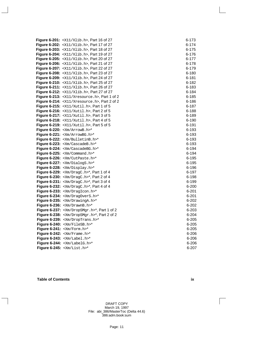**Figure 6-201:**  $\langle x11/x11b.h\rangle$ , Part 16 of 27 6-173<br> **Figure 6-202:**  $\langle x11/x11b.h\rangle$ , Part 17 of 27 6-174 **Figure 6-202:** <x11/xlib.h>, Part 17 of 27 **Figure 6-203:**  $\langle 0.71 \rangle$  < X11/X1ib.h>, Part 18 of 27 6-175 **Figure 6-204:**  $\langle 0.211 / 0.11 \rangle$ , Part 19 of 27 6-176 **Figure 6-205:**  $\langle 0.77 \rangle$  <  $\langle 0.77 \rangle$  =  $\langle 0.77 \rangle$  =  $\langle 0.77 \rangle$  =  $\langle 0.77 \rangle$  =  $\langle 0.77 \rangle$  =  $\langle 0.77 \rangle$  =  $\langle 0.77 \rangle$  =  $\langle 0.77 \rangle$  =  $\langle 0.77 \rangle$  =  $\langle 0.77 \rangle$  =  $\langle 0.77 \rangle$  =  $\langle 0.77 \rangle$  =  $\langle 0.77 \rangle$  =  $\langle 0.77 \rangle$ **Figure 6-206:**  $\langle 0.71 \rangle$  <  $\langle 1.781 \rangle$  x  $\langle 1.1 \rangle$  . h  $\langle 1.781 \rangle$  =  $\langle 0.71 \rangle$  =  $\langle 0.71 \rangle$  =  $\langle 0.71 \rangle$  =  $\langle 0.71 \rangle$  =  $\langle 0.71 \rangle$  =  $\langle 0.71 \rangle$  =  $\langle 0.71 \rangle$  =  $\langle 0.71 \rangle$  =  $\langle 0.71 \rangle$  =  $\langle 0.71 \rangle$  =  $\langle 0.7$ **Figure 6-207:** <x11/x1ib.h>, Part 22 of 27 6-179 **Figure 6-208:** <x11/xlib.h>, Part 23 of 27 6-180 **Figure 6-209:**  $\langle 0.811/10.1 \rangle$ , Part 24 of 27 6-181 **Figure 6-210:**  $\langle 0.711/0.11 \rangle$ , Part 25 of 27 6-182 **Figure 6-211:**  $\times$ X11/X1ib.h>, Part 26 of 27 6-183 **Figure 6-212:**  $\times$ X11/X1ib.h>, Part 27 of 27 6-184 **Figure 6-213:**  $\times$ X11/X resource .h>, Part 1 of 2 6-185 **Figure 6-214:**  $\times$ X11/X resource .h>, Part 2 of 2 6-186 **Figure 6-215:**  $\times$ X11/Xutil.h>, Part 1 of 5 6-187 **Figure 6-216:**  $\times$ X11/Xutil.h>, Part 2 of 5 6-188 **Figure 6-217:** < $x11/xu$ til.h>, Part 3 of 5 6-189 **Figure 6-218:**  $\langle 0.11 / Xutil. h \rangle$ , Part 4 of 5 6-190 **Figure 6-219:**  $\times$ X11/Xutil.h>, Part 5 of 5 6191 **Figure 6-220:**  $\langle \text{Xm/Arrows.h}\rangle^*$  6-193 **Figure 6-221:**  $\langle \text{Xm/ArrowsG.h} \rangle^*$  6-193 **Figure 6-222:**  $\times$ Xm/BulletinB.h>\* 6-193 **Figure 6-223:**  $\langle \text{Xm/CascadeB.h}\rangle^*$  6-193 **Figure 6-224:**  $\langle \text{Xm}/\text{CascadeBG.h}\rangle^*$  6-194 **Figure 6-225:** < Xm/Command.h>\* 6-194<br> **Figure 6-226:** < Xm/CutPaste.h>\* 6-195 Figure 6-226: < Xm/CutPaste.h>\* **Figure 6-227:**  $\langle \text{Xm/Dialogs.h} \rangle^*$  6-195 **Figure 6-228:**  $\langle \text{Xm/Display.h}\rangle^*$  6-196 **Figure 6-229:** < $Xm/DragC.h$ >\*, Part 1 of 4 6-197 **Figure 6-230:** < $Xm/DragC.h$ >\*, Part 2 of 4 6-198 **Figure 6-231:**  $\langle Xm/DragC.h \rangle^*$ , Part 3 of 4 6-199 **Figure 6-232:**  $\langle \text{Xm}/\text{DiagC} \cdot \text{h} \rangle^*$ , Part 4 of 4 6-200 **Figure 6-233:**  $\langle \text{Xm}/\text{DragIcon.h}\rangle^*$  6-201 **Figure 6-234:**  $\langle \text{Xm}/\text{DiagOvers.h} \rangle^*$  6-201 **Figure 6-235:**  $\langle \text{Xm}/\text{DrawingA.h.}\rangle^*$  6-202 **Figure 6-236:**  $\langle \text{Xm}/\text{DrawnB.h}\rangle^*$  6-202 **Figure 6-237:**  $\langle$  xm/DropSMgr.h>\*, Part 1 of 2 6-203 6-203 6-203 6-204 6-204 6-204 6-204 6-204 for a state of 2 **Figure 6-238:** < Xm/DropSMgr.h>\*, Part 2 of 2 **Figure 6-239:**  $\langle \text{Xm}/\text{DropTrans.h}\rangle^*$  6-205 **Figure 6-240:**  $\times$ Xm/FileSB.h>\* 6-205 **Figure 6-241:**  $\langle \text{Xm}/\text{Form.h} \rangle^*$  6-205 **Figure 6-242:**  $\langle$ Xm/Frame.h>\* 6-206 **Figure 6-243:** < $xm/Label.h>*$ <br> **Figure 6-244:** < $xm/Label G.h>*$ <br> **Figure 6-244:** < $xm/Label G.h>*$ **Figure 6-244:** <*Xm/LabelG.h>\** **Figure 6-245:**  $\langle \text{Xm/List.h}\rangle^*$  6-207

**Table of Contents ix**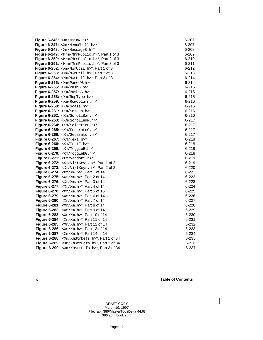| <b>Figure 6-246:</b> $\langle x_m/MainW.h\rangle^*$                                                                       | 6-207                  |
|---------------------------------------------------------------------------------------------------------------------------|------------------------|
| <b>Figure 6-247:</b> $\langle x_m/M$ enuShell.h>*                                                                         | 6-207                  |
| <b>Figure 6-248:</b> $\langle$ Xm/MessageB.h>*                                                                            | 6-208                  |
| Figure 6-249: <mrm mrmpublic.h="">*, Part 1 of 3</mrm>                                                                    | 6-209                  |
| Figure 6-250: <mrm mrmpublic.h="">*, Part 2 of 3</mrm>                                                                    | 6-210                  |
| <b>Figure 6-251:</b> $\langle Mrm/m/MrmPubic.h \rangle^*$ , Part 3 of 3                                                   | 6-211                  |
| <b>Figure 6-252:</b> $\langle x_m/MwmU\text{til}.h\rangle^*$ , Part 1 of 3                                                | 6-212                  |
| <b>Figure 6-253:</b> $\langle$ Xm/MwmUtil.h>*, Part 2 of 3                                                                | 6-213                  |
| <b>Figure 6-254:</b> $\langle x_m/MwmU\text{til}.h\rangle^*$ , Part 3 of 3                                                | $6 - 214$              |
| <b>Figure 6-255:</b> $\langle x_m/PanedW.h\rangle^*$                                                                      | 6-214                  |
| <b>Figure 6-256:</b> $\langle x_m/PushB.h\rangle^*$                                                                       | $6 - 215$              |
| Figure 6-257: $\langle x_m/PushBG.h\rangle^*$                                                                             | $6 - 215$              |
| <b>Figure 6-258:</b> $\langle$ Xm/RepType.h>*                                                                             | 6-215                  |
| <b>Figure 6-259:</b> $\langle$ Xm/RowColumn.h>*                                                                           | $6 - 216$              |
| <b>Figure 6-260:</b> $\langle x_m / \text{Scale.h} \rangle^*$                                                             | $6 - 216$              |
| Figure 6-261: $\langle x_m / \text{Screen.h.}\rangle^*$                                                                   | $6 - 216$              |
| <b>Figure 6-262:</b> $\langle x_m / \text{ScrollBar.h}\rangle^*$                                                          | 6-216                  |
| <b>Figure 6-263:</b> $\langle x_m / \text{ScrolledW.h} \rangle^*$                                                         | 6-217                  |
| <b>Figure 6-264:</b> $\langle$ Xm/SelectioB.h>*                                                                           | $6 - 217$              |
| <b>Figure 6-265:</b> $\langle x_m / \text{SeparatoG.h}\rangle^*$                                                          | $6 - 217$              |
| <b>Figure 6-266:</b> $\langle x_m / \text{Separator.h}\rangle^*$                                                          | 6-217                  |
| <b>Figure 6-267:</b> $\langle$ Xm/Text.h> <sup>*</sup>                                                                    | 6-218                  |
| Figure 6-268: $\langle x_{\text{m}}/T \rangle$ ext $F.h$ .                                                                | 6-218                  |
| Figure 6-269: $\langle x_m/T \rangle$ $\langle x_m/T \rangle$ $\langle n \rangle$ $\langle n \rangle$ $\langle n \rangle$ | 6-218                  |
| <b>Figure 6-270:</b> $\langle$ Xm/ToggleBG.h>*                                                                            | 6-218                  |
| <b>Figure 6-271:</b> $\langle x_m/v \rangle$ endors.h>*                                                                   | 6-219                  |
| <b>Figure 6-272:</b> $\langle x_m/v \rangle$ irtKeys.h>*, Part 1 of 2                                                     | 6-219                  |
| <b>Figure 6-273:</b> $\langle x_m/v \rangle$ irtKeys.h>*, Part 2 of 2                                                     | $6 - 220$              |
| <b>Figure 6-274:</b> $\langle x_m / x_m \rangle$ .h>*, Part 1 of 14                                                       | 6-221                  |
| <b>Figure 6-275:</b> $\langle x_m / x_m \rangle$ .h>*, Part 2 of 14                                                       | $6 - 222$              |
| Figure 6-276: < Xm/Xm. h>*, Part 3 of 14                                                                                  | 6-223                  |
| <b>Figure 6-277:</b> $\langle x_m / x_m \rangle$ .h>*, Part 4 of 14                                                       | $6 - 224$<br>$6 - 225$ |
| <b>Figure 6-278:</b> $\langle x_m / x_m \rangle$ .h>*, Part 5 of 15<br>Figure 6-279: < Xm/Xm. h>*, Part 6 of 14           | 6-226                  |
| Figure 6-280: < Xm/Xm. h>*, Part 7 of 14                                                                                  | $6 - 227$              |
| <b>Figure 6-281:</b> $\langle x_m / x_m \rangle$ . Part 8 of 14                                                           | $6 - 228$              |
| Figure 6-282: < Xm/Xm.h>*, Part 9 of 14                                                                                   | 6-229                  |
| Figure 6-283: < Xm/Xm. h>*, Part 10 of 14                                                                                 | 6-230                  |
| Figure 6-284: < Xm/Xm.h>*, Part 11 of 14                                                                                  | 6-231                  |
| <b>Figure 6-285:</b> $\langle x_m / x_m \rangle$ .h>*, Part 12 of 14                                                      | 6-232                  |
| <b>Figure 6-286:</b> $\langle x_m / x_m \rangle$ .h>*, Part 13 of 14                                                      | 6-233                  |
| Figure 6-287: < Xm/Xm. h>*, Part 14 of 14                                                                                 | 6-234                  |
| <b>Figure 6-288:</b> $\langle$ Xm/XmStrDefs.h>*, Part 1 of 34                                                             | $6 - 235$              |
| <b>Figure 6-289:</b> $\langle$ Xm/XmStrDefs.h>*, Part 2 of 34                                                             | 6-236                  |
| <b>Figure 6-290:</b> <xm xmstrdefs.h="">*, Part 3 of 34</xm>                                                              | 6-237                  |

**x Table of Contents**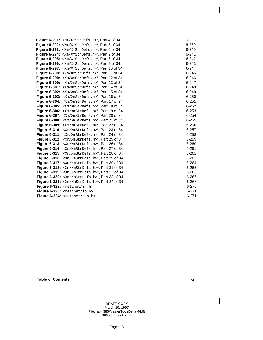| <b>Figure 6-291:</b> $\langle x_m / x_m \rangle$ str $D \in \mathbb{S}$ .h>*, Part 4 of 34  | 6-238     |
|---------------------------------------------------------------------------------------------|-----------|
| <b>Figure 6-292:</b> <xm xmstrdefs.h="">*, Part 5 of 34</xm>                                | 6-239     |
| <b>Figure 6-293:</b> $\langle$ Xm/XmStrDefs.h>*, Part 6 of 34                               | $6 - 240$ |
| Figure 6-294: < Xm/XmStrDefs.h>*, Part 7 of 34                                              | $6 - 241$ |
| <b>Figure 6-295:</b> $\langle$ Xm/XmStrDefs.h>*, Part 8 of 34                               | $6 - 242$ |
| <b>Figure 6-296:</b> $\langle$ Xm/XmStrDefs.h>*, Part 9 of 34                               | $6 - 243$ |
| <b>Figure 6-297:</b> $\langle$ Xm/XmStrDefs.h>*, Part 10 of 34                              | $6 - 244$ |
| <b>Figure 6-298:</b> $\langle$ Xm/XmStrDefs.h> <sup>*</sup> , Part 11 of 34                 | $6 - 245$ |
| Figure 6-299: < Xm/XmStrDefs.h>*, Part 12 of 34                                             | $6 - 246$ |
| <b>Figure 6-300:</b> $\langle$ Xm/XmStrDefs.h>*, Part 13 of 34                              | $6 - 247$ |
| <b>Figure 6-301:</b> $\langle$ Xm/XmStrDefs.h>*, Part 14 of 34                              | $6 - 248$ |
| <b>Figure 6-302:</b> $\langle$ Xm/XmStrDefs.h>*, Part 15 of 34                              | 6-249     |
| Figure 6-303: < Xm/XmStrDefs.h>*, Part 16 of 34                                             | $6 - 250$ |
| <b>Figure 6-304:</b> $\langle$ Xm/XmStrDefs.h>*, Part 17 of 34                              | $6 - 251$ |
| <b>Figure 6-305:</b> $\langle$ Xm/XmStrDefs.h>*, Part 18 of 34                              | $6 - 252$ |
| <b>Figure 6-306:</b> $\langle$ Xm/XmStrDefs.h>*, Part 19 of 34                              | $6 - 253$ |
| Figure 6-307: < Xm/XmStrDefs.h>*, Part 20 of 34                                             | $6 - 254$ |
| Figure 6-308: <xm xmstrdefs.h="">*, Part 21 of 34</xm>                                      | $6 - 255$ |
| <b>Figure 6-309:</b> $\langle$ Xm/XmStrDefs.h>*, Part 22 of 34                              | 6-256     |
| <b>Figure 6-310:</b> $\langle x_m / x_m \rangle$ str $D \in \mathbb{S}$ .h>*, Part 23 of 34 | $6 - 257$ |
| <b>Figure 6-311:</b> $\langle$ Xm/XmStrDefs.h>*, Part 24 of 34                              | $6 - 258$ |
| <b>Figure 6-312:</b> $\langle$ Xm/XmStrDefs.h>*, Part 25 of 34                              | 6-259     |
| Figure 6-313: $\langle x_m/x_m \rangle$ str $Defs.h$ , Part 26 of 34                        | 6-260     |
| <b>Figure 6-314:</b> $\langle$ Xm/XmStrDefs.h>*, Part 27 of 34                              | $6 - 261$ |
| <b>Figure 6-315:</b> $\langle$ Xm/XmStrDefs.h>*, Part 28 of 34                              | 6-262     |
| Figure 6-316: <xm xmstrdefs.h="">*, Part 29 of 34</xm>                                      | 6-263     |
| Figure 6-317: < Xm/XmStrDefs.h>*, Part 30 of 34                                             | 6-264     |
| <b>Figure 6-318:</b> $\langle$ Xm/XmStrDefs.h>*, Part 31 of 34                              | $6 - 265$ |
| <b>Figure 6-319:</b> $\langle$ Xm/XmStrDefs.h>*, Part 32 of 34                              | 6-266     |
| <b>Figure 6-320:</b> $\langle$ Xm/XmStrDefs.h>*, Part 33 of 34                              | 6-267     |
| <b>Figure 6-321:</b> $\langle$ Xm/XmStrDefs.h>*, Part 34 of 34                              | 6-268     |
| <b>Figure 6-322:</b> $\langle$ netinet/in.h>                                                | 6-270     |
| <b>Figure 6-323:</b> $\langle$ netinet/ip.h>                                                | $6 - 271$ |
| Figure 6-324: < netinet/tcp.h>                                                              | $6 - 271$ |

**Table of Contents** xi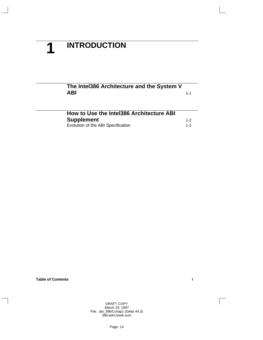# **1 INTRODUCTION**

| The Intel386 Architecture and the System V<br><b>ABI</b> | $1 - 1$ |
|----------------------------------------------------------|---------|
|                                                          |         |
|                                                          |         |
| How to Use the Intel386 Architecture ABI                 |         |
| <b>Supplement</b>                                        | $1 - 2$ |

**Table of Contents i**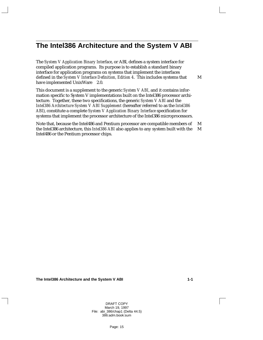# **The Intel386 Architecture and the System V ABI**

The *System V Application Binary Interface*, or ABI, defines a system interface for compiled application programs. Its purpose is to establish a standard binary interface for application programs on systems that implement the interfaces defined in the *System V Interface Definition, Edition 4*. This includes systems that M have implemented UnixWare® 2.0.

This document is a supplement to the generic *System V ABI*, and it contains information specific to System V implementations built on the Intel386 processor architecture. Together, these two specifications, the generic *System V ABI* and the *Intel386 Architecture System V ABI Supplement* (hereafter referred to as the *Intel386 ABI*), constitute a complete *System V Application Binary Interface* specification for systems that implement the processor architecture of the Intel386 microprocessors.

Note that, because the Intel486 and Pentium processor are compatible members of M the Intel386 architecture, this *Intel386 ABI* also applies to any system built with the M Intel486 or the Pentium processor chips.

**The Intel386 Architecture and the System V ABI 1-1**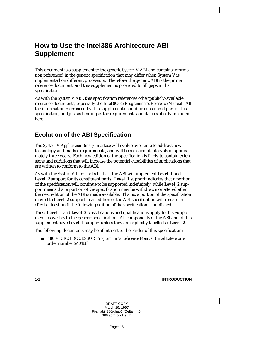# **How to Use the Intel386 Architecture ABI Supplement**

This document is a supplement to the generic *System V ABI* and contains information referenced in the generic specification that may differ when System V is implemented on different processors. Therefore, the generic ABI is the prime reference document, and this supplement is provided to fill gaps in that specification.

As with the *System V ABI*, this specification references other publicly-available reference documents, especially the Intel *80386 Programmer's Reference Manual*. All the information referenced by this supplement should be considered part of this specification, and just as binding as the requirements and data explicitly included here.

# **Evolution of the ABI Specification**

The *System V Application Binary Interface* will evolve over time to address new technology and market requirements, and will be reissued at intervals of approximately three years. Each new edition of the specification is likely to contain extensions and additions that will increase the potential capabilities of applications that are written to conform to the ABI.

As with the *System V Interface Definition*, the ABI will implement **Level 1** and **Level 2** support for its constituent parts. **Level 1** support indicates that a portion of the specification will continue to be supported indefinitely, while **Level 2** support means that a portion of the specification may be withdrawn or altered after the next edition of the ABI is made available. That is, a portion of the specification moved to **Level 2** support in an edition of the ABI specification will remain in effect at least until the following edition of the specification is published.

These **Level 1** and **Level 2** classifications and qualifications apply to this Supplement, as well as to the generic specification. All components of the ABI and of this supplement have **Level 1** support unless they are explicitly labelled as **Level 2**.

The following documents may be of interest to the reader of this specification:

■ *i486 MICROPROCESSOR Programmer's Reference Manual* (Intel Literature order number 240486)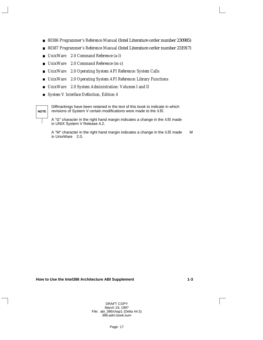- *80386 Programmer's Reference Manual* (Intel Literature order number 230985)
- *80387 Programmer's Reference Manual* (Intel Literature order number 231917)
- *UnixWare<sup>®</sup> 2.0 Command Reference* (a-l)
- *UnixWare<sup>®</sup> 2.0 Command Reference* (m-z)
- *UnixWare<sup>®</sup> 2.0 Operating System API Reference: System Calls*
- *UnixWare 2.0 Operating System API Reference: Library Functions*
- *UnixWare 2.0 System Administration: Volumes I and II*
- *System V Interface Definition, Edition 4*

**NOTE**

Diffmarkings have been retained in the text of this book to indicate in which revisions of System V certain modifications were made to the *ABI*.

A "G" character in the right hand margin indicates a change in the *ABI* made in UNIX System V Release 4.2.

A "M" character in the right hand margin indicates a change in the *ABI* made M in UnixWare<sup>®</sup> 2.0.

**How to Use the Intel386 Architecture ABI Supplement 1-3**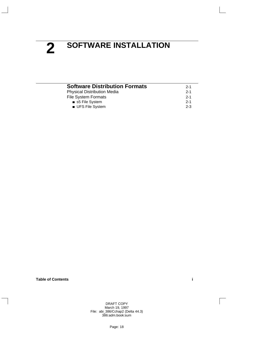# **2 SOFTWARE INSTALLATION**

| <b>Software Distribution Formats</b> | $2 - 1$ |
|--------------------------------------|---------|
| <b>Physical Distribution Media</b>   | $2 - 1$ |
| <b>File System Formats</b>           | $2 - 1$ |
| s5 File System                       | $2 - 1$ |
| UFS File System                      | $2 - 3$ |

**Table of Contents i**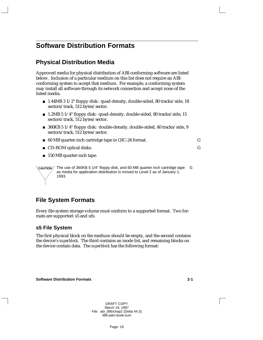# **Software Distribution Formats**

# **Physical Distribution Media**

Approved media for physical distribution of ABI-conforming software are listed below. Inclusion of a particular medium on this list does not require an ABIconforming system to accept that medium. For example, a conforming system may install all software through its network connection and accept none of the listed media.

- 1.44MB 3 1/2" floppy disk: quad-density, double-sided, 80 tracks/side, 18 sectors/track, 512 bytes/sector.
- 1.2MB 5 1/4" floppy disk: quad-density, double-sided, 80 tracks/side, 15 sectors/track, 512 bytes/sector.
- 360KB 5 1/4" floppy disk: double-density, double-sided, 40 tracks/side, 9 sectors/track, 512 bytes/sector.
- 60 MB quarter-inch cartridge tape in QIC-24 format. G
- CD-ROM optical disks. G
- 150 MB quarter-inch tape.

**CAUTION** The use of 360KB 5 1/4" floppy disk, and 60 MB quarter inch cartridge tape G as media for application distribution is moved to Level 2 as of January 1, 1993.

# **File System Formats**

Every file system storage volume must conform to a supported format. Two formats are supported: s5 and ufs.

### **s5 File System**

The first physical block on the medium should be empty, and the second contains the device's *superblock*. The third contains an inode list, and remaining blocks on the device contain data. The *superblock* has the following format:

**Software Distribution Formats 2-1**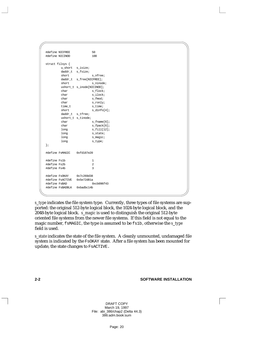```
# de fine NICFREE 50
# define NICINOD 100
struct filsys {
       u_short s_isize;
      daddr_t s_fsize;<br>short
                s_nfree;
       daddr_t s_free[NICFREE];
      short short s n in ode;
      ushort_t s_inode[NICINOD];
       char \t\t s_flock;char s_ilock;<br>char s fmod;
                      s_fmod;
        char \t\t s\_ronly;time_t s_time;
        short s\_dinfo[4];
       daddr_t s_tfree;
       ushort_t s_tinode;
       char s f n a m e [6] ;
       char s_f = s_f s f = s_f ill[12];
        long \t s_fill[12];long s_state;
       long s_magic;
       long s_type;
} ;
# d e f i n e F s M A G I C 0 x f d 1 8 7 e 2 0
\text{Hdefine} \text{Felfn} 1
# define Fs2b 2<br># define Fs4b 3
# define Fs4b
#define FsOKAY 0x7c269d38
#define FsACTIVE 0x5e72d81a<br>#define FsBAD 0
                0xcb096f43
#define FsBADBLK 0xbadbc14b
```
*s*\_*type* indicates the file system type. Currently, three types of file systems are supported: the original 512-byte logical block, the 1024-byte logical block, and the 2048-byte logical block. *s*\_*magic* is used to distinguish the original 512-byte oriented file systems from the newer file systems. If this field is not equal to the magic number, f smagic, the type is assumed to be f s 1b, otherwise the *s\_type* field is used.

*s*\_*state* indicates the state of the file system. A cleanly unmounted, undamaged file system is indicated by the FSOKAY state. After a file system has been mounted for update, the state changes to FSACTIVE.

#### **2-2 SOFTWARE INSTALLATION**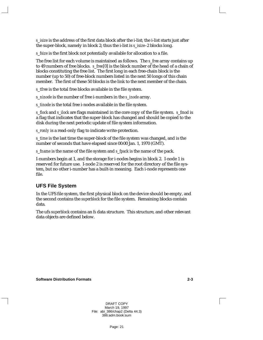*s*\_*isize* is the address of the first data block after the i-list; the i-list starts just after the super-block, namely in block 2; thus the i-list is *s*\_*isize*–2 blocks long.

*s*\_*fsize* is the first block not potentially available for allocation to a file.

The free list for each volume is maintained as follows. The *s*\_*free* array contains up to 49 numbers of free blocks. *s*\_*free*[0] is the block number of the head of a chain of blocks constituting the free list. The first long in each free-chain block is the number (up to 50) of free-block numbers listed in the next 50 longs of this chain member. The first of these 50 blocks is the link to the next member of the chain.

*s*\_*tfree* is the total free blocks available in the file system.

*s*\_*ninode* is the number of free i-numbers in the *s*\_*inode* array.

*s*\_*tinode* is the total free i-nodes available in the file system.

*s*\_*flock* and *s*\_*ilock* are flags maintained in the core copy of the file system. *s*\_*fmod* is a flag that indicates that the super-block has changed and should be copied to the disk during the next periodic update of file system information.

*s*\_*ronly* is a read-only flag to indicate write-protection.

*s*\_*time* is the last time the super-block of the file system was changed, and is the number of seconds that have elapsed since 00:00 Jan. 1, 1970 (GMT).

*s*\_*fname* is the name of the file system and *s*\_*fpack* is the name of the pack.

I-numbers begin at 1, and the storage for i-nodes begins in block 2. I-node 1 is reserved for future use. I-node 2 is reserved for the root directory of the file system, but no other i-number has a built-in meaning. Each i-node represents one file.

## **UFS File System**

In the UFS file system, the first physical block on the device should be empty, and the second contains the *superblock* for the file system. Remaining blocks contain data.

The ufs *superblock* contains an *fs* data structure. This structure, and other relevant data objects are defined below.

**Software Distribution Formats 2-3**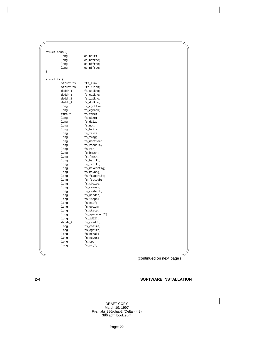| struct csum { |           |                 |  |
|---------------|-----------|-----------------|--|
|               | long      | cs_ndir;        |  |
|               | long      | cs_nbfree;      |  |
|               | long      | cs_nifree;      |  |
|               | long      | cs_nffree;      |  |
| $\}$ ;        |           |                 |  |
|               |           |                 |  |
| struct fs {   |           |                 |  |
|               | struct fs | *fs_link;       |  |
|               | struct fs | *fs_rlink;      |  |
|               | daddr_t   | fs_sblkno;      |  |
|               | daddr_t   | fs_cblkno;      |  |
|               | daddr_t   | fs_iblkno;      |  |
|               | daddr_t   | fs_dblkno;      |  |
|               | long      | fs_cgoffset;    |  |
|               | long      | fs comask;      |  |
|               | time_t    | fs_time;        |  |
|               | long      | fs_size;        |  |
|               | long      | fs_dsize;       |  |
|               | long      | $fs\_ncg$ ;     |  |
|               | long      | fs_bsize;       |  |
|               | long      | fs_fsize;       |  |
|               | long      | fs_frag;        |  |
|               | long      | fs_minfree;     |  |
|               | long      | fs_rotdelay;    |  |
|               | long      | fs_rps;         |  |
|               | long      | fs bmask;       |  |
|               | long      | fs_fmask;       |  |
|               | long      | fs_bshift;      |  |
|               | long      | fs_fshift;      |  |
|               | long      | fs_maxcontig;   |  |
|               | long      | fs_maxbpg;      |  |
|               | long      | fs_fragshift;   |  |
|               | long      | fs_fsbtodb;     |  |
|               | long      | fs_sbsize;      |  |
|               | long      | fs_csmask;      |  |
|               | long      | fs_csshift;     |  |
|               | long      | fs_nindir;      |  |
|               | long      | fs_inopb;       |  |
|               | long      | fs_nspf;        |  |
|               | long      | fs_optim;       |  |
|               | long      | fs state;       |  |
|               | long      | fs_sparecon[2]; |  |
|               | long      | $fs_id[2]$ ;    |  |
|               | daddr_t   | fs_csaddr;      |  |
|               | long      | fs_cssize;      |  |
|               | long      | fs_cgsize;      |  |
|               | long      | fs_ntrak;       |  |
|               | long      | fs_nsect;       |  |
|               | long      | $fs\_spec$      |  |
|               |           |                 |  |

(continued on next page )

### **2-4 SOFTWARE INSTALLATION**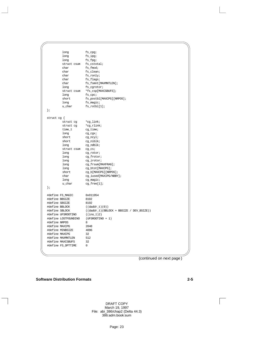```
long fs_cpg;<br>long fs_ipg;
                             fs_ipg;
            long fs_fpg;
           struct csum fs\_cstotal;
           char fs_fmod;<br>char fs_clean
                             fs_clean;
           {\tt char~~fs\_ronly?}char fs_flags;<br>char fs fsmnt[
                             fs\_f smnt [ MAXMNTLEN ] ilong fs_cgrotor;
           struct c sum *fs c s p [ M A X C S B U F S ] ;
           long fs_cpc;<br>short fs_postl
           short fs_postbl[MAXCPG][NRPOS];<br>lonq fs_magic;
                             fs magic;
            \verb|u_char| = \verb|fsg_rotbl[1]|;} ;
struct cg \{struct cg \qquad \text{*} cglink;
           struct cg * cg_rlink;<br>time t cq time;
                             cg_time;
           long cg_cgx;<br>short cg_ncyl
                             cg_ncyl;
            \texttt{short} \qquad \qquad \texttt{cgniblk} \, \texttt{;}log\_ndblk;struct csum cg_cs;
           long cg_rotor;
            long cg_frotor;
            long cg\_irotor;
           l ong dia g _ fr s um [MAXFRAG];<br>l ong dia g _ c g_btot[MAXCPG];
                             cg_btot[MAXCPG];
            short cg_b[MAXCPG][NRPOS];<br>char cq_iused[MAXIPG/NBBY
                             cq iused [MAXIPG/NBBY];
            long cg_magic;<br>u_char cg_free[1
                             cg\_free[1];
} ;
\# \text{define FS MAGIC} 0x011954
#define BBSIZE 8192<br>#define SBSIZE 8192
#define SBSIZE<br>#define BBIOCK
                            ((daddr_t)(0))\#define \ SBLOCK \qquad ((daddr_t)(BBLOCK + BBSIZE / DEV_BSIZE)) \#define \ UFSROOTINO \qquad ((ino t) 2)# define UFSROOTINO
# define LOSTFOUNDINO (UFSROOTINO + 1)
# de fine NRPOS 8<br># de fine MAXTPG 2048
# define MAXIPG
# de fine MINBSIZE 4096<br># de fine MAXCPG 32
# define MAXCPG
#define MAXMNTLEN 512<br>#define MAXCSBUFS 32
# define MAX CSBUFS
#define FS_OPTTIME 0
```
(continued on next page )

**Software Distribution Formats 2-5**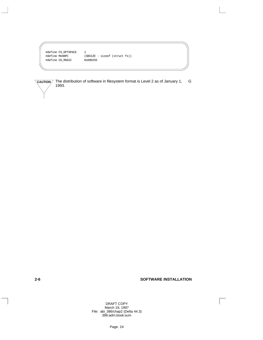#define FS\_OPTSPACE 1<br>#define MAXBPC (2 # define CG\_MAGIC

 $(SBSIZE - sizeof (struct fs))$ <br> $0x090255$ 



**CAUTION** The distribution of software in filesystem format is Level 2 as of January 1, G 1993.

**2-6 SOFTWARE INSTALLATION**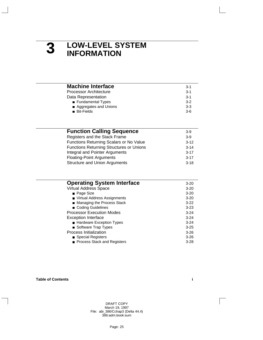# **3 LOW-LEVEL SYSTEM INFORMATION**

| <b>Machine Interface</b>      | $3-1$ |
|-------------------------------|-------|
| <b>Processor Architecture</b> | $3-1$ |
| Data Representation           | $3-1$ |
| Fundamental Types             | $3-2$ |
| Aggregates and Unions         | $3-3$ |
| <b>Bit-Fields</b>             | $3-6$ |

| <b>Function Calling Sequence</b>         | $3-9$    |
|------------------------------------------|----------|
| Registers and the Stack Frame            | $3-9$    |
| Functions Returning Scalars or No Value  | $3 - 12$ |
| Functions Returning Structures or Unions | $3 - 14$ |
| Integral and Pointer Arguments           | $3 - 17$ |
| <b>Floating-Point Arguments</b>          | $3 - 17$ |
| <b>Structure and Union Arguments</b>     | $3 - 18$ |

| <b>Operating System Interface</b> | $3-20$   |
|-----------------------------------|----------|
| <b>Virtual Address Space</b>      | $3 - 20$ |
| ■ Page Size                       | $3 - 20$ |
| ■ Virtual Address Assignments     | $3 - 20$ |
| ■ Managing the Process Stack      | $3-22$   |
| Coding Guidelines                 | $3 - 23$ |
| <b>Processor Execution Modes</b>  | $3 - 24$ |
| <b>Exception Interface</b>        | $3 - 24$ |
| Hardware Exception Types          | $3 - 24$ |
| ■ Software Trap Types             | $3 - 25$ |
| Process Initialization            | $3 - 26$ |
| ■ Special Registers               | $3 - 26$ |
| Process Stack and Registers       | $3 - 28$ |

**Table of Contents i**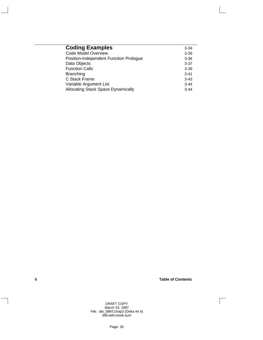| <b>Coding Examples</b>                    | $3 - 34$ |
|-------------------------------------------|----------|
| <b>Code Model Overview</b>                | $3 - 35$ |
| Position-Independent Function Prologue    | $3 - 36$ |
| Data Objects                              | $3 - 37$ |
| <b>Function Calls</b>                     | $3 - 39$ |
| <b>Branching</b>                          | $3 - 41$ |
| C Stack Frame                             | $3-43$   |
| Variable Argument List                    | $3 - 44$ |
| <b>Allocating Stack Space Dynamically</b> | $3 - 44$ |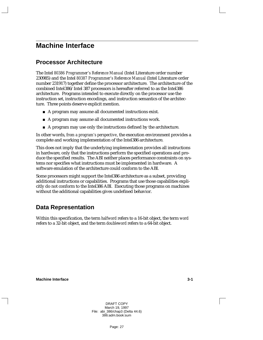# **Machine Interface**

# **Processor Architecture**

The Intel *80386 Programmer's Reference Manual* (Intel Literature order number 230985) and the Intel *80387 Programmer's Reference Manual* (Intel Literature order number 231917) together define the processor architecture. The architecture of the combined Intel386/Intel 387 processors is hereafter referred to as the Intel386 architecture. Programs intended to execute directly on the processor use the instruction set, instruction encodings, and instruction semantics of the architecture. Three points deserve explicit mention.

- A program may assume all documented instructions exist.
- A program may assume all documented instructions work.
- A program may use only the instructions defined by the architecture.

In other words, *from a program's perspective*, the execution environment provides a complete and working implementation of the Intel386 architecture.

This does not imply that the underlying implementation provides all instructions in hardware, only that the instructions perform the specified operations and produce the specified results. The ABI neither places performance constraints on systems nor specifies what instructions must be implemented in hardware. A software emulation of the architecture could conform to the ABI.

Some processors might support the Intel386 architecture as a subset, providing additional instructions or capabilities. Programs that use those capabilities explicitly do not conform to the Intel386 ABI. Executing those programs on machines without the additional capabilities gives undefined behavior.

# **Data Representation**

Within this specification, the term *halfword* refers to a 16-bit object, the term *word* refers to a 32-bit object, and the term *doubleword* refers to a 64-bit object.

**Machine Interface 3-1**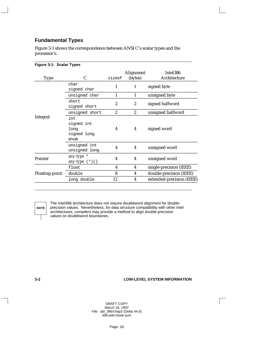## **Fundamental Types**

Figure 3-1 shows the correspondence between ANSI C's scalar types and the processor's.

#### **Figure 3-1: Scalar Types**

|                |                                                  |                         | Alignment               | Intel386                  |  |
|----------------|--------------------------------------------------|-------------------------|-------------------------|---------------------------|--|
| <b>Type</b>    | C                                                | sizeof                  | (bytes)                 | Architecture              |  |
|                | char<br>signed char                              | 1                       | 1                       | signed byte               |  |
|                | unsigned char                                    | $\mathbf{1}$            | $\mathbf{1}$            | unsigned byte             |  |
|                | short<br>signed short                            | $\boldsymbol{2}$        | $\boldsymbol{2}$        | signed halfword           |  |
|                | unsigned short                                   | $\overline{2}$          | $\boldsymbol{2}$        | unsigned halfword         |  |
| Integral       | int<br>signed int<br>long<br>signed long<br>enum | $\overline{\mathbf{4}}$ | $\overline{4}$          | signed word               |  |
|                | unsigned int<br>unsigned long                    | 4                       | 4                       | unsigned word             |  |
| Pointer        | any-type $*$<br>any-type $(*)()$                 | 4                       | $\overline{4}$          | unsigned word             |  |
|                | float                                            | 4                       | $\overline{4}$          | single-precision (IEEE)   |  |
| Floating-point | double                                           | 8                       | $\overline{4}$          | double-precision (IEEE)   |  |
|                | long double                                      | 12                      | $\overline{\mathbf{4}}$ | extended-precision (IEEE) |  |



The Intel386 architecture does not require doubleword alignment for doubleprecision values. Nevertheless, for data structure compatibility with other Intel architectures, compilers may provide a method to align double-precision values on doubleword boundaries.

**3-2 LOW-LEVEL SYSTEM INFORMATION**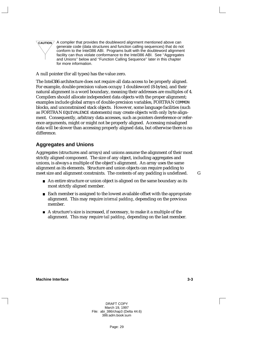

**CAUTION** A compiler that provides the doubleword alignment mentioned above can generate code (data structures and function calling sequences) that do not conform to the Intel386 ABI. Programs built with the doubleword alignment facility can thus violate conformance to the Intel386 ABI. See ''Aggregates and Unions'' below and ''Function Calling Sequence'' later in this chapter for more information.

A null pointer (for all types) has the value zero.

The Intel386 architecture does not require all data access to be properly aligned. For example, double-precision values occupy 1 doubleword (8-bytes), and their natural alignment is a word boundary, meaning their addresses are multiples of 4. Compilers should allocate independent data objects with the proper alignment; examples include global arrays of double-precision variables, FORTRAN COMMON blocks, and unconstrained stack objects. However, some language facilities (such as FORTRAN EQUIVALENCE statements) may create objects with only byte alignment. Consequently, arbitrary data accesses, such as pointers dereference or reference arguments, might or might not be properly aligned. Accessing misaligned data will be slower than accessing properly aligned data, but otherwise there is no difference.

## **Aggregates and Unions**

Aggregates (structures and arrays) and unions assume the alignment of their most strictly aligned component. The size of any object, including aggregates and unions, is always a multiple of the object's alignment. An array uses the same alignment as its elements. Structure and union objects can require padding to meet size and alignment constraints. The contents of any padding is undefined. G

- An entire structure or union object is aligned on the same boundary as its most strictly aligned member.
- Each member is assigned to the lowest available offset with the appropriate alignment. This may require *internal padding*, depending on the previous member.
- A structure's size is increased, if necessary, to make it a multiple of the alignment. This may require *tail padding*, depending on the last member.

**Machine Interface 3-3**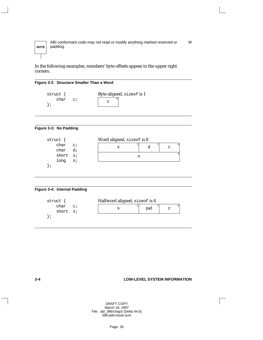| NOTE |
|------|
|      |

ABI conformant code may not read or modify anything marked reserved or M padding.

In the following examples, members' byte offsets appear in the upper right corners.

**Figure 3-2: Structure Smaller Than a Word**

| struct {         | Byte aligned, size of is 1 |
|------------------|----------------------------|
| char<br>$\sim$ : |                            |

#### **Figure 3-3: No Padding**



#### **Figure 3-4: Internal Padding**

| $struct \{$      |          | Halfword aligned, size of is 4 |     |  |
|------------------|----------|--------------------------------|-----|--|
| char<br>short s; | $\sim$ : |                                | pad |  |
|                  |          |                                |     |  |

#### **3-4 LOW-LEVEL SYSTEM INFORMATION**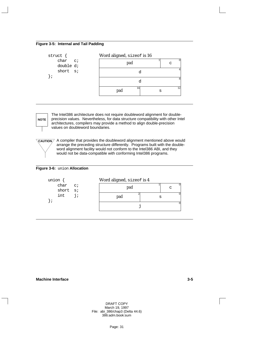#### **Figure 3-5: Internal and Tail Padding**



The Intel386 architecture does not require doubleword alignment for doubleprecision values. Nevertheless, for data structure compatibility with other Intel architectures, compilers may provide a method to align double-precision values on doubleword boundaries.

**NOTE**

**CAUTION** A compiler that provides the doubleword alignment mentioned above would arrange the preceding structure differently. Programs built with the doubleword alignment facility would not conform to the Intel386 ABI, and they would not be data-compatible with conforming Intel386 programs.

#### **Figure 3-6:** union **Allocation**



**Machine Interface 3-5**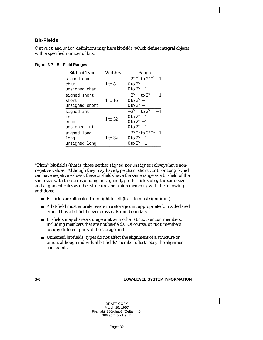## **Bit-Fields**

| Bit-field Type | Width w | Range                     |
|----------------|---------|---------------------------|
| signed char    |         | $-2^{w-1}$ to $2^{w-1}-1$ |
| char           | 1 to 8  | 0 to $2^{w} - 1$          |
| unsigned char  |         | 0 to $2^{w} - 1$          |
| signed short   |         | $-2^{w-1}$ to $2^{w-1}-1$ |
| short          | 1 to 16 | 0 to $2^{w}-1$            |
| unsigned short |         | 0 to $2^{w}-1$            |
| signed int     |         | $-2^{w-1}$ to $2^{w-1}-1$ |
| int            | 1 to 32 | 0 to $2^{w} - 1$          |
| enum           |         | 0 to $2^{w} - 1$          |
| unsigned int   |         | 0 to $2^w - 1$            |
| signed long    |         | $-2^{w-1}$ to $2^{w-1}-1$ |
| long           | 1 to 32 | 0 to $2^{w} - 1$          |
| unsigned long  |         | 0 to $2^{w} - 1$          |

C struct and union definitions may have *bit-fields*, which define integral objects with a specified number of bits.

**Figure 3-7: Bit-Field Ranges**

"Plain" bit-fields (that is, those neither signed nor unsigned) always have nonnegative values. Although they may have type char, short, int, or long (which can have negative values), these bit-fields have the same range as a bit-field of the same size with the corresponding unsigned type. Bit-fields obey the same size and alignment rules as other structure and union members, with the following additions:

- Bit-fields are allocated from right to left (least to most significant).
- A bit-field must entirely reside in a storage unit appropriate for its declared type. Thus a bit-field never crosses its unit boundary.
- $\blacksquare$  Bit-fields may share a storage unit with other struct/union members, including members that are not bit-fields. Of course, struct members occupy different parts of the storage unit.
- Unnamed bit-fields' types do not affect the alignment of a structure or union, although individual bit-fields' member offsets obey the alignment constraints.

#### **3-6 LOW-LEVEL SYSTEM INFORMATION**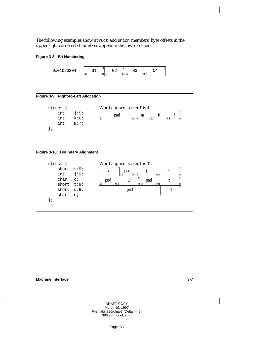The following examples show struct and union members' byte offsets in the upper right corners; bit numbers appear in the lower corners.



| $struct \{$   |               |     | Word aligned, size of is 12 |       |     |  |
|---------------|---------------|-----|-----------------------------|-------|-----|--|
| short $s:9$ ; |               | C   | pad                         |       | S   |  |
| $int$ $j:9;$  |               |     | 23                          | 18 17 | 918 |  |
| $char$ $ci$   |               | pad | u                           | pad   |     |  |
| short $t:9$ ; |               | 15  |                             | 0 15  | 918 |  |
| short $u:9;$  |               |     | pad                         |       |     |  |
| char          | $d\mathbf{i}$ |     |                             |       |     |  |
|               |               |     |                             |       |     |  |

**Machine Interface 3-7**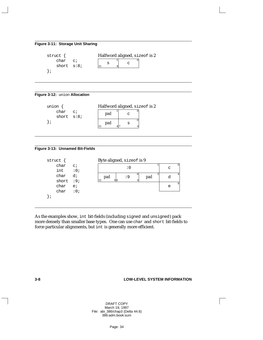

#### **Figure 3-12: union Allocation**

| union $\{$          |                  | Halfword aligned, size of is 2 |  |  |
|---------------------|------------------|--------------------------------|--|--|
| char<br>short $s:8$ | $\overline{C}$ : | pad                            |  |  |
|                     |                  | pad                            |  |  |

#### **Figure 3-13: Unnamed Bit-Fields**

| struct {    | Byte aligned, sizeof is 9 |                   |               |  |  |  |  |
|-------------|---------------------------|-------------------|---------------|--|--|--|--|
| char        | C                         | :0                | $\bf{0}$<br>с |  |  |  |  |
| int         | :0;                       |                   |               |  |  |  |  |
| char        | d;                        | pad<br>: 9<br>pad | 5             |  |  |  |  |
| short $:9;$ |                           | 15<br>918         | 8             |  |  |  |  |
| char        | e                         |                   | e             |  |  |  |  |
| char        | :0;                       |                   |               |  |  |  |  |
|             |                           |                   |               |  |  |  |  |
|             |                           |                   |               |  |  |  |  |

As the examples show, int bit-fields (including signed and unsigned) pack more densely than smaller base types. One can use char and short bit-fields to force particular alignments, but int is generally more efficient.

**3-8 LOW-LEVEL SYSTEM INFORMATION**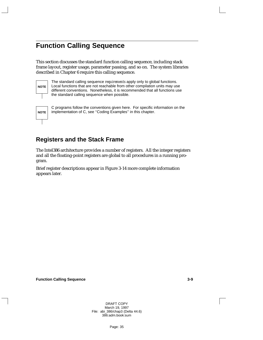# **Function Calling Sequence**

This section discusses the standard function calling sequence, including stack frame layout, register usage, parameter passing, and so on. The system libraries described in Chapter 6 require this calling sequence.



The standard calling sequence *requirements* apply only to global functions. Local functions that are not reachable from other compilation units may use different conventions. Nonetheless, it is recommended that all functions use the standard calling sequence when possible.



C programs follow the conventions given here. For specific information on the implementation of C, see "Coding Examples" in this chapter.

# **Registers and the Stack Frame**

The Intel386 architecture provides a number of registers. All the integer registers and all the floating-point registers are global to all procedures in a running program.

Brief register descriptions appear in Figure 3-14 more complete information appears later.

**Function Calling Sequence 3-9**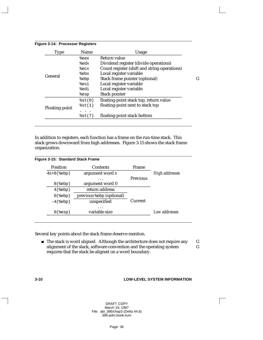| <b>Type</b>    | Name              | Usage                                        |  |  |
|----------------|-------------------|----------------------------------------------|--|--|
|                | %eax              | Return value                                 |  |  |
|                | %edx              | Dividend register (divide operations)        |  |  |
|                | %ecx              | Count register (shift and string operations) |  |  |
|                | %ebx              | Local register variable                      |  |  |
| General        | %ebp              | Stack frame pointer (optional)               |  |  |
|                | %esi              | Local register variable                      |  |  |
|                | %edi              | Local register variable                      |  |  |
|                | %esp              | Stack pointer                                |  |  |
| Floating-point | %st(0)            | floating-point stack top, return value       |  |  |
|                | $\texttt{Sst}(1)$ | floating-point next to stack top             |  |  |
|                |                   |                                              |  |  |
|                | %st(7)            | floating-point stack bottom                  |  |  |

In addition to registers, each function has a frame on the run-time stack. This stack grows downward from high addresses. Figure 3-15 shows the stack frame organization.

| Figure 3-15: Standard Stack Frame |  |  |
|-----------------------------------|--|--|
|                                   |  |  |

| <b>Position</b>            | Contents                  | Frame           |                       |
|----------------------------|---------------------------|-----------------|-----------------------|
| $4n+8$ ( $8ebp$ )          | argument word n           |                 | <b>High addresses</b> |
|                            |                           | <b>Previous</b> |                       |
| $8$ ( $8$ ebp)             | argument word 0           |                 |                       |
| $4$ ( $8$ ebp)             | return address            |                 |                       |
| $0$ ( $\text{ebb}$ )       | previous % ebp (optional) |                 |                       |
| $-4$ ( $\varepsilon$ ebp ) | unspecified               | <b>Current</b>  |                       |
|                            |                           |                 |                       |
| $0$ ( $\text{esp}$ )       | variable size             |                 | Low addresses         |
|                            |                           |                 |                       |

Several key points about the stack frame deserve mention.

■ The stack is word aligned. Although the architecture does not require any G<br>alignment of the stack. software convention and the operating system G alignment of the stack, software convention and the operating system requires that the stack be aligned on a word boundary.

#### **3-10 LOW-LEVEL SYSTEM INFORMATION**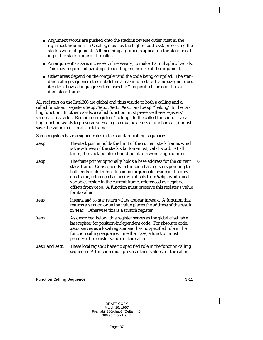- Argument words are pushed onto the stack in reverse order (that is, the rightmost argument in C call syntax has the highest address), preserving the stack's word alignment. All incoming arguments appear on the stack, residing in the stack frame of the caller.
- An argument's size is increased, if necessary, to make it a multiple of words. This may require tail padding, depending on the size of the argument.
- Other areas depend on the compiler and the code being compiled. The standard calling sequence does not define a maximum stack frame size, nor does it restrict how a language system uses the ''unspecified'' area of the standard stack frame.

All registers on the Intel386 are global and thus visible to both a calling and a called function. Registers % ebp, % ebx, % edi, % esi, and % esp "belong" to the calling function. In other words, a called function must preserve these registers' values for its caller. Remaining registers ''belong'' to the called function. If a calling function wants to preserve such a register value across a function call, it must save the value in its local stack frame.

Some registers have assigned roles in the standard calling sequence:

| %esp        | The stack pointer holds the limit of the current stack frame, which<br>is the address of the stack's bottom-most, valid word. At all<br>times, the stack pointer should point to a word-aligned area.                                                                                                                                                                                                                                  |   |
|-------------|----------------------------------------------------------------------------------------------------------------------------------------------------------------------------------------------------------------------------------------------------------------------------------------------------------------------------------------------------------------------------------------------------------------------------------------|---|
| %ebp        | The frame pointer optionally holds a base address for the current<br>stack frame. Consequently, a function has registers pointing to<br>both ends of its frame. Incoming arguments reside in the previ-<br>ous frame, referenced as positive offsets from % ebp, while local<br>variables reside in the current frame, referenced as negative<br>offsets from % ebp. A function must preserve this register's value<br>for its caller. | G |
| %eax        | Integral and pointer return values appear in \$eax. A function that<br>returns a struct or union value places the address of the result<br>in % eax. Otherwise this is a scratch register.                                                                                                                                                                                                                                             |   |
| %ebx        | As described below, this register serves as the global offset table<br>base register for position-independent code. For absolute code,<br>& ebx serves as a local register and has no specified role in the<br>function calling sequence. In either case, a function must<br>preserve the register value for the caller.                                                                                                               |   |
| %esiand%edi | These local registers have no specified role in the function calling<br>sequence. A function must preserve their values for the caller.                                                                                                                                                                                                                                                                                                |   |

### **Function Calling Sequence 3-11**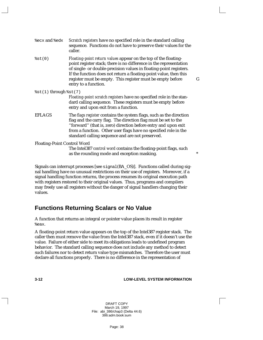| ecx and &edx                            | Scratch registers have no specified role in the standard calling<br>sequence. Functions do not have to preserve their values for the<br>caller.                                                                                                                                                                                                                        |        |
|-----------------------------------------|------------------------------------------------------------------------------------------------------------------------------------------------------------------------------------------------------------------------------------------------------------------------------------------------------------------------------------------------------------------------|--------|
| %st(0)                                  | Floating-point return values appear on the top of the floating-<br>point register stack; there is no difference in the representation<br>of single- or double-precision values in floating-point registers.<br>If the function does not return a floating-point value, then this<br>register must be empty. This register must be empty before<br>entry to a function. | G      |
| $\text{Sst}(1)$ through $\text{Sst}(7)$ | Floating-point scratch registers have no specified role in the stan-<br>dard calling sequence. These registers must be empty before<br>entry and upon exit from a function.                                                                                                                                                                                            |        |
| <b>EFLAGS</b>                           | The <i>flags register</i> contains the system flags, such as the direction<br>flag and the carry flag. The direction flag must be set to the<br>"forward" (that is, zero) direction before entry and upon exit<br>from a function. Other user flags have no specified role in the<br>standard calling sequence and are not preserved.                                  |        |
| <b>Floating-Point Control Word</b>      | The Intel387 control word contains the floating-point flags, such<br>as the rounding mode and exception masking.                                                                                                                                                                                                                                                       | $\ast$ |

Signals can interrupt processes [see signal(BA\_OS)]. Functions called during signal handling have no unusual restrictions on their use of registers. Moreover, if a signal handling function returns, the process resumes its original execution path with registers restored to their original values. Thus, programs and compilers may freely use all registers without the danger of signal handlers changing their values.

## **Functions Returning Scalars or No Value**

A function that returns an integral or pointer value places its result in register %eax.

A floating-point return value appears on the top of the Intel387 register stack. The caller then must remove the value from the Intel387 stack, even if it doesn't use the value. Failure of either side to meet its obligations leads to undefined program behavior. The standard calling sequence does not include any method to detect such failures nor to detect return value type mismatches. Therefore the user must declare all functions properly. There is no difference in the representation of

### **3-12 LOW-LEVEL SYSTEM INFORMATION**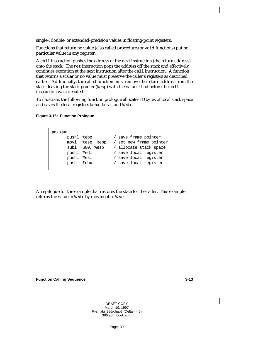single-, double- or extended-precision values in floating-point registers.

Functions that return no value (also called procedures or void functions) put no particular value in any register.

A call instruction pushes the address of the next instruction (the return address) onto the stack. The ret instruction pops the address off the stack and effectively continues execution at the next instruction after the call instruction. A function that returns a scalar or no value must preserve the caller's registers as described earlier. Additionally, the called function must remove the return address from the stack, leaving the stack pointer (% esp) with the value it had before the call instruction was executed.

To illustrate, the following function prologue allocates 80 bytes of local stack space and saves the local registers % ebx, % esi, and % edi.

**Figure 3-16: Function Prologue**

```
prologue:
     pushl % ebp / save frame pointer
     movl % esp, % ebp / set new frame pointer
     subl $80, % esp / allocate stack space
     pushl % edi / save local register
     pushl % esi / save local register
     pushl % ebx / save local register
```
An epilogue for the example that restores the state for the caller. This example returns the value in % edi by moving it to % eax.

**Function Calling Sequence 3-13**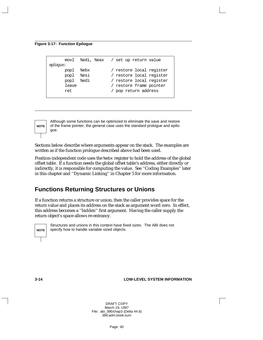**Figure 3-17: Function Epilogue**

| epilogue: |      |                          |
|-----------|------|--------------------------|
| popl      | %ebx | / restore local register |
| popl      | %esi | / restore local register |
| popl      | %edi | / restore local register |
| leave     |      | / restore frame pointer  |
| ret.      |      | / pop return address     |
|           |      |                          |



Although some functions can be optimized to eliminate the save and restore of the frame pointer, the general case uses the standard prologue and epilogue.

Sections below describe where arguments appear on the stack. The examples are written as if the function prologue described above had been used.

Position-independent code uses the  $\frac{1}{2}$  ebx register to hold the address of the global offset table. If a function needs the global offset table's address, either directly or indirectly, it is responsible for computing the value. See "Coding Examples" later in this chapter and ''Dynamic Linking'' in Chapter 5 for more information.

## **Functions Returning Structures or Unions**

If a function returns a structure or union, then the caller provides space for the return value and places its address on the stack as argument word zero. In effect, this address becomes a ''hidden'' first argument. Having the caller supply the return object's space allows re-entrancy.



Structures and unions in this context have fixed sizes. The ABI does not specify how to handle variable sized objects.

**3-14 LOW-LEVEL SYSTEM INFORMATION**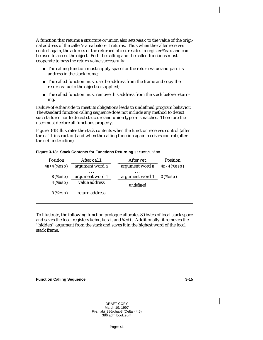A function that returns a structure or union also sets  $\frac{1}{2}$  and  $\frac{1}{2}$  to the value of the original address of the caller's area before it returns. Thus when the caller receives control again, the address of the returned object resides in register  $\epsilon$ eax and can be used to access the object. Both the calling and the called functions must cooperate to pass the return value successfully:

- The calling function must supply space for the return value and pass its address in the stack frame;
- The called function must use the address from the frame and copy the return value to the object so supplied;
- The called function must remove this address from the stack before returning.

Failure of either side to meet its obligations leads to undefined program behavior. The standard function calling sequence does not include any method to detect such failures nor to detect structure and union type mismatches. Therefore the user must declare all functions properly.

Figure 3-18 illustrates the stack contents when the function receives control (after the call instruction) and when the calling function again receives control (after the ret instruction).

Figure 3-18: Stack Contents for Functions Returning struct/union

| <b>Position</b>       | After call      | After ret.      | Position          |
|-----------------------|-----------------|-----------------|-------------------|
| $4n+4$ (%esp)         | argument word n | argument word n | $4n-4$ ( $8$ esp) |
|                       |                 |                 |                   |
| $8$ ( $s$ esp)        | argument word 1 | argument word 1 | $0$ ( $s$ esp)    |
| $4$ ( $s$ esp)        | value address   | undefined       |                   |
| $0$ ( $\text{Resp}$ ) | return address  |                 |                   |

To illustrate, the following function prologue allocates 80 bytes of local stack space and saves the local registers % ebx, % esi, and % edi. Additionally, it removes the ''hidden'' argument from the stack and saves it in the highest word of the local stack frame.

**Function Calling Sequence 3-15**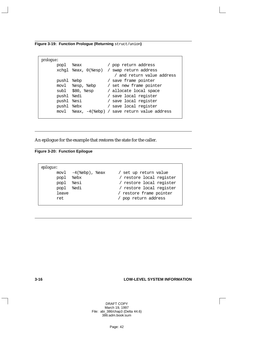**Figure 3-19: Function Prologue (Returning struct/union)** 

*prologue*: popl % eax / pop return address xchgl % eax, 0 (% esp) / swap return address  $/$  and return value address pushl % ebp / save frame pointer movl % esp, % ebp / set new frame pointer subl \$80, % esp / allocate local space pushl % edi / save local register pushl % esi / save local register pushl % ebx / save local register movl % eax, -4 (% ebp) / save return value address

An epilogue for the example that restores the state for the caller.

## **Figure 3-20: Function Epilogue**

| epilogue: |                                                    |                          |
|-----------|----------------------------------------------------|--------------------------|
|           | $mov1 - 4$ ( $\varepsilon$ ebp), $\varepsilon$ eax | / set up return value    |
| popl      | %ebx                                               | restore local register   |
| popl      | %esi                                               | / restore local register |
| popl      | %edi                                               | / restore local register |
| leave     |                                                    | / restore frame pointer  |
| ret       |                                                    | pop return address       |
|           |                                                    |                          |

### **3-16 LOW-LEVEL SYSTEM INFORMATION**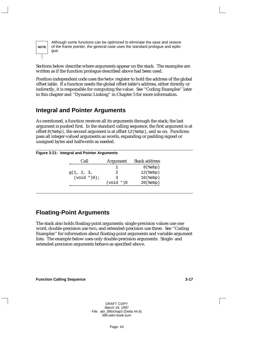| NOTE |  |
|------|--|
|      |  |

Although some functions can be optimized to eliminate the save and restore of the frame pointer, the general case uses the standard prologue and epilogue.

Sections below describe where arguments appear on the stack. The examples are written as if the function prologue described above had been used.

Position-independent code uses the  $\epsilon$  ebx register to hold the address of the global offset table. If a function needs the global offset table's address, either directly or indirectly, it is responsible for computing the value. See ''Coding Examples'' later in this chapter and ''Dynamic Linking'' in Chapter 5 for more information.

## **Integral and Pointer Arguments**

As mentioned, a function receives all its arguments through the stack; the last argument is pushed first. In the standard calling sequence, the first argument is at offset  $8$  ( $\text{kebp}$ ), the second argument is at offset  $12$  ( $\text{kebp}$ ), and so on. Functions pass all integer-valued arguments as words, expanding or padding signed or unsigned bytes and halfwords as needed.

### **Figure 3-21: Integral and Pointer Arguments**

| Call           | Argument     | <b>Stack address</b>   |
|----------------|--------------|------------------------|
|                |              | $8$ ( $8$ ebp)         |
| q(1, 2, 3,     |              | $12$ $\epsilon$ bp $)$ |
| $(void * )0);$ |              | $16$ ( $8$ ebp)        |
|                | $(void * )0$ | $20$ ( $8$ ebp)        |

## **Floating-Point Arguments**

The stack also holds floating-point arguments: single-precision values use one word, double-precision use two, and extended-precision use three. See ''Coding Examples'' for information about floating-point arguments and variable argument lists. The example below uses only double-precision arguments. Single- and extended-precision arguments behave as specified above.

**Function Calling Sequence 3-17**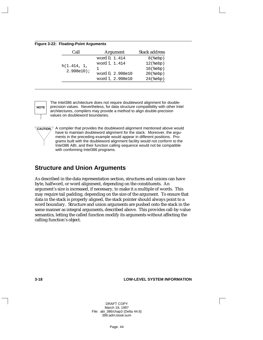**Figure 3-22: Floating-Point Arguments**

| Call        | <b>Argument</b>  | Stack address   |
|-------------|------------------|-----------------|
|             | word 0, 1.414    | $8$ ( $8$ ebp)  |
| h(1.414, 1, | word 1, 1.414    | $12$ ( $%$ ebp) |
| 2.998e10;   |                  | $16$ ( $8$ ebp) |
|             | word 0, 2.998e10 | $20$ ( $8$ ebp) |
|             | word 1, 2.998e10 | $24$ ( $8$ ebp) |



The Intel386 architecture does not require doubleword alignment for doubleprecision values. Nevertheless, for data structure compatibility with other Intel architectures, compilers may provide a method to align double-precision values on doubleword boundaries.



**CAUTION** A compiler that provides the doubleword alignment mentioned above would have to maintain doubleword alignment for the stack. Moreover, the arguments in the preceding example would appear in different positions. Programs built with the doubleword alignment facility would not conform to the Intel386 ABI, and their function calling sequence would not be compatible with conforming Intel386 programs.

## **Structure and Union Arguments**

As described in the data representation section, structures and unions can have byte, halfword, or word alignment, depending on the constituents. An argument's size is increased, if necessary, to make it a multiple of words. This may require tail padding, depending on the size of the argument. To ensure that data in the stack is properly aligned, the stack pointer should always point to a word boundary. Structure and union arguments are pushed onto the stack in the same manner as integral arguments, described above. This provides call-by-value semantics, letting the called function modify its arguments without affecting the calling function's object.

**3-18 LOW-LEVEL SYSTEM INFORMATION**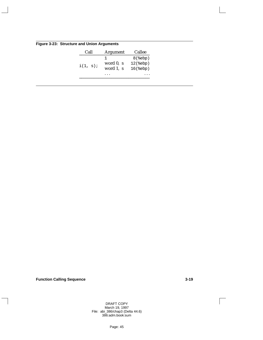**Figure 3-23: Structure and Union Arguments**

| Call        | Argument               | Callee          |
|-------------|------------------------|-----------------|
|             |                        | 8(%ebp)         |
|             | word 0, s<br>word 1, s | $12$ (%ebp)     |
| $i(1, s)$ ; |                        | $16$ ( $8$ ebp) |
|             |                        |                 |

**Function Calling Sequence 3-19**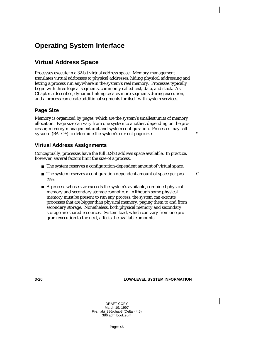# **Operating System Interface**

# **Virtual Address Space**

Processes execute in a 32-bit virtual address space. Memory management translates virtual addresses to physical addresses, hiding physical addressing and letting a process run anywhere in the system's real memory. Processes typically begin with three logical segments, commonly called text, data, and stack. As Chapter 5 describes, dynamic linking creates more segments during execution, and a process can create additional segments for itself with system services.

## **Page Size**

Memory is organized by pages, which are the system's smallest units of memory allocation. Page size can vary from one system to another, depending on the processor, memory management unit and system configuration. Processes may call sysconf (BA OS) to determine the system's current page size.

## **Virtual Address Assignments**

Conceptually, processes have the full 32-bit address space available. In practice, however, several factors limit the size of a process.

- The system reserves a configuration-dependent amount of virtual space.
- The system reserves a configuration dependent amount of space per pro- G cess.

A process whose size exceeds the system's available, combined physical memory and secondary storage cannot run. Although some physical memory must be present to run any process, the system can execute processes that are bigger than physical memory, paging them to and from secondary storage. Nonetheless, both physical memory and secondary storage are shared resources. System load, which can vary from one program execution to the next, affects the available amounts.

**3-20 LOW-LEVEL SYSTEM INFORMATION**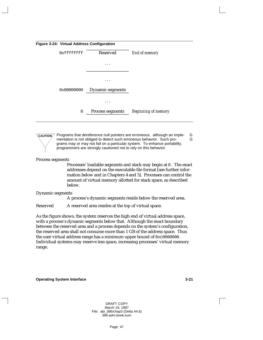

**CAUTION** Programs that dereference null pointers are erroneous. although an imple- G<br>mentation is not obliged to detect such erroneous behavior. Such pro- G mentation is not obliged to detect such erroneous behavior. Such programs may or may not fail on a particular system. To enhance portability, programmers are strongly cautioned not to rely on this behavior.

### Process segments

Processes' loadable segments and stack may begin at 0. The exact addresses depend on the executable file format [see further information below and in Chapters 4 and 5]. Processes can control the amount of virtual memory allotted for stack space, as described below.

### Dynamic segments

A process's dynamic segments reside below the reserved area.

Reserved A reserved area resides at the top of virtual space.

As the figure shows, the system reserves the high end of virtual address space, with a process's dynamic segments below that. Although the exact boundary between the reserved area and a process depends on the system's configuration, the reserved area shall not consume more than 1 GB of the address space. Thus the user virtual address range has a minimum upper bound of  $0 \times 00000000$ . Individual systems may reserve less space, increasing processes' virtual memory range.

**Operating System Interface 3-21**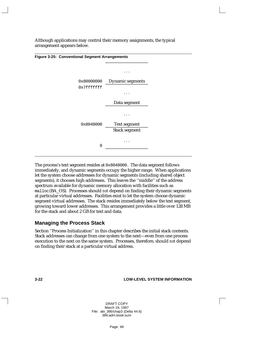Although applications may control their memory assignments, the typical arrangement appears below.





The process's text segment resides at 0x8048000. The data segment follows immediately, and dynamic segments occupy the higher range. When applications let the system choose addresses for dynamic segments (including shared object segments), it chooses high addresses. This leaves the ''middle'' of the address spectrum available for dynamic memory allocation with facilities such as malloc(BA\_OS). Processes should *not* depend on finding their dynamic segments at particular virtual addresses. Facilities exist to let the system choose dynamic segment virtual addresses. The stack resides immediately below the text segment, growing toward lower addresses. This arrangement provides a little over 128 MB for the stack and about 2 GB for text and data.

## **Managing the Process Stack**

Section ''Process Initialization'' in this chapter describes the initial stack contents. Stack addresses can change from one system to the next—even from one process execution to the next on the same system. Processes, therefore, should *not* depend on finding their stack at a particular virtual address.

### **3-22 LOW-LEVEL SYSTEM INFORMATION**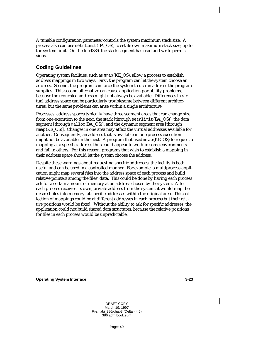A tunable configuration parameter controls the system maximum stack size. A process also can use  $setrlimit(BA$  OS), to set its own maximum stack size, up to the system limit. On the Intel386, the stack segment has read and write permissions.

## **Coding Guidelines**

Operating system facilities, such as  $map$  (KE OS), allow a process to establish address mappings in two ways. First, the program can let the system choose an address. Second, the program can force the system to use an address the program supplies. This second alternative can cause application portability problems, because the requested address might not always be available. Differences in virtual address space can be particularly troublesome between different architectures, but the same problems can arise within a single architecture.

Processes' address spaces typically have three segment areas that can change size from one execution to the next: the stack [through set rlimit  $(BA$  OS]], the data segment [through malloc( $BA$  OS)], and the dynamic segment area [through  $mmap$  (KE OS)]. Changes in one area may affect the virtual addresses available for another. Consequently, an address that is available in one process execution might not be available in the next. A program that used  $mmap$  (KE OS) to request a mapping at a specific address thus could appear to work in some environments and fail in others. For this reason, programs that wish to establish a mapping in their address space should let the system choose the address.

Despite these warnings about requesting specific addresses, the facility is both useful and can be used in a controlled manner. For example, a multiprocess application might map several files into the address space of each process and build relative pointers among the files' data. This could be done by having each process ask for a certain amount of memory at an address chosen by the system. After each process receives its own, private address from the system, it would map the desired files into memory, at specific addresses within the original area. This collection of mappings could be at different addresses in each process but their *relative* positions would be fixed. Without the ability to ask for specific addresses, the application could not build shared data structures, because the relative positions for files in each process would be unpredictable.

**Operating System Interface 3-23**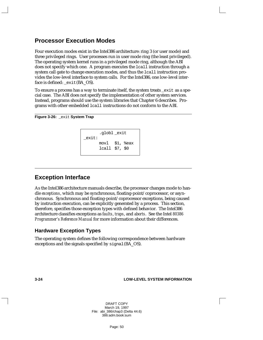## **Processor Execution Modes**

Four execution modes exist in the Intel386 architecture: ring 3 (or user mode) and three privileged rings. User processes run in user mode ring (the least privileged). The operating system kernel runs in a privileged mode ring, although the ABI does not specify which one. A program executes the lcall instruction through a system call gate to change execution modes, and thus the  $lca11$  instruction provides the low-level interface to system calls. For the Intel386, one low-level interface is defined:  $\rule{1em}{0.15mm}$   $\leq$   $E = E$ .

To ensure a process has a way to terminate itself, the system treats  $\text{\_exit}$  as a special case. The ABI does not specify the implementation of other system services. Instead, programs should use the system libraries that Chapter 6 describes. Programs with other embedded lcall instructions do not conform to the ABI.

**Figure 3-26:** \_exit System Trap

```
.globl_exit
exit:
     mov1 $1, %eaxlcall $7, $0
```
## **Exception Interface**

As the Intel386 architecture manuals describe, the processor changes mode to handle *exceptions*, which may be synchronous, floating-point/coprocessor, or asynchronous. Synchronous and floating-point/coprocessor exceptions, being caused by instruction execution, can be explicitly generated by a process. This section, therefore, specifies those exception types with defined behavior. The Intel386 architecture classifies exceptions as *faults*, *traps*, and *aborts*. See the Intel *80386 Programmer's Reference Manual* for more information about their differences.

## **Hardware Exception Types**

The operating system defines the following correspondence between hardware exceptions and the signals specified by  $signal(BAOS)$ .

### **3-24 LOW-LEVEL SYSTEM INFORMATION**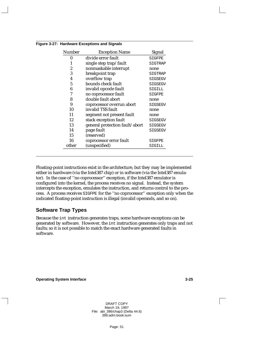| <b>Number</b> | <b>Exception Name</b>          | Signal         |
|---------------|--------------------------------|----------------|
| 0             | divide error fault             | <b>SIGFPE</b>  |
|               | single step trap/fault         | SIGTRAP        |
| 2             | nonmaskable interrupt          | none           |
| 3             | breakpoint trap                | SIGTRAP        |
| 4             | overflow trap                  | <b>SIGSEGV</b> |
| 5             | bounds check fault             | <b>SIGSEGV</b> |
| 6             | invalid opcode fault           | SIGILL         |
| 7             | no coprocessor fault           | <b>SIGFPE</b>  |
| 8             | double fault abort             | none           |
| 9             | coprocessor overrun abort      | <b>SIGSEGV</b> |
| 10            | invalid TSS fault              | none           |
| 11            | segment not present fault      | none           |
| 12            | stack exception fault          | <b>SIGSEGV</b> |
| 13            | general protection fault/abort | <b>SIGSEGV</b> |
| 14            | page fault                     | <b>SIGSEGV</b> |
| 15            | (reserved)                     |                |
| 16            | coprocessor error fault        | SIGFPE         |
| other         | (unspecified)                  | SIGILL         |

### **Figure 3-27: Hardware Exceptions and Signals**

Floating-point instructions exist in the architecture, but they may be implemented either in hardware (via the Intel387 chip) or in software (via the Intel387 emulator). In the case of ''no coprocessor'' exception, if the Intel387 emulator is configured into the kernel, the process receives no signal. Instead, the system intercepts the exception, emulates the instruction, and returns control to the process. A process receives SIGFPE for the "no coprocessor" exception only when the indicated floating-point instruction is illegal (invalid operands, and so on).

## **Software Trap Types**

Because the int instruction generates traps, some hardware exceptions can be generated by software. However, the int instruction generates only traps and not faults; so it is not possible to match the exact hardware generated faults in software.

**Operating System Interface 3-25**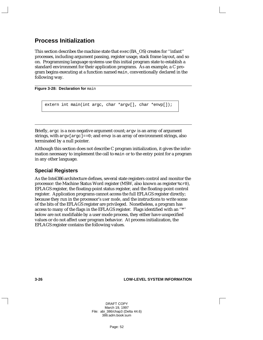# **Process Initialization**

This section describes the machine state that  $exec(BA\ OS)$  creates for "infant" processes, including argument passing, register usage, stack frame layout, and so on. Programming language systems use this initial program state to establish a standard environment for their application programs. As an example, a C program begins executing at a function named main, conventionally declared in the following way.

### **Figure 3-28: Declaration for main**

```
extern int main(int argc, char *argv[], char *envp[]);
```
Briefly, arge is a non-negative argument count; argy is an array of argument strings, with  $\arg y$  [ $\arg c$  ] = =0; and  $\exp$  is an array of environment strings, also terminated by a null pointer.

Although this section does not describe C program initialization, it gives the information necessary to implement the call to main or to the entry point for a program in any other language.

## **Special Registers**

As the Intel386 architecture defines, several state registers control and monitor the processor: the Machine Status Word register (MSW, also known as register  $\varepsilon$ cr0), EFLAGS register, the floating-point status register, and the floating-point control register. Application programs cannot access the full EFLAGS register directly; because they run in the processor's *user mode*, and the instructions to write some of the bits of the EFLAGS register are privileged. Nonetheless, a program has access to many of the flags in the EFLAGS register. Flags identified with an ''\*'' below are not modifiable by a user mode process, they either have unspecified values or do not affect user program behavior. At process initialization, the EFLAGS register contains the following values.

**3-26 LOW-LEVEL SYSTEM INFORMATION**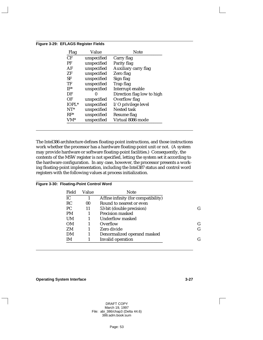### **Figure 3-29: EFLAGS Register Fields**

| Flag     | Value       | <b>Note</b>                |
|----------|-------------|----------------------------|
| CF       | unspecified | Carry flag                 |
| РF       | unspecified | Parity flag                |
| ΑF       | unspecified | Auxiliary carry flag       |
| ZF       | unspecified | Zero flag                  |
| SF       | unspecified | Sign flag                  |
| TF       | unspecified | Trap flag                  |
| $IF^*$   | unspecified | Interrupt enable           |
| DF       |             | Direction flag low to high |
| OF       | unspecified | Overflow flag              |
| $IOPI.*$ | unspecified | I/O privilege level        |
| $NT^*$   | unspecified | Nested task                |
| $RF^*$   | unspecified | Resume flag                |
| VM*      | unspecified | Virtual 8086 mode          |

The Intel386 architecture defines floating-point instructions, and those instructions work whether the processor has a hardware floating-point unit or not. (A system may provide hardware or software floating-point facilities.) Consequently, the contents of the MSW register is not specified, letting the system set it according to the hardware configuration. In any case, however, the processor presents a working floating-point implementation, including the Intel387 status and control word registers with the following values at process initialization.

## **Figure 3-30: Floating-Point Control Word**

| Field     | Value | <b>Note</b>                         |   |
|-----------|-------|-------------------------------------|---|
| IC.       |       | Affine infinity (for compatibility) |   |
| <b>RC</b> | 00    | Round to nearest or even            |   |
| PC        | 11    | 53-bit (double precision)           |   |
| <b>PM</b> | 1     | Precision masked                    |   |
| UM        |       | Underflow masked                    |   |
| 0M        |       | Overflow                            | G |
| ZM        |       | Zero divide                         | G |
| DM        |       | Denormalized operand masked         |   |
| ΙM        |       | Invalid operation                   |   |

**Operating System Interface 3-27**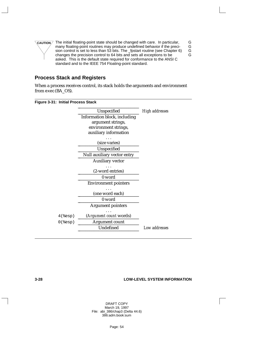| <b>CAUTION</b> |
|----------------|
|                |
|                |
|                |

The initial floating-point state should be changed with care. In particular, G<br>many floating-point routines may produce undefined behavior if the preci-G many floating-point routines may produce undefined behavior if the precision control is set to less than 53 bits. The \_fpstart routine (see Chapter 6) G<br>changes the precision control to 64 bits and sets all exceptions to be G changes the precision control to 64 bits and sets all exceptions to be asked. This is the default state required for conformance to the ANSI C standard and to the IEEE 754 Floating-point standard.

## **Process Stack and Registers**

When a process receives control, its stack holds the arguments and environment from  $exec(BA$  OS).

**Figure 3-31: Initial Process Stack**



**3-28 LOW-LEVEL SYSTEM INFORMATION**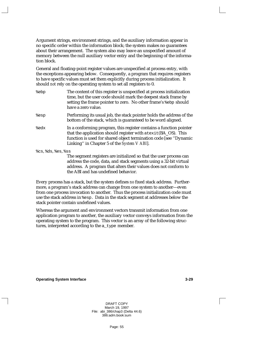Argument strings, environment strings, and the auxiliary information appear in no specific order within the information block; the system makes no guarantees about their arrangement. The system also may leave an unspecified amount of memory between the null auxiliary vector entry and the beginning of the information block.

General and floating-point register values are unspecified at process entry, with the exceptions appearing below. Consequently, a program that requires registers to have specific values must set them explicitly during process initialization. It should *not* rely on the operating system to set all registers to 0.

| %ebp                          | The content of this register is unspecified at process initialization<br>time, but the user code should mark the deepest stack frame by<br>setting the frame pointer to zero. No other frame's % ebp should<br>have a zero value.                        |
|-------------------------------|----------------------------------------------------------------------------------------------------------------------------------------------------------------------------------------------------------------------------------------------------------|
| %esp                          | Performing its usual job, the stack pointer holds the address of the<br>bottom of the stack, which is guaranteed to be word aligned.                                                                                                                     |
| %edx                          | In a conforming program, this register contains a function pointer<br>that the application should register with a texit (BA OS). This<br>function is used for shared object termination code [see "Dynamic<br>Linking" in Chapter 5 of the System V ABI. |
| $scs$ , $sds$ , $ses$ , $sss$ |                                                                                                                                                                                                                                                          |
|                               | The segment registers are initialized so that the user process can<br>address the code, data, and stack segments using a 32-bit virtual<br>address. A program that alters their values does not conform to                                               |

the ABI and has undefined behavior. Every process has a stack, but the system defines *no* fixed stack address. Furthermore, a program's stack address can change from one system to another—even from one process invocation to another. Thus the process initialization code must use the stack address in % esp. Data in the stack segment at addresses below the

Whereas the argument and environment vectors transmit information from one application program to another, the auxiliary vector conveys information from the operating system to the program. This vector is an array of the following structures, interpreted according to the a\_type member.

**Operating System Interface 3-29** 

stack pointer contain undefined values.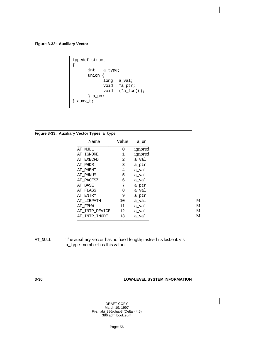**Figure 3-32: Auxiliary Vector**

```
typedef struct
{
      int a_type;
      union \{long a_val;
            void *a_ptr;
            void (*a_fcm)( ;
      } a_uni
\} auxv_t;
```
**Figure 3-33: Auxiliary Vector Types, a\_type** 

| Name           | Value | a un    |   |
|----------------|-------|---------|---|
| AT NULL        | 0     | ignored |   |
| AT IGNORE      | 1     | ignored |   |
| AT EXECFD      | 2     | a_val   |   |
| AT PHDR        | 3     | a_ptr   |   |
| AT PHENT       | 4     | a val   |   |
| AT PHNUM       | 5     | a_val   |   |
| AT PAGESZ      | 6     | a_val   |   |
| AT BASE        | 7     | a ptr   |   |
| AT FLAGS       | 8     | a_val   |   |
| AT ENTRY       | 9     | a_ptr   |   |
| AT LIBPATH     | 10    | a_val   | M |
| AT FPHW        | 11    | a_val   | M |
| AT INTP DEVICE | 12    | a_val   | M |
| AT INTP INODE  | 13    | a_val   | M |

AT\_NULL The auxiliary vector has no fixed length; instead its last entry's a\_type member has this value.

## **3-30 LOW-LEVEL SYSTEM INFORMATION**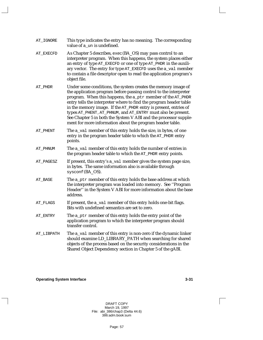| AT_IGNORE  | This type indicates the entry has no meaning. The corresponding<br>value of a_un is undefined.                                                                                                                                                                                                                                                                                                                                                                                                                                               |
|------------|----------------------------------------------------------------------------------------------------------------------------------------------------------------------------------------------------------------------------------------------------------------------------------------------------------------------------------------------------------------------------------------------------------------------------------------------------------------------------------------------------------------------------------------------|
| AT EXECFD  | As Chapter 5 describes, exec (BA_OS) may pass control to an<br>interpreter program. When this happens, the system places either<br>an entry of type AT_EXECFD or one of type AT_PHDR in the auxili-<br>ary vector. The entry for type AT_EXECFD uses the a_val member<br>to contain a file descriptor open to read the application program's<br>object file.                                                                                                                                                                                 |
| AT_PHDR    | Under some conditions, the system creates the memory image of<br>the application program before passing control to the interpreter<br>program. When this happens, the a_ptr member of the AT_PHDR<br>entry tells the interpreter where to find the program header table<br>in the memory image. If the AT_PHDR entry is present, entries of<br>types AT_PHENT, AT_PHNUM, and AT_ENTRY must also be present.<br>See Chapter 5 in both the System V ABI and the processor supple-<br>ment for more information about the program header table. |
| AT PHENT   | The a_val member of this entry holds the size, in bytes, of one<br>entry in the program header table to which the AT_PHDR entry<br>points.                                                                                                                                                                                                                                                                                                                                                                                                   |
| AT_PHNUM   | The a_val member of this entry holds the number of entries in<br>the program header table to which the AT_PHDR entry points.                                                                                                                                                                                                                                                                                                                                                                                                                 |
| AT_PAGESZ  | If present, this entry's a_val member gives the system page size,<br>in bytes. The same information also is available through<br>systemE(BA OS).                                                                                                                                                                                                                                                                                                                                                                                             |
| AT BASE    | The a_ptr member of this entry holds the base address at which<br>the interpreter program was loaded into memory. See "Program<br>Header" in the System V ABI for more information about the base<br>address.                                                                                                                                                                                                                                                                                                                                |
| AT_FLAGS   | If present, the a_val member of this entry holds one-bit flags.<br>Bits with undefined semantics are set to zero.                                                                                                                                                                                                                                                                                                                                                                                                                            |
| AT_ENTRY   | The a_ptr member of this entry holds the entry point of the<br>application program to which the interpreter program should<br>transfer control.                                                                                                                                                                                                                                                                                                                                                                                              |
| AT_LIBPATH | The a_val member of this entry is non-zero if the dynamic linker<br>should examine LD LIBRARY PATH when searching for shared<br>objects of the process based on the security considerations in the<br>Shared Object Dependency section in Chapter 5 of the gABI.                                                                                                                                                                                                                                                                             |

**Operating System Interface 3-31**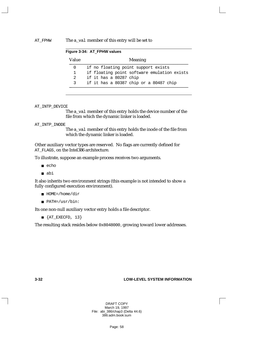### AT\_FPHW The a\_val member of this entry will be set to

|              | Figure 3-34: AT FPHW values                                                                                                                            |
|--------------|--------------------------------------------------------------------------------------------------------------------------------------------------------|
| Value        | <b>Meaning</b>                                                                                                                                         |
| 0            |                                                                                                                                                        |
|              |                                                                                                                                                        |
| 2            |                                                                                                                                                        |
| $\mathbf{3}$ | if no floating point support exists<br>if floating point software emulation exists<br>if it has a 80287 chip<br>if it has a 80387 chip or a 80487 chip |

#### AT\_INTP\_DEVICE

The a\_val member of this entry holds the device number of the file from which the dynamic linker is loaded.

#### AT\_INTP\_INODE

The a\_val member of this entry holds the inode of the file from which the dynamic linker is loaded.

Other auxiliary vector types are reserved. No flags are currently defined for AT\_FLAGS, on the Intel386 architecture.

To illustrate, suppose an example process receives two arguments.

- $\blacksquare$  echo
- $\blacksquare$  abi

It also inherits two environment strings (this example is not intended to show a fully configured execution environment).

- $HOME = / home/dir$
- $\blacksquare$  PATH=/usr/bin:

Its one non-null auxiliary vector entry holds a file descriptor.

 $\blacksquare$  {AT\_EXECFD, 13}

The resulting stack resides below 0x8048000, growing toward lower addresses.

**3-32 LOW-LEVEL SYSTEM INFORMATION**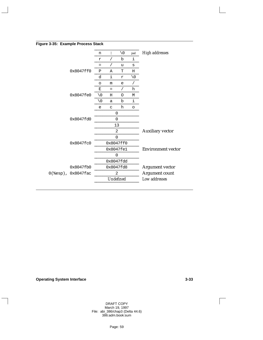



**Operating System Interface 3-33**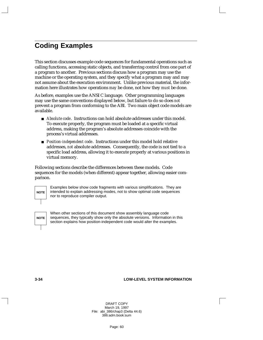# **Coding Examples**

This section discusses example code sequences for fundamental operations such as calling functions, accessing static objects, and transferring control from one part of a program to another. Previous sections discuss how a program may use the machine or the operating system, and they specify what a program may and may not assume about the execution environment. Unlike previous material, the information here illustrates how operations *may* be done, not how they *must* be done.

As before, examples use the ANSI C language. Other programming languages may use the same conventions displayed below, but failure to do so does *not* prevent a program from conforming to the ABI. Two main object code models are available.

- *Absolute code*. Instructions can hold absolute addresses under this model. To execute properly, the program must be loaded at a specific virtual address, making the program's absolute addresses coincide with the process's virtual addresses.
- *Position-independent code*. Instructions under this model hold relative addresses, *not* absolute addresses. Consequently, the code is not tied to a specific load address, allowing it to execute properly at various positions in virtual memory.

Following sections describe the differences between these models. Code sequences for the models (when different) appear together, allowing easier comparison.



Examples below show code fragments with various simplifications. They are intended to explain addressing modes, not to show optimal code sequences nor to reproduce compiler output.



When other sections of this document show assembly language code sequences, they typically show only the absolute versions. Information in this section explains how position-independent code would alter the examples.

**3-34 LOW-LEVEL SYSTEM INFORMATION**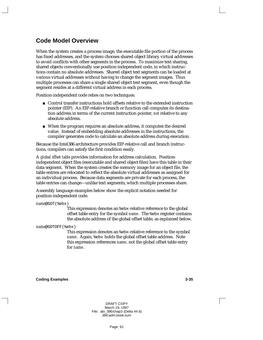# **Code Model Overview**

When the system creates a process image, the executable file portion of the process has fixed addresses, and the system chooses shared object library virtual addresses to avoid conflicts with other segments in the process. To maximize text sharing, shared objects conventionally use position-independent code, in which instructions contain no absolute addresses. Shared object text segments can be loaded at various virtual addresses without having to change the segment images. Thus multiple processes can share a single shared object text segment, even though the segment resides at a different virtual address in each process.

Position-independent code relies on two techniques.

- Control transfer instructions hold offsets relative to the extended instruction pointer (EIP). An EIP-relative branch or function call computes its destination address in terms of the current instruction pointer, *not* relative to any absolute address.
- When the program requires an absolute address, it computes the desired value. Instead of embedding absolute addresses in the instructions, the compiler generates code to calculate an absolute address during execution.

Because the Intel386 architecture provides EIP-relative call and branch instructions, compilers can satisfy the first condition easily.

A *global offset table* provides information for address calculation. Positionindependent object files (executable and shared object files) have this table in their data segment. When the system creates the memory image for an object file, the table entries are relocated to reflect the absolute virtual addresses as assigned for an individual process. Because data segments are private for each process, the table entries can change—unlike text segments, which multiple processes share.

Assembly language examples below show the explicit notation needed for position-independent code.

*name*@GOT(%ebx)

This expression denotes an  $\epsilon$  ebx-relative reference to the global offset table entry for the symbol *name*. The  $\epsilon$  ebx register contains the absolute address of the global offset table, as explained below.

*name*@GOTOFF(%ebx)

This expression denotes an  $\epsilon$  ebx-relative reference to the symbol name. Again,  $\epsilon$ ebx holds the global offset table address. Note this expression references *name*, not the global offset table entry for *name*.

**Coding Examples 3-35**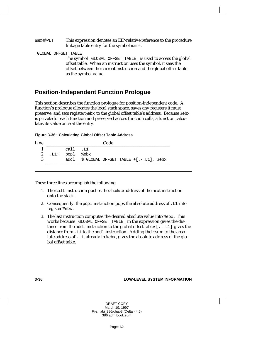| name@PLT | This expression denotes an EIP-relative reference to the procedure |
|----------|--------------------------------------------------------------------|
|          | linkage table entry for the symbol name.                           |

GLOBAL OFFSET TABLE

The symbol \_GLOBAL\_OFFSET\_TABLE\_ is used to access the global offset table. When an instruction uses the symbol, it sees the offset between the current instruction and the global offset table as the symbol value.

## **Position-Independent Function Prologue**

This section describes the function prologue for position-independent code. A function's prologue allocates the local stack space, saves any registers it must preserve, and sets register % ebx to the global offset table's address. Because % ebx is private for each function and preserved across function calls, a function calculates its value once at the entry.

**Figure 3-36: Calculating Global Offset Table Address**

Line Code \_ \_\_\_\_\_\_\_\_\_\_\_\_\_\_\_\_\_\_\_\_\_\_\_\_\_\_\_\_\_\_\_\_\_\_\_\_\_\_\_\_\_\_\_\_\_\_\_\_\_\_\_\_\_\_\_\_\_  $1$  call .L1  $2$  .L1: popl  $\text{kebx}$  $3$  add  $\frac{1}{2}$   $\frac{1}{2}$   $\frac{1}{2}$   $\frac{1}{2}$   $\frac{1}{2}$   $\frac{1}{2}$   $\frac{1}{2}$   $\frac{1}{2}$   $\frac{1}{2}$   $\frac{1}{2}$   $\frac{1}{2}$   $\frac{1}{2}$   $\frac{1}{2}$   $\frac{1}{2}$   $\frac{1}{2}$   $\frac{1}{2}$   $\frac{1}{2}$   $\frac{1}{2}$   $\frac{1}{2}$   $\frac{1}{2}$   $\frac{1}{2}$   $\frac$ L L Г I I I I

These three lines accomplish the following.

- 1. The call instruction pushes the *absolute* address of the next instruction onto the stack.
- 2. Consequently, the pop1 instruction pops the absolute address of  $.L1$  into register % e bx.
- 3. The last instruction computes the desired absolute value into  $\epsilon$  ebx. This works because \_GLOBAL\_OFFSET\_TABLE\_ in the expression gives the distance from the addl instruction to the global offset table;  $[-1, 1]$  gives the distance from . L1 to the add1 instruction. Adding their sum to the absolute address of .L1, already in  $\epsilon$ ebx, gives the absolute address of the global offset table.

### **3-36 LOW-LEVEL SYSTEM INFORMATION**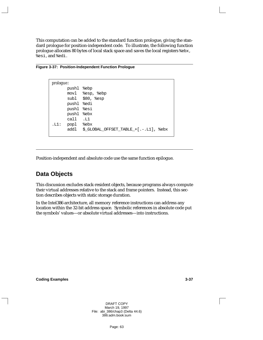This computation can be added to the standard function prologue, giving the standard prologue for position-independent code. To illustrate, the following function prologue allocates 80 bytes of local stack space and saves the local registers  $e^{i\theta}$ . % esi, and % edi.

**Figure 3-37: Position-Independent Function Prologue**

| prologue: |            |                                        |
|-----------|------------|----------------------------------------|
|           | pushl %ebp |                                        |
|           |            | movl %esp, %ebp                        |
|           |            | subl \$80, %esp                        |
|           | pushl %edi |                                        |
|           | pushl %esi |                                        |
|           | pushl %ebx |                                        |
|           | call .L1   |                                        |
| .L1:      | popl %ebx  |                                        |
|           | addl       | $$ GLOBAL OFFSET TABLE + [.-L1], %ebx$ |

Position-independent and absolute code use the same function epilogue.

# **Data Objects**

This discussion excludes stack-resident objects, because programs always compute their virtual addresses relative to the stack and frame pointers. Instead, this section describes objects with static storage duration.

In the Intel386 architecture, all memory reference instructions can address any location within the 32-bit address space. Symbolic references in absolute code put the symbols' values—or absolute virtual addresses—into instructions.

**Coding Examples 3-37**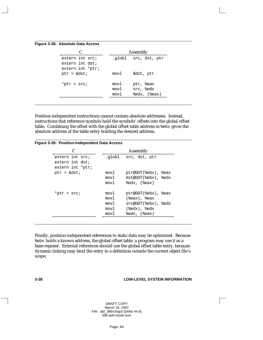

|                                                        |                      | <b>Assembly</b>                       |
|--------------------------------------------------------|----------------------|---------------------------------------|
| extern int src;<br>extern int dst;<br>extern int *ptr; |                      | .globl src, dst, ptr                  |
| $ptr = \&dst:$                                         | movl                 | \$dst, ptr                            |
| *ptr = $src$ ;                                         | movl<br>movl<br>movl | ptr, %eax<br>src, %edx<br>edx, (seax) |

Position-independent instructions cannot contain absolute addresses. Instead, instructions that reference symbols hold the symbols' offsets into the global offset table. Combining the offset with the global offset table address in % ebx gives the absolute address of the table entry holding the desired address.

**Figure 3-39: Position-Independent Data Access**

|                  |      | <b>Assembly</b>      |
|------------------|------|----------------------|
| extern int src;  |      | .globl src, dst, ptr |
| extern int dst;  |      |                      |
| extern int *ptr; |      |                      |
| $ptr = \&dst$    | movl | ptr@GOT(%ebx), %eax  |
|                  | movl | dst@GOT(%ebx), %edx  |
|                  | movl | $edx.$ ( $seax$ )    |
| *ptr = $srci$    | movl | ptr@GOT(%ebx), %eax  |
|                  | movl | (%eax), %eax         |
|                  | movl | src@GOT(%ebx), %edx  |
|                  | movl | (%edx), %edx         |
|                  | movl | edx, (%eax)          |

Finally, position-independent references to static data may be optimized. Because % ebx holds a known address, the global offset table, a program may use it as a base register. External references should use the global offset table entry, because dynamic linking may bind the entry to a definition outside the current object file's scope.

### **3-38 LOW-LEVEL SYSTEM INFORMATION**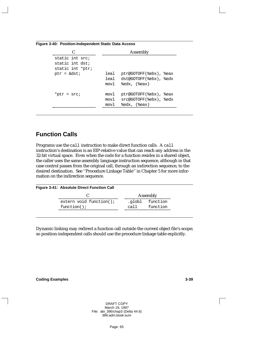#### **Figure 3-40: Position-Independent Static Data Access**

|                                                        |                      | Assembly                                                              |  |  |  |
|--------------------------------------------------------|----------------------|-----------------------------------------------------------------------|--|--|--|
| static int src;<br>static int dst;<br>static int *ptr; |                      |                                                                       |  |  |  |
| $ptr = \&dst$                                          | leal<br>leal<br>mov1 | ptr@GOTOFF(%ebx), %eax<br>dst@GOTOFF(%ebx), %edx<br>%edx, (%eax)      |  |  |  |
| *ptr = $srci$                                          | movl<br>movl<br>movl | ptr@GOTOFF(%ebx), %eax<br>src@GOTOFF(%ebx), %edx<br>$edx,$ ( $seax$ ) |  |  |  |

## **Function Calls**

Programs use the call instruction to make direct function calls. A call instruction's destination is an EIP-relative value that can reach any address in the 32-bit virtual space. Even when the code for a function resides in a shared object, the caller uses the same assembly language instruction sequence, although in that case control passes from the original call, through an indirection sequence, to the desired destination. See ''Procedure Linkage Table'' in Chapter 5 for more information on the indirection sequence.

## **Figure 3-41: Absolute Direct Function Call**

\_ \_\_\_\_\_\_\_\_\_\_\_\_\_\_\_\_\_\_\_\_\_\_\_\_\_\_\_ \_ f u n c t i o n ( ) ; c \_\_\_\_\_\_\_\_\_\_\_\_\_\_\_\_\_\_\_\_\_ a l l f u n c t i o n 

Assembly .globl function

L I L

Dynamic linking may redirect a function call outside the current object file's scope; so position-independent calls should use the procedure linkage table explicitly.

I I I I I Г

**Coding Examples 3-39**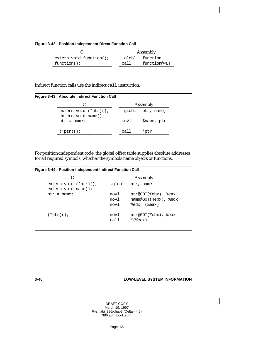#### **Figure 3-42: Position-Independent Direct Function Call**

|                        | <b>Assembly</b> |              |
|------------------------|-----------------|--------------|
| extern void function() | .qlobl          | function     |
| $ $ function();        | call            | function@PLT |

Indirect function calls use the indirect call instruction.

### **Figure 3-43: Absolute Indirect Function Call**

C Assembly extern void  $(*ptr)($  ;  $|$  .globl ptr, name;  $extern void name()$ ; movl \$name, ptr  $\vert$  (\*ptr)();  $\vert$  call \*ptr  $\vert$ I I I I Г Į I I I I I I L I I I I I Г Ļ I I I I I I

For position-independent code, the global offset table supplies absolute addresses for all required symbols, whether the symbols name objects or functions.

### **Figure 3-44: Position-Independent Indirect Function Call**



**3-40 LOW-LEVEL SYSTEM INFORMATION**

Į I L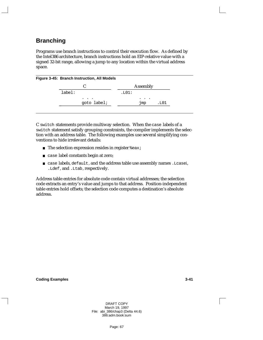# **Branching**

Programs use branch instructions to control their execution flow. As defined by the Intel386 architecture, branch instructions hold an EIP-relative value with a signed 32-bit range, allowing a jump to any location within the virtual address space.

**Figure 3-45: Branch Instruction, All Models**



C switch statements provide multiway selection. When the case labels of a switch statement satisfy grouping constraints, the compiler implements the selection with an address table. The following examples use several simplifying conventions to hide irrelevant details:

- The selection expression resides in register  $\epsilon = x$ ;
- case label constants begin at zero;
- case labels, default, and the address table use assembly names . Lcasei, . Ldef, and . Ltab, respectively.

Address table entries for absolute code contain virtual addresses; the selection code extracts an entry's value and jumps to that address. Position-independent table entries hold offsets; the selection code computes a destination's absolute address.

**Coding Examples** 3-41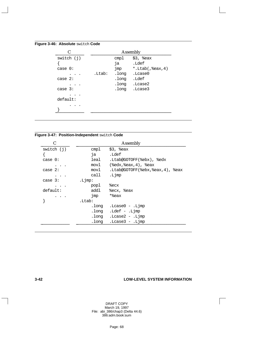

| C                                                 | <b>Assembly</b> |                                                       |                                                                                                           |  |  |
|---------------------------------------------------|-----------------|-------------------------------------------------------|-----------------------------------------------------------------------------------------------------------|--|--|
| switch $(j)$<br>case 0:<br>case $2:$<br>case $3:$ | .Ltab:          | cmpl<br>ja<br>jmp<br>.long<br>.long<br>.long<br>.long | $$3,$ $%$ eax<br>.Ldef<br>$*.$ Ltab $($ , $\frac{1}{2}$ eax, 4)<br>.Lcase0<br>.Ldef<br>Lcase2.<br>Lcase3. |  |  |
| default:                                          |                 |                                                       |                                                                                                           |  |  |



**3-42 LOW-LEVEL SYSTEM INFORMATION**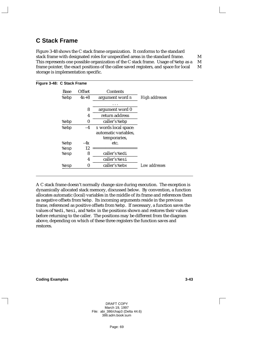## **C Stack Frame**

**Figure 3-48: C Stack Frame**

Figure 3-48 shows the C stack frame organization. It conforms to the standard stack frame with designated roles for unspecified areas in the standard frame. M This represents one possible organization of the C stack frame. Usage of  $\epsilon$  ebp as a M frame pointer, the exact positions of the callee saved registers, and space for local M storage is implementation specific.

| Base | Offset | Contents               |                       |
|------|--------|------------------------|-----------------------|
| %ebp | $4n+8$ | argument word <i>n</i> | <b>High addresses</b> |
|      |        |                        |                       |
|      | 8      | argument word 0        |                       |
|      | 4      | return address         |                       |
| %ebp | 0      | caller's & ebp         |                       |
| %ebp | $-4$   | x words local space:   |                       |
|      |        | automatic variables,   |                       |
|      |        | temporaries,           |                       |
| %ebp | $-4x$  | etc.                   |                       |
| %esp | 12     |                        |                       |
| %esp | 8      | caller's %edi          |                       |
|      | 4      | caller's %esi          |                       |
| ്esp | 0      | caller's &ebx          | Low addresses         |

A C stack frame doesn't normally change size during execution. The exception is dynamically allocated stack memory, discussed below. By convention, a function allocates automatic (local) variables in the middle of its frame and references them as negative offsets from % ebp. Its incoming arguments reside in the previous frame, referenced as positive offsets from % ebp. If necessary, a function saves the values of % edi, % esi, and % ebx in the positions shown and restores their values before returning to the caller. The positions may be different from the diagram above, depending on which of these three registers the function saves and restores.

**Coding Examples 3-43**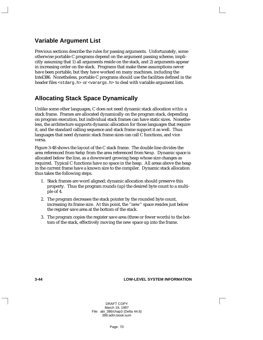# **Variable Argument List**

Previous sections describe the rules for passing arguments. Unfortunately, some otherwise portable C programs depend on the argument passing scheme, implicitly assuming that 1) all arguments reside on the stack, and 2) arguments appear in increasing order on the stack. Programs that make these assumptions never have been portable, but they have worked on many machines, including the Intel386. Nonetheless, portable C programs should use the facilities defined in the header files <stdarg.h> or <varargs.h> to deal with variable argument lists.

# **Allocating Stack Space Dynamically**

Unlike some other languages, C does not need dynamic stack allocation *within* a stack frame. Frames are allocated dynamically on the program stack, depending on program execution, but individual stack frames can have static sizes. Nonetheless, the architecture supports dynamic allocation for those languages that require it, and the standard calling sequence and stack frame support it as well. Thus languages that need dynamic stack frame sizes can call C functions, and vice versa.

Figure 3-48 shows the layout of the C stack frame. The double line divides the area referenced from  $\epsilon$ eb from the area referenced from  $\epsilon$ esp. Dynamic space is allocated below the line, as a downward growing heap whose size changes as required. Typical C functions have no space in the heap. All areas above the heap in the current frame have a known size to the compiler. Dynamic stack allocation thus takes the following steps.

- 1 . Stack frames are word aligned; dynamic allocation should preserve this property. Thus the program rounds (up) the desired byte count to a multiple of 4.
- 2. The program decreases the stack pointer by the rounded byte count, increasing its frame size. At this point, the ''new'' space resides just below the register save area at the bottom of the stack.
- 3 . The program copies the register save area (three or fewer words) to the bottom of the stack, effectively moving the new space up into the frame.

**3-44 LOW-LEVEL SYSTEM INFORMATION**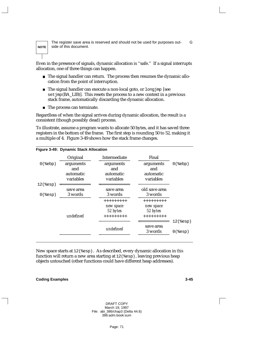The register save area is reserved and should not be used for purposes out-<br>G side of this document.

Even in the presence of signals, dynamic allocation is ''safe.'' If a signal interrupts allocation, one of three things can happen.

- The signal handler can return. The process then resumes the dynamic allocation from the point of interruption.
- $\blacksquare$  The signal handler can execute a non-local goto, or long jmp [see set jmp (BA\_LIB)]. This resets the process to a new context in a previous stack frame, automatically discarding the dynamic allocation.
- The process can terminate.

**NOTE**

Regardless of when the signal arrives during dynamic allocation, the result is a consistent (though possibly dead) process.

To illustrate, assume a program wants to allocate 50 bytes, and it has saved three registers in the bottom of the frame. The first step is rounding 50 to 52, making it a multiple of 4. Figure 3-49 shows how the stack frame changes.



New space starts at 12 ( $\S$ esp). As described, every dynamic allocation in *this* function will return a new area starting at  $12$  ( $\text{resp}$ ), leaving previous heap objects untouched (other functions could have different heap addresses).

#### **Coding Examples 3-45**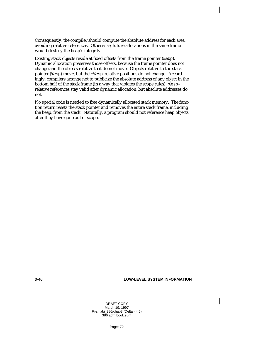Consequently, the compiler should compute the absolute address for each area, avoiding relative references. Otherwise, future allocations in the same frame would destroy the heap's integrity.

Existing stack objects reside at fixed offsets from the frame pointer (% ebp). Dynamic allocation preserves those offsets, because the frame pointer does not change and the objects relative to it do not move. Objects relative to the stack pointer (% esp) move, but their % esp-relative positions do not change. Accordingly, compilers arrange not to publicize the absolute address of any object in the bottom half of the stack frame (in a way that violates the scope rules).  $s$ esprelative references stay valid after dynamic allocation, but absolute addresses do not.

No special code is needed to free dynamically allocated stack memory. The function return resets the stack pointer and removes the entire stack frame, including the heap, from the stack. Naturally, a program should not reference heap objects after they have gone out of scope.

**3-46 LOW-LEVEL SYSTEM INFORMATION**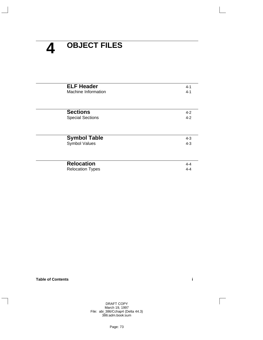# **4 OBJECT FILES**

| <b>ELF Header</b>       | $4 - 1$ |
|-------------------------|---------|
| Machine Information     | $4 - 1$ |
|                         |         |
| <b>Sections</b>         | $4 - 2$ |
| <b>Special Sections</b> | $4 - 2$ |
|                         |         |
| <b>Symbol Table</b>     | $4 - 3$ |
| <b>Symbol Values</b>    | $4 - 3$ |
|                         |         |
| <b>Relocation</b>       | $4 - 4$ |
| <b>Relocation Types</b> | $4 - 4$ |

**Table of Contents i**

÷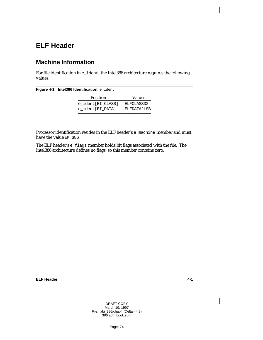# **ELF Header**

## **Machine Information**

For file identification in e\_ident, the Intel386 architecture requires the following values.

|  |  | Figure 4-1: Intel386 Identification, e_ident |  |  |
|--|--|----------------------------------------------|--|--|
|--|--|----------------------------------------------|--|--|

| Position          | Value       |
|-------------------|-------------|
| e_ident[EI_CLASS] | ELFCLASS32  |
| e_ident[EI_DATA]  | ELFDATA2LSB |

Processor identification resides in the ELF header's e\_machine member and must have the value EM\_386.

The ELF header's e\_flags member holds bit flags associated with the file. The Intel386 architecture defines no flags; so this member contains zero.

**ELF Header 4-1**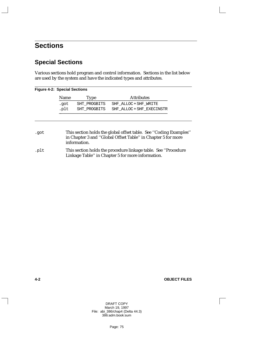# **Sections**

# **Special Sections**

Various sections hold program and control information. Sections in the list below are used by the system and have the indicated types and attributes.

#### **Figure 4-2: Special Sections**

Name Type Attributes  $\log$  | SHT\_PROGBITS | SHF\_ALLOC + SHF\_WRITE  ${\rm c}$  p l t  $\parallel$  SHT \_ PROGBITS  $\parallel$  SHF \_ ALLOC + SHF \_ EXECINSTR I Г I I Г

| .got   | This section holds the global offset table. See "Coding Examples"<br>in Chapter 3 and "Global Offset Table" in Chapter 5 for more<br>information. |
|--------|---------------------------------------------------------------------------------------------------------------------------------------------------|
| $-1$ + | This section holds the procedure linkage table. See "Dressdure                                                                                    |

. p1t This section holds the procedure linkage table. See "Procedure". Linkage Table'' in Chapter 5 for more information.

**4-2 OBJECT FILES**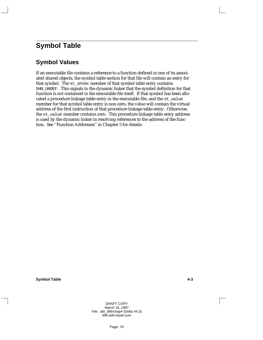# **Symbol Table**

## **Symbol Values**

If an executable file contains a reference to a function defined in one of its associated shared objects, the symbol table section for that file will contain an entry for that symbol. The st\_shndx member of that symbol table entry contains SHN\_UNDEF. This signals to the dynamic linker that the symbol definition for that function is not contained in the executable file itself. If that symbol has been allocated a procedure linkage table entry in the executable file, and the st\_value member for that symbol table entry is non-zero, the value will contain the virtual address of the first instruction of that procedure linkage table entry. Otherwise, the st\_value member contains zero. This procedure linkage table entry address is used by the dynamic linker in resolving references to the address of the function. See ''Function Addresses'' in Chapter 5 for details.

**Symbol Table 4-3**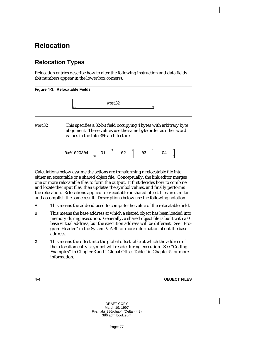# **Relocation**

## **Relocation Types**

Relocation entries describe how to alter the following instruction and data fields (bit numbers appear in the lower box corners).

**Figure 4-3: Relocatable Fields**

*word32*  $31$  0

*word32* This specifies a 32-bit field occupying 4 bytes with arbitrary byte alignment. These values use the same byte order as other word values in the Intel386 architecture.

| $0 \times 01020304$ | v     | $\overline{\phantom{a}}$<br>$\cdot$ $\sim$ | $\ddot{\phantom{1}}$<br>ັບ - |                |
|---------------------|-------|--------------------------------------------|------------------------------|----------------|
|                     | I J 1 |                                            |                              | $\overline{0}$ |

Calculations below assume the actions are transforming a relocatable file into either an executable or a shared object file. Conceptually, the link editor merges one or more relocatable files to form the output. It first decides how to combine and locate the input files, then updates the symbol values, and finally performs the relocation. Relocations applied to executable or shared object files are similar and accomplish the same result. Descriptions below use the following notation.

A This means the addend used to compute the value of the relocatable field.

- B This means the base address at which a shared object has been loaded into memory during execution. Generally, a shared object file is built with a 0 base virtual address, but the execution address will be different. See ''Program Header'' in the System V ABI for more information about the base address.
- G This means the offset into the global offset table at which the address of the relocation entry's symbol will reside during execution. See ''Coding Examples'' in Chapter 3 and ''Global Offset Table'' in Chapter 5 for more information.

#### **4-4 OBJECT FILES**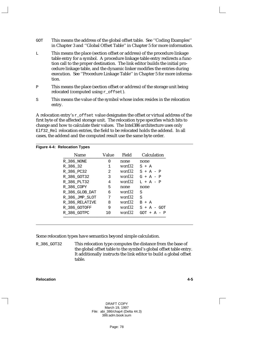- GOT This means the address of the global offset table. See "Coding Examples" in Chapter 3 and ''Global Offset Table'' in Chapter 5 for more information.
- L This means the place (section offset or address) of the procedure linkage table entry for a symbol. A procedure linkage table entry redirects a function call to the proper destination. The link editor builds the initial procedure linkage table, and the dynamic linker modifies the entries during execution. See ''Procedure Linkage Table'' in Chapter 5 for more information.
- P This means the place (section offset or address) of the storage unit being relocated (computed using  $r\_offset$ ).
- S This means the value of the symbol whose index resides in the relocation entry.

A relocation entry's  $r_{\text{o}}$  of f set value designates the offset or virtual address of the first byte of the affected storage unit. The relocation type specifies which bits to change and how to calculate their values. The Intel386 architecture uses only E1f32\_Re1 relocation entries, the field to be relocated holds the addend. In all cases, the addend and the computed result use the same byte order.

#### **Figure 4-4: Relocation Types**

| Name           | Value | Field  | Calculation   |
|----------------|-------|--------|---------------|
| R 386 NONE     | 0     | none   | none          |
| R 386 32       | 1     | word32 | $S + A$       |
| R 386 PC32     | 2     | word32 | $S + A - P$   |
| R 386 GOT32    | 3     | word32 | $G + A - P$   |
| R 386 PLT32    | 4     | word32 | $I_1 + A - P$ |
| R 386 COPY     | 5     | none   | none          |
| R 386 GLOB DAT | 6     | word32 | S             |
| R 386 JMP SLOT | 7     | word32 | S             |
| R 386 RELATIVE | 8     | word32 | $B + A$       |
| R 386 GOTOFF   | 9     | word32 | $S + A - GOT$ |
| R_386_GOTPC    | 10    | word32 | $GOT + A - P$ |

Some relocation types have semantics beyond simple calculation.

R\_386\_GOT32 This relocation type computes the distance from the base of the global offset table to the symbol's global offset table entry. It additionally instructs the link editor to build a global offset table.

**Relocation 4-5**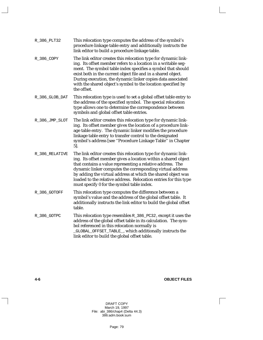| R_386_PLT32    | This relocation type computes the address of the symbol's<br>procedure linkage table entry and additionally instructs the<br>link editor to build a procedure linkage table.                                                                                                                                                                                                                                                                  |
|----------------|-----------------------------------------------------------------------------------------------------------------------------------------------------------------------------------------------------------------------------------------------------------------------------------------------------------------------------------------------------------------------------------------------------------------------------------------------|
| R 386 COPY     | The link editor creates this relocation type for dynamic link-<br>ing. Its offset member refers to a location in a writable seg-<br>ment. The symbol table index specifies a symbol that should<br>exist both in the current object file and in a shared object.<br>During execution, the dynamic linker copies data associated<br>with the shared object's symbol to the location specified by<br>the offset.                                |
| R_386_GLOB_DAT | This relocation type is used to set a global offset table entry to<br>the address of the specified symbol. The special relocation<br>type allows one to determine the correspondence between<br>symbols and global offset table entries.                                                                                                                                                                                                      |
| R_386_JMP_SLOT | The link editor creates this relocation type for dynamic link-<br>ing. Its offset member gives the location of a procedure link-<br>age table entry. The dynamic linker modifies the procedure<br>linkage table entry to transfer control to the designated<br>symbol's address [see "Procedure Linkage Table" in Chapter<br>5].                                                                                                              |
| R_386_RELATIVE | The link editor creates this relocation type for dynamic link-<br>ing. Its offset member gives a location within a shared object<br>that contains a value representing a relative address. The<br>dynamic linker computes the corresponding virtual address<br>by adding the virtual address at which the shared object was<br>loaded to the relative address. Relocation entries for this type<br>must specify 0 for the symbol table index. |
| R_386_GOTOFF   | This relocation type computes the difference between a<br>symbol's value and the address of the global offset table. It<br>additionally instructs the link editor to build the global offset<br>table.                                                                                                                                                                                                                                        |
| R_386_GOTPC    | This relocation type resembles R_386_PC32, except it uses the<br>address of the global offset table in its calculation. The sym-<br>bol referenced in this relocation normally is<br>_GLOBAL_OFFSET_TABLE_, which additionally instructs the<br>link editor to build the global offset table.                                                                                                                                                 |

**4-6 OBJECT FILES**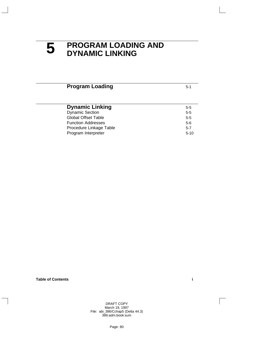# **5 PROGRAM LOADING AND DYNAMIC LINKING**

| <b>Program Loading</b>     | $5 - 1$  |
|----------------------------|----------|
| <b>Dynamic Linking</b>     | $5 - 5$  |
| <b>Dynamic Section</b>     | $5 - 5$  |
| <b>Global Offset Table</b> | $5-5$    |
| <b>Function Addresses</b>  | $5-6$    |
| Procedure Linkage Table    | $5 - 7$  |
| Program Interpreter        | $5 - 10$ |

**Table of Contents i**

 $\overline{a}$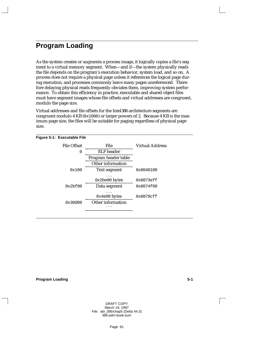# **Program Loading**

As the system creates or augments a process image, it logically copies a file's segment to a virtual memory segment. When—and if—the system physically reads the file depends on the program's execution behavior, system load, and so on. A process does not require a physical page unless it references the logical page during execution, and processes commonly leave many pages unreferenced. Therefore delaying physical reads frequently obviates them, improving system performance. To obtain this efficiency in practice, executable and shared object files must have segment images whose file offsets and virtual addresses are congruent, modulo the page size.

Virtual addresses and file offsets for the Intel386 architecture segments are congruent modulo 4 KB ( $0x1000$ ) or larger powers of 2. Because 4 KB is the maximum page size, the files will be suitable for paging regardless of physical page size.

| <b>File Offset</b> | File                 | <b>Virtual Address</b> |
|--------------------|----------------------|------------------------|
| $\Omega$           | <b>ELF</b> header    |                        |
|                    | Program header table |                        |
|                    | Other information    |                        |
| 0x100              | <b>Text segment</b>  | 0x8048100              |
|                    |                      |                        |
|                    | 0x2be00 bytes        | 0x8073eff              |
| 0x2bf00            | Data segment         | 0x8074f00              |
|                    | .                    |                        |
|                    | 0x4e00 bytes         | 0x8079cff              |
| 0x30d00            | Other information    |                        |
|                    | $\cdots$             |                        |
|                    |                      |                        |

**Figure 5-1: Executable File**

**Program Loading 5-1**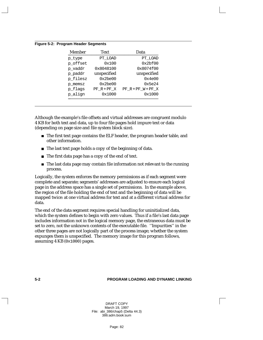#### **Figure 5-2: Program Header Segments**

| Member   | Text          | Data                 |
|----------|---------------|----------------------|
| p type   | PT_LOAD       | PT LOAD              |
| p offset | 0x100         | 0x2bf00              |
| p_vaddr  | 0x8048100     | 0x8074f00            |
| p_paddr  | unspecified   | unspecified          |
| p filesz | 0x2be00       | 0x4e00               |
| p memsz  | 0x2be00       | 0x5e24               |
| p flags  | $PF R + PF X$ | $PF R + PF W + PF X$ |
| p align  | 0x1000        | 0x1000               |

Although the example's file offsets and virtual addresses are congruent modulo 4 KB for both text and data, up to four file pages hold impure text or data (depending on page size and file system block size).

- The first text page contains the ELF header, the program header table, and other information.
- The last text page holds a copy of the beginning of data.
- The first data page has a copy of the end of text.
- The last data page may contain file information not relevant to the running process.

Logically, the system enforces the memory permissions as if each segment were complete and separate; segments' addresses are adjusted to ensure each logical page in the address space has a single set of permissions. In the example above, the region of the file holding the end of text and the beginning of data will be mapped twice: at one virtual address for text and at a different virtual address for data.

The end of the data segment requires special handling for uninitialized data, which the system defines to begin with zero values. Thus if a file's last data page includes information not in the logical memory page, the extraneous data must be set to zero, not the unknown contents of the executable file. ''Impurities'' in the other three pages are not logically part of the process image; whether the system expunges them is unspecified. The memory image for this program follows, assuming  $4$  KB (0 $\times$ 1000) pages.

#### **5-2 PROGRAM LOADING AND DYNAMIC LINKING**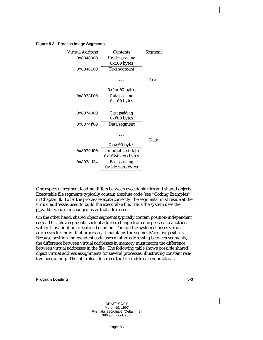

One aspect of segment loading differs between executable files and shared objects. Executable file segments typically contain absolute code (see ''Coding Examples'' in Chapter 3). To let the process execute correctly, the segments must reside at the virtual addresses used to build the executable file. Thus the system uses the p\_vaddr values unchanged as virtual addresses.

On the other hand, shared object segments typically contain position-independent code. This lets a segment's virtual address change from one process to another, without invalidating execution behavior. Though the system chooses virtual addresses for individual processes, it maintains the segments' *relative positions*. Because position-independent code uses relative addressing between segments, the difference between virtual addresses in memory must match the difference between virtual addresses in the file. The following table shows possible shared object virtual address assignments for several processes, illustrating constant relative positioning. The table also illustrates the base address computations.

**Program Loading 5-3**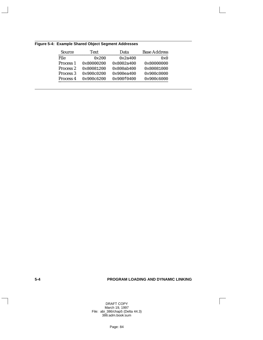| Figure 5-4: Example Shared Object Segment Addresses |  |  |  |  |  |
|-----------------------------------------------------|--|--|--|--|--|
|-----------------------------------------------------|--|--|--|--|--|

| Source    | Text       | Data       | <b>Base Address</b> |
|-----------|------------|------------|---------------------|
| File      | 0x200      | 0x2a400    | 0x0                 |
| Process 1 | 0x80000200 | 0x8002a400 | 0x80000000          |
| Process 2 | 0x80081200 | 0x800ab400 | 0x80081000          |
| Process 3 | 0x900c0200 | 0x900ea400 | 0x900c0000          |
| Process 4 | 0x900c6200 | 0x900f0400 | 0x900c6000          |

### **5-4 PROGRAM LOADING AND DYNAMIC LINKING**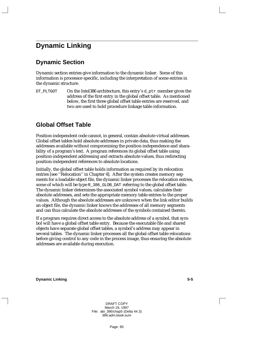# **Dynamic Linking**

## **Dynamic Section**

Dynamic section entries give information to the dynamic linker. Some of this information is processor-specific, including the interpretation of some entries in the dynamic structure.

 $DT$   $PLT$  GO T On the Intel386 architecture, this entry's  $d$   $ptr$  member gives the address of the first entry in the global offset table. As mentioned below, the first three global offset table entries are reserved, and two are used to hold procedure linkage table information.

## **Global Offset Table**

Position-independent code cannot, in general, contain absolute virtual addresses. Global offset tables hold absolute addresses in private data, thus making the addresses available without compromising the position-independence and sharability of a program's text. A program references its global offset table using position-independent addressing and extracts absolute values, thus redirecting position-independent references to absolute locations.

Initially, the global offset table holds information as required by its relocation entries [see ''Relocation'' in Chapter 4]. After the system creates memory segments for a loadable object file, the dynamic linker processes the relocation entries, some of which will be type R\_386\_GLOB\_DAT referring to the global offset table. The dynamic linker determines the associated symbol values, calculates their absolute addresses, and sets the appropriate memory table entries to the proper values. Although the absolute addresses are unknown when the link editor builds an object file, the dynamic linker knows the addresses of all memory segments and can thus calculate the absolute addresses of the symbols contained therein.

If a program requires direct access to the absolute address of a symbol, that symbol will have a global offset table entry. Because the executable file and shared objects have separate global offset tables, a symbol's address may appear in several tables. The dynamic linker processes all the global offset table relocations before giving control to any code in the process image, thus ensuring the absolute addresses are available during execution.

**Dynamic Linking 5-5**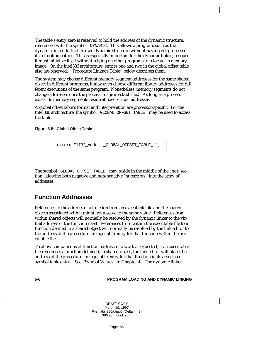The table's entry zero is reserved to hold the address of the dynamic structure, referenced with the symbol \_DYNAMIC. This allows a program, such as the dynamic linker, to find its own dynamic structure without having yet processed its relocation entries. This is especially important for the dynamic linker, because it must initialize itself without relying on other programs to relocate its memory image. On the Intel386 architecture, entries one and two in the global offset table also are reserved. ''Procedure Linkage Table'' below describes them.

The system may choose different memory segment addresses for the same shared object in different programs; it may even choose different library addresses for different executions of the same program. Nonetheless, memory segments do not change addresses once the process image is established. As long as a process exists, its memory segments reside at fixed virtual addresses.

A global offset table's format and interpretation are processor-specific. For the Intel386 architecture, the symbol \_GLOBAL\_OFFSET\_TABLE\_ may be used to access the table.

#### **Figure 5-5: Global Offset Table**

extern Elf32 Addr  $\quad$  GLOBAL OFFSET TABLE  $[]$ ;

The symbol \_GLOBAL\_OFFSET\_TABLE\_ may reside in the middle of the .got section, allowing both negative and non-negative ''subscripts'' into the array of addresses.

## **Function Addresses**

References to the address of a function from an executable file and the shared objects associated with it might not resolve to the same value. References from within shared objects will normally be resolved by the dynamic linker to the virtual address of the function itself. References from within the executable file to a function defined in a shared object will normally be resolved by the link editor to the address of the procedure linkage table entry for that function within the executable file.

To allow comparisons of function addresses to work as expected, if an executable file references a function defined in a shared object, the link editor will place the address of the procedure linkage table entry for that function in its associated symbol table entry. [See ''Symbol Values'' in Chapter 4]. The dynamic linker

#### **5-6 PROGRAM LOADING AND DYNAMIC LINKING**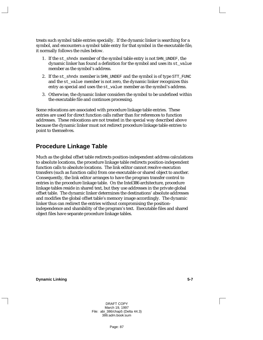treats such symbol table entries specially. If the dynamic linker is searching for a symbol, and encounters a symbol table entry for that symbol in the executable file, it normally follows the rules below.

- 1. If the st\_shndx member of the symbol table entry is not SHN\_UNDEF, the dynamic linker has found a definition for the symbol and uses its st\_value member as the symbol's address.
- 2. If the st\_shndx member is SHN\_UNDEF and the symbol is of type STT\_FUNC and the st\_value member is not zero, the dynamic linker recognizes this entry as special and uses the st\_value member as the symbol's address.
- 3 . Otherwise, the dynamic linker considers the symbol to be undefined within the executable file and continues processing.

Some relocations are associated with procedure linkage table entries. These entries are used for direct function calls rather than for references to function addresses. These relocations are not treated in the special way described above because the dynamic linker must not redirect procedure linkage table entries to point to themselves.

## **Procedure Linkage Table**

Much as the global offset table redirects position-independent address calculations to absolute locations, the procedure linkage table redirects position-independent function calls to absolute locations. The link editor cannot resolve execution transfers (such as function calls) from one executable or shared object to another. Consequently, the link editor arranges to have the program transfer control to entries in the procedure linkage table. On the Intel386 architecture, procedure linkage tables reside in shared text, but they use addresses in the private global offset table. The dynamic linker determines the destinations' absolute addresses and modifies the global offset table's memory image accordingly. The dynamic linker thus can redirect the entries without compromising the positionindependence and sharability of the program's text. Executable files and shared object files have separate procedure linkage tables.

**Dynamic Linking 5-7**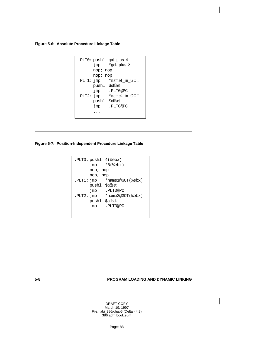#### **Figure 5-6: Absolute Procedure Linkage Table**



#### **Figure 5-7: Position-Independent Procedure Linkage Table**

| .PLTO: pushl 4(%ebx)<br>*8(%ebx)<br>jmp |
|-----------------------------------------|
| nop; nop                                |
| nop; nop                                |
| .PLT1: jmp<br>*name1@GOT(%ebx)          |
| pushl \$offset                          |
| .PLT0@PC<br>jmp                         |
| $*$ name2@GOT( $*$ ebx)<br>.PLT2: jmp   |
| pushl \$offset                          |
| .PLT0@PC<br>imp                         |
|                                         |

### **5-8 PROGRAM LOADING AND DYNAMIC LINKING**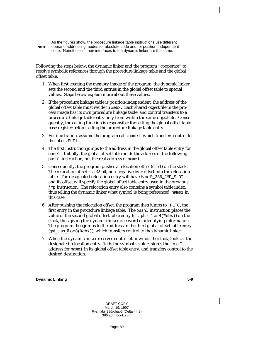

As the figures show, the procedure linkage table instructions use different operand addressing modes for absolute code and for position-independent code. Nonetheless, their interfaces to the dynamic linker are the same.

Following the steps below, the dynamic linker and the program ''cooperate'' to resolve symbolic references through the procedure linkage table and the global offset table.

- 1 . When first creating the memory image of the program, the dynamic linker sets the second and the third entries in the global offset table to special values. Steps below explain more about these values.
- 2 . If the procedure linkage table is position-independent, the address of the global offset table must reside in  $\epsilon$ ebx. Each shared object file in the process image has its own procedure linkage table, and control transfers to a procedure linkage table entry only from within the same object file. Consequently, the calling function is responsible for setting the global offset table base register before calling the procedure linkage table entry.
- 3. For illustration, assume the program calls name1, which transfers control to the label . PLT1.
- 4 . The first instruction jumps to the address in the global offset table entry for name 1. Initially, the global offset table holds the address of the following push1 instruction, not the real address of name1.
- 5 . Consequently, the program pushes a relocation offset (*offset*) on the stack. The relocation offset is a 32-bit, non-negative byte offset into the relocation table. The designated relocation entry will have type R\_386\_JMP\_SLOT, and its offset will specify the global offset table entry used in the previous jmp instruction. The relocation entry also contains a symbol table index, thus telling the dynamic linker what symbol is being referenced, namel in this case.
- 6. After pushing the relocation offset, the program then jumps to . PLT0, the first entry in the procedure linkage table. The push1 instruction places the value of the second global offset table entry (*got*\_*plus*\_*4* or 4 ( % e b x )) on the stack, thus giving the dynamic linker one word of identifying information. The program then jumps to the address in the third global offset table entry (*got*\_*plus*\_*8* or 8 ( % e b x )), which transfers control to the dynamic linker.
- 7 . When the dynamic linker receives control, it unwinds the stack, looks at the designated relocation entry, finds the symbol's value, stores the ''real'' address for name1 in its global offset table entry, and transfers control to the desired destination.

**Dynamic Linking 5-9**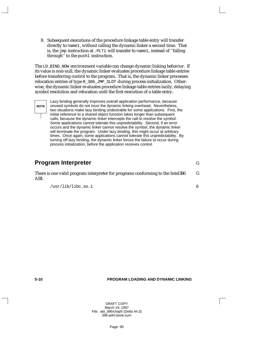8 . Subsequent executions of the procedure linkage table entry will transfer directly to name1, without calling the dynamic linker a second time. That is, the jmp instruction at . PLT1 will transfer to name1, instead of "falling through" to the push1 instruction.

The LD\_BIND\_NOW environment variable can change dynamic linking behavior. If its value is non-null, the dynamic linker evaluates procedure linkage table entries before transferring control to the program. That is, the dynamic linker processes relocation entries of type R\_386\_JMP\_SLOT during process initialization. Otherwise, the dynamic linker evaluates procedure linkage table entries lazily, delaying symbol resolution and relocation until the first execution of a table entry.



Lazy binding generally improves overall application performance, because unused symbols do not incur the dynamic linking overhead. Nevertheless, two situations make lazy binding undesirable for some applications. First, the initial reference to a shared object function takes longer than subsequent calls, because the dynamic linker intercepts the call to resolve the symbol. Some applications cannot tolerate this unpredictability. Second, if an error occurs and the dynamic linker cannot resolve the symbol, the dynamic linker will terminate the program. Under lazy binding, this might occur at arbitrary times. Once again, some applications cannot tolerate this unpredictability. By turning off lazy binding, the dynamic linker forces the failure to occur during process initialization, before the application receives control.

## **Program Interpreter** G

| There is one valid program interpreter for programs conforming to the Intel386 |  |
|--------------------------------------------------------------------------------|--|
| ABI:                                                                           |  |

 $\sqrt{\text{usr}}/\text{lib}/\text{l}$ ib $\text{c.s.1}$  G

**5-10 PROGRAM LOADING AND DYNAMIC LINKING**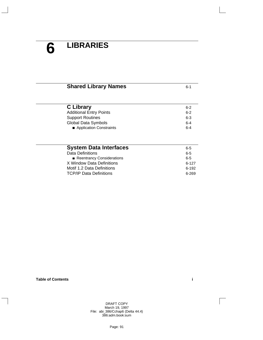# **6 LIBRARIES**

| <b>Shared Library Names</b>    | $6 - 1$   |
|--------------------------------|-----------|
| <b>C</b> Library               | $6 - 2$   |
| <b>Additional Entry Points</b> | $6 - 2$   |
| <b>Support Routines</b>        | $6 - 3$   |
| Global Data Symbols            | $6 - 4$   |
| Application Constraints        | $6 - 4$   |
| <b>System Data Interfaces</b>  | $6 - 5$   |
| Data Definitions               | $6 - 5$   |
| ■ Reentrancy Considerations    | $6 - 5$   |
| X Window Data Definitions      | $6 - 127$ |
| Motif 1.2 Data Definitions     | $6 - 192$ |
| <b>TCP/IP Data Definitions</b> | 6-269     |

**Table of Contents i**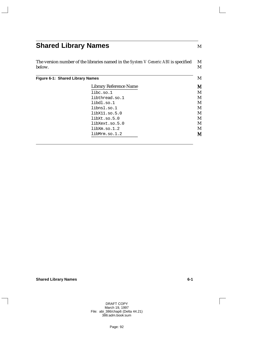# **Shared Library Names** M

| Figure 6-1: Shared Library Names |                               |   |
|----------------------------------|-------------------------------|---|
|                                  | <b>Library Reference Name</b> | M |
|                                  | libc.so.1                     | M |
|                                  | libthread.so.1                | M |
|                                  | libdl.so.1                    | M |
|                                  | libnsl.so.1                   | M |
|                                  | libX11.so.5.0                 | M |
|                                  | libXt.so.5.0                  | М |
|                                  | libXext.so.5.0                | M |
|                                  | libXm.so.1.2                  | M |
|                                  | libMrm.so.1.2                 | M |

**Shared Library Names** 6-1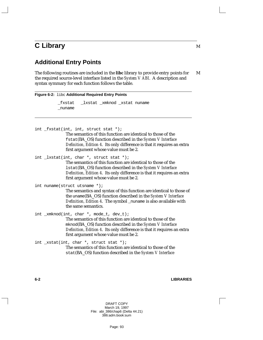## **C Library** M

## **Additional Entry Points**

The following routines are included in the **libc** library to provide entry points for M the required source-level interface listed in the *System V ABI*. A description and syntax symmary for each function follows the table.

**Figure 6-2: Libc Additional Required Entry Points** \_fxstat \_lxstat \_xmknod \_xstat nuname \_nuname int  $f x \text{stat(int, int, struct stat *)}$ The semantics of this function are identical to those of the f stat(BA OS) function described in the *System V Interface Definition, Edition 4*. Its only difference is that it requires an extra first argument whose value must be 2. int  $_l x \cdot t$  int, char \*, struct stat \*); The semantics of this function are identical to those of the lstat(BA\_OS) function described in the *System V Interface Definition, Edition 4*. Its only difference is that it requires an extra first argument whose value must be 2. int nuname (struct ut sname  $*$ ); The semantics and syntax of this function are identical to those of the uname(BA\_OS) function described in the *System V Interface Definition, Edition 4.* The symbol \_nuname is also available with the same semantics. int  $x$ m k n o d ( int, char \*, m o de t, dev t ) ; The semantics of this function are identical to those of the mknod(BA\_OS) function described in the *System V Interface Definition, Edition 4*. Its only difference is that it requires an extra first argument whose value must be 2. int  $x$  stat (int, char \*, struct stat \*); The semantics of this function are identical to those of the

**6-2 LIBRARIES**

DRAFT COPY March 19, 1997 File: abi\_386/chap6 (Delta 44.21) 386:adm.book:sum

stat(BA\_OS) function described in the *System V Interface*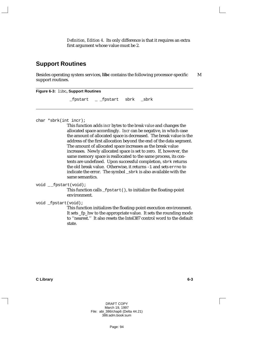*Definition, Edition 4*. Its only difference is that it requires an extra first argument whose value must be 2.

## **Support Routines**

Besides operating system services, **libc** contains the following processor-specific M support routines.

**Figure 6-3: Libc, Support Routines** 

 $_f$  fpstart  $_f$  restart sbrk  $_s$  sbrk

 $char * shrk(int$  incr);

This function adds *incr* bytes to the *break value* and changes the allocated space accordingly. *Incr* can be negative, in which case the amount of allocated space is decreased. The break value is the address of the first allocation beyond the end of the data segment. The amount of allocated space increases as the break value increases. Newly allocated space is set to zero. If, however, the same memory space is reallocated to the same process, its contents are undefined. Upon successful completion, sbrk returns the old break value. Otherwise, it returns -1 and sets errno to indicate the error. The symbol sbrk is also available with the same semantics.

void  $f$  f p start ( void ) ;

This function calls  $_f$  fpstart ( ), to initialize the floating-point environment.

void \_fpstart(void);

This function initializes the floating-point execution environment. It sets fp hw to the appropriate value. It sets the rounding mode to ''nearest.'' It also resets the Intel387 control word to the default state.

**C Library 6-3**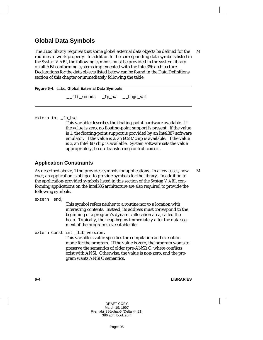## **Global Data Symbols**

The libc library requires that some globel external data objects be defined for the M routines to work properly. In addition to the corresponding data symbols listed in the *System V ABI*, the following symbols must be provided in the system library on all ABI-conforming systems implemented with the Intel386 architecture. Declarations for the data objects listed below can be found in the Data Definitions section of this chapter or immediately following the table.

| Figure 6-4: Libc, Global External Data Symbols |  |  |  |
|------------------------------------------------|--|--|--|
|                                                |  |  |  |

\_\_flt\_rounds \_fp\_hw \_\_huge\_val

extern int \_fp\_hw;

This variable describes the floating-point hardware available. If the value is zero, no floating-point support is present. If the value is 1, the floating-point support is provided by an Intel387 software emulator. If the value is 2, an 80287 chip is available. If the value is 3, an Intel387 chip is available. System software sets the value appropriately, before transferring control to main.

### **Application Constraints**

As described above, libe provides symbols for applications. In a few cases, how-  $M$ ever, an application is obliged to provide symbols for the library. In addition to the application-provided symbols listed in this section of the *System V ABI*, conforming applications on the Intel386 architecture are also required to provide the following symbols.

| extern _end; |                                                                                                                                                                                                                                                                                                                                        |
|--------------|----------------------------------------------------------------------------------------------------------------------------------------------------------------------------------------------------------------------------------------------------------------------------------------------------------------------------------------|
|              | This symbol refers neither to a routine nor to a location with<br>interesting contents. Instead, its address must correspond to the<br>beginning of a program's dynamic allocation area, called the<br>heap. Typically, the heap begins immediately after the data seg-<br>ment of the program's executable file.                      |
|              | extern const int lib version;<br>This variable's value specifies the compilation and execution<br>mode for the program. If the value is zero, the program wants to<br>preserve the semantics of older (pre-ANSI) C, where conflicts<br>exist with ANSI. Otherwise, the value is non-zero, and the pro-<br>gram wants ANSI C semantics. |

**6-4 LIBRARIES**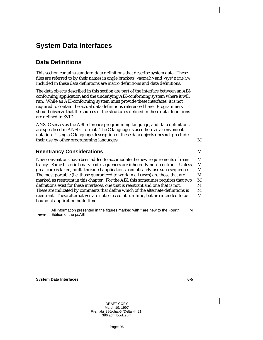# **System Data Interfaces**

## **Data Definitions**

This section contains standard data definitions that describe system data. These files are referred to by their names in angle brackets: <*name.h*> and <sys/*name.h*>. Included in these data definitions are macro definitions and data definitions.

The data objects described in this section are part of the interface between an ABIconforming application and the underlying ABI-conforming system where it will run. While an ABI-conforming system must provide these interfaces, it is not required to contain the actual data definitions referenced here. Programmers should observe that the sources of the structures defined in these data definitions are defined in SVID.

ANSI C serves as the ABI reference programming language, and data definitions are specificed in ANSI C format. The C language is used here as a convenient notation. Using a C language description of these data objects does *not* preclude their use by other programming languages. M

### **Reentrancy Considerations** M

New conventions have been added to accomodate the new requirements of reen- M trancy. Some historic binary code sequences are inherently non-reentrant. Unless M great care is taken, multi-threaded applications cannot safely use such sequences. M The most portable (i.e. those guaranteed to work in all cases) are those that are M marked as reentrant in this chapter. For the ABI, this sometimes requires that two M definitions exist for these interfaces, one that is reentrant and one that is not. M These are indicated by comments that define which of the alternate definitions is M reentrant. These alternatives are not selected at run-time, but are intended to be M bound at application build time.

All information presented in the figures marked with \* are new to the Fourth M Edition of the psABI.

**System Data Interfaces 6-5**

**NOTE**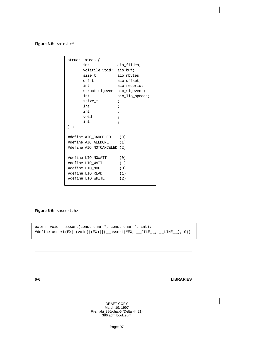**Figure 6-5:** <aio.h>\*

| struct aiocb {                |                 |
|-------------------------------|-----------------|
| int                           | aio_fildes;     |
| volatile void* aio buf;       |                 |
| size t                        | aio_nbytes;     |
| off t                         | aio offset;     |
| int.                          | aio regprio;    |
| struct sigevent aio sigevent; |                 |
| int                           | aio lio opcode; |
| ssize_t                       | $\ddot{ }$      |
| int.                          | $\ddot{i}$      |
| int                           | $\ddot{i}$      |
| void                          | $\ddot{ }$      |
| int                           | $\ddot{i}$      |
| }<br>$\cdot$                  |                 |
|                               |                 |
| #define AIO CANCELED (0)      |                 |
| #define AIO_ALLDONE (1)       |                 |
| #define AIO_NOTCANCELED (2)   |                 |
|                               |                 |
| #define LIO NOWAIT            | (0)             |
| #define LIO WAIT              | (1)             |
| #define LIO NOP               | (0)             |
| #define LIO READ              | (1)             |
| #define LIO WRITE             | (2)             |

**Figure 6-6:** <assert.h>

| extern void assert(const char $*$ , const char $*$ , int); |  |  |  |  |                                                                         |  |
|------------------------------------------------------------|--|--|--|--|-------------------------------------------------------------------------|--|
|                                                            |  |  |  |  | #define assert(EX) (void)((EX)  (__assert(#EX, __FILE__, __LINE__), 0)) |  |

**6-6 LIBRARIES**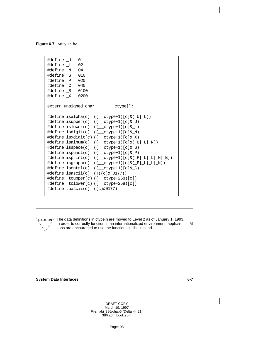#### **Figure 6-7:** <ctype.h>

```
#define U 01
#define _L 02
#define _N 04
\# \text{define } \_S 010
#define P 020
#define C 040
\# \text{define } \_ \text{B} 0100
\# \text{define } \_ X \qquad 0200extern unsigned char \qquad \qquad -ctype[ ];
\#\text{define } is \text{alpha}(c) \quad ((\_\text{ctype}+1) [c] \& (\_\text{U}|\_\text{L}))#define isupper(c) ((\underline{-ctype+1})[c]\&\underline{U})\#define is lower(c) ((\_ctype+1) [c] & L)#define isdigit(c) ((__ctype+1)[c]&_N)
#define isxdigit(c) ((\underline{\hspace{0.5cm}}ctype+1) [c] & x)\# \text{define } is \text{alnum}(c) \quad ((\_ctype + 1) [c] \& (\_U \mid L \mid N))\# \text{define } is space(c) \quad ((\_\text{ctype} + 1) [c] \& S)\#define \; is punct(c) \; ((\_ctype + 1) [c] & p)\#\text{define } isprint(c) \quad ((\_\text{ctype}+1) [c] \& (\_\text{P}|\_\text{U}|\_\text{L}|\_\text{B}))\#define \ is graph(c) \ ((\_ctype + 1) [c] & (\_P) [L] _M))#define iscntrl(c) ((\underline{\hspace{1cm}}ctype+1) [c]_{\&c})\# \text{define } is \text{ascii}(c) \quad (\text{!} ((c) \& 0 \cdot 177))\#define \_tsuper(c) (( \_ctype+258) [c])\#define\_tolower(c) ((\_ctype+258)[c])#define toascii(c) ((c) \&0177)
```


**CAUTION** The data definitions in ctype.h are moved to Level 2 as of January 1, 1993. In order to correctly function in an internationalized environment, applica- M tions are encouraged to use the functions in libc instead.

**System Data Interfaces** 6-7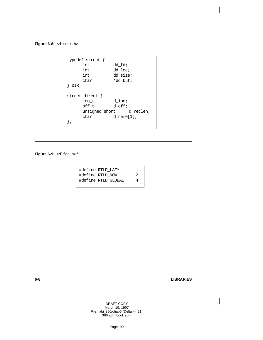**Figure 6-8:** <dirent.h>

```
typedef struct \{int dd_fd;
             int dd_loc;
             int dd_size;
             \label{eq:char} \text{char} \qquad \qquad \text{*d} \text{d\_buf}\,;\} DIR;
struct dirent {
             \begin{tabular}{ll} \quad \quad & \text{d\_ino:} \\ \text{off\_t} & \quad \quad & \text{d\_off:} \end{tabular}d_{off} ;
            \begin{array}{ll} \text{unsigned short} & \text{d\_reclen:} \\ \text{char} & \text{d\_name[1]:} \end{array}d_name[1];
} ;
```
**Figure 6-9:** <dlfcn.h>\*

| #define RTLD LAZY   |   |
|---------------------|---|
| #define RTLD NOW    | 2 |
| #define RTLD GLOBAL | 4 |

**6-8 LIBRARIES**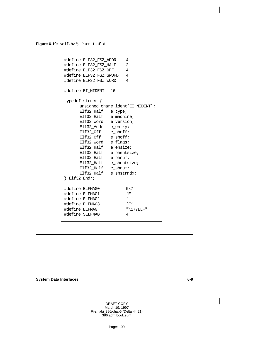**Figure 6-10:** <elf.h>\*, Part 1 of 6

| #define ELF32 FSZ ADDR            | 4                           |
|-----------------------------------|-----------------------------|
| #define ELF32_FSZ_HALF            | 2                           |
| #define ELF32_FSZ_OFF             | 4                           |
| #define ELF32_FSZ_SWORD 4         |                             |
| #define ELF32_FSZ_WORD            | $\overline{4}$              |
|                                   |                             |
| #define EI NIDENT 16              |                             |
|                                   |                             |
| typedef struct {                  |                             |
| unsigned chare_ident[EI_NIDENT];  |                             |
| $E1f32$ Half e type;              |                             |
| Elf32 Half e machine;             |                             |
| Elf32_Word e_version;             |                             |
| Elf32_Addr e_entry;               |                             |
| Elf32_Off<br>e_phoff;             |                             |
| Elf32_Off e_shoff;                |                             |
| Elf32_Word e_flags;               |                             |
| Elf32 Half e ehsize;              |                             |
| Elf32 Half                        | e_phentsize;                |
| Elf32 Half<br>e phnum;            |                             |
| Elf32_Half e_shentsize;           |                             |
| Elf32 Half e shnum;               |                             |
| Elf32 Half e shstrndx;            |                             |
| $\}$ Elf32 Ehdr;                  |                             |
|                                   |                             |
| #define ELFMAG0                   | 0x7f                        |
| #define ELFMAG1                   | $E^{\prime}$<br>$T_{\rm H}$ |
| #define ELFMAG2                   | $'$ F'                      |
| #define ELFMAG3<br>#define ELFMAG | $"$ \177ELF"                |
| #define SELFMAG                   | 4                           |
|                                   |                             |

**System Data Interfaces** 6-9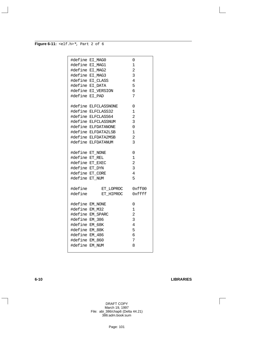**Figure 6-11:** <elf.h>\*, Part 2 of 6

|                | #define EI MAG0      | 0                   |
|----------------|----------------------|---------------------|
|                | #define EI MAG1      | $\mathbf{1}$        |
|                | #define EI MAG2      | 2                   |
|                | #define EI MAG3      | 3                   |
|                | #define EI CLASS     | $\overline{4}$      |
|                | #define EI DATA      | 5                   |
|                | #define EI VERSION   | 6                   |
| #define EI_PAD |                      | 7                   |
|                |                      |                     |
|                | #define ELFCLASSNONE | 0                   |
|                | #define ELFCLASS32   | $\mathbf{1}$        |
|                | #define ELFCLASS64   | $\overline{2}$      |
|                | #define ELFCLASSNUM  | 3                   |
|                | #define ELFDATANONE  | $\Omega$            |
|                | #define ELFDATA2LSB  | $\mathbf 1$         |
|                | #define ELFDATA2MSB  | 2                   |
|                | #define ELFDATANUM   | 3                   |
|                |                      |                     |
|                | #define ET_NONE      | 0                   |
| #define ET_REL | #define ET_EXEC      | 1<br>$\overline{2}$ |
|                |                      | 3                   |
| #define ET_DYN | #define ET_CORE      | $\overline{4}$      |
| #define ET_NUM |                      | 5                   |
|                |                      |                     |
| #define        | ET_LOPROC            | 0xff00              |
| #define        | ET_HIPROC            | 0xffff              |
|                |                      |                     |
|                | #define EM_NONE      | 0                   |
| #define EM_M32 |                      | 1                   |
|                | #define EM SPARC     | $\overline{2}$      |
| #define EM_386 |                      | 3                   |
| #define EM 68K |                      | $\overline{4}$      |
| #define EM_88K |                      | 5                   |
| #define EM 486 |                      | б                   |
| #define EM 860 |                      | 7                   |
| #define EM NUM |                      | 8                   |
|                |                      |                     |

**6-10 LIBRARIES**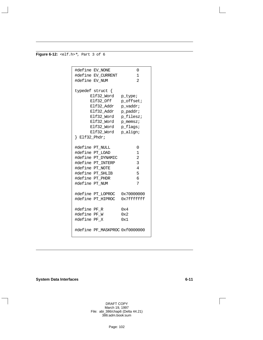**Figure 6-12:** <elf.h>\*, Part 3 of 6

```
#define EV_NONE 0
#define EV_CURRENT 1
#define EV_NUM 2
typedef struct {
     Elf32_Word p_type;
     Elf32_Off p_offset;
     Elf32_Addr p_vaddr;
     Elf32_Addr p_paddr;
     Elf32_Word p_filesz;
     Elf32_Word p_memsz;
     Elf32_Word p_flags;
     Elf32_Word p_align;
\} Elf32_Phdr;
#define PT_NULL 0
#define PT_LOAD 1
#define PT_DYNAMIC 2
#define PT_INTERP 3
#define PT_NOTE 4
#define PT SHLIB 5
#define PT_PHDR 6
# de fine PT_NUM 7
#define PT_LOPROC 0x70000000
# d e f i n e P T _ H I P R O C 0 x 7 f f f f f f f
\# \text{define PF_R} 0x4
#define PF_W 0x2
#define PF_X 0x1
#define PF_MASKPROC 0xf0000000
```
**System Data Interfaces** 6-11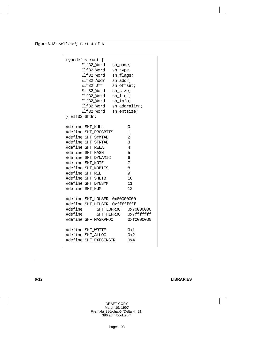**Figure 6-13:** <elf.h>\*, Part 4 of 6

| typedef struct {      |                       |
|-----------------------|-----------------------|
| Elf32 Word            | sh name;              |
| Elf32 Word            | sh_type;              |
| Elf32 Word            | sh flags;             |
| Elf32 Addr            | sh addr;              |
| Elf32 Off             | sh offset;            |
| Elf32 Word            | sh size;              |
| Elf32 Word            | sh link;              |
| Elf32 Word            | sh info;              |
| Elf32 Word            | sh_addralign;         |
| Elf32 Word            | sh entsize;           |
| Elf32_Shdr;<br>ł      |                       |
|                       |                       |
| #define SHT_NULL      | 0                     |
| #define SHT_PROGBITS  | $\mathbf{1}$          |
| #define SHT_SYMTAB    | $\overline{2}$        |
| #define SHT_STRTAB    | 3                     |
| #define SHT_RELA      | 4                     |
| #define SHT_HASH      | 5                     |
| #define SHT_DYNAMIC   | 6                     |
| #define SHT_NOTE      | 7                     |
| #define SHT_NOBITS    | 8                     |
| #define SHT_REL       | 9                     |
| #define SHT_SHLIB     | 10                    |
| #define SHT_DYNSYM    | 11                    |
| #define<br>SHT NUM    | 12                    |
|                       |                       |
| #define               | SHT_LOUSER 0x80000000 |
| #define               | SHT HIUSER Oxffffffff |
| #define               | SHT LOPROC 0x70000000 |
| #define               | SHT_HIPROC 0x7fffffff |
| #define SHF_MASKPROC  | 0xf0000000            |
| #define SHF_WRITE     | 0x1                   |
| #define SHF_ALLOC     | 0x2                   |
| #define SHF EXECINSTR | 0x4                   |
|                       |                       |

**6-12 LIBRARIES**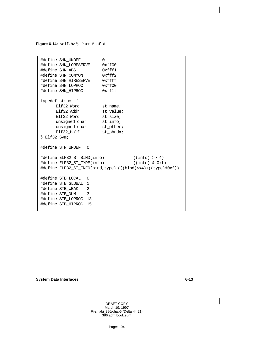**Figure 6-14:** <elf.h>\*, Part 5 of 6

```
#define SHN UNDEF 0
# d e f i n e S H N _ L O R E S E R V E 0 x f f 0 0
#define SHN ABS 0xfff1
#define SHN_COMMON 0xfff2
# d e f i n e S H N _ H I R E S E R V E 0 x f f f f
#define SHN_LOPROC 0xff00
#define SHN_HIPROC 0xff1f
typedef struct {
      Elf32_Word st_name;
      Elf32\_Addr st_value;
      Elf32 Word st size;
      unsigned char st_info;
      unsigned char st_other;
      Elf32_Half st_shndx;
\} Elf32_Sym;
#define STN_UNDEF 0
\# \text{define } ELF32\_ST\_BIND(\text{info}) ((info) >> 4)
\# \text{define } ELF32_T_TTYPE(\text{info}) ((info) & 0xf)
#define ELF32_ST_INFO(bind,type) (((bind)<<4)+((type)&0xf))
#define STB_LOCAL 0
#define STB GLOBAL 1
#define STB_WEAK 2
#define STB_NUM 3
#define STB_LOPROC 13
#define STB_HIPROC 15
```
**System Data Interfaces** 6-13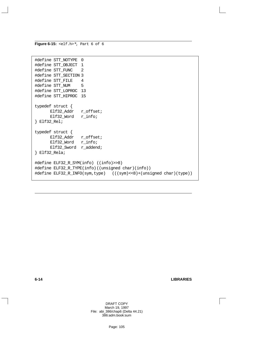**Figure 6-15:** <elf.h>\*, Part 6 of 6

```
#define STT NOTYPE 0
#define STT_OBJECT 1
#define STT_FUNC 2
#define STT_SECTION 3
#define STT_FILE 4
#define STT_NUM 5
#define STT_LOPROC 13
#define STT_HIPROC 15
typedef struct {
       Elf32_Addr r_offset;
       Elf32_Word r_info;
} Elf32_Rel;
typedef struct {
       Elf32_Addr r_offset;
       Elf32_Word r_info;Elf32_Sword r_addend;
} Elf32_Rela;
\# \text{define ELF32_R_SYM}(info) ((info) >>8)
#define ELF32_R_TYPE(info)((unsigned char)(info))
\#\text{define} \ \text{ELF32\_R\_INFO(sym, type)} \quad ((\text{sym}) < 8) + (\text{unsigned char}) (\text{type}))
```
**6-14 LIBRARIES**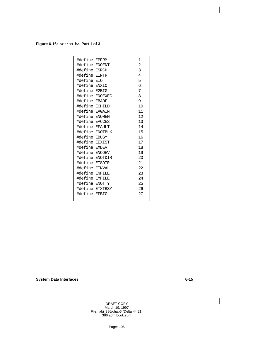**Figure 6-16:** <errno.h>, Part 1 of 3

| #define        | <b>EPERM</b>    | 1   |
|----------------|-----------------|-----|
| #define ENOENT |                 | 2   |
| #define ESRCH  |                 | 3   |
| #define        | <b>EINTR</b>    | 4   |
| #define        | EIO             | 5   |
| #define ENXIO  |                 | 6   |
| #define        | E2BIG           | 7   |
| #define        | <b>ENOEXEC</b>  | 8   |
| #define EBADF  |                 | 9   |
| #define        | <b>ECHILD</b>   | 10  |
| #define        | <b>EAGAIN</b>   | 11  |
| #define        | <b>ENOMEM</b>   | 12  |
| #define        | <b>EACCES</b>   | 13  |
| #define        | <b>EFAULT</b>   | 14  |
| #define        | <b>ENOTBLK</b>  | 15  |
| #define        | <b>EBUSY</b>    | 16  |
| #define        | <b>EEXIST</b>   | 17  |
| #define        | <b>EXDEV</b>    | 18  |
| #define        | <b>ENODEV</b>   | 19  |
| #define        | <b>ENOTDIR</b>  | 20  |
| #define        | <b>EISDIR</b>   | 21  |
| #define        | <b>EINVAL</b>   | 22  |
| #define        | <b>ENFILE</b>   | 23  |
| #define        | <b>EMFILE</b>   | 2.4 |
| #define        | <b>ENOTTY</b>   | 25  |
|                | #define ETXTBSY | 26  |
| #define        | <b>EFBIG</b>    | 27  |
|                |                 |     |

**System Data Interfaces** 6-15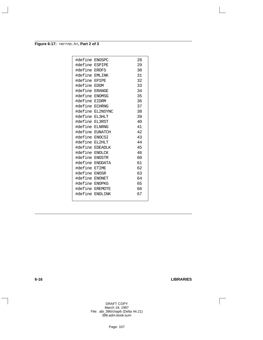**Figure 6-17:** <errno.h>, Part 2 of 3

| #define ENOSPC |                 | 28 |
|----------------|-----------------|----|
| #define ESPIPE |                 | 29 |
| #define EROFS  |                 | 30 |
| #define        | <b>EMLINK</b>   | 31 |
| #define EPIPE  |                 | 32 |
| #define EDOM   |                 | 33 |
| #define        | <b>ERANGE</b>   | 34 |
| #define        | <b>ENOMSG</b>   | 35 |
| #define EIDRM  |                 | 36 |
| #define        | <b>ECHRNG</b>   | 37 |
| #define        | EL2NSYNC        | 38 |
| #define EL3HLT |                 | 39 |
| #define        | EL3RST          | 40 |
| #define        | <b>ELNRNG</b>   | 41 |
|                | #define EUNATCH | 42 |
| #define        | <b>ENOCSI</b>   | 43 |
| #define        | EL2HLT          | 44 |
| #define        | <b>EDEADLK</b>  | 45 |
| #define        | <b>ENOLCK</b>   | 46 |
| #define        | <b>ENOSTR</b>   | 60 |
|                | #define ENODATA | 61 |
| #define        | <b>ETIME</b>    | 62 |
| #define        | <b>ENOSR</b>    | 63 |
| #define        | <b>ENONET</b>   | 64 |
| #define ENOPKG |                 | 65 |
| #define        | <b>EREMOTE</b>  | 66 |
|                | #define ENOLINK | 67 |
|                |                 |    |

**6-16 LIBRARIES**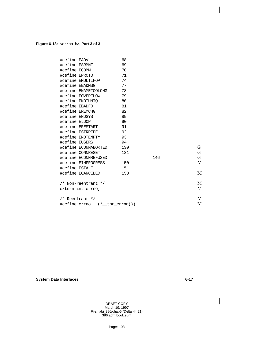**Figure 6-18:** <errno.h>, Part 3 of 3

| #define EADV        |                                                           | 68  |     |  |  |  |
|---------------------|-----------------------------------------------------------|-----|-----|--|--|--|
|                     | #define ESRMNT                                            | 69  |     |  |  |  |
| #define ECOMM       |                                                           | 70  |     |  |  |  |
|                     | #define EPROTO                                            | 71  |     |  |  |  |
|                     | #define EMULTIHOP                                         | 74  |     |  |  |  |
|                     | #define EBADMSG                                           | 77  |     |  |  |  |
|                     | #define ENAMETOOLONG                                      | 78  |     |  |  |  |
|                     | #define EOVERFLOW                                         | 79  |     |  |  |  |
|                     | #define ENOTUNIO                                          | 80  |     |  |  |  |
| #define EBADFD      |                                                           | 81  |     |  |  |  |
|                     | #define EREMCHG                                           | 82  |     |  |  |  |
|                     | #define ENOSYS                                            | 89  |     |  |  |  |
|                     | #define ELOOP                                             | 90  |     |  |  |  |
|                     | #define ERESTART                                          | 91  |     |  |  |  |
|                     | #define ESTRPIPE                                          | 92  |     |  |  |  |
|                     | #define ENOTEMPTY                                         | 93  |     |  |  |  |
| #define EUSERS      |                                                           | 94  |     |  |  |  |
|                     | #define ECONNABORTED 130                                  |     |     |  |  |  |
|                     | #define CONNRESET                                         | 131 |     |  |  |  |
|                     | #define ECONNREFUSED                                      |     | 146 |  |  |  |
|                     | #define EINPROGRESS                                       | 150 |     |  |  |  |
| #define ESTALE      |                                                           | 151 |     |  |  |  |
|                     | #define ECANCELED                                         | 158 |     |  |  |  |
|                     |                                                           |     |     |  |  |  |
|                     | /* Non-reentrant */                                       |     |     |  |  |  |
|                     | extern int errno;                                         |     |     |  |  |  |
|                     |                                                           |     |     |  |  |  |
| $/*$ Reentrant $*/$ |                                                           |     |     |  |  |  |
|                     | $\#define \text{ error } (* \text{ thr} \text{ error}())$ |     |     |  |  |  |
|                     |                                                           |     |     |  |  |  |

**System Data Interfaces** 6-17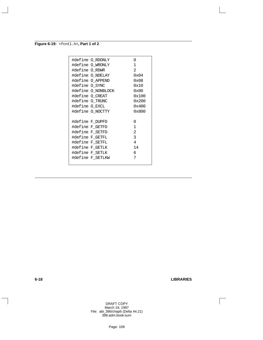# **Figure 6-19:** <fcnt1.h>, Part 1 of 2

|                | #define O RDONLY   | U             |
|----------------|--------------------|---------------|
|                | #define O WRONLY   | $\mathbf{1}$  |
| #define O RDWR |                    | $2^{\circ}$   |
|                | #define O NDELAY   | 0x04          |
|                | #define O APPEND   | 0x08          |
| #define O SYNC |                    | 0x10          |
|                | #define O NONBLOCK | $0 \times 80$ |
|                | #define O CREAT    | 0x100         |
|                | #define O TRUNC    | 0x200         |
| #define O EXCL |                    | 0x400         |
|                | #define O NOCTTY   | 0x800         |
|                |                    |               |
|                | #define F DUPFD    | U             |
|                | #define F GETFD    | 1             |
|                | #define F SETFD    | 2             |
|                | #define F GETFL    | 3             |
|                | #define F SETFL    | 4             |
|                | #define F GETLK    | 14            |
|                | #define F SETLK    | 6             |
|                | #define F SETLKW   | 7             |
|                |                    |               |

**6-18 LIBRARIES**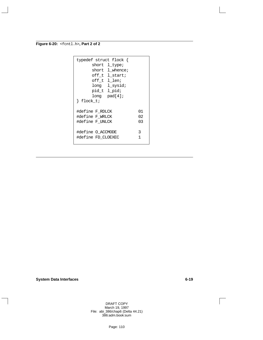**Figure 6-20:** <fcnt1.h>, Part 2 of 2

```
typedef struct flock {
     short l_type;
     short \space 1\_whence;off_t 1_stat;off_t 1 len;long l_sysid;
     pid_t l_pid;
     long pad[4];
} flock_t;
#define F_RDLCK 01
#define F_WRLCK 02
#define F_UNLCK 03
#define O_ACCMODE 3
#define FD_CLOEXEC 1
```
**System Data Interfaces** 6-19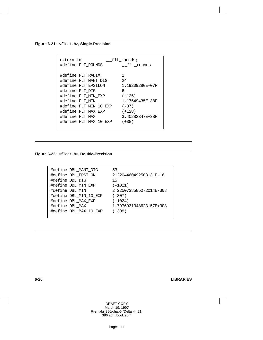**Figure 6-21:** <float.h>, Single-Precision

| extern int             | flt rounds;     |
|------------------------|-----------------|
| #define FLT ROUNDS     | flt rounds      |
|                        |                 |
| #define FLT RADIX      | 2               |
| #define FLT MANT DIG   | 24              |
| #define FLT EPSILON    | 1.19209290E-07F |
| #define FLT DIG        | 6               |
| #define FLT MIN EXP    | $(-125)$        |
| #define FLT_MIN        | 1.17549435E-38F |
| #define FLT MIN 10 EXP | $(-37)$         |
| #define FLT MAX EXP    | $(+128)$        |
| #define FLT MAX        | 3.40282347E+38F |
| #define FLT MAX 10 EXP | $(+38)$         |
|                        |                 |

### **Figure 6-22:** <float.h>, Double-Precision

| #define DBL_MANT_DIG   | 53                      |
|------------------------|-------------------------|
| #define DBL_EPSILON    | 2.2204460492503131E-16  |
| #define DBL DIG        | 15                      |
| #define DBL MIN EXP    | $(-1021)$               |
| #define DBL MIN        | 2.2250738585072014E-308 |
| #define DBL_MIN_10 EXP | $(-307)$                |
| #define DBL MAX EXP    | $(+1024)$               |
| #define DBL MAX        | 1.7976931348623157E+308 |
| #define DBL MAX 10 EXP | $(+308)$                |
|                        |                         |

**6-20 LIBRARIES**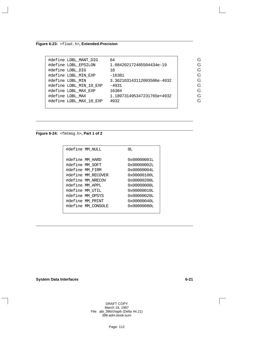Figure 6-23: <float.h>, Extended-Precision

| #define LDBL MANT DIG   | 64                         | G |
|-------------------------|----------------------------|---|
| #define LDBL EPSILON    | 1.084202172485504434e-19   | G |
| #define LDBL DIG        | 18                         | G |
| #define LDBL MIN EXP    | $-16381$                   | G |
| #define LDBL MIN        | 3.362103143112093506e-4932 | G |
| #define LDBL MIN 10 EXP | $-4931$                    | G |
| #define LDBL_MAX_EXP    | 16384                      | G |
| #define LDBL MAX        | 1.189731495347231765e+4932 | G |
| #define LDBL MAX 10 EXP | 4932                       | G |
|                         |                            |   |

**Figure 6-24:** <fmtmsg.h>, Part 1 of 2

| #define MM NULL    | Ωт.                   |
|--------------------|-----------------------|
| #define MM HARD    | 0x00000001L           |
| #define MM SOFT    | $0 \times 00000002$   |
| #define MM FIRM    | 0x00000004L           |
| #define MM RECOVER | 0x00000100L           |
| #define MM NRECOV  | 0x00000200L           |
| #define MM APPL    | $0 \times 00000008$   |
| #define MM UTIL    | $0 \times 00000010$ L |
| #define MM OPSYS   | 0x00000020L           |
| #define MM PRINT   | 0x00000040L           |
| #define MM CONSOLE | 0x00000080L           |
|                    |                       |

**System Data Interfaces** 6-21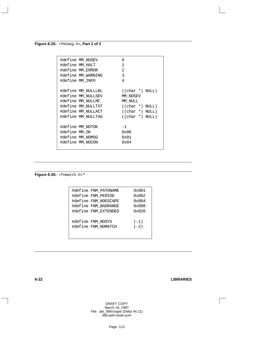**Figure 6-25:** <fmtmsg.h>, Part 2 of 2

|               | #define MM NOSEV   | Ω                 |
|---------------|--------------------|-------------------|
|               | #define MM HALT    | 1                 |
|               | #define MM ERROR   | 2                 |
|               | #define MM WARNING | 3                 |
|               | #define MM INFO    | 4                 |
|               |                    |                   |
|               | #define MM NULLLBL | $((char *) NULL)$ |
|               | #define MM NULLSEV | MM NOSEV          |
|               | #define MM NULLMC  | MM NULL           |
|               | #define MM NULLTXT | $((char *) NULL)$ |
|               | #define MM NULLACT | $((char *) NULL)$ |
|               | #define MM NULLTAG | $((char *) NULL)$ |
|               |                    |                   |
|               | #define MM NOTOK   | $-1$              |
| #define MM OK |                    | 0x00              |
|               | #define MM NOMSG   | 0x01              |
|               | #define MM NOCON   | $0 \times 04$     |
|               |                    |                   |

**Figure 6-26:** <fnmatch.h>\*

|  | #define FNM PATHNAME | $0 \times 001$ |
|--|----------------------|----------------|
|  | #define FNM PERIOD   | $0 \times 002$ |
|  | #define FNM NOESCAPE | $0 \times 004$ |
|  | #define FNM BADRANGE | 0x008          |
|  | #define FNM EXTENDED | 0x020          |
|  |                      |                |
|  | #define FNM NOSYS    | $(-1)$         |
|  | #define FNM NOMATCH  | $(-2)$         |
|  |                      |                |
|  |                      |                |

**6-22 LIBRARIES**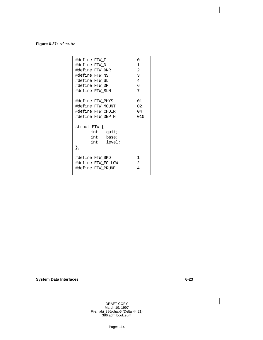**Figure 6-27:** <ftw.h>

| #define FTW F      | 0              |
|--------------------|----------------|
| #define FTW D      | 1              |
| #define FTW_DNR    | $\overline{2}$ |
| #define FTW NS     | 3              |
| #define FTW SL     | 4              |
| #define FTW DP     | 6              |
| #define FTW_SLN    | 7              |
|                    |                |
| #define FTW PHYS   | 01             |
| #define FTW MOUNT  | 02             |
| #define FTW_CHDIR  | 04             |
| #define FTW_DEPTH  | 010            |
|                    |                |
| ₹<br>struct FTW    |                |
| int<br>quit;       |                |
| int<br>base;       |                |
| int<br>level;      |                |
| ; {                |                |
|                    |                |
| #define FTW SKD    | 1              |
| #define FTW FOLLOW | $\mathcal{D}$  |
| #define FTW_PRUNE  | 4              |
|                    |                |

**System Data Interfaces** 6-23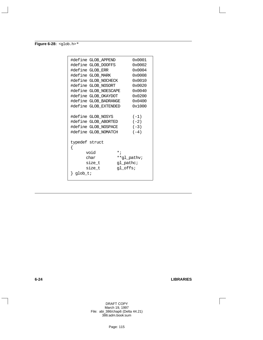**Figure 6-28:** <glob.h>\*

|                     | #define GLOB APPEND                                                                        |             | $0 \times 0001$                      |
|---------------------|--------------------------------------------------------------------------------------------|-------------|--------------------------------------|
|                     | #define GLOB DOOFFS                                                                        |             | 0x0002                               |
|                     | #define GLOB ERR                                                                           |             | 0x0004                               |
|                     | #define GLOB MARK                                                                          |             | $0 \times 0008$                      |
|                     | #define GLOB NOCHECK                                                                       |             | 0x0010                               |
|                     | #define GLOB_NOSORT                                                                        |             | 0x0020                               |
|                     | #define GLOB NOESCAPE                                                                      |             | 0x0040                               |
|                     | #define GLOB OKAYDOT                                                                       |             | 0x0200                               |
|                     | #define GLOB BADRANGE                                                                      |             | 0x0400                               |
|                     | #define GLOB EXTENDED                                                                      |             | 0x1000                               |
|                     | #define GLOB NOSYS<br>#define GLOB ABORTED<br>#define GLOB NOSPACE<br>#define GLOB NOMATCH |             | $(-1)$<br>$(-2)$<br>$(-3)$<br>$(-4)$ |
| typedef struct<br>{ |                                                                                            |             |                                      |
|                     | void                                                                                       | $\star$ ;   |                                      |
|                     | char                                                                                       | **gl_pathv; |                                      |
|                     | size_t                                                                                     | gl_pathc;   |                                      |
|                     | size t                                                                                     | gl offs;    |                                      |
| qlob t;             |                                                                                            |             |                                      |
|                     |                                                                                            |             |                                      |

**6-24 LIBRARIES**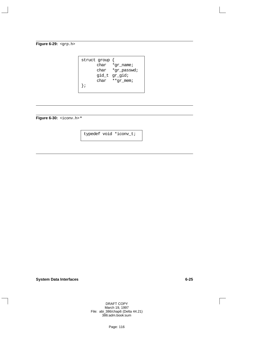**Figure 6-29:** <grp.h>

struct group {  $char$  \* gr\_name ;  $char$  \* gr\_passwd; gid\_t gr\_gid;  $char$  \*\* gr\_mem; } ;

**Figure 6-30:** <iconv.h>\*

typedef void \*iconv\_t;

**System Data Interfaces** 6-25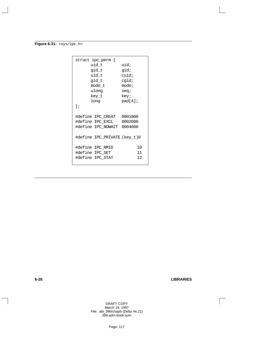**Figure 6-31:** <sys/ipc.h>

| struct ipc perm {            |            |
|------------------------------|------------|
| uid t                        | uid;       |
| gid t                        | gid;       |
| uid t                        | cuid;      |
| gid_t                        | cgid;      |
| mode t                       | mode:      |
| ulong                        | seq;       |
| key t                        | key;       |
| long                         | $pad[4]$ ; |
| $\vert$ ;                    |            |
|                              |            |
| #define IPC_CREAT            | 0001000    |
| #define IPC_EXCL             | 0002000    |
| #define IPC_NOWAIT           | 0004000    |
| #define IPC PRIVATE (key t)0 |            |
|                              |            |
| #define IPC RMID             | 1 O        |
| #define IPC SET              | 11         |
| #define IPC STAT             | 12         |
|                              |            |

**6-26 LIBRARIES**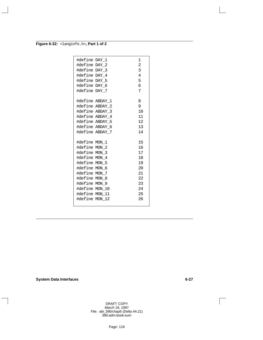# **Figure 6-32:** <1anginfo.h>, Part 1 of 2

| #define DAY_1  |                 | 1  |
|----------------|-----------------|----|
| #define DAY_2  |                 | 2  |
| #define DAY 3  |                 | 3  |
| #define DAY 4  |                 | 4  |
| #define DAY_5  |                 | 5  |
| #define DAY_6  |                 | 6  |
| #define DAY 7  |                 | 7  |
|                |                 |    |
|                | #define ABDAY 1 | 8  |
|                | #define ABDAY_2 | 9  |
|                | #define ABDAY 3 | 10 |
|                | #define ABDAY 4 | 11 |
|                | #define ABDAY_5 | 12 |
|                | #define ABDAY 6 | 13 |
|                | #define ABDAY_7 | 14 |
|                |                 |    |
| #define MON 1  |                 | 15 |
| #define MON_2  |                 | 16 |
| #define MON 3  |                 | 17 |
| #define MON 4  |                 | 18 |
| #define MON 5  |                 | 19 |
| #define MON 6  |                 | 20 |
| #define MON 7  |                 | 21 |
| #define MON 8  |                 | 22 |
| #define MON 9  |                 | 23 |
| #define MON 10 |                 | 24 |
| #define MON_11 |                 | 25 |
| #define MON 12 |                 | 26 |
|                |                 |    |

**System Data Interfaces** 6-27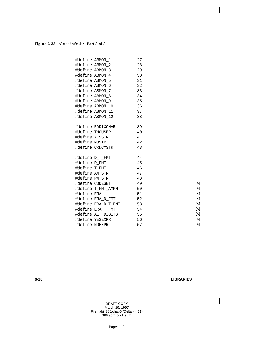# **Figure 6-33:** <langinfo.h>, Part 2 of 2

|               | #define ABMON 1        | 27 |
|---------------|------------------------|----|
|               | #define ABMON_2        | 28 |
|               | #define ABMON 3        | 29 |
|               | #define ABMON 4        | 30 |
|               | #define ABMON 5        | 31 |
|               | #define ABMON 6        | 32 |
|               | #define ABMON 7        | 33 |
|               | #define ABMON 8        | 34 |
|               | #define ABMON 9        | 35 |
|               | #define ABMON 10       | 36 |
|               | #define ABMON 11       | 37 |
|               | #define ABMON 12       | 38 |
|               |                        |    |
|               | #define RADIXCHAR      | 39 |
|               | #define THOUSEP        | 40 |
|               | #define YESSTR         | 41 |
| #define NOSTR |                        | 42 |
|               | #define CRNCYSTR       | 43 |
|               |                        |    |
|               | #define D T FMT        | 44 |
| #define D FMT |                        | 45 |
| #define T FMT |                        | 46 |
|               | #define AM STR         | 47 |
|               | #define PM STR         | 48 |
|               | #define CODESET        | 49 |
|               | #define T FMT AMPM     | 50 |
| #define ERA   |                        | 51 |
|               | #define ERA D_FMT      | 52 |
|               | #define ERA D T FMT 53 |    |
|               | #define ERA T FMT      | 54 |
|               | #define ALT DIGITS     | 55 |
|               | #define YESEXPR        | 56 |
|               | #define NOEXPR         | 57 |
|               |                        |    |

**6-28 LIBRARIES**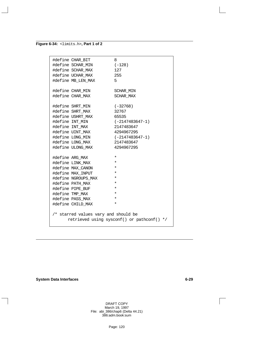# **Figure 6-34:** < l i m i t s . h >**, Part 1 of 2**

| #define CHAR_BIT<br>#define SCHAR_MIN | 8<br>$(-128)$                              |
|---------------------------------------|--------------------------------------------|
| #define SCHAR MAX                     | 127                                        |
| #define UCHAR MAX                     | 255                                        |
| #define MB LEN MAX                    | 5                                          |
| #define CHAR MIN                      | SCHAR MIN                                  |
| #define CHAR MAX                      | SCHAR MAX                                  |
| #define SHRT MIN                      | $(-32768)$                                 |
| #define SHRT MAX                      | 32767                                      |
| #define USHRT MAX                     | 65535                                      |
| #define INT_MIN                       | $(-2147483647 - 1)$                        |
| #define INT_MAX                       | 2147483647                                 |
| #define UINT MAX                      | 4294967295                                 |
| #define LONG MIN                      | (-2147483647-1)                            |
| #define LONG_MAX                      | 2147483647                                 |
| #define ULONG MAX                     | 4294967295                                 |
|                                       |                                            |
| #define ARG MAX                       | $\star$                                    |
| #define LINK MAX                      | $\star$                                    |
| #define MAX CANON                     | $\star$                                    |
| #define MAX INPUT                     | $\star$                                    |
| #define NGROUPS MAX                   | $\star$                                    |
| #define PATH MAX                      | $\star$                                    |
| #define PIPE BUF                      | $^\star$                                   |
| #define TMP MAX                       | $^\star$                                   |
| #define PASS_MAX                      | $^\star$                                   |
| #define CHILD MAX                     | $\star$                                    |
| /* starred values vary and should be  | retrieved using sysconf() or pathconf() */ |

**System Data Interfaces** 6-29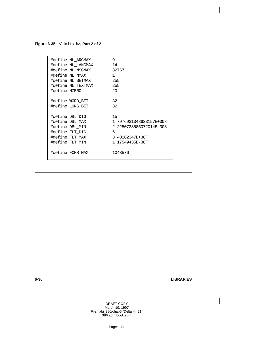**Figure 6-35:** <br/>  $\langle$  <<br/>limits.h>, Part 2 of 2

| #define NL ARGMAX  | 9                       |
|--------------------|-------------------------|
| #define NL LANGMAX | 14                      |
|                    | 32767                   |
| #define NL MSGMAX  |                         |
| #define NL NMAX    | $\mathbf{1}$            |
| #define NL SETMAX  | 255                     |
| #define NL TEXTMAX | 255                     |
| #define NZERO      | 20                      |
|                    |                         |
| #define WORD BIT   | 32                      |
| #define LONG BIT   | 32                      |
|                    |                         |
| #define DBL DIG    | 15                      |
| #define DBL MAX    | 1.7976931348623157E+308 |
| #define DBL MIN    | 2.2250738585072014E-308 |
| #define FLT DIG    | 6                       |
| #define FLT MAX    | 3.40282347E+38F         |
| #define FLT MIN    | 1.17549435E-38F         |
|                    |                         |
| #define FCHR MAX   | 1048576                 |
|                    |                         |

**6-30 LIBRARIES**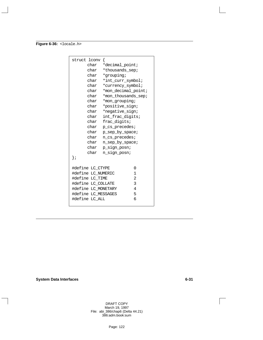**Figure 6-36:** <br/> < locale.h>

| struct lconv        | ₹                   |
|---------------------|---------------------|
| char                | *decimal_point;     |
| char                | *thousands sep;     |
| char                | *grouping;          |
| char                | *int_curr_symbol;   |
| char                | *currency_symbol;   |
| char                | *mon decimal point; |
| char                | *mon_thousands_sep; |
| char                | *mon grouping;      |
| char                | *positive_sign;     |
| char                | *negative_sign;     |
| char                | int_frac_digits;    |
| char                | frac_digits;        |
| char                | p_cs_precedes;      |
| char                | p_sep_by_space;     |
| char                | n_cs_precedes;      |
| char                | n_sep_by_space;     |
| char                | p sign posn;        |
| char                | n_sign_posn;        |
| } ;                 |                     |
|                     |                     |
| #define LC CTYPE    | 0                   |
| #define LC NUMERIC  | $\mathbf{1}$        |
| #define LC_TIME     | $\overline{2}$      |
| #define LC COLLATE  | 3                   |
| #define LC_MONETARY | 4                   |
| #define LC MESSAGES | 5                   |
| #define LC ALL      | 6                   |

**System Data Interfaces** 6-31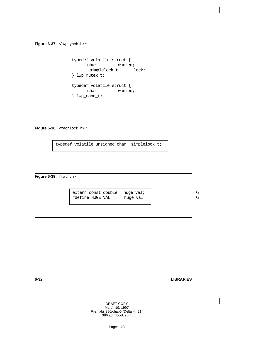**Figure 6-37:** <lwpsynch.h>\*

```
typedef volatile struct {
      char wanted;
      \_simplelock\_t \qquad \textit{lock};} lwp_mutex_t;
typedef volatile struct {
      char wanted;
} lwp_cond_t;
```
**Figure 6-38:** <machlock.h>\*

typedef volatile unsigned char \_simplelock\_t;

**Figure 6-39: <math.h>** 

e x t e r n c o n s t d o u b l e \_ \_ h u g e \_ v a l ; G #define HUGE\_VAL \_\_huge\_val

**6-32 LIBRARIES**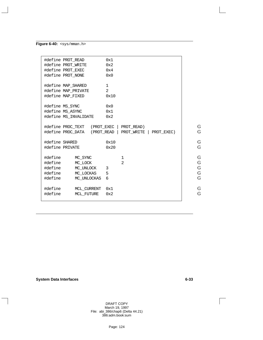**Figure 6-40:** <sys/mman.h>

```
#define PROT READ 0x1
#define PROT_WRITE 0x2
#define PROT_EXEC 0x4
#define PROT_NONE 0x0
#define MAP_SHARED 1
#define MAP_PRIVATE 2
#define MAP_FIXED 0x10
#define MS_SYNC 0x0
#define MS_ASYNC 0x1
#define MS_INVALIDATE 0x2
#define PROC_TEXT (PROT_EXEC | PROT_READ) G#define PROC_DATA (PROT_READ | PROT_WRITE | PROT_EXEC) | G
\# \text{define SHARED} 0x10 G\# \text{define } PRIVATE 0 \times 20 G
#define MC_SYNC 1<br>#define MC_LOCK 2 G
#define MC_LOCK 2<br>#define MC_UNLOCK 3
#define MC_UNLOCK 3<br>#define MC LOCKAS 5
#define MC LOCKAS 5
# d e f i n e M C _ U N L O C K A S 6 G
#define MCL_CURRENT 0x1 <br>#define MCL FUTURE 0x2 G
#define MCL_FUTURE 0x2
```
**System Data Interfaces** 6-33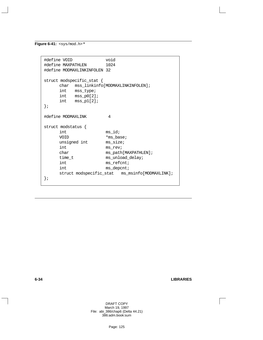**Figure 6-41:** <sys/mod.h>\*

```
#define VOID void
#define MAXPATHLEN 1024
#define MODMAXLINKINFOLEN 32
struct modspecific_stat {
    char ms \text{linkinfo} [MODMAXLINKINFOLEN];
     int mss_type;
    int mss_p0[2];
     int msp1[2];} ;
#define MODMAXLINK 4
struct modstatus {
    int ms_id;
    VOID *ms_base;
    unsigned int ms_size:int \qquad ms\_revichar \quad ms\_path[MAXPATHLEN];
     time_t ms_unload_delay;
     int ms_refcnt;
    int ms_depcnt;
     struct modspecific_stat ms_msinfo[MODMAXLINK];
} ;
```
**6-34 LIBRARIES**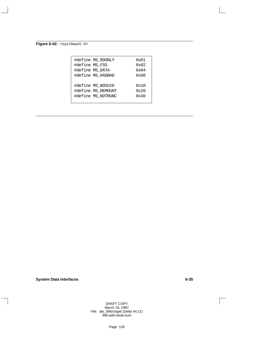**Figure 6-42:** <sys/mount.h>

|                | #define MS RDONLY  | 0x01 |
|----------------|--------------------|------|
| #define MS FSS |                    | 0x02 |
|                | #define MS DATA    | 0x04 |
|                | #define MS HADBAD  | 0x08 |
|                |                    |      |
|                | #define MS NOSUID  | 0x10 |
|                | #define MS REMOUNT | 0x20 |
|                | #define MS_NOTRUNC | 0x40 |
|                |                    |      |

**System Data Interfaces** 6-35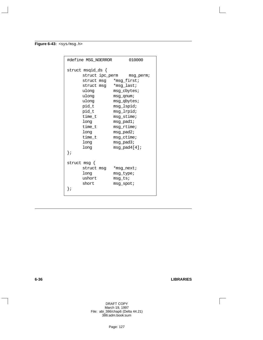**Figure 6-43:** <sys/msg.h>

| #define MSG NOERROR                                                                                                                                                                   | 010000                                                                                                                                                                                                                  |
|---------------------------------------------------------------------------------------------------------------------------------------------------------------------------------------|-------------------------------------------------------------------------------------------------------------------------------------------------------------------------------------------------------------------------|
| struct msqid ds {<br>struct ipc perm<br>struct msg<br>struct msq<br>ulong<br>ulong<br>ulong<br>pid t<br>pid_t<br>time_t<br>long<br>time_t<br>long<br>time t<br>long<br>long<br>$\}$ ; | msg_perm;<br>*msq first;<br>*msq last;<br>msq cbytes;<br>msg_qnum;<br>msq qbytes;<br>msg_lspid;<br>msg 1rpid;<br>msg_stime;<br>$msg\_pad1;$<br>msg_rtime;<br>msg_pad2;<br>msg_ctime;<br>$msg$ pad3;<br>$msg\_pad4[4]$ ; |
| struct msg {<br>struct msq<br>long<br>ushort<br>short<br>} ;                                                                                                                          | *msq next;<br>msq type;<br>msq ts;<br>msq spot;                                                                                                                                                                         |

**6-36 LIBRARIES**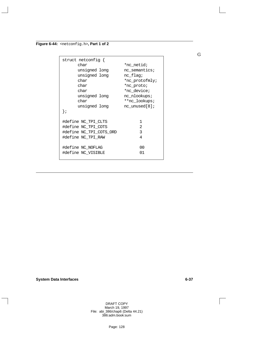# Figure 6-44: < net config.h>, Part 1 of 2

| struct netconfig {      |                |
|-------------------------|----------------|
| char                    | *nc netid;     |
| unsigned long           | nc semantics;  |
| unsigned long           | nc_flag;       |
| char                    | *nc protofmly; |
| char                    | *nc proto;     |
| char                    | *nc_device;    |
| unsigned long           | nc nlookups;   |
| char                    | **nc lookups;  |
| unsigned long           | nc_unused[8];  |
| } ;                     |                |
|                         |                |
| #define NC TPI CLTS     | 1              |
| #define NC TPI COTS     | 2              |
| #define NC TPI COTS ORD | 3              |
| #define NC TPI RAW      | 4              |
|                         |                |
| #define NC NOFLAG       | 00             |
| #define NC VISIBLE      | 01             |
|                         |                |

**System Data Interfaces** 6-37

DRAFT COPY March 19, 1997 File: abi\_386/chap6 (Delta 44.21) 386:adm.book:sum

G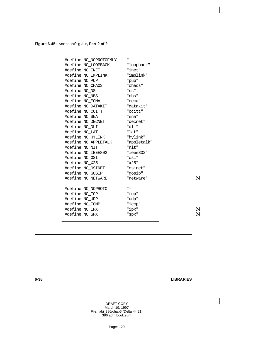**Figure 6-45:** <netconfig.h>, Part 2 of 2

|                | #define NC_NOPROTOFMLY | $^{\rm II}$ $ ^{\rm II}$ |   |
|----------------|------------------------|--------------------------|---|
|                | #define NC_LOOPBACK    | "loopback"               |   |
|                | #define NC_INET        | "inet"                   |   |
|                | #define NC_IMPLINK     | "implink"                |   |
|                | #define NC PUP         | "pup"                    |   |
|                | #define NC_CHAOS       | "chaos"                  |   |
| #define NC NS  |                        | "ns"                     |   |
| #define NC_NBS |                        | "nbs"                    |   |
|                | #define NC ECMA        | "ecma"                   |   |
|                | #define NC_DATAKIT     | "datakit"                |   |
|                | #define NC CCITT       | "ccitt"                  |   |
| #define NC_SNA |                        | "sna"                    |   |
|                | #define NC_DECNET      | "decnet"                 |   |
| #define NC_DLI |                        | "dli"                    |   |
| #define NC LAT |                        | "lat"                    |   |
|                | #define NC_HYLINK      | "hylink"                 |   |
|                | #define NC_APPLETALK   | "appletalk"              |   |
| #define NC NIT |                        | "nit"                    |   |
|                | #define NC_IEEE802     | "ieee802"                |   |
| #define NC OSI |                        | "osi"                    |   |
| #define NC_X25 |                        | "x25"                    |   |
|                | #define NC_OSINET      | "osinet"                 |   |
|                | #define NC_GOSIP       | "gosip"                  |   |
|                | #define NC NETWARE     | "netware"                | M |
|                |                        |                          |   |
|                | #define NC NOPROTO     | $^{\rm II}$ $ ^{\rm II}$ |   |
| #define NC_TCP |                        | "tcp"                    |   |
| #define NC_UDP |                        | "udp"                    |   |
|                | #define NC_ICMP        | "icmp"                   |   |
| #define NC_IPX |                        | "ipx"                    | M |
| #define NC_SPX |                        | "spx"                    | M |
|                |                        |                          |   |

**6-38 LIBRARIES**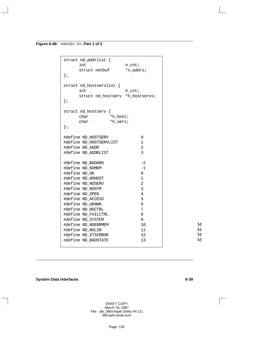**Figure 6-46:** < netdir . h>, Part 1 of 2

| struct nd_addrlist {<br>int                                                                                                                                                                                                                                              | n cnt;                                                                                         |             |
|--------------------------------------------------------------------------------------------------------------------------------------------------------------------------------------------------------------------------------------------------------------------------|------------------------------------------------------------------------------------------------|-------------|
| struct netbuf<br>$\}$ ;                                                                                                                                                                                                                                                  | *n_addrs;                                                                                      |             |
| struct nd_hostservlist {<br>int<br>struct nd_hostserv *h_hostservs;                                                                                                                                                                                                      | h cnt;                                                                                         |             |
| $\}$ ;                                                                                                                                                                                                                                                                   |                                                                                                |             |
| struct nd hostserv {<br>char<br>*h host;<br>char<br>*h serv;<br>$\}$ ;                                                                                                                                                                                                   |                                                                                                |             |
| #define ND HOSTSERV<br>#define ND HOSTSERVLIST<br>#define ND ADDR<br>#define ND_ADDRLIST                                                                                                                                                                                 | 0<br>$\mathbf 1$<br>$\overline{2}$<br>3                                                        |             |
| #define ND_BADARG<br>#define ND_NOMEM<br>#define ND OK<br>#define ND_NOHOST<br>#define ND NOSERV<br>#define ND_NOSYM<br>#define ND_OPEN<br>#define ND_ACCESS<br>#define ND UKNWN<br>#define ND NOCTRL<br>#define ND FAILCTRL<br>#define ND SYSTEM<br>#define ND NOERRMEM | $-2$<br>$-1$<br>0<br>1<br>$\overline{2}$<br>3<br>$\overline{4}$<br>5<br>6<br>7<br>8<br>9<br>10 | M           |
| #define ND NOLIB<br>#define ND_XTIERROR<br>#define ND_BADSTATE                                                                                                                                                                                                           | 11<br>12<br>13                                                                                 | M<br>M<br>M |
|                                                                                                                                                                                                                                                                          |                                                                                                |             |

**System Data Interfaces** 6-39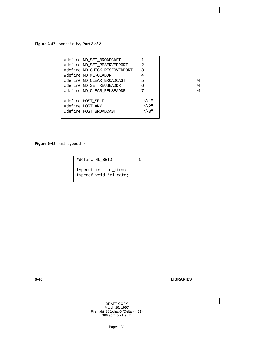**Figure 6-47:** <metdir.h>, Part 2 of 2

| #define ND SET BROADCAST      |               |
|-------------------------------|---------------|
| #define ND SET RESERVEDPORT   |               |
| #define ND CHECK RESERVEDPORT | ς             |
| #define ND MERGEADDR          |               |
| #define ND CLEAR BROADCAST    | 5             |
| #define ND SET REUSEADDR      | 6             |
| #define ND CLEAR REUSEADDR    |               |
|                               |               |
| #define HOST SELF             | $" \11"$      |
| #define HOST ANY              | $" \12"$      |
| #define HOST BROADCAST        | $"$ \ \ 3 $"$ |
|                               |               |

**Figure 6-48:** <nl\_types.h>

#define NL\_SETD 1 typedef int nl\_item; typedef void  $*nl_c$ atd;

**6-40 LIBRARIES**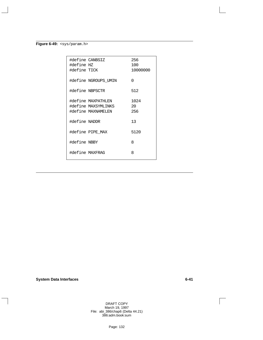**Figure 6-49:** <sys/param.h>

| #define HZ    | #define CANBSIZ                         | 256<br>100 |
|---------------|-----------------------------------------|------------|
| #define TICK  |                                         | 10000000   |
|               | #define NGROUPS UMIN<br>#define NBPSCTR | U<br>512   |
|               | #define MAXPATHLEN                      | 1024       |
|               | #define MAXSYMLINKS                     | 20         |
|               | #define MAXNAMELEN                      | 256        |
| #define NADDR |                                         | 13         |
|               | #define PIPE MAX                        | 5120       |
| #define NBBY  |                                         | 8          |
|               | #define MAXFRAG                         | 8          |

**System Data Interfaces** 6-41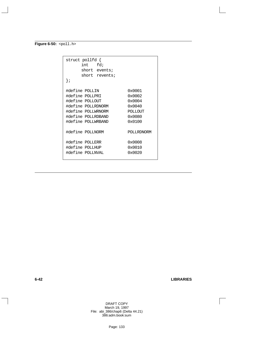**Figure 6-50:** <poll.h>

```
struct pollfd \{int fd;
     short events;
    short revents;
} ;
#define POLLIN 0x0001
#define POLLPRI 0x0002
#define POLLOUT 0x0004
#define POLLRDNORM 0x0040
#define POLLWRNORM POLLOUT
#define POLLRDBAND 0x0080
#define POLLWRBAND 0x0100
#define POLLNORM POLLRDNORM
#define POLLERR 0x0008
#define POLLHUP 0x0010
#define POLLNVAL 0x0020
```
**6-42 LIBRARIES**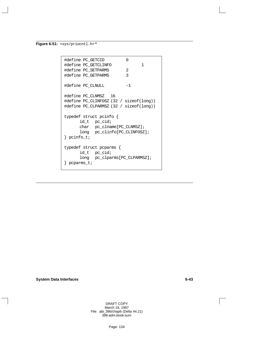**Figure 6-51:** <sys/priocntl.h>\*

```
#define PC_GETCID 0
#define PC_GETCLINFO 1
#define PC_SETPARMS 2
#define PC_GETPARMS 3
#define PC_CLNULL -1
#define PC_CLNMSZ 16
#define PC_CLINFOSZ (32 / sizeof(long))
# define PC_CLPARMSZ (32 / size of (long))
typedef struct pcinfo {
      id_t pc_cid;
      char pc\_clname[PC\_CLIMSZ];
      long pc\_clinfo[PC\_CLINFOSZ];
\} pcinfo_t;
typedef struct pcparms {
      id_t pc_cid;
      long pc_clparms[PC_CLPARMSZ];
} p c p a r m s _ t ;
```
**System Data Interfaces** 6-43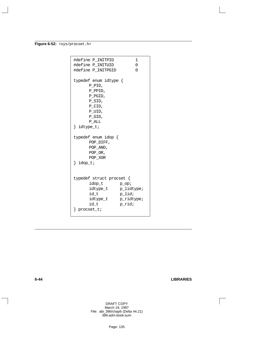**Figure 6-52:** <sys/procset.h>

```
#define P_INITPID 1
#define P_INITUID 0
#define P_INITPGID 0
typedef enum idtype {
      P_PID,
      P_PPID,
      P_PGID,
      P_SID,
      P_CID,
      P_UID,
      P_GID,
      \mathcal{P}\_\mathrm{ALL}} idtype_t;
typedef enum idop {
      POP_DIFF,
      \text{POP\_AND} ,
      POP_OR,
      POP_XOR
} idop_t;
typedef struct procset {
      idop_t p_op;
      idtype_t p_lidtype;
      id_t p_lid;
      idtype_t p_ridtype;
      id_t p_rid;
} procset_t;
```
**6-44 LIBRARIES**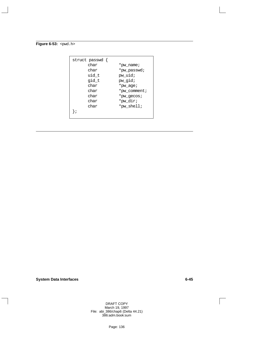**Figure 6-53:** <pwd.h>

| struct passwd { |              |
|-----------------|--------------|
| char            | *pw name;    |
| char            | *pw passwd;  |
| uid t           | pw uid;      |
| gid t           | pw gid;      |
| char            | *pw_age;     |
| char            | *pw comment; |
| char            | *pw gecos;   |
| char            | *pw dir;     |
| char            | *pw shell;   |
|                 |              |
|                 |              |

**System Data Interfaces** 6-45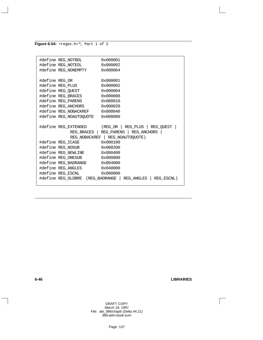**Figure 6-54:** <regex.h>\*, Part 1 of 2

```
\# \text{define } \text{REG NOTBOL} 0 \times 000001#define REG_NOTEOL 0x000002
#define REG_NONEMPTY 0x000004
# d e f i n e R E G _ O R 0 x 0 0 0 0 0 1
#define REG_PLUS 0x000002
#define REG QUEST 0x000004
#define REG_BRACES 0x000008
# d e f i n e R E G _ P A R E N S 0 x 0 0 0 0 1 0
#define REG_ANCHORS 0x000020
#define REG_NOBACKREF 0x000040
# d e f i n e R E G _ N O A U T O Q U O T E 0 x 0 0 0 0 8 0
#define REG_EXTENDED (REG_OR | REG_PLUS | REG_QUEST |
            REG_BRACES | REG_PARENS | REG_ANCHORS |
             REG_NOBACKREF | REG_NOAUTOQUOTE)
#define REG ICASE 0x000100
#define REG_NOSUB 0x000200
#define REG_NEWLINE 0x000400
#define REG_ONESUB 0x000800
#define REG_BADRANGE 0x004000
#define REG_ANGLES 0x040000
\# \text{define } \text{REG } \text{ESCNL} 0 \times 0800000#define REG_OLDBRE (REG_BADRANGE | REG_ANGLES | REG_ESCNL)
```
**6-46 LIBRARIES**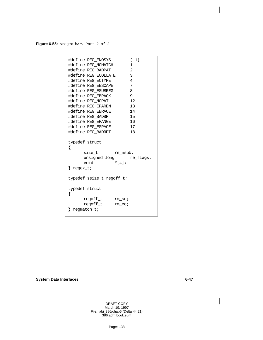**Figure 6-55:** <regex.h>\*, Part 2 of 2

```
\# \text{define } \text{REG} \text{ ENOSYS} (-1)
#define REG_NOMATCH 1
#define REG_BADPAT 2
#define REG_ECOLLATE 3
#define REG_ECTYPE 4
#define REG_EESCAPE 7
#define REG_ESUBREG 8
#define REG_EBRACK 9
#define REG_NOPAT 12
#define REG_EPAREN 13
#define REG_EBRACE 14
#define REG BADBR 15
#define REG_ERANGE 16
#define REG_ESPACE 17
#define REG_BADRPT 18
typedef struct
{
     size_t re_nsub;
     unsigned long re_flags;
     void *(4);} regex_t;
typedef ssize_t regoff_t;
typedef struct
{
     regoff_t rm_so;
     regoff_t rm_eo;
\} regmatch_t;
```
**System Data Interfaces** 6-47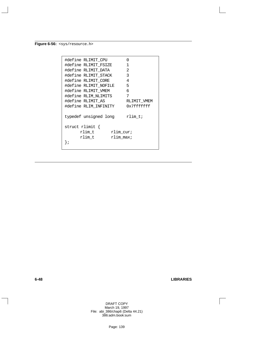**Figure 6-56:** <sys/resource.h>

```
#define RLIMIT_CPU 0
#define RLIMIT_FSIZE 1
#define RLIMIT_DATA 2
#define RLIMIT_STACK 3
#define RLIMIT_CORE 4
#define RLIMIT_NOFILE 5
#define RLIMIT_VMEM 6
#define RLIM_NLIMITS 7
# d e f i n e R L I M I T _ A S R L I M I T _ V M E M
# de fine RLIM_INFINITY
typedef unsigned long rlim_t;struct rlimit {
     rlim_t rlim_c u r;
      rlim_t rlim_max;
} ;
```
**6-48 LIBRARIES**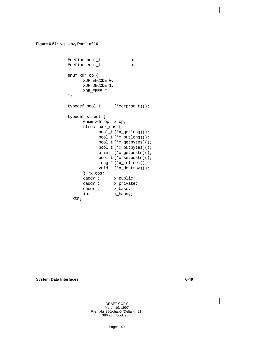**Figure 6-57:** <rpc.h>, Part 1 of 16

```
#define bool_t int
#define enum_t int
enum xdr_op {
      XDR ENCODE = 0,
      XDR_DECODE=1,
      XDR_FREE=2
} ;
typedefbool_t (*xdrproc_t)( ;
typedef struct {
      enum xdr_op x_op;struct xdr_ops {
            bool_t ( *x_getlong)( ) ;
            bool_t (*x_putlong)();
            bool_t (*x_getbytes)();
            bool_t (*x_putbytes)();
            u_{\text{int}} (*x_getpostn)();
            bool_t (*x_setpostn)();
            long *(x_1 \in \mathbb{R}) ( );
            void (*x_destroy)();
      } *x_{\text{ops}};
      caddr_t x_public;
      caddr_t x_private;
      caddr_t x_base;
      int x_handy;
} XDR;
```
**System Data Interfaces** 6-49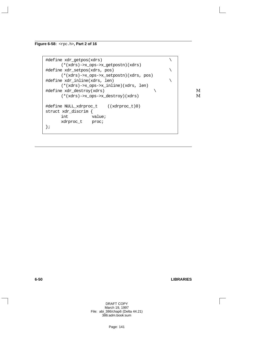**Figure 6-58:** <rpc.h>, Part 2 of 16

```
\# \text{define } x \text{dr\_getpos}(x \text{drs})(* (xdrs) -> x_ops -> x_getpost) (xdrs)\# \text{define } xdr\_setpos(xdrs, pos)(* (xdrs) -> x_ops -> x_setpostn) (xdrs, pos)# define xdr\_inline(xdrs, len)(* (xdrs) -> x_ops -> x_ inline) (xdrs, len)# define x dr_destroy(x drs)<br>(*(x drs) -> x ops-> x destroy)(x drs) M
      (* (xdrs) -> x_ops -> x_destroy) (xdrs)#define NULL_xdrproc_t ((xdrproc_t)0)
struct xdr_discrim {
      int value;
      xdrproc_t proc;
} ;
```
**6-50 LIBRARIES**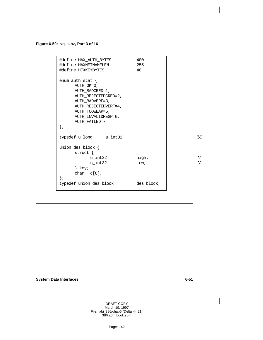**Figure 6-59:** <rpc.h>, Part 3 of 16

| #define MAX AUTH BYTES  | 400        |
|-------------------------|------------|
| #define MAXNETNAMELEN   | 255        |
| #define HEXKEYBYTES     | 48         |
|                         |            |
| enum $auth\_stat$ {     |            |
| AUTH OK=0,              |            |
| AUTH BADCRED=1,         |            |
| AUTH REJECTEDCRED=2,    |            |
| AUTH BADVERF=3,         |            |
| AUTH REJECTEDVERF=4,    |            |
| AUTH TOOWEAK=5,         |            |
| AUTH INVALIDRESP=6,     |            |
| <b>AUTH FAILED=7</b>    |            |
| $\}$ ;                  |            |
|                         |            |
| typedef u_long u_int32  |            |
|                         |            |
| union des_block {       |            |
| struct $\{$             |            |
| u int32                 | high;      |
| u int32                 | $1$ ow;    |
| $\}$ key;               |            |
| char $c[8]$             |            |
| $\}$ ;                  |            |
| typedef union des block | des block; |
|                         |            |

**System Data Interfaces** 6-51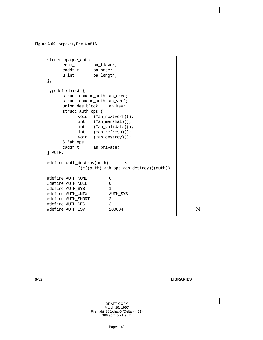**Figure 6-60:** <rpc.h>, Part 4 of 16

```
struct opaque_auth {
     enum_t oa_flavor;
     caddr_t oa_base;
     u_int oa_length;
} ;
typedef struct {
     struct opaque_auth ah_cred;
     struct opaque_auth ah_verf;
     union des_block ah_kkey;
     struct auth_ops {
           void (*ah nextverf)();
           int (*ah\_marshal)( ;
           int (*ah_value)();
           int (*ah_refresh) ( ) ;
           void (*ah\_destroy)();
     } *ah_ops;
     caddr_t ah_private;
} AUTH;
#define auth_destroy(auth) \qquad \backslash(( * ((auth) - \alpha h\_ops - \alpha h\_destroy)) (auth))#define AUTH_NONE 0
#define AUTH_NULL 0
#define AUTH_SYS 1
#define AUTH_UNIX AUTH_SYS
#define AUTH_SHORT 2
#define AUTH_DES 3
#define AUTH_ESV 200004 M
```
**6-52 LIBRARIES**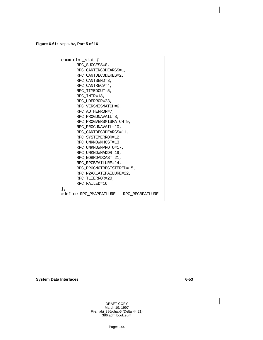**Figure 6-61:** <rpc.h>, Part 5 of 16

enum clnt\_stat  $\{$ RPC\_SUCCESS=0, RPC\_CANTENCODEARGS=1, RPC\_CANTDECODERES=2, RPC\_CANTSEND=3, RPC\_CANTRECV=4, RPC\_TIMEDOUT=5,  $RPC\_INTR = 18$ , RPC\_UDERROR=23, RPC\_VERSMISMATCH=6, RPC\_AUTHERROR=7, RPC PROGUNAVAIL=8, RPC\_PROGVERSMISMATCH=9, RPC\_PROCUNAVAIL=10,  $\tt RPC\_CANTDECODEARGS=11$  , RPC\_SYSTEMERROR=12, RPC\_UNKNOWNHOST=13, RPC\_UNKNOWNPROTO=17, RPC\_UNKNOWNADDR=19, RPC\_NOBROADCAST=21, RPC\_RPCBFAILURE=14, RPC\_PROGNOTREGISTERED=15, RPC\_N2AXLATEFAILURE=22, RPC\_TLIERROR=20, RPC\_FAILED=16 } ; #define RPC\_PMAPFAILURE RPC\_RPCBFAILURE

**System Data Interfaces** 6-53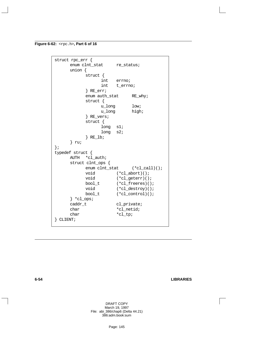**Figure 6-62:** <rpc.h>, Part 6 of 16

struct rpc\_err { enum clnt\_stat re\_status; union  $\{$ struct { int errno; int t\_errno;  $}$  RE\_err; enum auth\_stat RE\_why; struct { u\_long low; u\_long high;  $}$  RE\_vers; struct {  $long$   $sl$  ;  $long$   $s2;$  $\} RE_l$  b;  $}$  ru; } ; typedef struct {  $A \text{UTH} \quad * \text{cl}\_ \text{auth};$ struct clnt\_ops { enum clnt\_stat  $(*cl\_call)($  ; void  $(*cl\_abort)()$ ; void  $(*cl\_geterr)()$ ;  $bool_t$   $(*cl_freeres)()$ ; void  $(*cl\_destroy)()$ ;  $bool_t$   $(*cl\_control)()$ ;  $}$  \* cl\_ops; caddr\_t cl\_private;  $\begin{array}{ccc} {\tt char} & \hspace{1.5cm} & \star_{\tt cl\_netid} \end{array}$  $\verb|char" = \verb|char" * cl_tp;$  $\}$  CLIENT;

**6-54 LIBRARIES**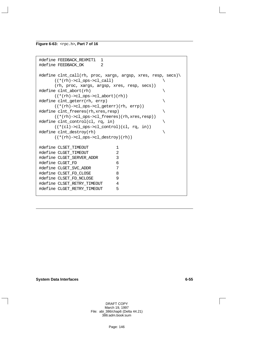#### **Figure 6-63:** <rpc.h>, Part 7 of 16

```
#define FEEDBACK REXMIT1 1
#define FEEDBACK_OK 2
#define clnt_call(rh, proc, xargs, argsp, xres, resp, secs)\
     ((*(rh)-\geq cl\_ops \to cl\_call)(rh, proc, xargs, args, xres, resp, sec s)# define clnt_abort (rh)(( * (rh) - > cl\_ops - > cl\_abort) (rh) )#define clnt_geterr(rh, errp)
      (( * (rh) - > cl\_ops - > cl\_geterr) (rh, errp))#define clnt_freeres(rh, xres, resp)
     ((*(rh)-\geq cl\_ops \geq cl\_freeres)(rh, xres, resp))#define clnt_control(cl, rq, in) \setminus((*(cl) - cl\_ops - > cl\_control) (cl, rq, in))# define clnt_destroy(rh)
     (( * (rh) - > cl\_ops - > cl\_destroy) (rh) )#define CLSET_TIMEOUT 1
#define CLGET_TIMEOUT 2
#define CLGET_SERVER_ADDR 3
#define CLGET_FD 6
#define CLGET_SVC_ADDR 7
#define CLSET FD CLOSE 8
#define CLSET_FD_NCLOSE 9
#define CLSET_RETRY_TIMEOUT 4
#define CLGET_RETRY_TIMEOUT 5
```
**System Data Interfaces** 6-55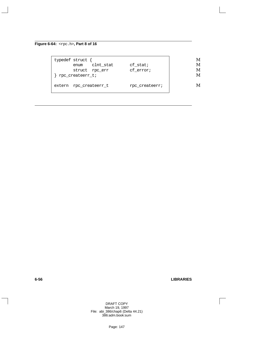## **Figure 6-64:** <rpc.h>, Part 8 of 16

|        | typedef struct { |                 |                | М |
|--------|------------------|-----------------|----------------|---|
|        | enum             | clnt stat       | $cf$ stat;     | М |
|        |                  | struct rpc err  | cf error;      | М |
|        | rpc createerr t; |                 |                | М |
|        |                  |                 |                |   |
| extern |                  | rpc createerr t | rpc createerr; | М |
|        |                  |                 |                |   |

**6-56 LIBRARIES**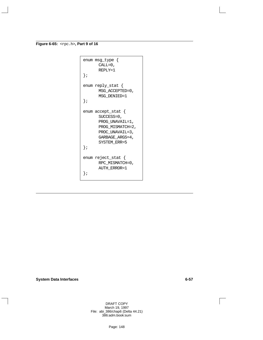**Figure 6-65:** <rpc.h>, Part 9 of 16

```
enum msg_type {
       \textsc{CALL=0} ,
       REPLY = 1} ;
enum reply_stat {
       MSG_ACCEPTED=0,
       MSG_DENIED=1
} ;
enum accept_stat {
       SUCCESS=0,
       PROG_UNAVAIL=1,
       PROG_MISMATCH=2,
       PROC_UNAVAIL=3,
       GARBAGE_ARGS=4,
       SYSTEM_ERR=5
} ;
enum reject_stat {
       RPC_MISMATCH=0,
       AUTH_ERROR=1
} ;
```
**System Data Interfaces** 6-57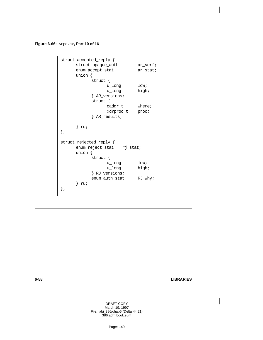

**6-58 LIBRARIES**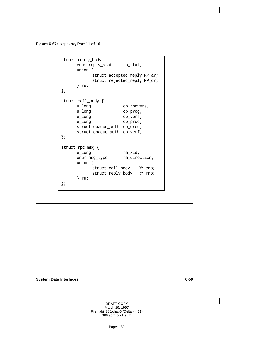**Figure 6-67:** <rpc.h>, Part 11 of 16

```
struct reply_body {
     enum reply_stat rp_stat;
     union \{struct accepted_reply RP_ar;
           struct rejected_reply RP_dr;
     } ru;
} ;
struct call_body {
     u_long cb_rpcvers;
     u_long cb_prog;
     u_long cb_vers;
     u_long cb_proc;
     struct opaque_auth cb_cred;
     struct opaque_auth cb_verf;
} ;
struct rpc_msg {
     u_long rm_xid;
     enum msg_type rm_direction;
     union \{struct call_body RM_cmb;
           struct reply_body RM_rmb;
     } ru;
} ;
```
**System Data Interfaces** 6-59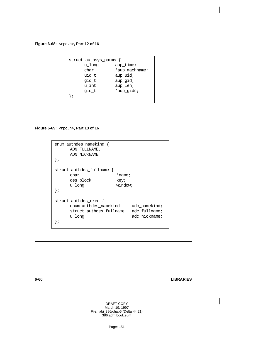# **Figure 6-68:** <rpc.h>, Part 12 of 16

| struct authsys parms { |                |  |
|------------------------|----------------|--|
| u long                 | aup $time:$    |  |
| char                   | *aup machname; |  |
| uid t                  | aup uid;       |  |
| gid t                  | aup gid;       |  |
| u int                  | aup len;       |  |
| gid t                  | *aup gids;     |  |
| ; ا                    |                |  |
|                        |                |  |

## **Figure 6-69:** <rpc.h>, Part 13 of 16

| enum authdes namekind $\{$<br>ADN FULLNAME,<br>ADN NICKNAME<br>} ;                                                                     |                           |  |
|----------------------------------------------------------------------------------------------------------------------------------------|---------------------------|--|
|                                                                                                                                        |                           |  |
| struct authdes fullname {<br>char<br>des block<br>u long                                                                               | *name;<br>key;<br>window; |  |
| struct authdes cred {<br>enum authdes namekind<br>adc namekind;<br>adc fullname;<br>struct authdes fullname<br>adc nickname;<br>u long |                           |  |

**6-60 LIBRARIES**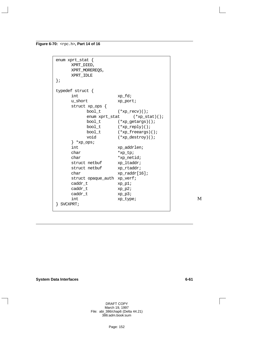**Figure 6-70:** <rpc.h>, Part 14 of 16

```
enum xprt_stat {
      XPRT_DIED,
      XPRT_MOREREQS,
      {\tt XPRT\_IDLE}} ;
typedef struct {
      int \quad x p_f d;
      u_short xp_port;
      struct xp_ops {
            \texttt{bool\_t} \qquad (\texttt{*xp\_recv})() \texttt{;}enum xprt_stat (*xp\_stat)();
            bool_t (*xp_getargs)();
            \texttt{bool\_t} \qquad \qquad (\texttt{*xp\_reply}) \text{()};bool\_t (*xp_freeargs)();
            void (*xp\_destroy)();
      } * xp\_ops ;
      int xp\_addrlen;
      char * xp_tchar \times x retid;
      struct netbuf xp_ltaddr;
      struct netbuf xp_rtaddr;
      char xp\_raddr[16];
      struct opaque_auth xp_verf;
      c \cdot \text{addr}\_t \qquad \qquad \text{xp}\_1;
      caddr_t xp_p2;caddr_t xp_p3;\text{int} \text{xp\_type:} M
\} SV CXPRT ;
```
**System Data Interfaces** 6-61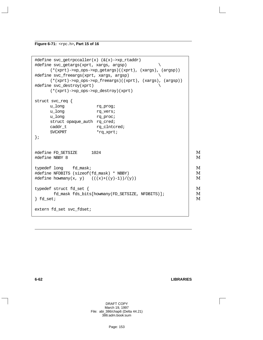**Figure 6-71:** <rpc.h>, Part 15 of 16

```
#define svc_getrpccaller(x) (x \rightarrow x p_{\text{r}} + x p_{\text{r}})# define svc_getargs (x prt, x args, args p)
      (* (xprt) - > xp\_ops - > xp_getargs) ( (xprt) , (xargs) , (args) )#define svc_freeargs(xprt, xargs, argsp) \setminus(* (xprt) - > xp_ops - > xp_freeargs) ((xprt), (xargs), (args))# define svc_destroy (x prt)
      (* (xprt) - > xp_ops - > xp_destroy) (xprt)struct svc_req {
      u_long rq_prog;
      u_long rq_vers;
      u long years of the range of the contract of the contract of the contract of the contract of the contract of the contract of the contract of the contract of the contract of the contract of the contract of the contract of t
      struct opaque_auth rq_cred;
      caddr_t rq_clntcred;
      SVCXPRT * rq_xprt;
} ;
#define FD_SETSIZE 1024 M
\# \text{define NBBY } 8 Mt y pe de f long f d_mask ; M a s k i s y pe de f long i d_mask ; M a s M a s M a s M a s M a s M a s M a s M 
#define NFDBITS (sizeof(fd mask) * NBBY) M
#define howmany(x, y) ((x)+(y)-1))/(y) M
t y pe de f struct f d_set { M
       fd\_mask fd\_bits[howmany(FD\_SETSIZE, NFDBITS)]; M{}} fd_set ; M
extern fd_set svc_fdset;
```
**6-62 LIBRARIES**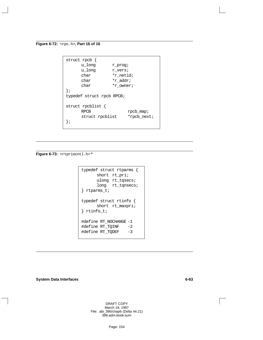**Figure 6-72:** <rpc.h>, Part 16 of 16

```
struct rpcb {
      u_long r_prog;
      u _ l o n g r _ v e r s ;
      char \t* r_{\text{netid}};char \rightarrow \texttt{\#r\_addr};
      char \t* r_owner;} ;
typedef struct rpcb RPCB;
struct rpcblist {
      RPCB rpcb_map;
      struct rpcblist * rpcb_next;
} ;
```
**Figure 6-73:** <rtpriocntl.h>\*

```
typedef struct rtparms {
      short rt_pri;
      ulong rt_tqsecs;
      long rt_tqnsecs;
} rtparms_t;
typedef struct rtinfo {
      short rt_maxpri;
} rtinfo_t;
#define RT_NOCHANGE -1
#define RT_TQINF -2
#define RT_TQDEF -3
```
**System Data Interfaces** 6-63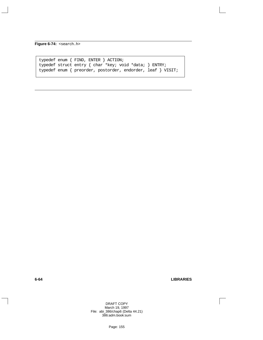**Figure 6-74:** <search.h>

```
typedef enum\{ FIND, ENTER \} ACTION;
typedef struct entry { char *key; void *data; } ENTRY;
typedef enum { preorder, postorder, endorder, leaf } VISIT;
```
**6-64 LIBRARIES**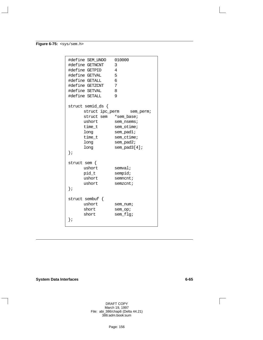**Figure 6-75:** <sys/sem.h>

| #define SEM_UNDO  | 010000           |
|-------------------|------------------|
| #define GETNCNT   | 3                |
| #define GETPID    | 4                |
| #define GETVAL    | 5                |
| #define GETALL    | 6                |
| #define GETZCNT   | 7                |
| #define SETVAL    | 8                |
| #define SETALL    | 9                |
|                   |                  |
| struct semid_ds { |                  |
| struct ipc perm   | sem perm;        |
| struct sem        | *sem base;       |
| ushort            | sem nsems;       |
| time_t            | sem_otime;       |
| long              | sem_pad1;        |
| time_t            | sem_ctime;       |
| long              | $sem\_pad2$ ;    |
| long              | $sem\_pad3[4]$ ; |
| ; {               |                  |
|                   |                  |
| struct sem {      |                  |
| ushort            | semval:          |
| pid_t             | sempid;          |
| ushort            | $semicnt$ ;      |
| ushort            | semzcnt          |
| } ;               |                  |
|                   |                  |
| struct sembuf {   |                  |
| ushort            | sem num;         |
| short             | sem op;          |
| short             | sem flg;         |
|                   |                  |
|                   |                  |

**System Data Interfaces** 6-65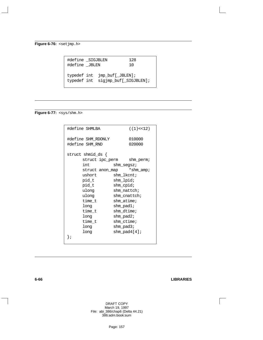**Figure 6-76:** <set jmp.h>

```
#define _SIGJBLEN 128
#define _JBLEN 10
type def int jmp\_buf [_JBLEN];
typedef int sigjmp_buf[_SIGJBLEN];
```
**Figure 6-77:** <sys/shm.h>

| #define SHMLBA     | $(1)$ < (2)               |
|--------------------|---------------------------|
| #define SHM RDONLY | 010000                    |
| #define SHM RND    | 020000                    |
| struct shmid_ds {  |                           |
|                    | struct ipc_perm shm_perm; |
| int                | $shm$ segsz;              |
|                    | struct anon map *shm amp; |
| ushort             | shm_lkcnt;                |
| pid_t              | shm lpid;                 |
| pid t              | $shm$ cpid;               |
| ulong              | shm nattch;               |
| ulong              | shm cnattch;              |
| time t             | shm atime;                |
| long               | shm padl;                 |
| time t             | shm dtime;                |
| long               | shm_pad2;                 |
| time t             | shm ctime;                |
| long               | $shm$ pad3;               |
| long               | $shm\_pad4[4]$ ;          |
| ł;                 |                           |

**6-66 LIBRARIES**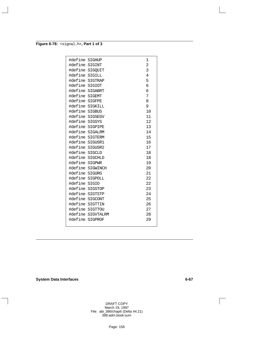**Figure 6-78:**  $\langle$  signal .h>, Part 1 of 3

| #define SIGHUP |                   | 1  |
|----------------|-------------------|----|
| #define        | SIGINT            | 2  |
|                | #define SIGQUIT   | 3  |
| #define SIGILL |                   | 4  |
|                | #define SIGTRAP   | 5  |
| #define SIGIOT |                   | б  |
|                | #define SIGABRT   | 6  |
| #define SIGEMT |                   | 7  |
| #define SIGFPE |                   | 8  |
|                | #define SIGKILL   | 9  |
| #define SIGBUS |                   | 10 |
|                | #define SIGSEGV   | 11 |
| #define SIGSYS |                   | 12 |
|                | #define SIGPIPE   | 13 |
|                | #define SIGALRM   | 14 |
|                | #define SIGTERM   | 15 |
|                | #define SIGUSR1   | 16 |
|                | #define SIGUSR2   | 17 |
| #define SIGCLD |                   | 18 |
|                | #define SIGCHLD   | 18 |
| #define SIGPWR |                   | 19 |
|                | #define SIGWINCH  | 20 |
| #define SIGURG |                   | 21 |
|                | #define SIGPOLL   | 22 |
| #define        | SIGIO             | 22 |
| #define        | SIGSTOP           | 23 |
|                | #define SIGTSTP   | 24 |
|                | #define SIGCONT   | 25 |
| #define        | SIGTTIN           | 26 |
| #define        | SIGTTOU           | 27 |
|                | #define SIGVTALRM | 28 |
|                | #define SIGPROF   | 29 |
|                |                   |    |

**System Data Interfaces** 6-67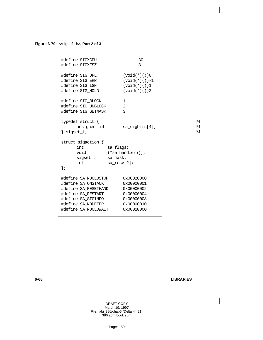**Figure 6-79:**  $\langle$  signal .h>, Part 2 of 3

| #define SIGXCPU      | 30                          |   |
|----------------------|-----------------------------|---|
| #define SIGXFSZ      | 31                          |   |
| #define SIG_DFL      | $(void(*)())0$              |   |
| #define SIG_ERR      | $(void(*)()) - 1$           |   |
| #define SIG IGN      | $(void(*)())1$              |   |
| #define SIG_HOLD     | $(void(*)())2$              |   |
|                      |                             |   |
| #define SIG_BLOCK    | $\mathbf 1$                 |   |
| #define SIG_UNBLOCK  | $\overline{2}$              |   |
| #define SIG SETMASK  | 3                           |   |
| typedef struct {     |                             | M |
| unsigned int         | $sa$ _sigbits[4];           | M |
| sigset_t;            |                             | M |
|                      |                             |   |
| struct sigaction {   |                             |   |
| int<br>void          | sa flags;                   |   |
|                      | $(*sa \; handler)()$ ;      |   |
| sigset_t<br>int      | sa mask;<br>sa resv $[2]$ ; |   |
| $\}$ ;               |                             |   |
|                      |                             |   |
| #define SA NOCLDSTOP | 0x00020000                  |   |
| #define SA_ONSTACK   | 0x00000001                  |   |
| #define SA RESETHAND | 0x00000002                  |   |
| #define SA RESTART   | 0x00000004                  |   |
| #define SA_SIGINFO   | 0x00000008                  |   |
| #define SA_NODEFER   | 0x00000010                  |   |
| #define SA NOCLDWAIT | 0x00010000                  |   |
|                      |                             |   |

**6-68 LIBRARIES**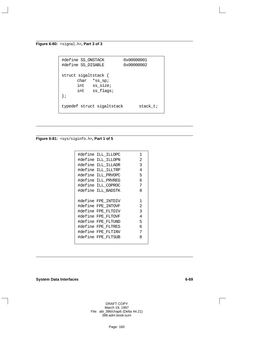**Figure 6-80:**  $\langle$  signal .h>, Part 3 of 3

```
# d e f i n e S S _ O N S T A C K 0 x 0 0 0 0 0 0 0 1
# d e f i n e S S _ D I S A B L E 0 x 0 0 0 0 0 0 0 2
struct sigaltstack {
       char *ss\_sp;
       int ss_size;
       int ss_flags;
} ;
typedef struct sigaltstack stack_t;
```
**Figure 6-81:** <sys/siginfo.h>, Part 1 of 5

|  | #define ILL ILLOPC | 1              |  |
|--|--------------------|----------------|--|
|  | #define ILL ILLOPN | 2              |  |
|  | #define ILL ILLADR | 3              |  |
|  | #define ILL ILLTRP | 4              |  |
|  | #define ILL PRVOPC | 5              |  |
|  | #define ILL PRVREG | б              |  |
|  | #define ILL COPROC | 7              |  |
|  | #define ILL BADSTK | 8              |  |
|  |                    |                |  |
|  | #define FPE INTDIV | 1              |  |
|  | #define FPE INTOVF | $\mathfrak{D}$ |  |
|  | #define FPE FLTDIV | 3              |  |
|  | #define FPE FLTOVF | 4              |  |
|  | #define FPE FLTUND | 5              |  |
|  | #define FPE FLTRES | 6              |  |
|  | #define FPE FLTINV | 7              |  |
|  | #define FPE FLTSUB | 8              |  |
|  |                    |                |  |

**System Data Interfaces** 6-69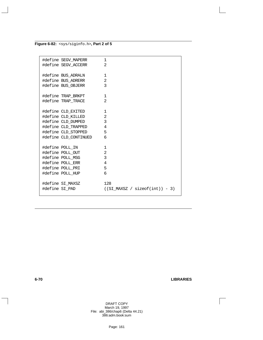**Figure 6-82:**  $\langle \text{sys/sighto.h}\rangle$ , Part 2 of 5

| #define SEGV MAPERR   | 1                                |
|-----------------------|----------------------------------|
| #define SEGV ACCERR   | $\mathfrak{D}$                   |
|                       |                                  |
| #define BUS ADRALN    | 1                                |
| #define BUS ADRERR    | 2                                |
| #define BUS OBJERR    | 3                                |
|                       |                                  |
| #define TRAP BRKPT    | $\mathbf{1}$                     |
| #define TRAP TRACE    | $\overline{2}$                   |
|                       |                                  |
| #define CLD EXITED    | $\mathbf{1}$                     |
| #define CLD KILLED    | $\overline{2}$                   |
| #define CLD DUMPED    | 3                                |
| #define CLD TRAPPED   | $\overline{4}$                   |
| #define CLD STOPPED   | 5                                |
| #define CLD CONTINUED | 6                                |
|                       |                                  |
| #define POLL IN       | $\mathbf{1}$                     |
| #define POLL OUT      | 2                                |
| #define POLL MSG      | 3                                |
| #define POLL ERR      | $\overline{4}$                   |
| #define POLL PRI      | 5                                |
| #define POLL HUP      | 6                                |
|                       |                                  |
| #define SI MAXSZ      | 128                              |
| #define SI_PAD        | $((SI MAXSZ / sizeof(int)) - 3)$ |
|                       |                                  |

**6-70 LIBRARIES**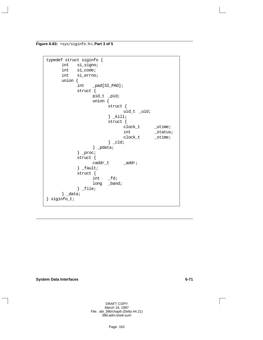**Figure 6-83:** <sys/siginfo.h>, Part 3 of 5

```
typedef struct siginfo {
      int si_signo;
      int sicode;
      int si_errno;
      union \{int pad[SI_PAD];struct {
                   pid_t _pid;
                   union \{struct {
                                 uid_t \_{uid};} _kill;
                          struct {
                                 clock_t _utime;
                                 int _status;
                                 c l o c k _ t _ s t i m e ;
                          } _cld;
                    } _pdata;
             } \frac{1}{2} proc;
             struct {
                   caddr_t \_addr;
             \} _fault;
             struct \{int _fd;
                   long _band;
             } _file;
      \} \Delta data;
\} siginfo_t;
```
**System Data Interfaces** 6-71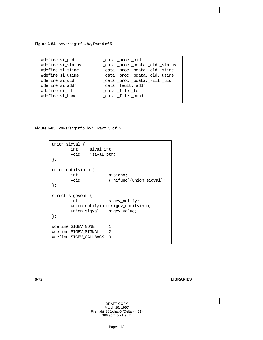**Figure 6-84:**  $\langle \text{sys/sight}$ .h>, Part 4 of 5

```
# d e f i n e s i _ p i d _ d a t a . _ p r o c . _ p i d
#define si_status ______________data._proc._pdata._cld._status
# d e f i n e s i _ s t i m e _ d a t a . _ p r o c . _ p d a t a . _ c l d . _ s t i m e
#define si_utime ______________data._proc._pdata._cld._utime
# d e f i n e s i _ u i d _ d a t a . _ p r o c . _ p d a t a . _ k i l l . _ u i d
                                  _data._fault._addr
#define si_fd _______________________data._file._fd
# d e f i n e s i _ b a n d _ d a t a . _ f i l e . _ b a n d
```
**Figure 6-85:** <sys/siginfo.h>\*, Part 5 of 5

```
union sigval \{int sival int;
      void *sival_ptr;
} ;
union notifyinfo {
       int nisigno;
       void (*nifunc) (union sigval);
} ;
struct sigevent {
       int sigev_notify;
      union notifyinfo sigev notifyinfo;
      union sigval sigev_value;
} ;
#define SIGEV_NONE 1
#define SIGEV_SIGNAL 2
#define SIGEV_CALLBACK 3
```
**6-72 LIBRARIES**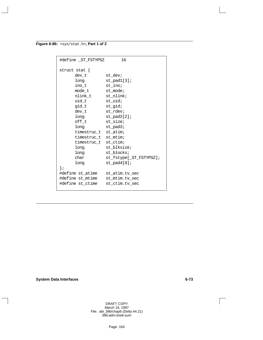**Figure 6-86:** <sys/stat.h>, Part 1 of 2

| #define ST FSTYPSZ                  | 16                      |  |  |  |
|-------------------------------------|-------------------------|--|--|--|
| struct stat $\{$                    |                         |  |  |  |
| dev t                               | st dev;                 |  |  |  |
| long                                | $st\_pad1[3]$ ;         |  |  |  |
| ino_t                               | st_ino;                 |  |  |  |
| mode t st mode;                     |                         |  |  |  |
| nlink_t st_nlink;                   |                         |  |  |  |
| uid_t st_uid;                       |                         |  |  |  |
| gid_t                               | st_gid;                 |  |  |  |
| dev t st rdev;                      |                         |  |  |  |
| long                                | $st\_pad2[2]$ ;         |  |  |  |
| off t                               | st_size;                |  |  |  |
| long                                | st pad3;                |  |  |  |
| timestruc_t st_atim;                |                         |  |  |  |
| timestruc_t st_mtim;                |                         |  |  |  |
| timestruc_t st_ctim;                |                         |  |  |  |
| long                                | st blksize;             |  |  |  |
| long                                | st blocks;              |  |  |  |
| char                                | st fstype[ ST FSTYPSZ]; |  |  |  |
| long                                | st $pad4[8]$ ;          |  |  |  |
| $\}$ ;                              |                         |  |  |  |
| #define st_atime     st_atim.tv_sec |                         |  |  |  |
| #define st_mtime st_mtim.tv_sec     |                         |  |  |  |
| #define st_ctime st_ctim.tv_sec     |                         |  |  |  |

**System Data Interfaces** 6-73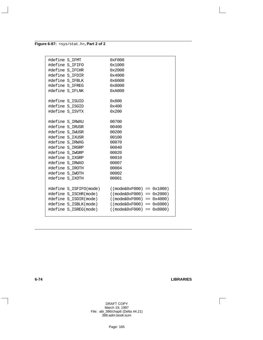## **Figure 6-87:** <sys/stat.h>, Part 2 of 2

| #define S IFMT  | 0xF000                                                                                   |
|-----------------|------------------------------------------------------------------------------------------|
| #define S_IFIFO | 0x1000                                                                                   |
| #define S IFCHR | 0x2000                                                                                   |
| #define S_IFDIR | 0x4000                                                                                   |
| #define S_IFBLK | 0x6000                                                                                   |
| #define S IFREG | 0x8000                                                                                   |
| #define S_IFLNK | 0xA000                                                                                   |
|                 |                                                                                          |
| #define S ISUID | 0x800                                                                                    |
| #define S_ISGID | 0x400                                                                                    |
| #define S_ISVTX | 0x200                                                                                    |
|                 |                                                                                          |
| #define S IRWXU | 00700                                                                                    |
| #define S_IRUSR | 00400                                                                                    |
| #define S_IWUSR | 00200                                                                                    |
| #define S IXUSR | 00100                                                                                    |
| #define S_IRWXG | 00070                                                                                    |
| #define S IRGRP | 00040                                                                                    |
| #define S_IWGRP | 00020                                                                                    |
| #define S IXGRP | 00010                                                                                    |
| #define S_IRWXO | 00007                                                                                    |
| #define S_IROTH | 00004                                                                                    |
| #define S IWOTH | 00002                                                                                    |
| #define S_IXOTH | 00001                                                                                    |
|                 |                                                                                          |
|                 | $\#\text{define } S \text{ ISFIFO}(\text{mode}) \qquad ((\text{mode&0xF000}) == 0x1000)$ |
|                 | $\#\text{define } S \text{ ISCHR}(\text{mode})$ ((mode&0xF000) == 0x2000)                |
|                 | $\#\text{define } S_ISDIR(mode)$ ((mode&0xF000) == 0x4000)                               |
|                 | $\#\text{define } S_ISBLK(mode)$ ((mode&0xF000) == 0x6000)                               |
|                 | $\#\text{define } S_I SREG(mode)$ ((mode&0xF000) == 0x8000)                              |
|                 |                                                                                          |

**6-74 LIBRARIES**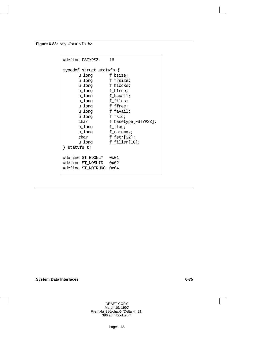Figure 6-88: <sys/statvfs.h>

```
#define FSTYPSZ 16
typedef struct statvfs {
     u_long f_bsize;
     u_long f_frsize;
     u_long f_blocks;
     u_long f_bfree;
     u_long f_bavail;
     u_long f_files;
     u_long f_ffree;
     u_long f_favail;
     u_long f_fsid;
     char f_basetype[FSTYPSZ];
     u_long f_flag;
     u_long f_namemax;
     char f_{\text{fstr}}[32];
     u_long f_filler[16];
} statvfs_t;
#define ST_RDONLY 0x01
#define ST_NOSUID 0x02
#define ST_NOTRUNC 0x04
```
**System Data Interfaces** 6-75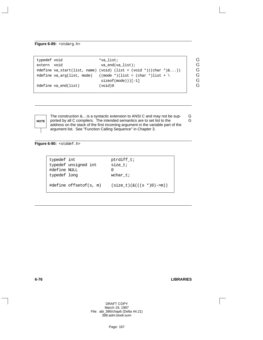**Figure 6-89:** <stdarg.h>

typedef void  $A^*$ va\_list;  $G$ extern void<br>
#define va\_start(list, name) (void) (list = (void \*)((char \*)&...))  $\overline{G}$ # de fine va\_start(list, name) (void) (list = (void \*)((char \*)  $\&\ldots$ ))  $\qquad$  G<br>#de fine va\_arg(list, mode) ((mode \*)(list = (char \*)list + \ # define va\_arg(list, mode)  $((\text{mode}^*)$ (list = (char \*)list + \ G<br>size of  $(\text{mode}))$ [-1]  $size of (mode))$  [-1]  $G$ <br>(void)0  $G$ #define va\_end(list) (void)0



The construction  $\&\ldots$  is a syntactic extension to ANSI C and may not be supported by all C compilers. The intended semantics are to set list to the G ported by all C compilers. The intended semantics are to set list to the address on the stack of the first incoming argument in the variable part of the argument list. See "Function Calling Sequence" in Chapter 3.

**Figure 6-90: < stddef.h>** 

| typedef int            | ptrdiff t;                  |
|------------------------|-----------------------------|
| typedef unsigned int   | size t;                     |
| #define NULL           | $\left($                    |
| typedef long           | wchar t;                    |
| #define offsetof(s, m) | $(size t)(\&((s * )0)$ ->m) |

**6-76 LIBRARIES**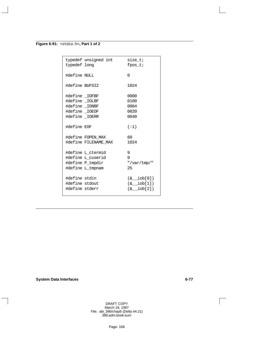**Figure 6-91:** <stdio.h>, Part 1 of 2

| typedef unsigned int | size t;           |
|----------------------|-------------------|
| typedef long         | fpos $t_i$        |
| #define NULL         | 0                 |
| #define BUFSIZ       | 1024              |
| #define IOFBF        | 0000              |
| #define IOLBF        | 0100              |
| #define _IONBF       | 0004              |
| #define IOEOF        | 0020              |
| #define IOERR        | 0040              |
| #define EOF          | $(-1)$            |
| #define FOPEN MAX    | 60.               |
| #define FILENAME MAX | 1024              |
| #define L ctermid    | 9                 |
| #define L_cuserid    | 9                 |
| #define P tmpdir     | " / var / tmp / " |
| #define L_tmpnam     | 25                |
| #define stdin        | $(&__iob[0])$     |
| #define stdout       | $(α _iob[1])$     |
| #define stderr       | $(α__iob[2])$     |

**System Data Interfaces** 6-77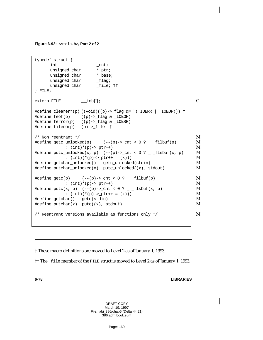#### **Figure 6-92:**  $\lt$ stdio.h>, Part 2 of 2

```
typedef struct {
     int cnt i
     unsigned char * ptr;
     unsigned char *_base;
     u n s i g n e d c h a r _ f l a g ;
     unsigned char \qquad \qquad file; \dagger \dagger} FILE;
extern FILE \qquad \qquad \_ \_ \mathrm{lob}[\ ];
#define clearerr(p) ((void)((p)->_flag &= ~(_IOERR | _IOEOF))) †
#define feof(p) ((p) -> flag & IOEOF)
#define ferror(p) ((p) -> [lag & _IOERR]
#define fileno(p) (p)->_file †
\gamma^* Non-reentrant \gamma music \mathcal{M}#define getc_unlocked(p) (--(p)-2\text{cnt} < 0 ? \_ \text{fill}: (int)*(p) \rightarrow ptr++) M
#define putc_unlocked(x, p) (--(p)-2\text{cnt} < 0 ? _ _flsbuf(x, p) | M
           : (int)(*(p) \rightarrow ptr++ = (x))) M
#define getchar_unlocked() getc_unlocked(stdin) M\#\text{define putchar\_unlocked(x)} \quad \text{putc\_unlocked((x), stdout)} \qquad \qquad \mid \mathbf{M}#define getc(p) (- (p) \rightarrow_- cnt < 0 ? _{-} filbuf(p) M: (int)*(p) \rightarrow ptr++) M
# define putc(x, p) (- (p) ->_cnt < 0 ? _ _flsbuf(x, p) \qquad \qquad M
           : (int)(*(p) - \text{ptr++} = (x))) M
#define getchar() getc(stdin) M\#\text{define putchar}(x) \quad \text{putc}((x), \quad \text{stdout}) M
/* Reentrant versions available as functions only */ M
```
† These macro definitions are moved to Level 2 as of January 1, 1993.

<sup>††</sup> The \_file member of the FILE struct is moved to Level 2 as of January 1, 1993.

**6-78 LIBRARIES**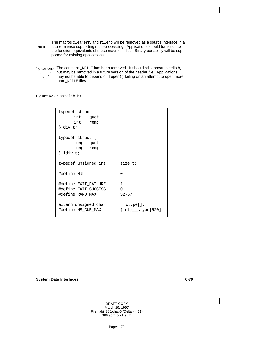

The macros clearerr, and fileno will be removed as a source interface in a future release supporting multi-processing. Applications should transition to the function equivalents of these macros in libc. Binary portability will be supported for existing applications.

**CAUTION** The constant \_NFILE has been removed. It should still appear in stdio.h, but may be removed in a future version of the header file. Applications may not be able to depend on fopen ( ) failing on an attempt to open more than \_NFILE files.

### **Figure 6-93:** <stdlib.h>

| typedef struct {<br>int quot;<br>int rem;<br>$\}$ div_t;         |                                 |
|------------------------------------------------------------------|---------------------------------|
| typedef struct {<br>long quot;<br>long rem;<br>$\}$ ldiv_t;      |                                 |
| typedef unsigned int                                             | size $t$ ;                      |
| #define NULL                                                     | 0                               |
| #define EXIT FAILURE<br>#define EXIT SUCCESS<br>#define RAND MAX | 1<br>U<br>32767                 |
| extern unsigned char<br>#define MB CUR MAX                       | ctype[];<br>$(int)$ _ctype[520] |

**System Data Interfaces** 6-79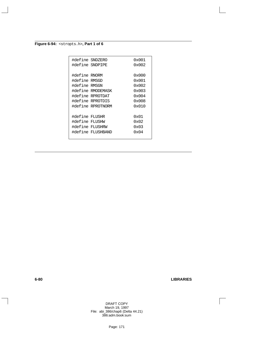# **Figure 6-94:** <stropts.h>, Part 1 of 6

|                                                 | #define SNDZERO<br>#define SNDPIPE                                             | <u> იჯიი1</u><br>0x002                                                        |
|-------------------------------------------------|--------------------------------------------------------------------------------|-------------------------------------------------------------------------------|
| #define RNORM<br>#define RMSGD<br>#define RMSGN | #define RMODEMASK<br>#define RPROTDAT<br>#define RPROTDIS<br>#define RPROTNORM | 0x000<br>0x001<br>0x002<br>$0 \times 003$<br>0x004<br>0x008<br>$0 \times 010$ |
| #define FLUSHR<br>#define FLUSHW                | #define FLUSHRW<br>#define FLUSHBAND                                           | 0x01<br>0x02<br>0x03<br>0x04                                                  |

**6-80 LIBRARIES**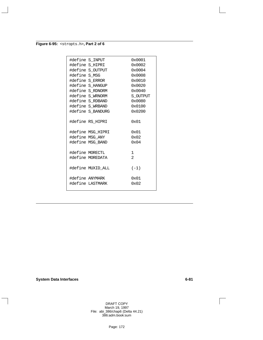## **Figure 6-95:** <stropts.h>, Part 2 of 6

|               | #define S INPUT   | $0 \times 0001$ |
|---------------|-------------------|-----------------|
|               | #define S HIPRI   | 0x0002          |
|               | #define S OUTPUT  | 0x0004          |
| #define S MSG |                   | $0 \times 0008$ |
|               | #define S ERROR   | 0x0010          |
|               | #define S_HANGUP  | 0x0020          |
|               | #define S_RDNORM  | 0x0040          |
|               | #define S WRNORM  | S OUTPUT        |
|               | #define S RDBAND  | 0x0080          |
|               | #define S WRBAND  | 0x0100          |
|               | #define S_BANDURG | 0x0200          |
|               | #define RS_HIPRI  | 0x01            |
|               | #define MSG HIPRI | 0x01            |
|               | #define MSG ANY   | 0x02            |
|               | #define MSG BAND  | $0 \times 04$   |
|               |                   |                 |
|               | #define MORECTL   | $\mathbf{1}$    |
|               | #define MOREDATA  | $\overline{a}$  |
|               |                   |                 |
|               | #define MUXID ALL | $(-1)$          |
|               |                   |                 |
|               | #define ANYMARK   | 0x01            |
|               | #define LASTMARK  | $0 \times 02$   |
|               |                   |                 |

**System Data Interfaces** 6-81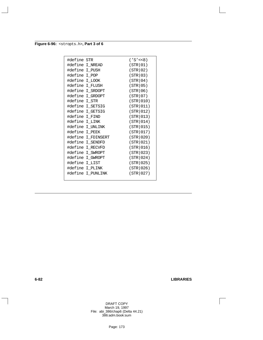**Figure 6-96:**  $\langle \text{stropts.h}\rangle$ , Part 3 of 6

| #define STR      |                    | ('S'<<8)    |
|------------------|--------------------|-------------|
| #define I NREAD  |                    | (STR   01)  |
| #define I_PUSH   |                    | (STR   02)  |
| #define I POP    |                    | (STR   03)  |
| #define I_LOOK   |                    | (STR   04)  |
| #define I FLUSH  |                    | (STR   05)  |
| #define I_SRDOPT |                    | (STR   06)  |
| #define I_GRDOPT |                    | (STR   07)  |
| #define I_STR    |                    | (STR   010) |
| #define I_SETSIG |                    | (STR   011) |
| #define I_GETSIG |                    | (STR   012) |
| #define I FIND   |                    | (STR   013) |
| #define I_LINK   |                    | (STR   014) |
| #define I_UNLINK |                    | (STR   015) |
| #define I PEEK   |                    | (STR   017) |
|                  | #define I FDINSERT | (STR   020) |
| #define I_SENDFD |                    | (STR   021) |
| #define I RECVFD |                    | (STR   016) |
| #define I_SWROPT |                    | (STR   023) |
| #define I GWROPT |                    | (STR   024) |
| #define I LIST   |                    | (STR   025) |
| #define I PLINK  |                    | (STR   026) |
|                  | #define I PUNLINK  | (STR   027) |
|                  |                    |             |

**6-82 LIBRARIES**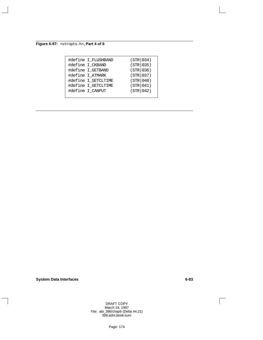## **Figure 6-97:** <stropts.h>, Part 4 of 6

| #define I_FLUSHBAND | (STR   034) |
|---------------------|-------------|
| #define I_CKBAND    | (STR   035) |
| #define I_GETBAND   | (STR   036) |
| #define I ATMARK    | (STR   037) |
| #define I SETCLTIME | (STR   040) |
| #define I GETCLTIME | (STR   041) |
| #define I_CANPUT    | (STR   042) |
|                     |             |

**System Data Interfaces** 6-83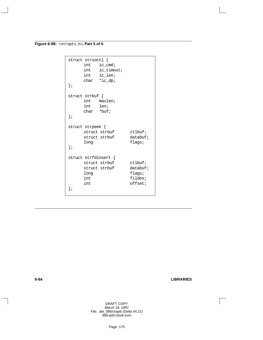**Figure 6-98:** <stropts.h>, Part 5 of 6

|        | struct strioctl { |                      |          |
|--------|-------------------|----------------------|----------|
|        |                   | int ic cmd;          |          |
|        |                   | int ic_timout;       |          |
|        |                   | int ic len;          |          |
|        |                   | char *ic_dp;         |          |
| $\}$ ; |                   |                      |          |
|        | struct strbuf {   |                      |          |
|        |                   | int maxlen;          |          |
|        | int len;          |                      |          |
|        | char *buf;        |                      |          |
| } ;    |                   |                      |          |
|        |                   |                      |          |
|        | struct strpeek {  |                      |          |
|        |                   | struct strbuf        | ctlbuf   |
|        |                   | struct strbuf        | databuf; |
|        | long              |                      | flags;   |
| $\}$ ; |                   |                      |          |
|        |                   |                      |          |
|        |                   | struct strfdinsert { |          |
|        |                   | struct strbuf        | ctlbuf;  |
|        |                   | struct strbuf        | databuf; |
|        | long              |                      | flags;   |
|        | int               |                      | fildes;  |
|        | int               |                      | offset;  |
|        |                   |                      |          |
|        |                   |                      |          |

**6-84 LIBRARIES**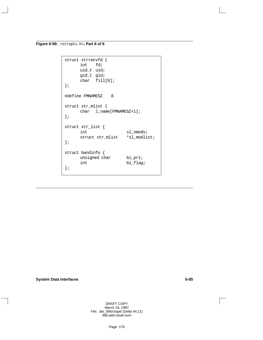**Figure 6-99:** <stropts.h>, Part 6 of 6

```
struct strrecvfd {
       int fd;
       uid_t uid;
       gid_t gid;
       char fill[8];
} ;
#define FMNAMESZ 8
struct str_mlist \{char \quad 1_name [FMNAMESZ+1];
} ;
struct str_list {
       \begin{array}{lll} \texttt{int} & \texttt{sl\_nmods}\, \texttt{;} \end{array}{\tt struct \ str\_mlist} \quad \verb| *sl_modlist |} ;
struct bandinfo {
       unsigned char bi_pri;
       int bi_flag;
} ;
```
**System Data Interfaces** 6-85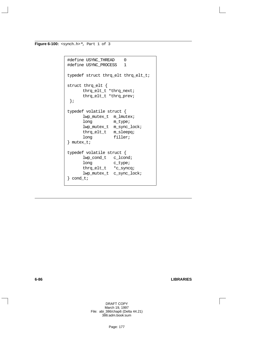**Figure 6-100:** <synch.h>\*, Part 1 of 3

```
#define USYNC THREAD 0
#define USYNC_PROCESS 1
typedef struct thrq_elt thrq_elt_t;
struct thrq_elt {
      thrq_elt_t *thrq_next;
      thrq_elt_t *thrq_prev;
} ;
typedef volatile struct {
      lwp_mutex_t m_lmutex;
      long m_type;
      lwp\_mutex\_t m\_sync\_lock;
      thrq_elt_t m_sleepq;
      long filler;
} mutex_t;
typedef volatile struct {
      lwp\_cond_t c_lcond;
      long c_type;
      thrq_elt_t *c_syncq;
      lwp_mutex_t c_sync_lock;
\} cond_t;
```
**6-86 LIBRARIES**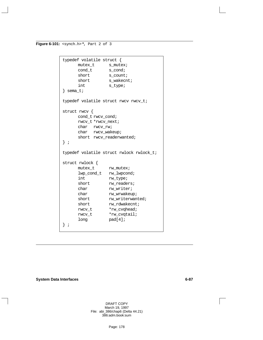**Figure 6-101:** <synch.h>\*, Part 2 of 3

```
typedef volatile struct {
     mutex_t s_mutex;
     cond_t s_cond;
     short s_count;
     short s_wakecnt;
     int s_type;
\} sema_t;
typedef volatile struct rwcv rwcv_t;
struct rwcv {
     cond_t rwcv_cond;
     rwcv_t *rwcv_next;
     char rwcv_rw;
     char rwcv_wakeup;
     short rwcv_readerwanted;
} ;
typedef volatile struct rwlock rwlock_t;
struct rwlock {
     mutex_t rw_mutex;
     lwp_cond_t rw_lwpcond;
     int rw_type;
     short rw_readers;
     char rw_writer;
     char rw_wrwakeup;
     short rw_writerwanted;
     short rw_rdwakecnt;
     rwcv_t *rw_cvqhead;
     rwcv_t *rw_cvqtail;
     long pad[4];
} ;
```
**System Data Interfaces** 6-87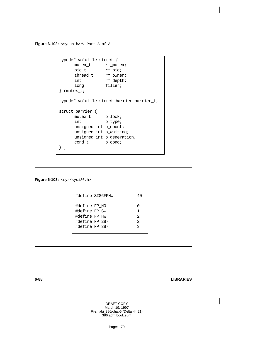**Figure 6-102:** <synch.h>\*, Part 3 of 3

```
typedef volatile struct {
     m \text{ m} mutex t rm m \text{ m}pid_t rm_pid;
     thread_t rm_owner;
      int rm_depth;
      long filler;
} rmutex_t;
typedef volatile struct barrier barrier_t;
struct barrier {
     mutex_t b_lock;
      int b_type;
     unsigned int b_count;
     unsigned int b_waiting;
     unsigned int b_generation;
      cond_t b_cond;
} ;
```
**Figure 6-103:** <sys/sysi86.h>

|                                                                                     | #define SI86FPHW | 40               |
|-------------------------------------------------------------------------------------|------------------|------------------|
| #define FP_NO<br>#define FP SW<br>#define FP HW<br>#define FP 287<br>#define FP 387 |                  | 1<br>2<br>2<br>っ |

**6-88 LIBRARIES**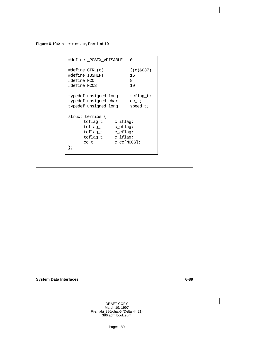**Figure 6-104:** <termios.h>, Part 1 of 10

```
#define _POSIX_VDISABLE 0
\#\text{define } \text{CTRL}(c) ((c) \&037)#define IBSHIFT 16
#define NCC 8<br>#define NCCS 19
#define NCCS
typedef unsigned long tcflag_t;typedef unsigned char cc_t;
typedef unsigned long speed_t;
struct termios {
      t cflag_t c_iflag;
      t cflag_t c_oflag;
      t cflag_t c_cflag;
      tcflag_t c_lflag;
      cc_t cc_c cc [NCCS];
} ;
```
**System Data Interfaces** 6-89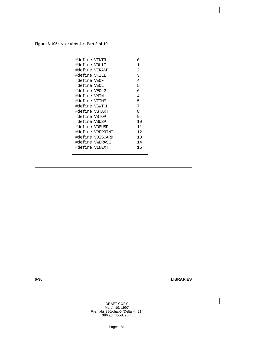**Figure 6-105:** <termios.h>, Part 2 of 10

| #define VINTR  |                  | U   |
|----------------|------------------|-----|
| #define VOUIT  |                  | 1   |
| #define VERASE |                  | 2   |
| #define VKILL  |                  | 3   |
| #define VEOF   |                  | 4   |
| #define VEOL   |                  | 5   |
| #define VEOL2  |                  | 6   |
| #define VMIN   |                  | 4   |
| #define VTIME  |                  | 5   |
| #define VSWTCH |                  | 7   |
| #define VSTART |                  | 8   |
| #define VSTOP  |                  | 9   |
| #define VSUSP  |                  | 1 O |
| #define VDSUSP |                  | 11  |
|                | #define VREPRINT | 12  |
|                | #define VDISCARD | 13  |
|                | #define VWERASE  | 14  |
| #define VLNEXT |                  | 15  |
|                |                  |     |

**6-90 LIBRARIES**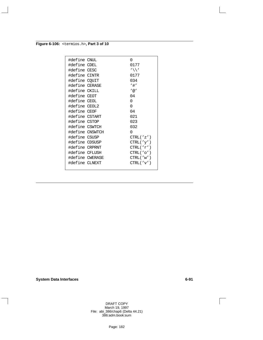**Figure 6-106:** <termios.h>, Part 3 of 10

| #define CNUL   |                 | 0              |
|----------------|-----------------|----------------|
| #define CDEL   |                 | 0177           |
| #define CESC   |                 | <b>' \ \ '</b> |
| #define CINTR  |                 | 0177           |
| #define COUIT  |                 | 034            |
| #define CERASE |                 | $'$ # $'$      |
| #define CKILL  |                 | ' @ '          |
| #define CEOT   |                 | 04             |
| #define CEOL   |                 | 0              |
| #define CEOL2  |                 | 0              |
| #define CEOF   |                 | 04             |
| #define CSTART |                 | 021            |
| #define CSTOP  |                 | 023            |
| #define CSWTCH |                 | 032            |
|                | #define CNSWTCH | 0              |
| #define CSUSP  |                 | CTRL('z')      |
| #define CDSUSP |                 | CTRL('y')      |
| #define CRPRNT |                 | CTRL('r')      |
| #define CFLUSH |                 | CTRL('o')      |
|                | #define CWERASE | CTRL('w')      |
| #define CLNEXT |                 | CTRL('v')      |
|                |                 |                |

**System Data Interfaces** 6-91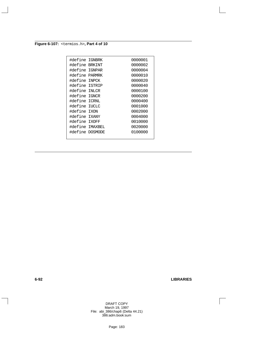# **Figure 6-107:** <termios.h>, Part 4 of 10

| #define IGNBRK  |                 | 0000001 |
|-----------------|-----------------|---------|
| #define BRKINT  |                 | 0000002 |
| #define IGNPAR  |                 | 0000004 |
| #define PARMRK  |                 | 0000010 |
| #define INPCK   |                 | 0000020 |
| #define ISTRIP  |                 | 0000040 |
| #define INLCR   |                 | 0000100 |
| #define IGNCR   |                 | 0000200 |
| #define ICRNL   |                 | 0000400 |
| #define IUCLC   |                 | 0001000 |
| #define IXON    |                 | 0002000 |
| #define IXANY   |                 | 0004000 |
| #define IXOFF   |                 | 0010000 |
|                 | #define IMAXBEL | 0020000 |
| #define DOSMODE |                 | 0100000 |
|                 |                 |         |

**6-92 LIBRARIES**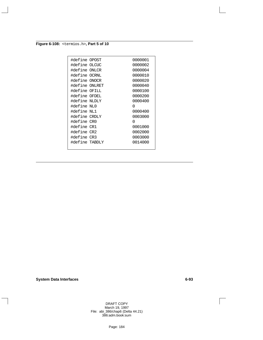**Figure 6-108:** <termios.h>, Part 5 of 10

| #define OPOST  | 0000001 |
|----------------|---------|
| #define OLCUC  | 0000002 |
| #define ONLCR  | 0000004 |
| #define OCRNL  | 0000010 |
| #define ONOCR  | 0000020 |
| #define ONLRET | 0000040 |
| #define OFILL  | 0000100 |
| #define OFDEL  | 0000200 |
| #define NLDLY  | 0000400 |
| #define NLO    | U       |
| #define NL1    | 0000400 |
| #define CRDLY  | 0003000 |
| #define CRO    | U       |
| #define CR1    | 0001000 |
| #define CR2    | 0002000 |
| #define CR3    | 0003000 |
| #define TABDLY | 0014000 |
|                |         |

**System Data Interfaces** 6-93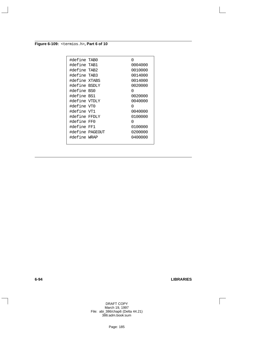**Figure 6-109:** <termios.h>, Part 6 of 10

| #define TAB0  |                 | U       |
|---------------|-----------------|---------|
| #define TAB1  |                 | 0004000 |
| #define TAB2  |                 | 0010000 |
| #define TAB3  |                 | 0014000 |
| #define XTABS |                 | 0014000 |
| #define BSDLY |                 | 0020000 |
| #define BSO   |                 | U       |
| #define BS1   |                 | 0020000 |
| #define VTDLY |                 | 0040000 |
| #define VTO   |                 | O       |
| #define VT1   |                 | 0040000 |
| #define FFDLY |                 | 0100000 |
| #define FF0   |                 | ∩       |
| #define FF1   |                 | 0100000 |
|               | #define PAGEOUT | 0200000 |
| #define WRAP  |                 | 0400000 |
|               |                 |         |

**6-94 LIBRARIES**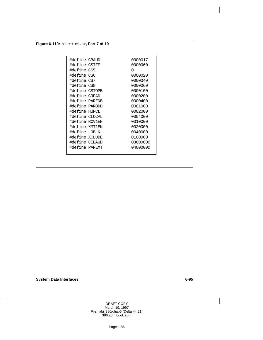**Figure 6-110:** <termios.h>, Part 7 of 10

| #define CBAUD  | 0000017  |
|----------------|----------|
| #define CSIZE  | 0000060  |
| #define CS5    | U        |
| #define CS6    | 0000020  |
| #define CS7    | 0000040  |
| #define CS8    | 0000060  |
| #define CSTOPB | 0000100  |
| #define CREAD  | 0000200  |
| #define PARENB | 0000400  |
| #define PARODD | 0001000  |
| #define HUPCL  | 0002000  |
| #define CLOCAL | 0004000  |
| #define RCV1EN | 0010000  |
| #define XMT1EN | 0020000  |
| #define LOBLK  | 0040000  |
| #define XCLUDE | 0100000  |
| #define CIBAUD | 03600000 |
| #define PAREXT | 04000000 |
|                |          |

**System Data Interfaces** 6-95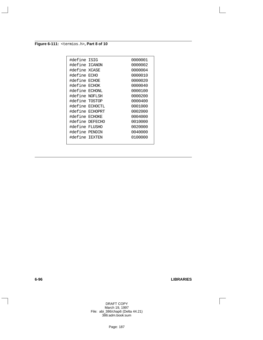# **Figure 6-111:** <termios.h>, Part 8 of 10

| #define ISIG   |                 | 0000001 |
|----------------|-----------------|---------|
| #define ICANON |                 | 0000002 |
| #define XCASE  |                 | 0000004 |
| #define ECHO   |                 | 0000010 |
| #define ECHOE  |                 | 0000020 |
| #define ECHOK  |                 | 0000040 |
| #define ECHONL |                 | 0000100 |
| #define NOFLSH |                 | 0000200 |
| #define TOSTOP |                 | 0000400 |
|                | #define ECHOCTL | 0001000 |
|                | #define ECHOPRT | 0002000 |
| #define ECHOKE |                 | 0004000 |
|                | #define DEFECHO | 0010000 |
| #define FLUSHO |                 | 0020000 |
| #define PENDIN |                 | 0040000 |
| #define IEXTEN |                 | 0100000 |
|                |                 |         |

**6-96 LIBRARIES**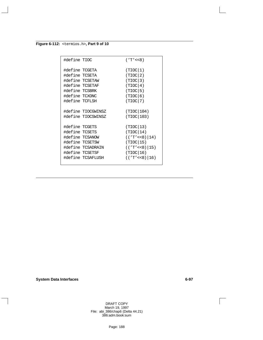**Figure 6-112:** <termios.h>, Part 9 of 10

| #define TIOC                                                                           |                                                                                                 | ('T'<<8)                                                                                            |
|----------------------------------------------------------------------------------------|-------------------------------------------------------------------------------------------------|-----------------------------------------------------------------------------------------------------|
| #define TCGETA<br>#define TCSETA<br>#define TCSBRK<br>#define TCXONC<br>#define TCFLSH | #define TCSETAW<br>#define TCSETAF                                                              | (TIOC 1)<br>(TIOC 2)<br>(TIOC 3)<br>(TIOC   4)<br>(TIOC   5)<br>(TIOC 6)<br>(TIOC   7)              |
|                                                                                        | #define TIOCGWINSZ<br>#define TIOCSWINSZ                                                        | (TIOC 104)<br>(TIOC   103)                                                                          |
| #define TCGETS<br>#define TCSETS                                                       | #define TCSANOW<br>#define TCSETSW<br>#define TCSADRAIN<br>#define TCSETSF<br>#define TCSAFLUSH | (TIOC 13)<br>(TIOC 14)<br>((T<<8)   14)<br>(TIOC 15)<br>((T<<8)   15)<br>(TIOC 16)<br>((T<<8)   16) |

**System Data Interfaces** 6-97

DRAFT COPY March 19, 1997 File: abi\_386/chap6 (Delta 44.21)

386:adm.book:sum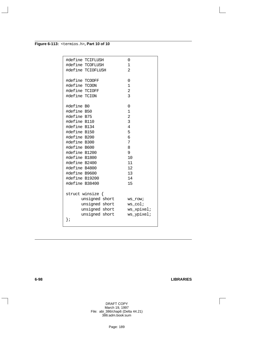# **Figure 6-113:** <termios.h>, Part 10 of 10

| #define TCIFLUSH  | 0              |
|-------------------|----------------|
| #define TCOFLUSH  | $\mathbf{1}$   |
| #define TCIOFLUSH | $\overline{2}$ |
|                   |                |
| #define TCOOFF    | 0              |
| #define TCOON     | $\mathbf{1}$   |
| #define TCIOFF    | $\overline{2}$ |
| #define TCION     | 3              |
|                   |                |
| #define B0        | 0              |
| #define B50       | $\mathbf{1}$   |
| #define B75       | 2              |
| #define B110      | 3              |
| #define B134      | $\overline{4}$ |
| #define B150      | 5              |
| #define B200      | 6              |
| #define B300      | 7              |
| #define B600      | 8              |
| #define B1200     | 9              |
| #define B1800     | 10             |
| #define B2400     | 11             |
| #define B4800     | 12             |
| #define B9600     | 13             |
| #define B19200    | 14             |
| #define B38400    | 15             |
|                   |                |
| struct winsize {  |                |
| unsigned short    | WS row;        |
| unsigned short    | ws_col;        |
| unsigned short    | ws xpixel;     |
| unsigned short    | ws ypixel;     |
| $\}$ ;            |                |
|                   |                |

**6-98 LIBRARIES**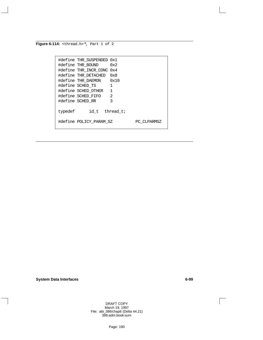**Figure 6-114:** <thread.h>\*, Part 1 of 2

```
#define THR_SUSPENDED 0x1
#define THR_BOUND 0x2
#define THR_INCR_CONC 0x4
#define THR_DETACHED 0x8
# d e f i n e T H R _ D A E M O N 0 x 1 0
#define SCHED_TS 1
#define SCHED_OTHER 1
#define SCHED_FIFO 2
#define SCHED_RR 3
typedef id_t thread_t;
#define POLICY_PARAM_SZ PC_CLPARMSZ
```
**System Data Interfaces** 6-99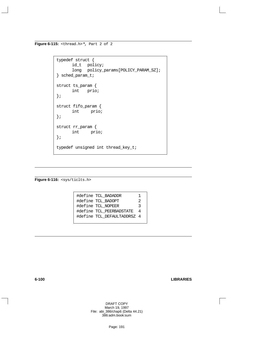**Figure 6-115:** <thread.h>\*, Part 2 of 2

```
typedef struct {
      id_t policy;
      long policy_params[POLICY_PARAM_SZ];
} sched_param_t;
struct ts_param {
      int prio;
} ;
struct fifo_param {
      int prio;
} ;
struct rr_param {<br>int pri
           prio;
} ;
typedef unsigned int thread_key_t;
```
**Figure 6-116:** <sys/ticlts.h>

| #define TCL BADADDR         | 1.            |
|-----------------------------|---------------|
| #define TCL BADOPT          | 2             |
| #define TCL NOPEER          | $\mathcal{R}$ |
| #define TCL PEERBADSTATE    | 4             |
| #define TCL DEFAULTADDRSZ 4 |               |
|                             |               |

**6-100 LIBRARIES**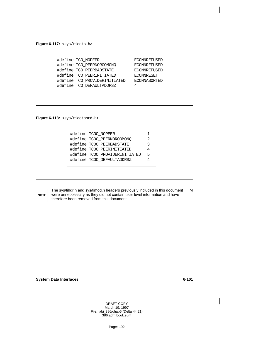Figure 6-117: <sys/ticots.h>

| #define TCO_NOPEER            | <b>ECONNREFUSED</b> |
|-------------------------------|---------------------|
| #define TCO_PEERNOROOMONQ     | <b>ECONNREFUSED</b> |
| #define TCO PEERBADSTATE      | <b>ECONNREFUSED</b> |
| #define TCO PEERINITIATED     | <b>ECONNRESET</b>   |
| #define TCO PROVIDERINITIATED | <b>ECONNABORTED</b> |
| #define TCO DEFAULTADDRSZ     |                     |
|                               |                     |

Figure 6-118: <sys/ticotsord.h>

|  | #define TCOO_NOPEER            | 1 |
|--|--------------------------------|---|
|  | #define TCOO PEERNOROOMONO     | 2 |
|  | #define TCOO PEERBADSTATE      | 3 |
|  | #define TCOO PEERINITIATED     | 4 |
|  | #define TCOO_PROVIDERINITIATED | 5 |
|  | #define TCOO DEFAULTADDRSZ     |   |
|  |                                |   |

**NOTE**

The sys/tihdr.h and sys/timod.h headers previously included in this document M were unneccessary as they did not contain user level information and have therefore been removed from this document.

**System Data Interfaces** 6-101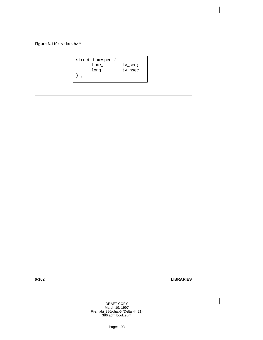**Figure 6-119:** <time.h>\*

| struct timespec { |          |
|-------------------|----------|
| time t            | tv sec;  |
| long              | tv nsec; |
| $\ddot{i}$        |          |
|                   |          |

**6-102 LIBRARIES**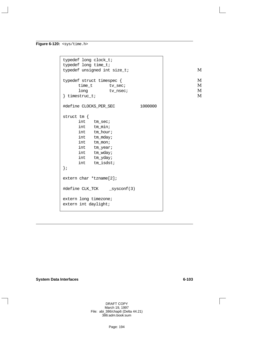**Figure 6-120:** <sys/time.h>

```
typedef long clock_t;
typedef long time_t;type def unsigned int size_t; Mtypedef struct timespec { M
    time_t tv_sec; M
    long \t\t tv\_nsec; M\} timestruc_t; M
# define CLOCKS_PER_SEC 1000000
struct tm \{int tm\_sec;
    int tm_min;
    int tm_hour;
    int tm_mday;
    int tm_mon;
    int tm_year;
    int tm_wday;
    int tm_yday;
    int tm<sub>isdst;</sub>
} ;
extern char *t zname[2];
#define CLK_TCK ___ sysconf(3)
extern long timezone;
extern int daylight;
```
**System Data Interfaces** 6-103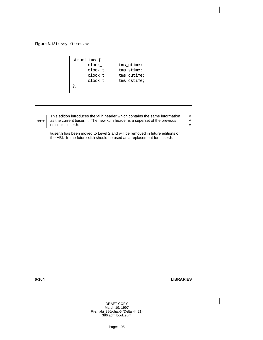**Figure 6-121:** <sys/times.h>

| struct tms { |               |
|--------------|---------------|
| clock t      | tms utime;    |
| clock t      | tms stime;    |
| clock t      | $tms$ cutime; |
| clock t      | tms cstime;   |
| ; {          |               |
|              |               |



This edition introduces the xti.h header which contains the same information M as the current tiuser.h. The new xti.h header is a superset of the previous M as the current tiuser.h. The new xti.h header is a superset of the previous M<br>M edition's tiuser.h.

tiuser.h has been moved to Level 2 and will be removed in future editions of the ABI. In the future xti.h should be used as a replacement for tiuser.h.

**6-104 LIBRARIES**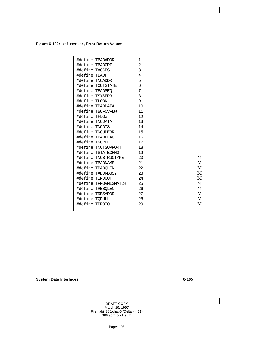### Figure 6-122: <tiuser.h>, Error Return Values

|                | #define TBADADDR         | 1              |   |
|----------------|--------------------------|----------------|---|
|                | #define TBADOPT          | $\overline{a}$ |   |
| #define TACCES |                          | 3              |   |
| #define TBADF  |                          | 4              |   |
|                | #define TNOADDR          | 5              |   |
|                | #define TOUTSTATE        | б.             |   |
|                | #define TBADSEO          | 7              |   |
|                | #define TSYSERR          | 8              |   |
| #define TLOOK  |                          | 9              |   |
|                | #define TBADDATA         | 10             |   |
|                | #define TBUFOVFLW        | 11             |   |
| #define TFLOW  |                          | 12             |   |
|                | #define TNODATA          | 13             |   |
|                | #define TNODIS           | 14             |   |
|                | #define TNOUDERR         | 15             |   |
|                | #define TBADFLAG         | 16             |   |
| #define TNOREL |                          | 17             |   |
|                | #define TNOTSUPPORT      | 18             |   |
|                | #define TSTATECHNG       | 19             |   |
|                | #define TNOSTRUCTYPE 20  |                | M |
|                | #define TBADNAME         | 21             | M |
|                | #define TBADOLEN         | 22             | M |
|                | #define TADDRBUSY        | 23             | M |
|                | #define TINDOUT          | 24             | M |
|                | #define TPROVMISMATCH 25 |                | M |
|                | #define TRESQLEN         | 26             | M |
|                | #define TRESADDR         | 27             | M |
|                | #define TQFULL           | 28             | M |
| #define TPROTO |                          | 29             | M |
|                |                          |                |   |

**System Data Interfaces** 6-105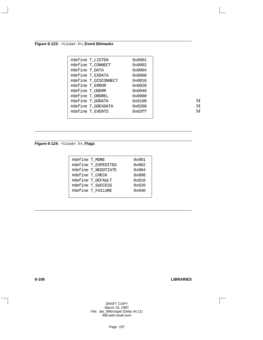# **Figure 6-123: <tiuser.h>, Event Bitmasks**

|                | #define T LISTEN     | 0x0001          |
|----------------|----------------------|-----------------|
|                | #define T CONNECT    | $0 \times 0002$ |
| #define T DATA |                      | $0 \times 0004$ |
|                | #define T_EXDATA     | $0 \times 0008$ |
|                | #define T_DISCONNECT | $0 \times 0010$ |
|                | #define T ERROR      | $0 \times 0020$ |
|                | #define T_UDERR      | 0x0040          |
|                | #define T ORDREL     | 0x0080          |
|                | #define T GODATA     | 0x0100          |
|                | #define T_GOEXDATA   | $0 \times 0200$ |
|                | #define T EVENTS     | 0x03ff          |
|                |                      |                 |

**Figure 6-124:** <tiuser.h>, Flags

| #define T MORE |                     | 0x001          |
|----------------|---------------------|----------------|
|                | #define T EXPEDITED | $0 \times 002$ |
|                | #define T NEGOTIATE | 0x004          |
|                | #define T CHECK     | $0 \times 008$ |
|                | #define T DEFAULT   | 0x010          |
|                | #define T SUCCESS   | 0x020          |
|                | #define T FAILURE   | $0 \times 040$ |
|                |                     |                |

**6-106 LIBRARIES**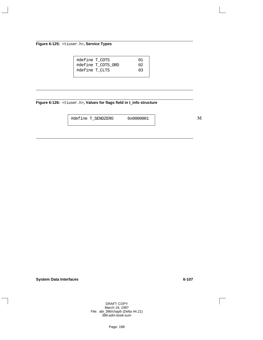## Figure 6-125: <tiuser.h>, Service Types

| #define T COTS     | 01             |  |
|--------------------|----------------|--|
| #define T COTS ORD | O <sub>2</sub> |  |
| #define T CLTS     | በ3             |  |

## **Figure 6-126:** <tiuser.h>, Values for flags field in t\_info structure

 $\# \text{define } T\_ \text{SEM}$   $\text{CERO}$  0x0000001 | M

**System Data Interfaces** 6-107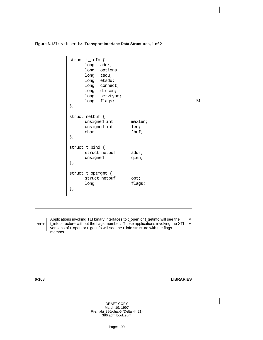Figure 6-127: <tiuser.h>, Transport Interface Data Structures, 1 of 2

| struct t_info {<br>$\}$ ;                   | long addr;<br>long options;<br>long tsdu;<br>long etsdu;<br>long connect;<br>long discon;<br>long servtype;<br>long flags; |                            | M |
|---------------------------------------------|----------------------------------------------------------------------------------------------------------------------------|----------------------------|---|
| struct netbuf {<br>char<br>$\}$ ;           | unsigned int<br>unsigned int                                                                                               | maxlen<br>len:<br>$*$ buf; |   |
| struct t_bind {<br>unsigned<br>$\}$ ;       | struct netbuf                                                                                                              | addr;<br>qlen;             |   |
| struct t_optmgmt {<br>long<br>$\vert \cdot$ | struct netbuf                                                                                                              | opti<br>flags:             |   |



Applications invoking TLI binary interfaces to t\_open or t\_getinfo will see the M t info structure without the flags member. Those applications invoking the XTI M versions of t\_open or t\_getinfo will see the t\_info structure with the flags member.

**6-108 LIBRARIES**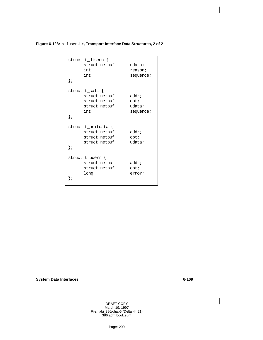Figure 6-128: <tiuser.h>, Transport Interface Data Structures, 2 of 2

| } ;    | struct t_discon {<br>struct netbuf<br>int<br>int                             | udata;<br>reason;<br>sequence;       |
|--------|------------------------------------------------------------------------------|--------------------------------------|
| $\}$ ; | struct $t$ _call {<br>struct netbuf<br>struct netbuf<br>struct netbuf<br>int | addr;<br>opti<br>udata:<br>sequence; |
| } ;    | struct t_unitdata {<br>struct netbuf<br>struct netbuf<br>struct netbuf       | addr;<br>opti<br>udata;              |
|        | struct t_uderr {<br>struct netbuf<br>struct netbuf<br>long                   | addr;<br>opt;<br>error;              |

**System Data Interfaces** 6-109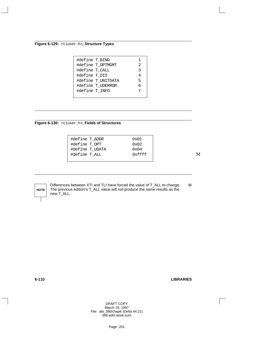**Figure 6-129: <tiuser.h>, Structure Types** 

| #define T BIND     | ı  |
|--------------------|----|
| #define T OPTMGMT  | 2. |
| #define T CALL     | ર  |
| #define T DIS      |    |
| #define T_UNITDATA | 5  |
| #define T UDERROR  |    |
| #define T INFO     |    |
|                    |    |

**Figure 6-130: <tiuser.h>, Fields of Structures** 

| #define T ADDR  | 0x01          |
|-----------------|---------------|
| #define T OPT   | $0 \times 02$ |
| #define T UDATA | $0 \times 04$ |
| #define T ALL   | 0xffff        |
|                 |               |

**NOTE**

Differences between XTI and TLI have forced the value of T\_ALL to change. M The previous edition's T\_ALL value will not produce the same results as the new T\_ALL.

**6-110 LIBRARIES**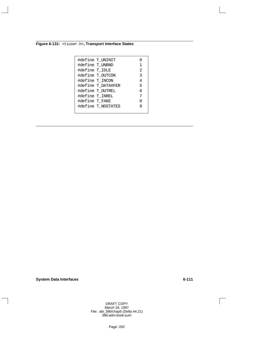## **Figure 6-131: <tiuser.h>, Transport Interface States**

|                | #define T UNINIT   |   |
|----------------|--------------------|---|
|                | #define T_UNBND    |   |
| #define T_IDLE |                    | 2 |
|                | #define T OUTCON   | ર |
|                | #define T INCON    | 4 |
|                | #define T_DATAXFER | 5 |
|                | #define T OUTREL   |   |
|                | #define T INREL    | 7 |
| #define T FAKE |                    | R |
|                | #define T NOSTATES |   |
|                |                    |   |

**System Data Interfaces** 6-111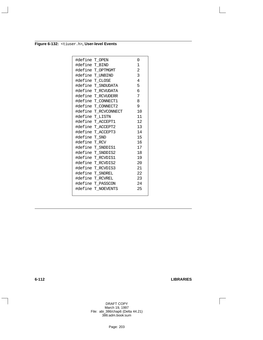# Figure 6-132: <tiuser.h>, User-level Events

| #define T_OPEN |                      | 0   |
|----------------|----------------------|-----|
| #define T_BIND |                      | 1   |
|                | #define T OPTMGMT    | 2   |
|                | #define T UNBIND     | 3   |
|                | #define T_CLOSE      | 4   |
|                | #define T SNDUDATA   | 5   |
|                | #define T RCVUDATA   | 6   |
|                | #define T RCVUDERR   | 7   |
|                | #define T CONNECT1   | 8   |
|                | #define T CONNECT2   | 9   |
|                | #define T RCVCONNECT | 10  |
|                | #define T LISTN      | 11  |
|                | #define T ACCEPT1    | 12  |
|                | #define T_ACCEPT2    | 13  |
|                | #define T ACCEPT3    | 14  |
| #define T SND  |                      | 15  |
| #define T RCV  |                      | 16  |
|                | #define T SNDDIS1    | 17  |
|                | #define T SNDDIS2    | 18  |
|                | #define T RCVDIS1    | 19  |
|                | #define T RCVDIS2    | 20  |
|                | #define T RCVDIS3    | 21  |
|                | #define T SNDREL     | 22  |
|                | #define T RCVREL     | 23  |
|                | #define T_PASSCON    | 2.4 |
|                | #define T NOEVENTS   | 25  |
|                |                      |     |

**6-112 LIBRARIES**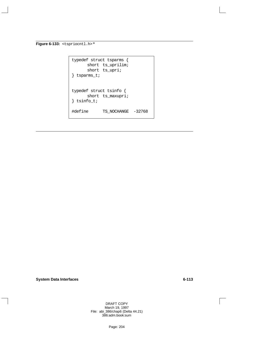**Figure 6-133:** <tspriocntl.h>\*

```
typedef struct tsparms {
      short ts_uprilim;
      short\_ts, \_upri ;
} tsparms_t;
typedef struct tsinfo {
      short ts_maxupri;
} t \sin f \circ _t t;
#define TS_NOCHANGE -32768
```
**System Data Interfaces** 6-113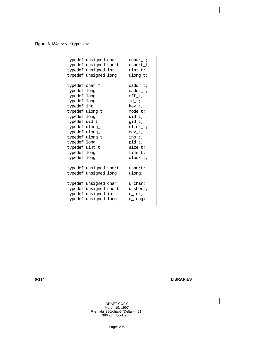**Figure 6-134:** <sys/types.h>

|                                                                                                                                                                                  | typedef unsigned char<br>typedef unsigned short<br>typedef unsigned int<br>typedef unsigned long                                                    | uchar t;<br>ushort_t;<br>uint t;<br>ulong t;                                                                                                                    |
|----------------------------------------------------------------------------------------------------------------------------------------------------------------------------------|-----------------------------------------------------------------------------------------------------------------------------------------------------|-----------------------------------------------------------------------------------------------------------------------------------------------------------------|
| typedef char *<br>typedef long<br>typedef long<br>typedef long<br>typedef int<br>typedef long<br>typedef uid t<br>typedef long<br>typedef uint t<br>typedef long<br>typedef long | typedef ulong t<br>typedef ulong_t<br>typedef ulong t<br>typedef ulong_t                                                                            | caddr t;<br>daddr t;<br>off t;<br>id t;<br>key_t;<br>mode $t$ ;<br>uid t;<br>gid_t;<br>nlink t;<br>dev t;<br>ino_t;<br>pid_t;<br>size_t;<br>time t;<br>clock t; |
|                                                                                                                                                                                  | typedef unsigned short<br>typedef unsigned long<br>typedef unsigned char<br>typedef unsigned short<br>typedef unsigned int<br>typedef unsigned long | ushort;<br>ulong;<br>u char;<br>u short;<br>u_int;<br>u long;                                                                                                   |

**6-114 LIBRARIES**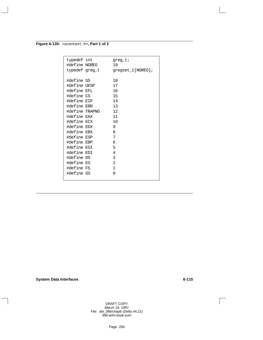**Figure 6-135:** <ucontext.h>, Part 1 of 2

| typedef int    | greg_t;           |
|----------------|-------------------|
| #define NGREG  | 19                |
| typedef greg_t | gregset_t[NGREG]; |
|                |                   |
| #define SS     | 18                |
| #define UESP   | 17                |
| #define EFL    | 16                |
| #define CS     | 15                |
| #define EIP    | 14                |
| #define ERR    | 13                |
| #define TRAPNO | 12                |
| #define EAX    | 11                |
| #define ECX    | 10                |
| #define EDX    | 9                 |
| #define EBX    | 8                 |
| #define ESP    | 7                 |
| #define EBP    | 6                 |
| #define ESI    | 5                 |
| #define EDI    | 4                 |
| #define DS     | 3                 |
| #define ES     | 2                 |
| #define FS     | $\mathbf{1}$      |
| #define GS     | U                 |
|                |                   |

**System Data Interfaces** 6-115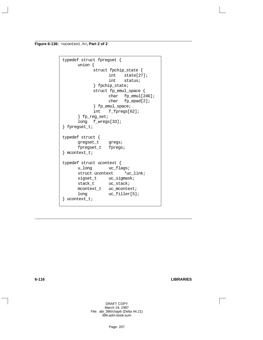**Figure 6-136:** <ucontext.h>, Part 2 of 2

```
typedef struct fpregset {
      union \{struct fpchip_state {
                   int state[27];
                   int status;
             \} fpchip_state;
             struct fp_emul_space {
                   char fp_emul[246];
                   char fp\_epad[2];
             } fp_emul_space;
             int f_fpregs[62];
      \} fp_reg_set;
      long f_wregs[33];
\} fpregset_t;
typedef struct {
      gregset_t gregs;
      fpregset_t fpregs;
} m context_t;
typedef struct ucontext {
      u_long uc_flags;
      struct ucontext *uc link;
      sigset_t uc_sigmask;
      stack_t uc_stack;
      m c \text{context} t \text{uc}_m context;
      l o n g u c _ f i l l e r [ 5 ] ;
} ucontext_t;
```
**6-116 LIBRARIES**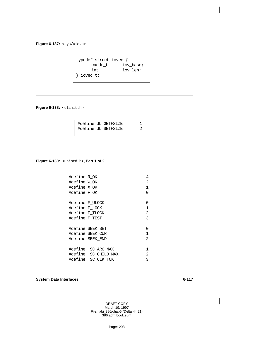**Figure 6-137:** <sys/uio.h>

| typedef struct iovec { |           |
|------------------------|-----------|
| caddr t                | iov base; |
| int                    | iov len;  |
| } iovec_t;             |           |

**Figure 6-138:** <ulimit.h>

| #define UL GETFSIZE |   |
|---------------------|---|
| #define UL SETFSIZE | 2 |

**Figure 6-139:** <unistd.h>, Part 1 of 2

| #define R OK   |                       | 4              |
|----------------|-----------------------|----------------|
| #define W OK   |                       | $\overline{2}$ |
| #define X OK   |                       | 1              |
| #define F OK   |                       | 0              |
|                |                       |                |
|                | #define F ULOCK       | 0              |
| #define F LOCK |                       | $\mathbf{1}$   |
|                | #define F TLOCK       | $\overline{2}$ |
| #define F TEST |                       | 3              |
|                |                       |                |
|                | #define SEEK_SET      | 0              |
|                | #define SEEK CUR      | $\mathbf{1}$   |
|                | #define SEEK END      | 2              |
|                |                       |                |
|                | #define SC ARG MAX    | 1              |
|                | #define _SC_CHILD_MAX | 2              |
|                | #define SC CLK TCK    | 3              |

**System Data Interfaces** 6-117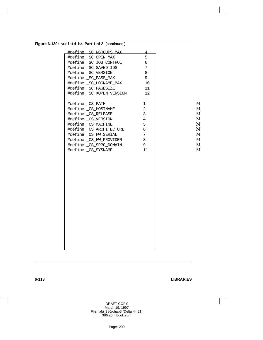# **Figure 6-139:** <unistd.h>, Part 1 of 2 (continued)

| #define SC NGROUPS MAX   | 4              |
|--------------------------|----------------|
| #define SC OPEN MAX      | 5              |
| #define SC JOB CONTROL   | 6              |
| #define SC SAVED IDS     | 7              |
| #define SC VERSION       | 8              |
| #define SC PASS MAX      | 9              |
| #define _SC_LOGNAME_MAX  | 10             |
| #define SC PAGESIZE      | 11             |
| #define SC XOPEN VERSION | 12             |
|                          |                |
| #define CS PATH          | 1              |
| #define CS_HOSTNAME      | $\overline{2}$ |
| #define CS RELEASE       | 3              |
| #define CS VERSION       | 4              |
| #define CS MACHINE       | 5              |
| #define CS ARCHITECTURE  | 6              |
| #define _CS_HW_SERIAL    | 7              |
| #define CS HW PROVIDER   | 8              |
| #define CS SRPC DOMAIN   | 9              |
| #define CS SYSNAME       | 11             |
|                          |                |
|                          |                |

**6-118 LIBRARIES**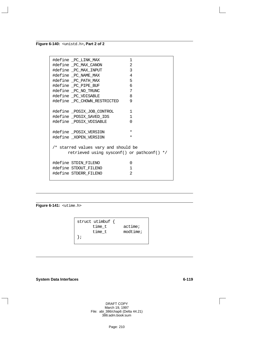**Figure 6-140:** <unistd.h>, Part 2 of 2

| #define PC LINK MAX                          | 1              |  |  |
|----------------------------------------------|----------------|--|--|
| #define PC MAX CANON                         | 2              |  |  |
| #define PC MAX INPUT                         | 3              |  |  |
| #define PC NAME MAX                          | 4              |  |  |
| #define PC PATH MAX                          | 5              |  |  |
| #define PC PIPE BUF                          | 6              |  |  |
| #define PC NO TRUNC                          | 7              |  |  |
| #define PC VDISABLE                          | 8              |  |  |
| #define PC CHOWN RESTRICTED                  | 9              |  |  |
|                                              |                |  |  |
| #define POSIX JOB CONTROL                    | 1              |  |  |
| #define POSIX SAVED IDS                      | 1              |  |  |
| #define POSIX VDISABLE                       | 0              |  |  |
|                                              |                |  |  |
| #define POSIX VERSION                        | $\star$        |  |  |
| #define XOPEN VERSION                        | $\star$        |  |  |
|                                              |                |  |  |
| /* starred values vary and should be         |                |  |  |
| retrieved using sysconf() or pathconf() $*/$ |                |  |  |
|                                              |                |  |  |
| #define STDIN_FILENO                         | 0              |  |  |
| #define STDOUT FILENO                        | 1              |  |  |
| #define STDERR_FILENO                        | $\mathfrak{D}$ |  |  |
|                                              |                |  |  |

**Figure 6-141:** <utime.h>

| struct utimbuf { |             |
|------------------|-------------|
| time t           | active      |
| time t           | $modtime$ ; |
| ł;               |             |
|                  |             |

**System Data Interfaces** 6-119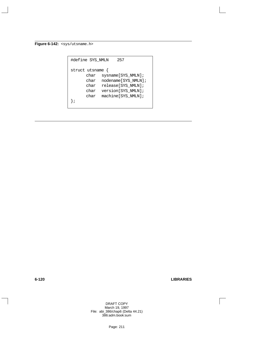Figure 6-142: <sys/utsname.h>

**6-120 LIBRARIES**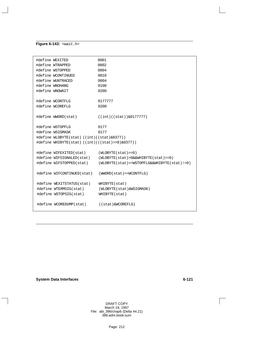**Figure 6-143: <wait.h>** 

```
#define WEXITED 0001
#define WTRAPPED 0002
#define WSTOPPED 0004
#define WCONTINUED 0010
#define WUNTRACED 0004
#define WNOHANG 0100
# define WNOWAIT 0200
#define WCONTFLG 0177777
#define WCOREFLG 0200
\#define WWORD(stat) ((int)((stat)) \&0177777)#define WSTOPFLG 0177
#define WSIGMASK 0177
\#define WLOBYTE(stat) ((int)((stat)&0377))
#define WHIBYTE(stat) ((int)(((stat)>>8)&0377))
\#define \hspace{1.5em} \texttt{WIFEXITED}(\texttt{stat}) \hspace{1.5em} (\texttt{WLOBYTE}(\texttt{stat}) == 0)#define WIFSIGNALED(stat) (WLOBYTE(stat)>0&&WHIBYTE(stat) == 0)
#define WIFSTOPPED(stat) (WLOBYTE(stat) ==WSTOPFLG&&WHIBYTE(stat)!=0)
#define WIFCONTINUED(stat) (WWORD(stat) ==WCONTFLG)
#define WEXITSTATUS(stat) WHIBYTE(stat)
#define WTERMSIG(stat) (WLOBYTE(stat)&WSIGMASK)
#define WSTOPSIG(stat) WHIBYTE(stat)
#define WCOREDUMP(stat) ((stat)&WCOREFLG)
```
**System Data Interfaces** 6-121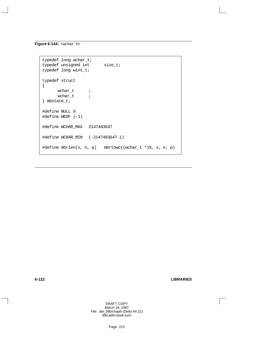**Figure 6-144:** <wchar.h>

```
typedef long wchar_t;
typedef unsigned int size_t;
typedef long wint_t;
typedef struct
{
     wchar_t ;
     wchar_t ;
} mbstate_t;
#define NULL 0
#define W EOF (-1)#define WCHAR_MAX 2147483647
#define WCHAR_MIN (-2147483647-1)
#define mbrlen(x, n, p) mbrtowc((wchar_t *)0, x, n, p)
```
**6-122 LIBRARIES**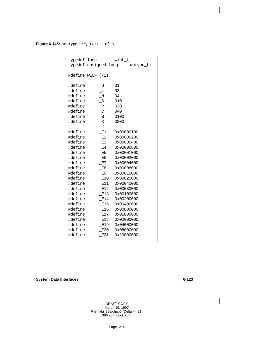**Figure 6-145:** <wctype.h>\*, Part 1 of 3

| typedef long       | typedef unsigned long | wint $t$ ; | wctype_t;                |
|--------------------|-----------------------|------------|--------------------------|
|                    | #define WEOF (-1)     |            |                          |
| #define<br>#define | U<br>L                | 01<br>02   |                          |
| #define            | N                     | 04         |                          |
| #define            | - S                   | 010        |                          |
| #define            | $\mathbf{P}$          | 020        |                          |
| #define            | $\mathbf C$           | 040        |                          |
| #define            | $\overline{B}$        | 0100       |                          |
| #define            | X                     | 0200       |                          |
| #define            | Е1                    |            | 0x00000100               |
| #define            | E2                    |            | 0x00000200               |
| #define            | E3                    |            | 0x00000400               |
| #define            | E4                    |            | 0x00000800               |
| #define            | E <sub>5</sub>        |            | 0x00001000               |
| #define            | E6                    |            | 0x00002000               |
| #define            | E7                    |            | 0x00004000               |
| #define            | E8                    |            | 0x00008000               |
| #define            | E9                    |            | 0x00010000               |
| #define            | E10                   |            | 0x00020000               |
| #define            | <b>E11</b>            |            | 0x00040000               |
| #define            | E12                   |            | 0x00080000               |
| #define            | E13                   |            | 0x00100000               |
| #define            | E14                   |            | 0x00200000               |
| #define            | <b>E15</b>            |            | 0x00400000               |
| #define            | E16                   |            | 0x00800000               |
| #define            | E17                   |            | 0x01000000               |
| #define            | E18                   |            | 0x02000000               |
| #define            | E19                   |            | 0x04000000               |
| #define<br>#define | E20                   |            | 0x08000000<br>0x10000000 |
|                    | E21                   |            |                          |

**System Data Interfaces** 6-123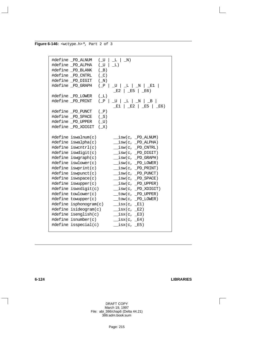**Figure 6-146:** <wctype.h>\*, Part 2 of 3

| #define _PD_ALNUM      |                                       | $(\underline{U}   \underline{L}   \underline{N})$                                                            |
|------------------------|---------------------------------------|--------------------------------------------------------------------------------------------------------------|
| #define _PD_ALPHA      | $(\begin{array}{c c} U & \end{array}$ |                                                                                                              |
| #define _PD_BLANK      | (B)                                   |                                                                                                              |
| #define _PD_CNTRL      | $(\_C)$                               |                                                                                                              |
| #define _PD_DIGIT      | (N)                                   |                                                                                                              |
| #define _PD_GRAPH      |                                       | $(\mathbb{P}   \mathbb{U}   \mathbb{L}   \mathbb{N}   \mathbb{E}1)$<br>$-E2$   $-E5$   $-E6$ )               |
| #define PD LOWER       | (L)                                   |                                                                                                              |
| #define PD PRINT       | (P <sub>1</sub> )                     | $\begin{array}{c c c c c c c} \hline U & L & L & L \\ \hline \end{array}$<br>$-E1$   $-E2$   $-E5$   $-E6$ ) |
| #define _PD_PUNCT      | $(\mathbb{P})$                        |                                                                                                              |
| #define _PD_SPACE      | (S)                                   |                                                                                                              |
| #define _PD_UPPER      | $(U_$                                 |                                                                                                              |
| #define _PD_XDIGIT     | (X)                                   |                                                                                                              |
|                        |                                       |                                                                                                              |
| #define iswalnum(c)    |                                       | $\text{isw}(c, \text{PD}\_\text{ALNUM})$                                                                     |
| #define iswalpha(c)    |                                       | $\text{isw}(c, \text{PD} \text{ALPHA})$                                                                      |
| #define iswontrl(c)    |                                       | $\text{isw}(c, \text{PD} \text{CNTRL})$                                                                      |
| #define iswdigit(c)    |                                       | $\text{isw}(c, \text{PD\_DIST})$                                                                             |
| #define iswgraph(c)    |                                       | $\text{isw}(c, \text{PD} \text{GRAPH})$                                                                      |
| #define iswlower(c)    |                                       | $\text{isw}(c, \text{PD} \text{LOWER})$                                                                      |
| #define iswprint(c)    |                                       | $\text{isw}(c, \text{PD} \text{PRINT})$                                                                      |
| #define iswpunct(c)    |                                       | $\text{isw}(c, \text{PD}$ PUNCT)                                                                             |
| #define iswspace(c)    |                                       | $\text{isw}(c, \text{PD} \text{SPACE})$                                                                      |
| #define iswupper(c)    |                                       | $\text{isw}(c, \text{PD}_{\text{UPPER}})$                                                                    |
| #define iswxdigit(c)   |                                       | __isw(c, _PD_XDIGIT)                                                                                         |
| #define towlower(c)    |                                       | $_trow(c, P D_UPPER)$                                                                                        |
| #define towupper(c)    |                                       | $\text{\_tow}(c, \text{\_PD\_LOWER})$                                                                        |
| #define isphonogram(c) |                                       | isx(c, E1)                                                                                                   |
| #define isideogram(c)  |                                       | $\text{isx}(c, \text{E2})$                                                                                   |
| #define isenglish(c)   |                                       | $\text{isx}(c, \text{E3})$                                                                                   |
| #define isnumber(c)    |                                       | $\text{isx}(c, \text{E4})$                                                                                   |
| #define isspecial(c)   |                                       | $\text{isx}(c, \text{ }E5)$                                                                                  |
|                        |                                       |                                                                                                              |

**6-124 LIBRARIES**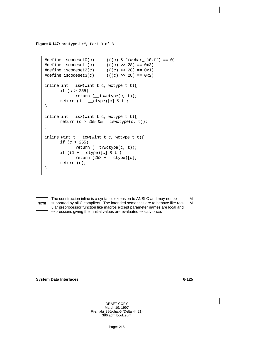**Figure 6-147:** <wctype.h>\*, Part 3 of 3

```
# define is codeset 0(c) (((c) \& \tilde{\ } (w char t) 0x f f) = = 0)
# define is codeset 1(c) ((c) >> 28) == 0x3)#define is codeset 2(c) (((c) >> 28) == 0x1)
#define is codeset 3(c) (((c) >> 28) == 0x2)
inline int __isw(wint_t c, wctype_t t){
        if (c > 255)return (\text{iswctype}(c, t)) ;
        return (1 + \underline{\hspace{1cm}} ctype)[c] & t ;
}
in line int _{\text{isx}(\text{wint}\_\text{t} c, \text{wctype}\_\text{t} t)}return (c > 255 & \leq _iswctype(c, t));
}
in line wint_t __tow(wint_t c, wctype_t t) {
        if (c > 255)return (\text{trwctype}(c, t)) ;
        if ((1 + \text{ctype})[c] \& t)return (258 + \text{\textcircled{1}} t y p e) [c];
        return (c);
}
```
**NOTE**

The construction inline is a syntactic extension to ANSI C and may not be M<br>supported by all C compilers. The intended semantics are to behave like reg- M supported by all C compilers. The intended semantics are to behave like regular preprocessor function like macros except parameter names are local and expressions giving their initial values are evaluated exactly once.

**System Data Interfaces** 6-125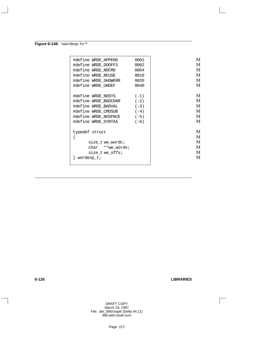**Figure 6-148:** <wordexp.h>\*

| #define WRDE APPEND           | 0001   | М |
|-------------------------------|--------|---|
| #define WRDE DOOFFS           | 0002   | M |
| #define WRDE NOCMD            | 0004   | M |
| #define WRDE REUSE            | 0010   | М |
| #define WRDE SHOWERR          | 0020   | M |
| #define WRDE UNDEF            | 0040   | M |
|                               |        |   |
| #define WRDE NOSYS            | $(-1)$ | M |
| #define WRDE BADCHAR (-2)     |        | M |
| #define WRDE BADVAL (-3)      |        | М |
| $\#define$ WRDE CMDSUB $(-4)$ |        | M |
| #define WRDE NOSPACE (-5)     |        | M |
| #define WRDE SYNTAX           | $(-6)$ | M |
| typedef struct                |        | M |
|                               |        | M |
| size t we wordc;              |        | M |
| char<br>**we wordv;           |        | М |
| size twe offs;                |        | M |
| wordexp t;                    |        | M |
|                               |        |   |
|                               |        |   |

**6-126 LIBRARIES**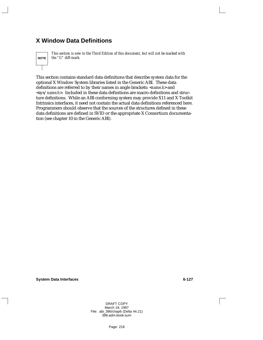# **X Window Data Definitions**

**NOTE**

*This section is new to the Third Edition of this document, but will not be marked with the "G" diff-mark*.

This section contains standard data definitions that describe system data for the optional X Window System libraries listed in the Generic ABI. These data definitions are referred to by their names in angle brackets: <*name.h*> and <sys/*name.h*>. Included in these data definitions are macro definitions and structure definitions. While an ABI-conforming system may provide X11 and X Toolkit Intrinsics interfaces, it need not contain the actual data definitions referenced here. Programmers should observe that the sources of the structures defined in these data definitions are defined in SVID or the appropriate X Consortium documentation (see chapter 10 in the Generic ABI).

**System Data Interfaces** 6-127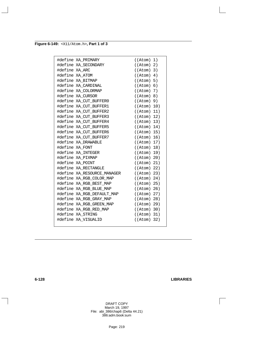**Figure 6-149:** <x11/Atom.h>, Part 1 of 3

|                | #define XA PRIMARY          | (Atom) 1)    |     |
|----------------|-----------------------------|--------------|-----|
|                | #define XA SECONDARY        | (Atom) 2)    |     |
| #define XA ARC |                             | ( (Atom) 3)  |     |
|                | #define XA ATOM             | (Atom) 4)    |     |
|                | #define XA BITMAP           | $(Atom)$ 5)  |     |
|                | #define XA_CARDINAL         | $(Atom)$ 6)  |     |
|                | #define XA COLORMAP         | ( (Atom) 7)  |     |
|                | #define XA CURSOR           | ( (Atom) 8)  |     |
|                | #define XA_CUT_BUFFER0      | ( (Atom) 9)  |     |
|                | #define XA_CUT_BUFFER1      | (Atom) 10)   |     |
|                | #define XA CUT BUFFER2      | (Atom) 11)   |     |
|                | #define XA_CUT_BUFFER3      | (Atom) 12)   |     |
|                | #define XA_CUT_BUFFER4      | (Atom) 13)   |     |
|                | #define XA_CUT_BUFFER5      | (Atom) 14)   |     |
|                | #define XA_CUT_BUFFER6      | $(Atom)$ 15) |     |
|                | #define XA_CUT_BUFFER7      | (Atom) 16)   |     |
|                | #define XA_DRAWABLE         | (Atom) 17)   |     |
|                | #define XA FONT             | $(Atom)$ 18) |     |
|                | #define XA INTEGER          | (Atom) 19)   |     |
|                | #define XA_PIXMAP           | $(Atom)$ 20) |     |
|                | #define XA POINT            | (Atom) 21)   |     |
|                | #define XA RECTANGLE        | (Atom) 22)   |     |
|                | #define XA_RESOURCE_MANAGER | ( (Atom) 23) |     |
|                | #define XA RGB COLOR MAP    | (Atom) 24)   |     |
|                | #define XA RGB BEST MAP     | ((Atom)      | 25) |
|                | #define XA RGB BLUE MAP     | $(Atom)$ 26) |     |
|                | #define XA_RGB_DEFAULT_MAP  | ( (Atom) 27) |     |
|                | #define XA_RGB_GRAY_MAP     | (Atom) 28)   |     |
|                | #define XA RGB GREEN MAP    | $(Atom)$ 29) |     |
|                | #define XA_RGB_RED_MAP      | $(Atom)$ 30) |     |
|                | #define XA_STRING           | $(Atom)$ 31) |     |
|                | #define XA VISUALID         | ((Atom)      | 32) |
|                |                             |              |     |

**6-128 LIBRARIES**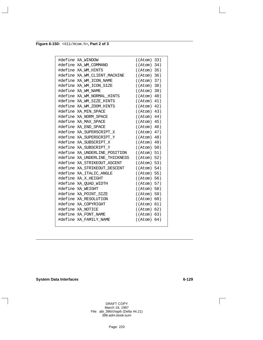## **Figure 6-150:** <x11/Atom.h>, Part 2 of 3

| #define XA WINDOW              | ( (Atom) 33) |     |
|--------------------------------|--------------|-----|
| #define XA WM COMMAND          | ((Atom)      | 34) |
| #define XA WM HINTS            | ((Atom)      | 35) |
| #define XA WM CLIENT MACHINE   | ((Atom)      | 36) |
| #define XA_WM_ICON_NAME        | ((Atom)      | 37) |
| #define XA WM ICON SIZE        | ((Atom)      | 38) |
| #define XA_WM_NAME             | ((Atom)      | 39) |
| #define XA WM NORMAL HINTS     | ((Atom)      | 40) |
| #define XA_WM_SIZE_HINTS       | ((Atom)      | 41) |
| #define XA_WM_ZOOM_HINTS       | ((Atom)      | 42) |
| #define XA MIN SPACE           | ((Atom)      | 43) |
| #define XA_NORM_SPACE          | ((Atom)      | 44) |
| #define XA_MAX_SPACE           | ((Atom)      | 45) |
| #define XA_END_SPACE           | ((Atom)      | 46) |
| #define XA SUPERSCRIPT X       | ((Atom)      | 47) |
| #define XA_SUPERSCRIPT_Y       | ( (Atom) 48) |     |
| #define XA_SUBSCRIPT_X         | ((Atom)      | 49) |
| #define XA SUBSCRIPT Y         | $(Atom)$ 50) |     |
| #define XA UNDERLINE POSITION  | ((Atom)      | 51) |
| #define XA_UNDERLINE_THICKNESS | $(Atom)$ 52) |     |
| #define XA STRIKEOUT ASCENT    | ((Atom)      | 53) |
| #define XA STRIKEOUT DESCENT   | $(Atom)$ 54) |     |
| #define XA ITALIC ANGLE        | ((Atom)      | 55) |
| #define XA_X_HEIGHT            | ( (Atom) 56) |     |
| #define XA OUAD WIDTH          | ((Atom)      | 57) |
| #define XA WEIGHT              | ((Atom)      | 58) |
| #define XA POINT SIZE          | ((Atom)      | 59) |
| #define XA_RESOLUTION          | ((Atom)      | 60) |
| #define XA_COPYRIGHT           | ((Atom)      | 61) |
| #define XA NOTICE              | ((Atom)      | 62) |
| #define XA FONT NAME           | ((Atom)      | 63) |
| #define XA FAMILY NAME         | ( (Atom)     | 64) |
|                                |              |     |

**System Data Interfaces** 6-129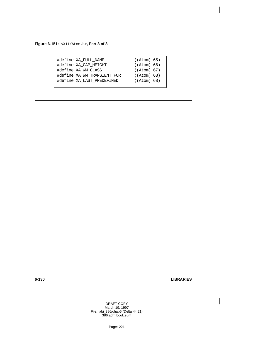## **Figure 6-151:** <x11/Atom.h>, Part 3 of 3

| #define XA FULL NAME        | $(Atom)$ 65) |  |
|-----------------------------|--------------|--|
| #define XA CAP HEIGHT       | $(Atom)$ 66) |  |
| #define XA WM CLASS         | $(Atom)$ 67) |  |
| #define XA WM TRANSIENT FOR | $(Atom)$ 68) |  |
| #define XA LAST PREDEFINED  | $(Atom)$ 68) |  |
|                             |              |  |

**6-130 LIBRARIES**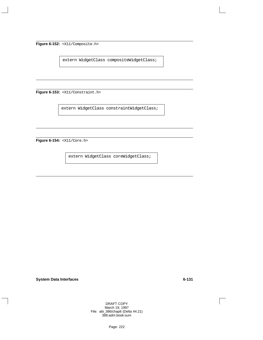**Figure 6-152:** <x11/Composite.h>

extern WidgetClass compositeWidgetClass;

**Figure 6-153:** <x11/Constraint.h>

extern WidgetClass constraintWidgetClass;

**Figure 6-154:** <x11/Core.h>

extern WidgetClass coreWidgetClass;

**System Data Interfaces** 6-131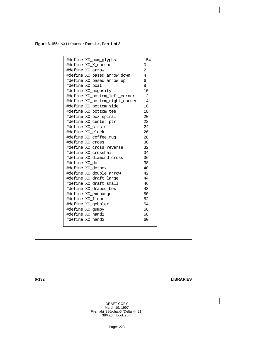## **Figure 6-155:** < $x11/cursortont.h>$ , Part 1 of 3

|                 | #define XC_num_glyphs          | 154 |
|-----------------|--------------------------------|-----|
|                 | #define XC X cursor            | 0   |
|                 | #define XC_arrow               | 2   |
|                 | #define XC_based_arrow_down    | 4   |
|                 | #define XC_based_arrow_up      | 6   |
| #define XC_boat |                                | 8   |
|                 | #define XC_bogosity            | 10  |
|                 | #define XC bottom left corner  | 12  |
|                 | #define XC_bottom_right_corner | 14  |
| #define         | XC bottom side                 | 16  |
|                 | #define XC_bottom_tee          | 18  |
|                 | #define XC_box_spiral          | 20  |
|                 | #define XC_center_ptr          | 22  |
|                 | #define XC_circle              | 24  |
|                 | #define XC clock               | 26  |
|                 | #define XC_coffee_mug          | 28  |
|                 | #define XC_cross               | 30  |
|                 | #define XC_cross_reverse       | 32  |
|                 | #define XC crosshair           | 34  |
|                 | #define XC diamond cross       | 36  |
| #define XC_dot  |                                | 38  |
|                 | #define XC_dotbox              | 40  |
|                 | #define XC double arrow        | 42  |
|                 | #define XC_draft_large         | 44  |
|                 | #define XC_draft_small         | 46  |
|                 | #define XC_draped_box          | 48  |
|                 | #define XC_exchange            | 50  |
|                 | #define XC fleur               | 52  |
|                 | #define XC_gobbler             | 54  |
|                 | #define XC_gumby               | 56  |
|                 | #define XC hand1               | 58  |
|                 | #define XC hand2               | 60  |
|                 |                                |     |

**6-132 LIBRARIES**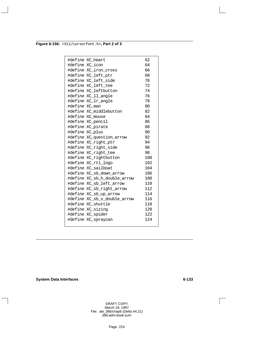#### **Figure 6-156:** <x11/cursorfont.h>, Part 2 of 3

|                | #define XC_heart             | 62  |
|----------------|------------------------------|-----|
|                | #define XC_icon              | 64  |
|                | #define XC_iron_cross        | 66  |
|                | #define XC left ptr          | 68  |
|                | #define XC_left_side         | 70  |
|                | #define XC_left_tee          | 72  |
|                | #define XC leftbutton        | 74  |
|                | #define XC_ll_angle          | 76  |
|                | #define XC_lr_angle          | 78  |
| #define XC_man |                              | 80  |
|                | #define XC middlebutton      | 82  |
|                | #define XC mouse             | 84  |
|                | #define XC_pencil            | 86  |
|                | #define XC_pirate            | 88  |
|                | #define XC_plus              | 90  |
|                | #define XC_question_arrow    | 92  |
|                | #define XC_right_ptr         | 94  |
|                | #define XC_right_side        | 96  |
|                | #define XC_right_tee         | 98  |
|                | #define XC_rightbutton       | 100 |
|                | #define XC_rtl_logo          | 102 |
|                | #define XC sailboat          | 104 |
|                | #define XC_sb_down_arrow     | 106 |
|                | #define XC_sb_h_double_arrow | 108 |
|                | #define XC sb left arrow     | 110 |
|                | #define XC_sb_right_arrow    | 112 |
|                | #define XC_sb_up_arrow       | 114 |
|                | #define XC_sb_v_double_arrow | 116 |
|                | #define XC shuttle           | 118 |
|                | #define XC sizing            | 120 |
|                | #define XC_spider            | 122 |
|                | #define XC_spraycan          | 124 |
|                |                              |     |

**System Data Interfaces** 6-133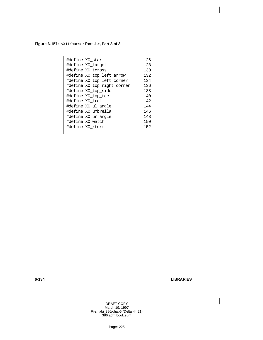**Figure 6-157:** < $x11/cursortont.h>$ , Part 3 of 3

| #define XC star             | 126 |
|-----------------------------|-----|
| #define XC target           | 128 |
| #define XC tcross           | 130 |
| #define XC top left arrow   | 132 |
| #define XC top left corner  | 134 |
| #define XC top right corner | 136 |
| #define XC top side         | 138 |
| #define XC top tee          | 140 |
| #define XC trek             | 142 |
| #define XC ul angle         | 144 |
| #define XC umbrella         | 146 |
| #define XC ur angle         | 148 |
| #define XC watch            | 150 |
| #define XC xterm            | 152 |
|                             |     |

**6-134 LIBRARIES**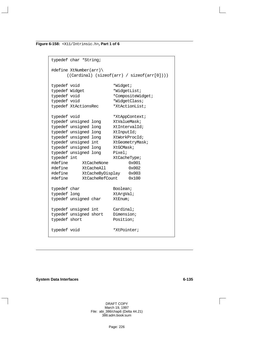**Figure 6-158:** < $x11/Inttrinsic.h>$ , **Part 1 of 6** 

```
typedef char * String;
# define Xt Number (arr) \
     ((Cardinal) (sizeof(arr) / sizeof(arr[0])) )typedef void * widget;
typedef Widget *WidgetList;
typedef void * CompositeWidget;
typedef void *WidgetClass;
typedef XtActionsRec *XtActionList;
typedef void *XtAppContext;
typedef unsigned long XtValueMask;
typedef unsigned long XtIntervalId;
typedef unsigned long XtInputId;
typedef unsigned long XtWorkProcId;
typedef unsigned int XtGeometryMask;
typedef unsigned long XtGCMask;
typedef unsigned long Pixel;
typedef int xt CacheType;
#define XtCacheNone 0x001
#define XtCacheAll 0x002
#define XtCacheByDisplay 0x003
#define XtCacheRefCount 0x100
typedef char Boolean;
typedef long XtArgVal;
typedef unsigned char XtEnum;
typedef unsigned int Cardinal;
typedef unsigned short Dimension;
typedef short Position;
typedef void *XtPointer;
```
**System Data Interfaces** 6-135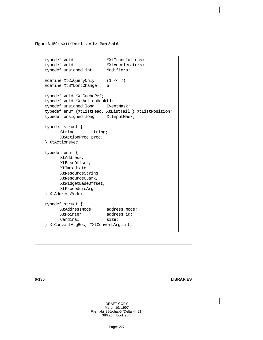#### **Figure 6-159:** < $x11/Inttrinsic.h>$ , **Part 2 of 6**

```
typedef void *XtTranslations;
typedef void *XtAccelerators;
typedef unsigned int Modifiers;
#define XtCWQueryOnly (1 << 7)
#define XtSMDontChange 5
typedef void *XtCacheRef;
typedef void *XtActionHookId;
typedef unsigned long EventMask;
typedef enum {XtListHead, XtListTail } XtListPosition;
typedef unsigned long XtInputMask;
typedef struct {
     String string;
     XtActionProc proc;
} XtActionsRec;
typedef enum {
     XtAddress,
     XtBaseOffset,
     XtImmediate,
     Xt Resource String,
     Xt Resource Quark,
     XtWidgetBaseOffset,
     XtProcedureArg
} XtAddressMode;
typedef struct {
     XtAddressMode address_mode;
     XtPointer address_id;
     Cardinal size;
} XtConvertArgRec, *XtConvertArgList;
```
**6-136 LIBRARIES**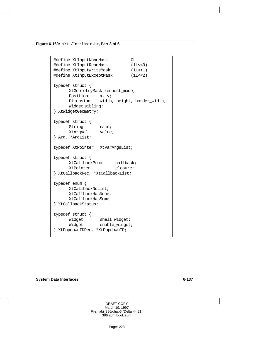**Figure 6-160:** < $x11/Inttrinsic.h>$ , **Part 3 of 6** 

```
#define XtInputNoneMask 0L
#define XtInputReadMask (1L<<0)
#define XtInputWriteMask (1L<<1)
#define XtInputExceptMask (1L<<2)
typedef struct {
     XtGeometryMask request_mode;
     Position x, y;
     Dimension width, height, border_width;
      Widget sibling;
} XtWidgetGeometry;
typedef struct {
     String name;
     XtArgVal value;
\} Arg, * ArgList;
typedef XtPointer XtVarArgsList;
typedef struct {
     XtCallbackProc callback;
     XtPointer closure;
} XtCallbackRec, *XtCallbackList;
typedef enum {
     Xt Callback NoList,
     XtCallbackHasNone,
     Xt Callback Has Some
} XtCallbackStatus;
typedef struct {
     Widget shell_widget;
     Widget enable_widget;
} XtPopdownIDRec, *XtPopdownID;
```
**System Data Interfaces** 6-137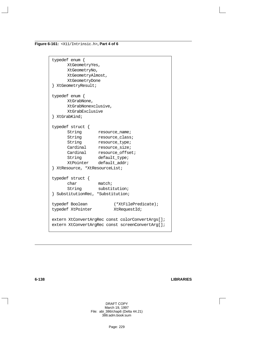**Figure 6-161:** < $x11/Inttrinsic.h>$ , **Part 4 of 6** 

```
typedef enum {
     XtGeometryYes,
     XtGeometryNo,
     XtGeometryAlmost,
     XtGeometryDone
} XtGeometryResult;
typedef enum \{XtGrabNone,
     XtGrabNonexclusive,
     XtGrabExclusive
} XtGrabKind;
typedef struct {
     String resource_name;
      String resource_class;
      String resource_type;
     Cardinal resource_size;
     Cardinal resource_offset;
     String default_type;
     XtPointer default_addr;
} XtResource, *XtResourceList;
typedef struct {
      char match;
      String substitution;
} SubstitutionRec, *Substitution;
typedef Boolean (*XtFilePredicate);
typedef XtPointer KtRequestId;
extern XtConvertArgRec const colorConvertArgs[];
extern XtConvertArgRec const screenConvertArg[];
```
**6-138 LIBRARIES**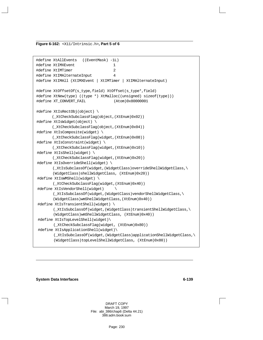**Figure 6-162:** < $x11/Inttrinsic.h>$ , **Part 5 of 6** 

```
#define XtAllEvents ((EventMask) -1L)
#define XtIMXEvent 1
#define XtIMTimer 2
#define XtIMAlternateInput 4
#define XtIMAll (XtIMXEvent | XtIMTimer | XtIMAlternateInput)
#define XtOffsetOf(s_type,field) XtOffset(s_type*,field)
#define XtNew(type) ((type *) XtMalloc((unsigned) sizeof(type)))
# define XT_CONVERT_FAIL (Atom) 0x80000001
#define XtIsRectObj(object) \
       (\bot X tCheckSubclassFlaq(object, (X tEnum) 0x02))
#define XtIsWidget(object) \setminus(_XtCheckSubclassFlag(object,(XtEnum)0x04))
#define XtIsComposite(widget) \
       (_XtCheckSubclassFlag(widget,(XtEnum)0x08))
#define XtIsConstraint(widget) \setminus(\_ X tCheckSubclassFlag(widget, (X tEnum)0x10))
#define XtIsShell(widget) \
       (_XtCheckSubclassFlag(widget,(XtEnum)0x20))
#define XtIsOverrideShell(widget) \
       (_XtIsSubclassOf(widget,(WidgetClass)overrideShellWidgetClass,\
       (WidqetClass) shellWidqetClass, (XtEnum) 0x20))#define XtIsWMShell(widget) \
        (_XtCheckSubclassFlag(widget,(XtEnum)0x40))
#define XtIsVendorShell(widget) \
        (_XtIsSubclassOf(widget,(WidgetClass)vendorShellWidgetClass,\
        (WidgetClass)wmShellWidgetClass, (XtEnum) 0x40))
#define XtIsTransientShell(widget) \
        (_XtIsSubclassOf(widget,(WidgetClass)transientShellWidgetClass,\
        ( Widget Class ) wm Shell Widget Class, ( Xt Enum ) 0x40 ) )
#define XtIsTopLevelShell(widget)\
        (_XtCheckSubclassFlag(widget, (XtEnum)0x80))
#define XtIsApplicationShell(widget)\
        (_XtIsSubclassOf(widget,(WidgetClass)applicationShellWidgetClass,\
        (Wid q etcl as s) to p Level ShellWidget Class, (Xt Enum) 0x80))
```
**System Data Interfaces 6-139**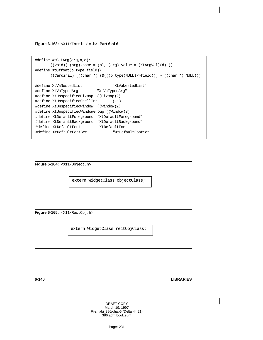**Figure 6-163:** < $x11/Inttrinsic.h>$ , **Part 6 of 6** 

```
# define X t SetArg(arg, n, d) \setminus((void) ( (arg).name = (n), (arg).value = (XtArgVal)(d) ))#define XtOffset(p_type, field) \setminus\hbox{((Cardinal) (((char *) (`$(l_(p_type)NULL)->field))) - ((char *) NULL))}#define XtVaNestedList "XtVaNestedList"
#define XtVaTypedArg "XtVaTypedArg"
#define XtUnspecifiedPixmap ((Pixmap)2)
#define XtUnspecifiedShellInt (-1)
#define XtUnspecifiedWindow ((Window)2)
#define XtUnspecifiedWindowGroup ((Window)3)
#define XtDefaultForeground "XtDefaultForeground"
#define XtDefaultBackground "XtDefaultBackground"
#define XtDefaultFont "XtDefaultFont"
#define XtDefaultFontSet "XtDefaultFontSet"
```
**Figure 6-164:** <X11/Object.h>

extern WidgetClass objectClass;

**Figure 6-165:** <X11/RectObj.h>

extern WidgetClass rectObjClass;

**6-140 LIBRARIES**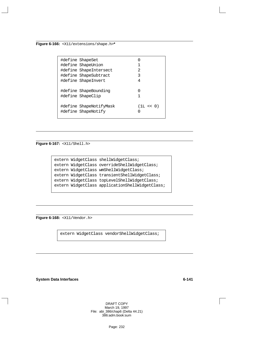**Figure 6-166:** < X11/extensions/shape.h>\*

| #define ShapeSet        | U         |
|-------------------------|-----------|
| #define ShapeUnion      | 1         |
| #define ShapeIntersect  | 2.        |
| #define ShapeSubtract   | 3         |
| #define ShapeInvert     | 4         |
|                         |           |
| #define ShapeBounding   |           |
| #define ShapeClip       | 1         |
|                         |           |
| #define ShapeNotifyMask | (1L << 0) |
| #define ShapeNotify     |           |
|                         |           |

**Figure 6-167:** <x11/Shell.h>

```
extern WidgetClass shellWidgetClass;
extern WidgetClass overrideShellWidgetClass;
extern WidgetClass wmShellWidgetClass;
extern WidgetClass transientShellWidgetClass;
extern WidgetClass topLevelShellWidgetClass;
extern WidgetClass applicationShellWidgetClass;
```
**Figure 6-168:** <x11/Vendor.h>

extern WidgetClass vendorShellWidgetClass;

**System Data Interfaces** 6-141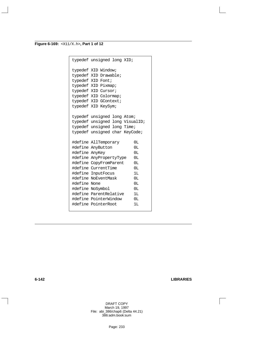**Figure 6-169:** <x11/x.h>, Part 1 of 12

typedef unsigned long XID; typedef XID Window; typedef XID Drawable; typedef XID Font; typedef XID Pixmap; typedef XID Cursor; typedef XID Colormap; typedef XID GContext; typedef XID KeySym; typedef unsigned long Atom; typedef unsigned long VisualID; typedef unsigned long Time; typedef unsigned char KeyCode; #define AllTemporary 0L #define AnyButton 0L #define AnyKey 0L #define AnyPropertyType 0L #define CopyFromParent 0L #define CurrentTime 0L #define InputFocus 1L #define NoEventMask 0L #define None 0L #define NoSymbol 0L #define ParentRelative 1L #define PointerWindow 0L #define PointerRoot 1L

**6-142 LIBRARIES**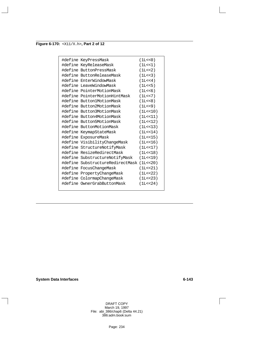## **Figure 6-170:** <x11/x.h>, Part 2 of 12

| #define KeyPressMask             | (1L << 0)  |
|----------------------------------|------------|
| #define KeyReleaseMask           | (1L << 1)  |
| #define ButtonPressMask          | (1L << 2)  |
| #define ButtonReleaseMask        | (1L << 3)  |
| #define EnterWindowMask          | (1L << 4)  |
| #define LeaveWindowMask          | (1L<<5)    |
| #define PointerMotionMask        | (1L << 6)  |
| #define PointerMotionHintMask    | (1L << 7)  |
| #define Button1MotionMask        | (1L<<8)    |
| #define Button2MotionMask        | (1L < 9)   |
| #define Button3MotionMask        | (1L << 10) |
| #define Button4MotionMask        | (1L << 11) |
| #define Button5MotionMask        | (1L<<12)   |
| #define ButtonMotionMask         | (1L << 13) |
| #define KeymapStateMask          | (1L << 14) |
| #define ExposureMask             | (1L<<15)   |
| #define VisibilityChangeMask     | (1L<<16)   |
| #define StructureNotifyMask      | (1L << 17) |
| #define ResizeRedirectMask       | (1L<<18)   |
| #define SubstructureNotifyMask   | (1L << 19) |
| #define SubstructureRedirectMask | (1L<<20)   |
| #define FocusChangeMask          | (1L<<21)   |
| #define PropertyChangeMask       | (1L<<22)   |
| #define ColormapChangeMask       | (1L<<23)   |
| #define OwnerGrabButtonMask      | (1L<<24)   |
|                                  |            |

**System Data Interfaces** 6-143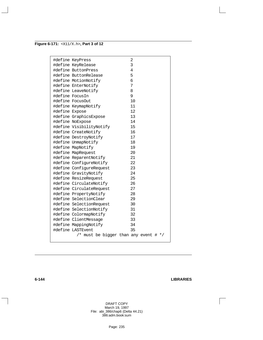## **Figure 6-171:** <x11/x.h>, Part 3 of 12

|                | #define KeyPress                      | 2  |
|----------------|---------------------------------------|----|
|                | #define KeyRelease                    | 3  |
|                | #define ButtonPress                   | 4  |
|                | #define ButtonRelease                 | 5  |
|                | #define MotionNotify                  | 6  |
|                | #define EnterNotify                   | 7  |
|                | #define LeaveNotify                   | 8  |
|                | #define FocusIn                       | 9  |
|                | #define FocusOut                      | 10 |
|                | #define KeymapNotify                  | 11 |
| #define Expose |                                       | 12 |
|                | #define GraphicsExpose                | 13 |
|                | #define NoExpose                      | 14 |
|                | #define VisibilityNotify              | 15 |
|                | #define CreateNotify                  | 16 |
|                | #define DestroyNotify                 | 17 |
|                | #define UnmapNotify                   | 18 |
|                | #define MapNotify                     | 19 |
|                | #define MapRequest                    | 20 |
|                | #define ReparentNotify                | 21 |
|                | #define ConfigureNotify               | 22 |
|                | #define ConfigureRequest              | 23 |
|                | #define GravityNotify                 | 24 |
|                | #define ResizeRequest                 | 25 |
|                | #define CirculateNotify               | 26 |
|                | #define CirculateRequest              | 27 |
|                | #define PropertyNotify                | 28 |
|                | #define SelectionClear                | 29 |
|                | #define SelectionRequest              | 30 |
|                | #define SelectionNotify               | 31 |
|                | #define ColormapNotify                | 32 |
|                | #define ClientMessage                 | 33 |
|                | #define MappingNotify                 | 34 |
|                | #define LASTEvent                     | 35 |
|                | /* must be bigger than any event # */ |    |

**6-144 LIBRARIES**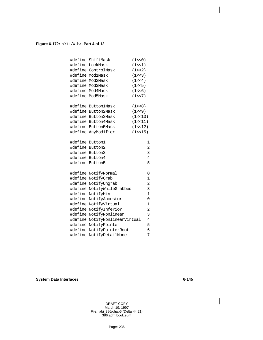## **Figure 6-172:** <x11/x.h>, Part 4 of 12

|                                                                                      | #define ShiftMask<br>#define LockMask<br>#define ControlMask<br>#define Mod1Mask<br>#define Mod2Mask<br>#define Mod3Mask<br>#define Mod4Mask<br>#define Mod5Mask                                                                                                                   | (1 << 0)<br>(1 < 1)<br>(1 < 2)<br>(1 < 3)<br>(1 < 4)<br>(1 < 5)<br>(1 < 6)<br>(1 < 7) |                                                                                                    |
|--------------------------------------------------------------------------------------|------------------------------------------------------------------------------------------------------------------------------------------------------------------------------------------------------------------------------------------------------------------------------------|---------------------------------------------------------------------------------------|----------------------------------------------------------------------------------------------------|
|                                                                                      | #define Button1Mask<br>#define Button2Mask<br>#define Button3Mask<br>#define Button4Mask<br>#define Button5Mask<br>#define AnyModifier                                                                                                                                             | (1 < 8)<br>(1 < 9)<br>(1 < 10)<br>(1 < 11)<br>(1 < 12)<br>(1 < 15)                    |                                                                                                    |
|                                                                                      | #define Button1<br>#define Button2<br>#define Button3<br>#define Button4<br>#define Button5                                                                                                                                                                                        |                                                                                       | 1<br>2<br>3<br>$\overline{4}$<br>5                                                                 |
| #define<br>#define<br>#define<br>#define<br>#define<br>#define<br>#define<br>#define | #define NotifyNormal<br>#define NotifyGrab<br>NotifyUngrab<br>NotifyWhileGrabbed<br>NotifyHint<br>NotifyAncestor<br>NotifyVirtual<br>NotifyInferior<br>NotifyNonlinear<br>#define NotifyNonlinearVirtual<br>#define NotifyPointer<br>#define NotifyPointerRoot<br>NotifyDetailNone |                                                                                       | 0<br>1<br>2<br>3<br>$\mathbf{1}$<br>0<br>1<br>$\overline{2}$<br>3<br>$\overline{4}$<br>5<br>6<br>7 |

**System Data Interfaces** 6-145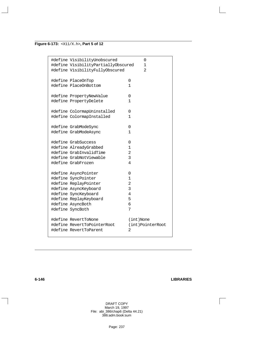**Figure 6-173: <x11/x.h>, Part 5 of 12** 

```
#define VisibilityUnobscured 0
#define VisibilityPartiallyObscured 1
#define VisibilityFullyObscured 2
#define PlaceOnTop 0
#define PlaceOnBottom 1
#define PropertyNewValue 0
#define PropertyDelete 1
#define ColormapUninstalled 0
#define ColormapInstalled 1
#define GrabModeSync 0
# de fine Grab Mode A sync 1
#define GrabSuccess 0
#define AlreadyGrabbed 1
#define GrabInvalidTime 2
#define GrabNotViewable 3
#define GrabFrozen 4
#define AsyncPointer 0
#define SyncPointer 1
#define ReplayPointer 2
#define AsyncKeyboard 3
#define SyncKeyboard 4
#define ReplayKeyboard 5
#define AsyncBoth 6
#define SyncBoth 7
#define RevertToNone (int)None
#define RevertToPointerRoot (int)PointerRoot
#define RevertToParent 2
```
**6-146 LIBRARIES**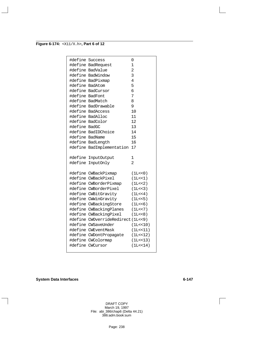## **Figure 6-174:** <x11/x.h>, Part 6 of 12

| #define | Success                     | 0              |
|---------|-----------------------------|----------------|
| #define | BadRequest                  | 1              |
| #define | BadValue                    | 2              |
| #define | BadWindow                   | 3              |
| #define | BadPixmap                   | 4              |
| #define | BadAtom                     | 5              |
| #define | BadCursor                   | 6              |
| #define | BadFont                     | 7              |
| #define | BadMatch                    | 8              |
| #define | BadDrawable                 | 9              |
| #define | <b>BadAccess</b>            | 10             |
| #define | BadAlloc                    | 11             |
| #define | BadColor                    | 12             |
| #define | <b>BadGC</b>                | 13             |
| #define | BadIDChoice                 | 14             |
| #define | BadName                     | 15             |
| #define | BadLength                   | 16             |
| #define | BadImplementation           | 17             |
|         |                             |                |
| #define | InputOutput                 | 1              |
| #define | InputOnly                   | $\mathfrak{D}$ |
|         |                             |                |
|         | #define CWBackPixmap        | (1L << 0)      |
|         |                             |                |
| #define | CWBackPixel                 | (1L << 1)      |
| #define | CWBorderPixmap              | (1L << 2)      |
| #define | CWBorderPixel               | (1L << 3)      |
| #define | CWBitGravity                | (1L << 4)      |
| #define | CWWinGravity                | (1L << 5)      |
| #define | CWBackingStore              | (1L << 6)      |
| #define | CWBackingPlanes             | (1L << 7)      |
| #define | CWBackingPixel              | (1L << 8)      |
| #define | CWOverrideRedirect (1L<< 9) |                |
| #define | CWSaveUnder                 | (1L << 10)     |
| #define | CWEventMask                 | (1L << 11)     |
| #define | CWDontPropagate             | (1L << 12)     |
| #define | CWColormap                  | (1L << 13)     |
| #define | CWCursor                    | (1L << 14)     |

**System Data Interfaces** 6-147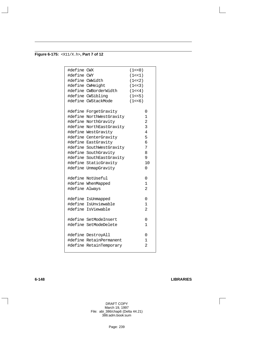**Figure 6-175:** <x11/x.h>, Part 7 of 12

| #define CWX    |                         | (1 < 0) |                |
|----------------|-------------------------|---------|----------------|
| #define        | <b>CWY</b>              | (1 < 1) |                |
|                | #define CWWidth         | (1 < 2) |                |
|                | #define CWHeight        | (1 < 3) |                |
|                | #define CWBorderWidth   | (1 < 4) |                |
|                | #define CWSibling       | (1 < 5) |                |
| #define        | CWStackMode             | (1 < 6) |                |
|                |                         |         |                |
| #define        | ForgetGravity           |         | 0              |
| #define        | NorthWestGravity        |         | 1              |
|                | #define NorthGravity    |         | $\overline{2}$ |
| #define        | NorthEastGravity        |         | 3              |
| #define        | WestGravity             |         | 4              |
| #define        | CenterGravity           |         | 5              |
| #define        | EastGravity             |         | 6              |
| #define        | SouthWestGravity        |         | 7              |
| #define        | SouthGravity            |         | 8              |
| #define        | SouthEastGravity        |         | 9              |
| #define        | StaticGravity           |         | 10             |
| #define        | UnmapGravity            |         | 0              |
|                |                         |         |                |
|                | #define NotUseful       |         | 0              |
|                | #define WhenMapped      |         | 1              |
| #define Always |                         |         | $\overline{2}$ |
|                |                         |         |                |
|                | #define IsUnmapped      |         | 0              |
| #define        | IsUnviewable            |         | 1              |
| #define        | IsViewable              |         | $\overline{2}$ |
|                |                         |         |                |
|                | #define SetModeInsert   |         | 0              |
|                | #define SetModeDelete   |         | 1              |
|                |                         |         |                |
|                | #define DestroyAll      |         | 0              |
|                | #define RetainPermanent |         | 1              |
|                | #define RetainTemporary |         | 2              |
|                |                         |         |                |

**6-148 LIBRARIES**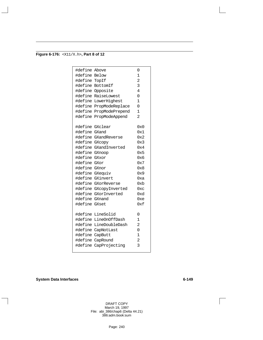#### **Figure 6-176:** <x11/x.h>, Part 8 of 12

| #define Above |                 | 0              |
|---------------|-----------------|----------------|
| #define       | Below           | 1              |
| #define       | TopIf           | $\overline{2}$ |
| #define       | BottomIf        | 3              |
| #define       | Opposite        | 4              |
| #define       | RaiseLowest     | $\Omega$       |
| #define       | LowerHighest    | 1              |
| #define       | PropModeReplace | 0              |
| #define       | PropModePrepend | 1              |
| #define       | PropModeAppend  | $\overline{2}$ |
|               |                 |                |
| #define       | GXclear         | 0x0            |
| #define       | GXand           | 0x1            |
| #define       | GXandReverse    | 0x2            |
| #define       | GXcopy          | 0x3            |
| #define       | GXandInverted   | 0x4            |
| #define       | GXnoop          | 0x5            |
| #define       | GXxor           | 0x6            |
| #define       | GXor            | 0x7            |
| #define GXnor |                 | 0x8            |
|               | #define GXequiv | 0x9            |
| #define       | GXinvert        | 0xa            |
| #define       | GXorReverse     | $0x$ b         |
| #define       | GXcopyInverted  | $0 \times c$   |
| #define       | GXorInverted    | 0xd            |
| #define       | GXnand          | 0xe            |
| #define       | GXset           | 0xf            |
|               |                 |                |
| #define       | LineSolid       | 0              |
| #define       | LineOnOffDash   | $\mathbf{1}$   |
| #define       | LineDoubleDash  | $\overline{2}$ |
| #define       | CapNotLast      | 0              |
| #define       | CapButt         | $\mathbf{1}$   |
| #define       | CapRound        | $\overline{2}$ |
| #define       | CapProjecting   | 3              |
|               |                 |                |

**System Data Interfaces** 6-149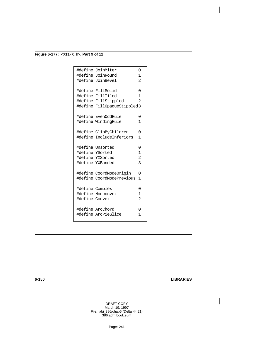**Figure 6-177:** <x11/x.h>, Part 9 of 12

```
#define JoinMiter 0
#define JoinRound 1
#define JoinBevel 2
#define FillSolid 0
#define FillTiled 1
#define FillStippled 2
#define FillOpaqueStippled3
#define EvenOddRule 0
#define WindingRule 1
#define ClipByChildren 0
#define IncludeInferiors 1
#define Unsorted 0
#define YSorted 1
#define YXSorted 2<br>#define YXBanded 3
#define YXBanded
#define CoordModeOrigin 0
#define CoordModePrevious 1
#define Complex 0
#define Nonconvex 1
# de fine Convex 2
#define ArcChord 0
#define ArcPieSlice 1
```
**6-150 LIBRARIES**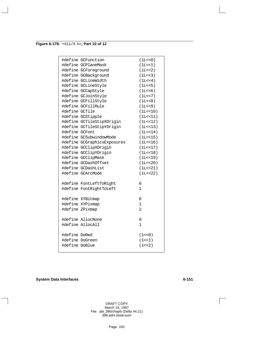# **Figure 6-178:** <x11/x.h>, Part 10 of 12

|                | #define GCFunction          | (1L << 0)    |
|----------------|-----------------------------|--------------|
|                | #define GCPlaneMask         | (1L << 1)    |
|                | #define GCForeground        | (1L << 2)    |
|                | #define GCBackground        | (1L << 3)    |
|                | #define GCLineWidth         | (1L << 4)    |
|                | #define GCLineStyle         | (1L << 5)    |
|                | #define GCCapStyle          | (1L << 6)    |
|                | #define GCJoinStyle         | (1L << 7)    |
|                | #define GCFillStyle         | (1L << 8)    |
|                | #define GCFillRule          | (1L << 9)    |
| #define GCTile |                             | (1L << 10)   |
|                | #define GCStipple           | (1L << 11)   |
|                | #define GCTileStipXOrigin   | (1L << 12)   |
|                | #define GCTileStipYOrigin   | (1L << 13)   |
| #define GCFont |                             | (1L << 14)   |
|                | #define GCSubwindowMode     | (1L << 15)   |
|                | #define GCGraphicsExposures | (1L << 16)   |
|                | #define GCClipXOrigin       | (1L << 17)   |
|                | #define GCClipYOrigin       | (1L << 18)   |
|                | #define GCClipMask          | (1L << 19)   |
|                | #define GCDashOffset        | (1L << 20)   |
|                | #define GCDashList          | (1L << 21)   |
|                | #define GCArcMode           | (1L << 22)   |
|                | #define FontLeftToRight     | 0            |
|                | #define FontRightToLeft     | 1            |
|                | #define XYBitmap            | 0            |
|                | #define XYPixmap            | $\mathbf{1}$ |
|                | #define ZPixmap             | 2            |
|                |                             |              |
|                | #define AllocNone           | 0            |
|                | #define AllocAll            | 1            |
| #define DoRed  |                             | (1 < 0)      |
|                | #define DoGreen             | (1 < 1)      |
| #define DoBlue |                             | (1 < 2)      |
|                |                             |              |

**System Data Interfaces** 6-151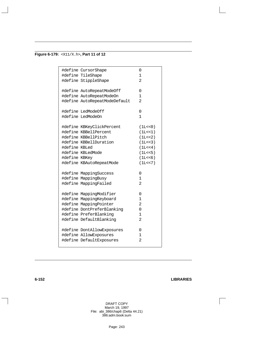#### **Figure 6-179:** <x11/x.h>, Part 11 of 12

|               | #define CursorShape           | 0              |
|---------------|-------------------------------|----------------|
|               | #define TileShape             | $\mathbf{1}$   |
|               | #define StippleShape          | $\overline{2}$ |
|               |                               |                |
|               | #define AutoRepeatModeOff     | 0              |
|               | #define AutoRepeatModeOn      | 1              |
|               | #define AutoRepeatModeDefault | $\overline{2}$ |
|               | #define LedModeOff            | 0              |
|               | #define LedModeOn             | $\mathbf{1}$   |
|               | #define KBKeyClickPercent     | (1L << 0)      |
|               | #define KBBellPercent         | (1L << 1)      |
|               | #define KBBellPitch           | (1L << 2)      |
|               | #define KBBellDuration        | (1L << 3)      |
| #define KBLed |                               | (1L << 4)      |
|               | #define KBLedMode             | (1L << 5)      |
| #define KBKey |                               | (1L << 6)      |
|               | #define KBAutoRepeatMode      | (1L << 7)      |
|               |                               |                |
|               | #define MappingSuccess        | 0              |
|               | #define MappingBusy           | 1              |
|               | #define MappingFailed         | $\overline{2}$ |
|               | #define MappingModifier       | 0              |
|               | #define MappingKeyboard       | 1              |
|               | #define MappingPointer        | 2              |
|               | #define DontPreferBlanking    | 0              |
|               | #define PreferBlanking        | $\mathbf 1$    |
|               | #define DefaultBlanking       | 2              |
|               | #define DontAllowExposures    | 0              |
|               | #define AllowExposures        | $\mathbf 1$    |
|               | #define DefaultExposures      | 2              |
|               |                               |                |

**6-152 LIBRARIES**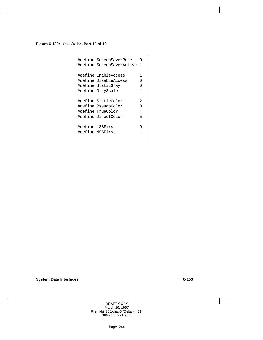#### **Figure 6-180:** <x11/x.h>, Part 12 of 12

```
#define ScreenSaverReset 0
#define ScreenSaverActive 1
#define EnableAccess 1
#define DisableAccess 0
#define StaticGray 0
#define GrayScale 1
#define StaticColor 2<br>#define PseudoColor 3
# define P seudo Color
#define TrueColor 4<br>#define DirectColor 5
#define DirectColor
# de fine LSBFirst 0
#define MSBFirst 1
```
**System Data Interfaces** 6-153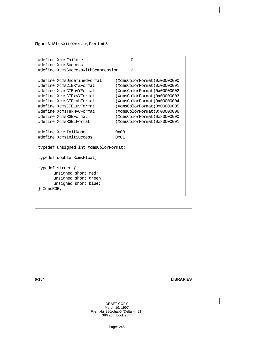**Figure 6-181:** <x11/xcms.h>, Part 1 of 5

| #define XcmsFailure                   | 0                            |
|---------------------------------------|------------------------------|
| #define XcmsSuccess                   | 1                            |
| #define XcmsSuccessWithCompression    | $\mathfrak{D}$               |
|                                       |                              |
| #define XcmsUndefinedFormat           | (XcmsColorFormat)0x00000000  |
| #define XcmsCIEXYZFormat              | (XcmsColorFormat)0x00000001  |
| #define XcmsCIEuvYFormat              | (XcmsColorFormat)0x00000002  |
| #define XcmsCIExyYFormat              | (XcmsColorFormat) 0x00000003 |
| #define XcmsCIELabFormat              | (XcmsColorFormat)0x00000004  |
| #define XcmsCIELuvFormat              | (XcmsColorFormat) 0x00000005 |
| #define XcmsTekHVCFormat              | (XcmsColorFormat)0x00000006  |
| #define XcmsRGBFormat                 | (XcmsColorFormat) 0x80000000 |
| #define XcmsRGBiFormat                | (XcmsColorFormat) 0x80000001 |
|                                       |                              |
| #define XcmsInitNone                  | 0x00                         |
| #define XcmsInitSuccess               | 0x01                         |
|                                       |                              |
| typedef unsigned int XcmsColorFormat; |                              |
|                                       |                              |
| typedef double XcmsFloat;             |                              |
|                                       |                              |
| typedef struct {                      |                              |
| unsigned short red;                   |                              |
| unsigned short green;                 |                              |
| unsigned short blue;                  |                              |
| XcmsRGB;                              |                              |
|                                       |                              |

**6-154 LIBRARIES**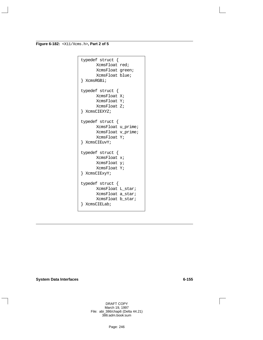**Figure 6-182:** <x11/Xcms.h>, Part 2 of 5

```
typedef struct {
        X cm s F loat red;
        X cm s F loat green;
        X \text{cmsF} loat blue;
} X cm s R G B i ;
typedef struct {
        XcmsFloat X;
        XcmsFloat Y;
        XcmsFloat Z;
} X cm s CIEXYZ ;
typedef struct {
        X cm s F loat u_prime;
        X cm s F loat v_prime;
        XcmsFloat Y;
} X cm s CI Eu v Y ;
typedef struct {
        X \subset \mathbb{R} Float x_iXcmsFloat y;
        XcmsFloat Y;
} X cm s CI Exy Y ;
typedef struct {
        X \subset \mathbb{R} L_star;
        X cm s F loat a_star;
        X cm s F loat b_star;
} X cm s CIELab;
```
**System Data Interfaces** 6-155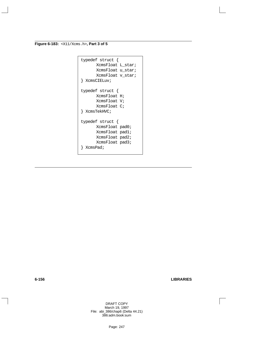**Figure 6-183:** < $x11/Xcms.h$ >, Part 3 of 5

```
typedef struct {
        X \subset \mathbb{R} L_star;
        {\tt XcmsFloat}u_star;
        X \text{cms} \text{Float v\_star} ;
} X cm s CIEL uv itypedef struct {
        XcmsFloat H;
        XcmsFloat V;
        XcmsFloat C;
} X cms Tek HVC \mathcal{F}typedef struct {
        X cm s F loat pad 0;
        X cm s F loat pad 1;
        X cm s F loat pad 2;
        X cm s F loat pad 3;
} X cms Pad i
```
**6-156 LIBRARIES**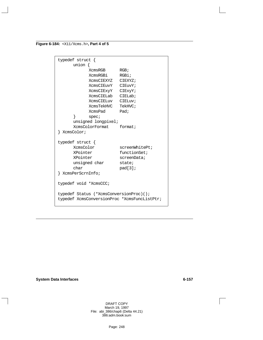**Figure 6-184:** < $x11/Xcms.h>$ , Part 4 of 5

```
typedef struct {
      union \{X \text{cmsRGB} R \text{GB} ;
            X cm s RGBi i RGBi i
            X C M S C I E X Y Z ;
            X C M S C I E U V Y :
            X C M S C I E X Y Y ;
            X cm s CIELab CIELab;
            X C M S CIEL UV CIEL UV ;
            X cm s T e k H V C i
            X cm s Pad i
      } spec:
      unsigned longpixel;
      X cm s Color Format format;
} X cms Color ;
typedef struct {
      X cm s Color screen WhitePt;
      X Pointer function Set;
      XPointer screenData;
      unsigned char state;
      char \qquad \qquad pad[3];
} X cms P er S crn Info;
typedef void *XcmsCCC;
typedef Status (*XcmsConversionProc)();
typedef XcmsConversionProc *XcmsFuncListPtr;
```
**System Data Interfaces** 6-157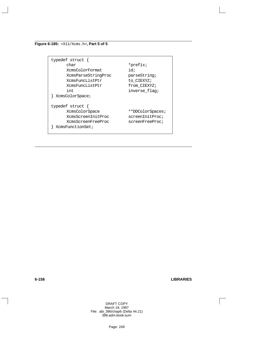**Figure 6-185:** <x11/xcms.h>, Part 5 of 5

| typedef struct {    |                  |
|---------------------|------------------|
| char                | *prefix;         |
| XcmsColorFormat     | id;              |
| XcmsParseStringProc | parseString;     |
| XomsFuncListPtr     | to CIEXYZ;       |
| XomsFuncListPtr     | from CIEXYZ;     |
| int.                | inverse flag;    |
| XcmsColorSpace;     |                  |
| typedef struct {    |                  |
| XcmsColorSpace      | **DDColorSpaces; |
| XcmsScreenInitProc  | screenInitProc;  |
| XcmsScreenFreeProc  | screenFreeProc;  |
| XcmsFunctionSet;    |                  |

**6-158 LIBRARIES**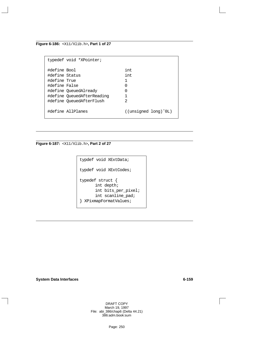**Figure 6-186:** <x11/xlib.h>, Part 1 of 27

typedef void \*XPointer; #define Bool int # de fine Status int # de fine True 1 #define False 0 #define QueuedAlready 0 #define QueuedAfterReading 1 #define QueuedAfterFlush 2 #define AllPlanes ((unsigned long)~0L)

**Figure 6-187:** <x11/xlib.h>, Part 2 of 27

```
typdef void XExtData;
typdef void XExtCodes;
typedef struct {
      int depth;
      int bits_per_pixel;
      int scanline_pad;
} XPixmapFormatValues;
```
**System Data Interfaces** 6-159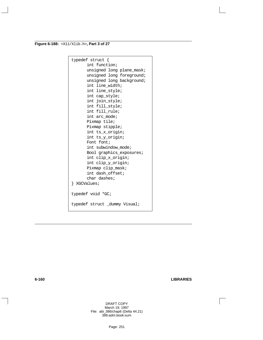# **Figure 6-188:** <x11/x1ib.h>, Part 3 of 27

| typedef struct {              |  |
|-------------------------------|--|
| int function;                 |  |
| unsigned long plane_mask;     |  |
| unsigned long foreground;     |  |
| unsigned long background;     |  |
| int line width;               |  |
| int line style;               |  |
| int cap_style;                |  |
| int join_style;               |  |
| int fill_style;               |  |
| int fill_rule;                |  |
| int arc mode;                 |  |
| Pixmap tile;                  |  |
| Pixmap stipple;               |  |
| int ts_x_origin;              |  |
| int ts_y_origin;              |  |
| Font font;                    |  |
| int subwindow mode;           |  |
| Bool graphics exposures;      |  |
| int clip_x_origin;            |  |
| int clip_y_origin;            |  |
| Pixmap clip_mask;             |  |
| int dash_offset;              |  |
| char dashes;                  |  |
| } XGCValues;                  |  |
|                               |  |
| typedef void *GC;             |  |
| typedef struct _dummy Visual; |  |

**6-160 LIBRARIES**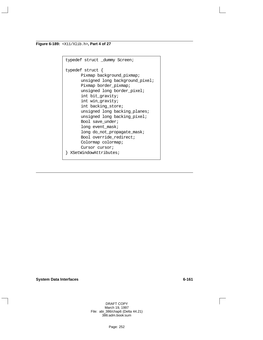#### **Figure 6-189:** <x11/xlib.h>, Part 4 of 27

typedef struct \_dummy Screen; typedef struct { Pixmap background\_pixmap; unsigned long background\_pixel; Pixmap border\_pixmap; unsigned long border\_pixel; int bit\_gravity; int win\_gravity; int backing\_store; unsigned long backing planes; unsigned long backing\_pixel; Bool save\_under; long event\_mask; long do\_not\_propagate\_mask; Bool override\_redirect; Colormap colormap; Cursor cursor; } XSetWindowAttributes;

**System Data Interfaces** 6-161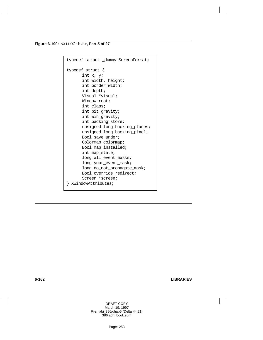**Figure 6-190:** <x11/xlib.h>, Part 5 of 27

typedef struct \_dummy ScreenFormat; typedef struct { int x, y; int width, height; int border\_width; int depth; Visual \*visual; Window root; int class; int bit\_gravity; int win\_gravity; int backing\_store; unsigned long backing\_planes; unsigned long backing\_pixel; Bool save\_under; Colormap colormap; Bool map\_installed; int map\_state; long all\_event\_masks; long your\_event\_mask; long do\_not\_propagate\_mask; Bool override redirect; Screen \* screen; } XWindowAttributes;

**6-162 LIBRARIES**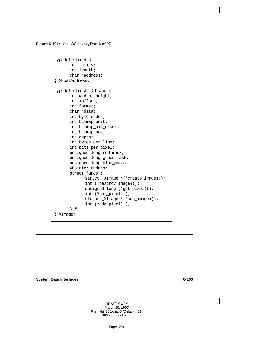### **Figure 6-191:** <x11/xlib.h>, Part 6 of 27

```
typedef struct {
      int family;
      int length;
      char * address;
} XHostAddress;
typedef struct _XImage {
      int width, height;
      int xoffset;
      int format;
      char * data;
      int byte order;
      int bitmap_unit;
      int bitmap_bit_order;
      int bitmap_pad;
      int depth;
      int bytes_per_line;
      int bits_per_pixel;
      unsigned long red_mask;
      unsigned long green_mask;
      unsigned long blue_mask;
      XPointer obdata;
      struct funcs {
             struct _XImage *(*create_image)();
             int (*destroy_image)();
             unsigned long (*get\_pixel)();
             int (*put_pixel)();
             struct _XImage * (*sub_image)();
             int (*add\_pixel) ();} f ;
} XImage;
```
**System Data Interfaces** 6-163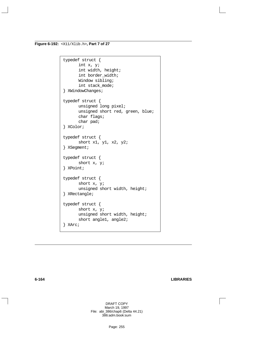### **Figure 6-192:** <x11/xlib.h>, Part 7 of 27

```
typedef struct {
      int x, y;
      int width, height;
      \texttt{int border\_width} \colonWindow sibling;
      int stack_mode;
} XWindowChanges;
typedef struct {
      unsigned long pixel;
      unsigned short red, green, blue;
      char flags;
      char pad;} XColor;
typedef struct {
      short x1, y1, x2, y2;
} XSegment;
typedef struct {
      short x, y;
} XPoint;
typedef struct {
      short x, y;
      unsigned short width, height;
} XRectangle;
typedef struct {
      short x, y;
      unsigned short width, height;
      short angle1, angle2i} XArc ;
```
**6-164 LIBRARIES**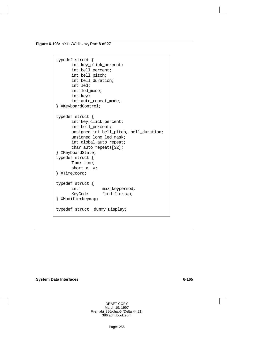### **Figure 6-193:** <x11/xlib.h>, Part 8 of 27

```
typedef struct {
      int key_click_percent;
      int bell_percent;
      int bell_pitch;
      int bell_duration;
      int led;
      int led_mode;
      int key;
      int auto_repeat_mode;
} XKeyboardControl;
typedef struct {
      int key_click_percent;
      int bell_percent;
      unsigned int bell_pitch, bell_duration;
      unsigned long led_mask;
      int global_auto_repeat;
      char auto_repeats[32];
} XKeyboardState;
typedef struct {
      Time time;
      short x, y;
} XTimeCoord;
typedef struct {
      int max_keypermod;
      KeyCode *modifiermap;
} XModifierKeymap;
typedef struct _dummy Display;
```
**System Data Interfaces** 6-165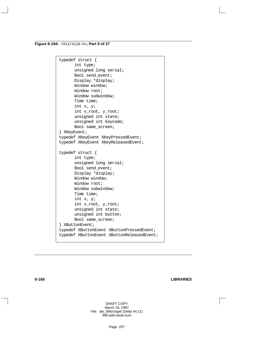### **Figure 6-194:** <x11/xlib.h>, Part 9 of 27

typedef struct { int type; unsigned long serial; Bool send\_event; Display \*display; Window window; Window root; Window subwindow; Time time; int x, y;  $ix\_root, y\_root;$ unsigned int state; unsigned int keycode; Bool same screen; } XKeyEvent; typedef XKeyEvent XKeyPressedEvent; typedef XKeyEvent XKeyReleasedEvent; typedef struct { int type; unsigned long serial; Bool send\_event; Display \*display; Window window; Window root; Window subwindow; Time time; int x, y;  $int x$  root,  $y$  root; unsigned int state; unsigned int button; Bool same\_screen; } XButtonEvent; typedef XButtonEvent XButtonPressedEvent; typedef XButtonEvent XButtonReleasedEvent;

**6-166 LIBRARIES**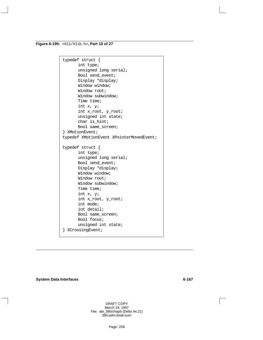### **Figure 6-195:** <x11/xlib.h>, Part 10 of 27

typedef struct { int type; unsigned long serial; Bool send\_event; Display \*display; Window window; Window root; Window subwindow; Time time; int x, y;  $int x$  root,  $y$  root; unsigned int state;  $char$  is  $\_hint$  ; Bool same\_screen; } XMotionEvent; typedef XMotionEvent XPointerMovedEvent; typedef struct { int type; unsigned long serial; Bool send\_event; Display \*display; Window window; Window root; Window subwindow; Time time; int x, y;  $ix\_root, y\_root;$ int mode; int detail; Bool same\_screen; Bool focus; unsigned int state; } XCrossingEvent;

**System Data Interfaces** 6-167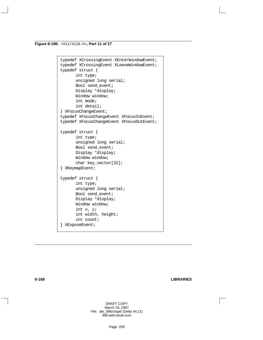**Figure 6-196:** <x11/xlib.h>, Part 11 of 27

```
typedef XCrossingEvent XEnterWindowEvent;
typedef X Crossing Event X Leave Window Event;
typedef struct {
      int type;
      unsigned long serial;
      Bool send_event;
      Display *display;
      Window window;
      int mode;int detail;
} XFocusChangeEvent;
typedef XFocusChangeEvent XFocusInEvent;
typedef XFocusChangeEvent XFocusOutEvent;
typedef struct {
      int type;
      unsigned long serial;
      Bool send_event;
      Display *display;
      Window window;
      char key_vector[32];
} XKeymapEvent;
typedef struct {
      int type;
      unsigned long serial;
      Bool send_event;
      Display *display;
      Window window;
      int x, y;
      int width, height;
      int count;
} XExposeEvent;
```
**6-168 LIBRARIES**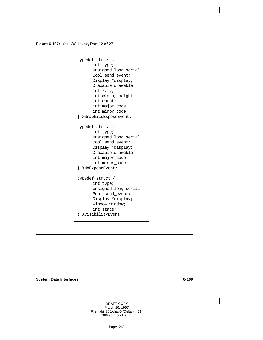### **Figure 6-197:** <x11/xlib.h>, Part 12 of 27

```
typedef struct {
      int type;
      unsigned long serial;
      Bool send_event;
      Display *display;
      Drawable drawable;
      int x, y;
      int width, height;
      int count;
      int major_code;
      int minor_code;
} X G raphics Expose Event;
typedef struct {
      int type;
      unsigned long serial;
      Bool send_event;
      Display *display;
      Drawable drawable;
      int major_code;
      int minor_code;
} XNoExposeEvent;
typedef struct {
      int type;
      unsigned long serial;
      Bool send_event;
      Display *display;
      Window window;
      int state;
} XVisibilityEvent;
```
**System Data Interfaces** 6-169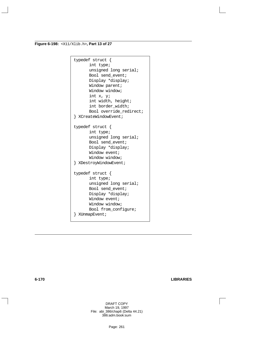### **Figure 6-198:** <x11/xlib.h>, Part 13 of 27

typedef struct { int type; unsigned long serial; Bool send\_event; Display \*display; Window parent; Window window; int  $x, y$ ; int width, height; int border\_width; Bool override\_redirect; } X C reate Window E vent ; typedef struct { int type; unsigned long serial; Bool send\_event; Display \*display; Window event; Window window;  $}$  XDestroyWindowEvent; typedef struct { int type; unsigned long serial; Bool send\_event; Display \*display; Window event; Window window; Bool from\_configure; } XUnmapEvent;

**6-170 LIBRARIES**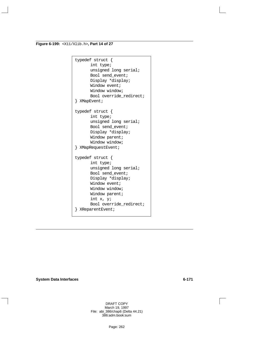### **Figure 6-199:** <x11/xlib.h>, Part 14 of 27

typedef struct { int type; unsigned long serial; Bool send\_event; Display \*display; Window event; Window window; Bool override\_redirect; } XMapEvent; typedef struct { int type; unsigned long serial; Bool send\_event; Display \*display; Window parent; Window window; } XMapRequestEvent; typedef struct { int type; unsigned long serial; Bool send\_event; Display \*display; Window event; Window window; Window parent; int x, y; Bool override\_redirect; } XReparentEvent;

**System Data Interfaces** 6-171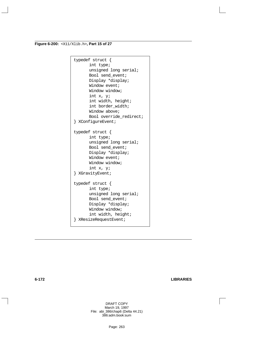### **Figure 6-200:** <x11/Xlib.h>, Part 15 of 27

typedef struct { int type; unsigned long serial; Bool send\_event; Display \*display; Window event; Window window; int  $x, y$ ; int width, height; int border\_width; Window above; Bool override\_redirect; } XConfigureEvent; typedef struct { int type; unsigned long serial; Bool send\_event; Display \*display; Window event; Window window; int  $x, y$ ; } XGravityEvent; typedef struct { int type; unsigned long serial; Bool send\_event; Display \*display; Window window; int width, height; } XResizeRequestEvent;

**6-172 LIBRARIES**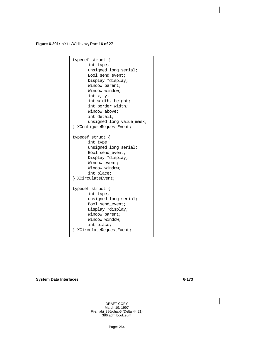### **Figure 6-201:** <x11/xlib.h>, Part 16 of 27

typedef struct { int type; unsigned long serial; Bool send\_event; Display \*display; Window parent; Window window; int  $x, y$ ; int width, height; int border\_width; Window above; int detail; unsigned long value\_mask; } XConfigureRequestEvent; typedef struct { int type; unsigned long serial; Bool send\_event; Display \*display; Window event; Window window; int place;  $}$  XCirculateEvent; typedef struct { int type; unsigned long serial; Bool send\_event; Display \*display; Window parent; Window window; int place; } XCirculateRequestEvent;

**System Data Interfaces** 6-173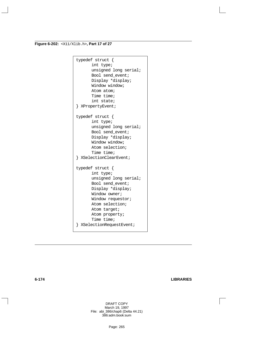### **Figure 6-202:** <x11/xlib.h>, Part 17 of 27

typedef struct { int type; unsigned long serial; Bool send\_event; Display \*display; Window window; Atom atom; Time time; int state; } XPropertyEvent; typedef struct { int type; unsigned long serial; Bool send\_event; Display \*display; Window window; Atom selection; Time time; } XSelectionClearEvent; typedef struct { int type; unsigned long serial; Bool send\_event; Display \*display; Window owner; Window requestor; Atom selection; Atom target; Atom property; Time time; } XSelectionRequestEvent;

**6-174 LIBRARIES**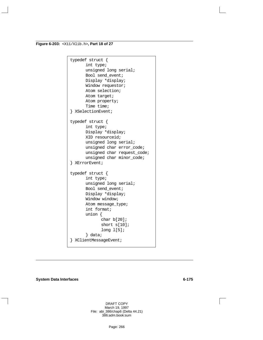### **Figure 6-203:** < X 1 1 / X l i b . h >**, Part 18 of 27**

```
typedef struct {
      int type;
      unsigned long serial;
      Bool send_event;
      Display *display;
      Window requestor;
      Atom selection;
      Atom target;
      Atom property;
      Time time;
} XSelectionEvent;
typedef struct {
      int type;
      Display *display;
      XID resourceid;
      unsigned long serial;
      unsigned char error_code;
      unsigned char request_code;
      unsigned char minor\_code;
} XErrorEvent;
typedef struct {
      int type;
      unsigned long serial;
      Bool send_event;
      Display *display;
      Window window;
      Atom message_type;
      int format;
      union \{char b[20];
             short s[10];
             long l[5];
      \} data;
} XClientMessageEvent;
```
**System Data Interfaces** 6-175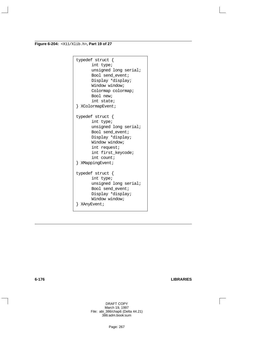### **Figure 6-204:** <x11/Xlib.h>, Part 19 of 27

typedef struct { int type; unsigned long serial; Bool send\_event; Display \*display; Window window; Colormap colormap; Bool new; int state; } XColormapEvent; typedef struct { int type; unsigned long serial; Bool send\_event; Display \*display; Window window; int request; int first\_keycode;  $int$  count; } XMappingEvent; typedef struct { int type; unsigned long serial; Bool send\_event; Display \*display; Window window; } XAnyEvent;

**6-176 LIBRARIES**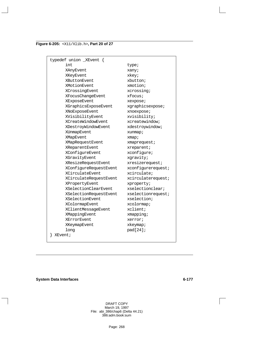## **Figure 6-205:** <x11/x1ib.h>, Part 20 of 27

| typedef union _XEvent {  |                      |  |  |
|--------------------------|----------------------|--|--|
| int                      | type;                |  |  |
| XAnyEvent                | xany;                |  |  |
| XKeyEvent                | xkey;                |  |  |
| <b>XButtonEvent</b>      | xbutton;             |  |  |
| XMotionEvent             | xmotion;             |  |  |
| XCrossingEvent           | xcrossing;           |  |  |
| <b>XFocusChangeEvent</b> | $xf$ $\alpha$ us $i$ |  |  |
| XExposeEvent             | xexpose;             |  |  |
| XGraphicsExposeEvent     | xgraphicsexpose;     |  |  |
| XNoExposeEvent           | xnoexpose;           |  |  |
| XVisibilityEvent         | xvisibility;         |  |  |
| XCreateWindowEvent       | xcreatewindow;       |  |  |
| XDestroyWindowEvent      | xdestroywindow;      |  |  |
| XUnmapEvent              | xunmap;              |  |  |
| XMapEvent                | $xmap$ ;             |  |  |
| XMapRequestEvent         | xmaprequest;         |  |  |
| XReparentEvent           | xreparent;           |  |  |
| XConfigureEvent          | xconfigure;          |  |  |
| XGravityEvent            | xgravity;            |  |  |
| XResizeRequestEvent      | xresizerequest;      |  |  |
| XConfigureRequestEvent   | xconfigurerequest;   |  |  |
| XCirculateEvent          | xcirculate;          |  |  |
| XCirculateRequestEvent   | xcirculaterequest;   |  |  |
| XPropertyEvent           | xproperty;           |  |  |
| XSelectionClearEvent     | xselectionclear;     |  |  |
| XSelectionRequestEvent   | xselectionrequest;   |  |  |
| XSelectionEvent          | xselection;          |  |  |
| XColormapEvent           | xcolormap;           |  |  |
| XClientMessageEvent      | xclient;             |  |  |
| XMappingEvent            | xmapping;            |  |  |
| XErrorEvent              | xerror;              |  |  |
| XKeymapEvent             | xkeymap;             |  |  |
| long                     | pad[24];             |  |  |
| XEvent;                  |                      |  |  |

**System Data Interfaces** 6-177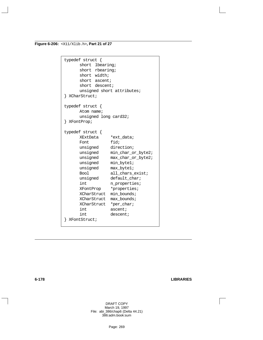### **Figure 6-206:** <x11/xlib.h>, Part 21 of 27

typedef struct { short lbearing; short rbearing; short width; short ascent; short descent; unsigned short attributes;  $}$  XCharStruct; typedef struct { Atom name; unsigned long card32; } XFontProp; typedef struct { XExtData \*ext\_data; Font fid; unsigned direction;  $unsigned$   $min\_char\_or\_byte2$ ; unsigned max\_char\_or\_byte2;  $unsigned$   $min_bytel;$  $unsigned$   $max_bytel;$ Bool all\_chars\_exist;  $unsigned$   $default_{char}$ ; int n properties; XFontProp \*properties; X Char Struct min\_bounds; X Char Struct max\_bounds; XCharStruct \* per\_char; int a scent; int descent; } XFontStruct;

**6-178 LIBRARIES**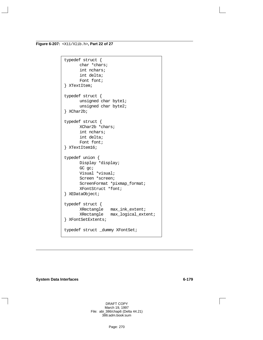```
typedef struct {
      char * <i>chars</i>;
      int nchars;
      int delta;
      Font font;
} XTextItem;
typedef struct {
      unsigned char bytel;
      unsigned char byte2i} XChar2b;
typedef struct {
      X Char 2b * chars;
      int nchars;
      int delta;
      Font font;
} XTextItem16;
typedef union {
      Display *display;
      GC gc;
      Visual *visual;
      Screen * screen;
      ScreenFormat *pixmap_format;
      XFontStruct *font;
} XEDataObject;
typedef struct {
      X Rectangle max_ink_extent;
      X Rectangle max\_logical\_extent;
} XFontSetExtents;
typedef struct _dummy XFontSet;
```
**System Data Interfaces** 6-179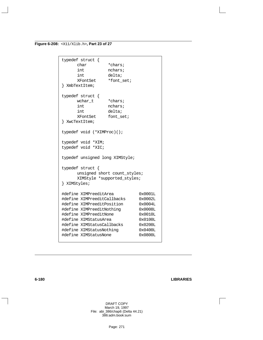**Figure 6-208:** <x11/xlib.h>, Part 23 of 27

```
typedef struct {
       char \times \text{chars};int nchars;
       int delta;
       XFontSet *font_set;
} Xmb T ext I tem \mathfrak{p}typedef struct {
       \begin{array}{ccc} \text{wchar}\ \bot \end{array} \qquad \begin{array}{c} \star_{\text{chars}\, i} \end{array}int nchars;
       int delta;
       XFontSet font set;
} XwcTextItem;
typedef void (*XIMProc)();
typedef void *XIM;
typedef void *XIC;
typedef unsigned long XIMStyle;
typedef struct {
       unsigned short count_styles;
       XIMStyle *supported_styles;
} XIMStyles;
#define XIMP reedit A rea 0x0001L
#define XIMP reedit Callbacks 0x0002L
# d e f i n e X I M P r e e d i t P o s i t i o n 0 x 0 0 0 4 L
#define XIMP reedit Nothing 0x0008L
#define XIMP reedit None 0x0010L
# d e f i n e X I M S t a t u s A r e a 0 x 0 1 0 0 L
# d e f i n e X I M S t a t u s C a l l b a c k s 0 x 0 2 0 0 L
#define XIMStatusNothing 0x0400L
# d e f i n e X I M S t a t u s N o n e 0 x 0 8 0 0 L
```
**6-180 LIBRARIES**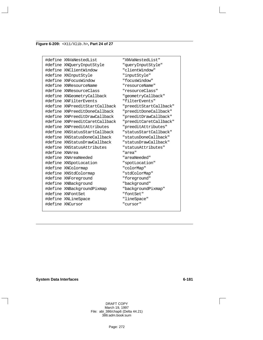#### **Figure 6-209:** <x11/xlib.h>, Part 24 of 27

#define XNVaNestedList "XNVaNestedList" #define XNQueryInputStyle " queryInputStyle" #define XNClientWindow "clientWindow" #define XNInputStyle "inputStyle" #define XNFocusWindow "focusWindow" #define XNResourceName "resourceName" #define XNResourceClass "resourceClass" #define XNGeometryCallback "geometryCallback" #define XNFilterEvents "filterEvents" #define XNP reeditStartCallback "preeditStartCallback" #define XNPreeditDoneCallback "preeditDoneCallback" #define XNP reedit Draw Callback "preedit Draw Callback" #define XNP reedit Caret Callback "preedit Caret Callback" #define XNP reedit At tributes "preedit At tributes" # d e f i n e X N S t a t u s S t a r t C a l l b a c k " s t a t u s S t a r t C a l l b a c k " #define XNStatusDoneCallback "statusDoneCallback" #define XNStatusDrawCallback "statusDrawCallback" #define XNStatusAttributes "statusAttributes" #define XNArea  $\blacksquare$ #define XNA reaN eeded "areaN eeded" #define XNSpotLocation "spotLocation" #define XNColormap "colorMap" #define XNStdColormap "stdColorMap" #define XNForeground "foreground" #define XNBackground "background" #define XNBackgroundPixmap "backgroundPixmap" #define XNFontSet "fontSet" #define XNLineSpace "lineSpace" # d e f i n e X N C u r s o r " c u r s o r "

**System Data Interfaces** 6-181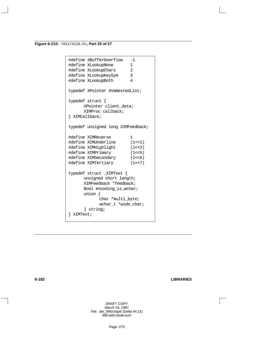## **Figure 6-210:** <x11/x1ib.h>, Part 25 of 27

| #define XBufferOverflow            | $-1$         |  |  |  |  |
|------------------------------------|--------------|--|--|--|--|
| #define XLookupNone                | $\mathbf{1}$ |  |  |  |  |
| #define XLookupChars               | 2            |  |  |  |  |
| #define XLookupKeySym              | 3            |  |  |  |  |
| #define XLookupBoth                | 4            |  |  |  |  |
| typedef XPointer XVaNestedList;    |              |  |  |  |  |
| typedef struct {                   |              |  |  |  |  |
| XPointer client data;              |              |  |  |  |  |
| XIMProc callback;                  |              |  |  |  |  |
| } XIMCallback;                     |              |  |  |  |  |
| typedef unsigned long XIMFeedback; |              |  |  |  |  |
| #define XIMReverse                 | 1.           |  |  |  |  |
| #define XIMUnderline               | (1 < 1)      |  |  |  |  |
| #define XIMHighlight               | (1 < 2)      |  |  |  |  |
| #define XIMPrimary                 | (1<5)        |  |  |  |  |
| #define XIMSecondary               | (1<6)        |  |  |  |  |
| #define XIMTertiary                | (1<<7)       |  |  |  |  |
| typedef struct _XIMText {          |              |  |  |  |  |
| unsigned short length;             |              |  |  |  |  |
| XIMFeedback *feedback;             |              |  |  |  |  |
| Bool encoding_is_wchar;            |              |  |  |  |  |
| union {                            |              |  |  |  |  |
| char *multi_byte;                  |              |  |  |  |  |
| wchar_t *wide_char;                |              |  |  |  |  |
| string;                            |              |  |  |  |  |
| XIMText;                           |              |  |  |  |  |

**6-182 LIBRARIES**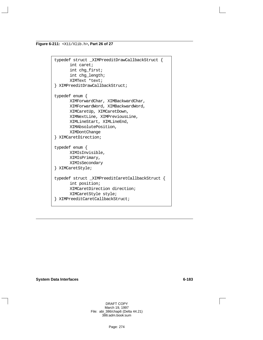### **Figure 6-211:** <x11/xlib.h>, Part 26 of 27



**System Data Interfaces** 6-183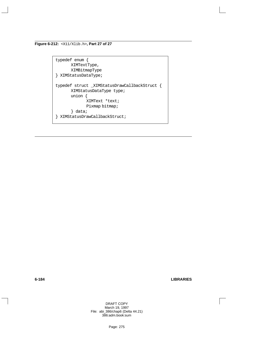### **Figure 6-212:** <x11/x1ib.h>, Part 27 of 27

typedef enum { XIM Text Type, XIMBitmapType } XIM Status Data Type; typedef struct \_XIMStatusDrawCallbackStruct { XIM Status Data Type type; union  $\{$ XIMText \*text; Pixmap bitmap;  $\}$  data; } XIM Status Draw Callback Struct;

**6-184 LIBRARIES**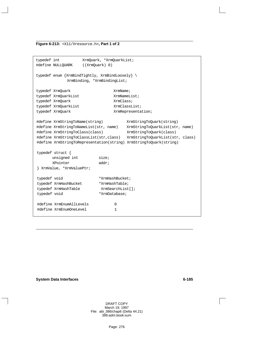**Figure 6-213:** < $x11/X$  resource. h>, Part 1 of 2

```
typedef int XrmQuark, *XrmQuarkList;
#define NULLQUARK ((XrmQuark) 0)
typedef enum {XrmBindTightly, XrmBindLoosely} \
              XrmBinding, *XrmBindingList;
t y pe de f X r m Q u a r k r m N a m e i k r m N a m e i k r m N a m e i k r m N a m e i k r m N a m e i k r m N a m e i k r m N a m e i k r m N a m e i k r m N a m e i k r m N a m e i k r m N a m e i k r m N a m e i k r 
typedef XrmQuarkList <br/> XrmNameList;
typedef XrmQuark \blacksquare XrmClass;
typedef XrmQuarkList KrmClassList;
typedef XrmQuark x x x \ldots xrmRepresentation;
#define XrmStringToName(string) XrmStringToQuark(string)
#define XrmStringToNameList(str, name) XrmStringToQuarkList(str, name)
#define XrmStringToClass(class) XrmStringToQuark(class)
#define XrmStringToClassList(str,class) XrmStringToQuarkList(str, class)
#define XrmStringToRepresentation(string) XrmStringToQuark(string)
typedef struct {
       unsigned int size;
       XPointer addr;
} XrmValue, *XrmValuePtr;
typedef void *XrmHashBucket;
typedef XrmHashBucket *XrmHashTable;
typedef XrmHashTable KrmSearchList[];
typedef void *XrmDatabase;
#define XrmEnumAllLevels 0
#define XrmEnumOneLevel 1
```
**System Data Interfaces** 6-185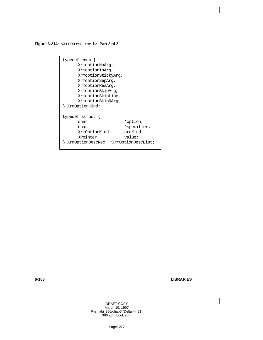| typedef enum {                        |             |  |  |  |  |
|---------------------------------------|-------------|--|--|--|--|
| XrmoptionNoArq,                       |             |  |  |  |  |
| XrmoptionIsArq,                       |             |  |  |  |  |
| XrmoptionStickyArq,                   |             |  |  |  |  |
| XrmoptionSepArq,                      |             |  |  |  |  |
| XrmoptionResArq,                      |             |  |  |  |  |
| XrmoptionSkipArq,                     |             |  |  |  |  |
| XrmoptionSkipLine,                    |             |  |  |  |  |
| XrmoptionSkipNArgs                    |             |  |  |  |  |
| XrmOptionKind;                        |             |  |  |  |  |
|                                       |             |  |  |  |  |
| typedef struct {                      |             |  |  |  |  |
| char                                  | *option;    |  |  |  |  |
| char                                  | *specifier; |  |  |  |  |
| XrmOptionKind                         | arqKind;    |  |  |  |  |
| XPointer                              | value;      |  |  |  |  |
| XrmOptionDescRec, *XrmOptionDescList; |             |  |  |  |  |

**6-186 LIBRARIES**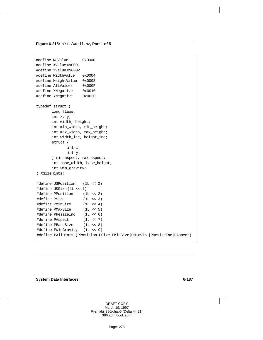### **Figure 6-215:** < $x11/Xutil.h>$ , Part 1 of 5

```
#define NoValue 0x0000
# define X Value 0 x 0 0 0 1
# define Y Value 0x0002
#define WidthValue  0x0004
#define HeightValue 0x0008
#define AllValues 0x000F
#define XNegative 0x0010
#define YNegative 0x0020
typedef struct {
       long flags;
       int x, y;
       int width, height;
       int min_width, min_height;
       int max_width, max_height;
       int width_inc, height_inc;
       struct \{int x;
              int y;
       \} min_aspect, max_aspect;
       int base_width, base_height;
       int win_gravity;
} XSizeHints;
# define USP osition (1L \le 0)# define USSize (1L << 1)
# define P Position (1L \leq 2)\# \text{define} \text{ PSize} (1L << 3)
#define PMinSize (1L << 4)
#define PMaxSize (1L << 5)
#define PResizeInc (1L << 6)
\# \text{define } P \text{Aspect} (1L << 7)
#define PBaseSize (1L << 8)
# define PWinGravity (1L << 9)
#define PAllHints (PPosition|PSize|PMinSize|PMaxSize|PResizeInc|PAspect)
```
**System Data Interfaces** 6-187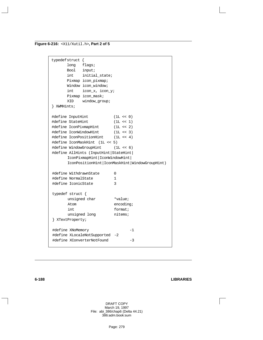**Figure 6-216:** <x11/Xutil.h>, Part 2 of 5

```
typedef struct {
      long flags;
      Bool input;
      int initial\_state;
      Pixmap icon_pixmap;
      Window icon_window;
      int icon_x, icon_y;
      Pixmap icon_mask;
      XID window_group;
} XWMHints;
\# \text{define InputHint} (1L << 0)
#define StateHint (1L << 1)
\#define \; IconPixmapHint \; (1L << 2)#define IconWindowHint (1L << 3)
#define I con Position Hint (1L \leq 4)#define I con Mask Hint (1L << 5)
#define WindowGroupHint (1L \ll 6)#define AllHints (InputHint | StateHint |
      I con Pix map Hint | I con Window Hint |
      I con Position Hint | I con Mask Hint | Window Group Hint )
#define WithdrawnState 0
#define NormalState 1
# de fine I conic State 3
typedef struct {
      unsigned char *value;
      Atom encoding;
      int format;
      unsigned long mitems;
} XTextProperty;
#define XNoMemory -1
#define XLocaleNotSupported -2
#define XConverterNotFound -3
```
**6-188 LIBRARIES**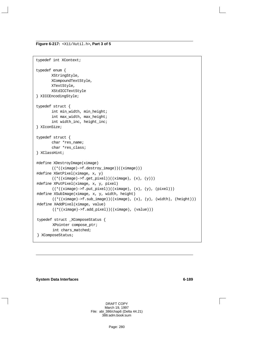### **Figure 6-217:** < $x11/Xutil.h>$ , Part 3 of 5

```
typedef int XContext;
typedef enum {
       XStringStyle,
       X Compound Text Style,
       XTextStyle,
       XStdICCTextStyle
} XICCEncodingStyle;
typedef struct {
       int min_width, min_height;
       int max width, max height;
       int width_inc, height_inc;
} XI con Size;
typedef struct {
       char * res_name;char * res_class;
} XClassHint;
#define XDestroyImage(ximage)
        (( * (( ximage) - >f . \n{destroy\_image}) ) (( ximage) ))#define X GetFixed(ximage, x, y)(( * (( ximage) - >f.get\_pixel)) (( ximage), ( x ), ( y ) ) )#define XPutPixel(ximage, x, y, pixel)
        (( * ((ximage) - ^f .put\_pixel)) ((ximage), (x), (y), (pixel)))#define XSubImage(ximage, x, y, width, height)
        (( ^{\star}((ximage) - ^{\star}f.sub\_image))((ximage), (x), (y), (width), (height)))#define XAddPixel(ximage, value)
        (( * (( ximage) - >f.add\_pixel)) (( ximage), ( value)))typedef struct _XComposeStatus {
        XPointer compose_ptr;
        int chars matched;
} XComposeStatus;
```
**System Data Interfaces** 6-189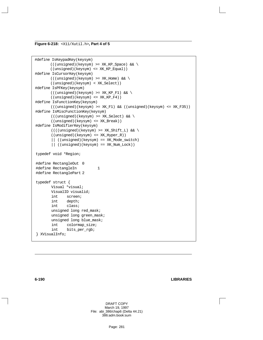**Figure 6-218:** < $x11/Xutil.h>$ , Part 4 of 5

```
#define IsKeypadKey(keysym)
        (( ( unsigned ) ( keysym ) > = XK_KP_Space ) & \setminus((unsigned) (keysym) < = XK_KPL_{\text{equal}}))# define Is Cursor Key ( k e y s y m)
        (( ( unsigned ) ( keysym ) > = XK_Home ) & & \
        ((unsigned) (keysym) < XX_S elect) )# define Is PFK ey ( k e y s y m )
        (( ( unsigned ) ( keysym ) > = XK_KP_F1 ) & & \
        ((unsigned) (keysym) < = XK_KPL_F4))# de fine Is Function Key ( k ey s y m )
        (( ( ( unsigned ) (keysym) > = XK_F1 ) & (( unsigned) (keysym) < = XK_F35 ) )
#define IsMiscFunctionKey(keysym)
        (( ( unsigned ) ( keys ym ) > = XK_Select ) & & \
        ((unsigned) (keysym) < = XK_Break) )# define Is Modifier Key (k ey s y m)
        ((( \text{unsigned}) (\text{keysym}) \geq \text{XK} \text{ Shift L}) \&\&\ \((unsigned) (keysym) < = XX_Hyper_R))|| ( ( (unsigned ) ( keys ym ) = XK_M Mode_switch )
        || ( ( ( unsigned ) (keysym) == KK_Mum\_Lock ) )
typedef void *Region;
#define RectangleOut 0
#define RectangleIn 1
#define RectanglePart 2
typedef struct {
        Visual *visual;
        VisualID visualid;
        int screen;
        int depth;
        int class;
        unsigned long red mask;
        unsigned long green_mask;
        unsigned long blue_mask;
        int colormap_size;
        int bits_per_rgb;
} XVisualInfo;
```
**6-190 LIBRARIES**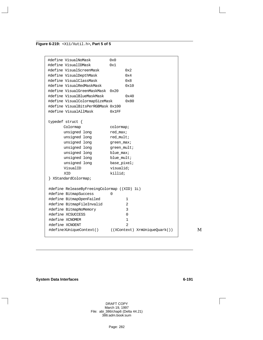### **Figure 6-219:** <x11/xutil.h>, Part 5 of 5

| #define VisualNoMask                        | 0x0                           |   |  |
|---------------------------------------------|-------------------------------|---|--|
| #define VisualIDMask                        | 0x1                           |   |  |
| #define VisualScreenMask                    | 0x2                           |   |  |
| #define VisualDepthMask                     | 0x4                           |   |  |
| #define VisualClassMask                     | 0x8                           |   |  |
| #define VisualRedMaskMask                   | 0x10                          |   |  |
| #define VisualGreenMaskMask 0x20            |                               |   |  |
| #define VisualBlueMaskMask                  | 0x40                          |   |  |
| #define VisualColormapSizeMask              | 0x80                          |   |  |
| #define VisualBitsPerRGBMask 0x100          |                               |   |  |
| #define VisualAllMask                       | 0x1FF                         |   |  |
|                                             |                               |   |  |
| typedef struct {                            |                               |   |  |
| Colormap                                    | colormap;                     |   |  |
| unsigned long                               | red max;                      |   |  |
| unsigned long                               | red mult;                     |   |  |
| unsigned long                               | green_max;                    |   |  |
| unsigned long                               | green_mult;                   |   |  |
| unsigned long                               | blue max;                     |   |  |
| unsigned long                               | blue mult;                    |   |  |
| unsigned long                               | base pixel;                   |   |  |
| VisualID                                    | visualid;                     |   |  |
| XID                                         | killid;                       |   |  |
| } XStandardColormap;                        |                               |   |  |
|                                             |                               |   |  |
| #define ReleaseByFreeingColormap ((XID) 1L) |                               |   |  |
| #define BitmapSuccess                       | 0                             |   |  |
| #define BitmapOpenFailed                    | 1                             |   |  |
| #define BitmapFileInvalid                   | 2                             |   |  |
| 3<br>#define BitmapNoMemory                 |                               |   |  |
| 0<br>#define XCSUCCESS                      |                               |   |  |
| #define XCNOMEM                             | 1                             |   |  |
| #define XCNOENT                             | 2                             |   |  |
| #defineXUniqueContext()                     | ((XContext) XrmUniqueQuark()) | M |  |

**System Data Interfaces** 6-191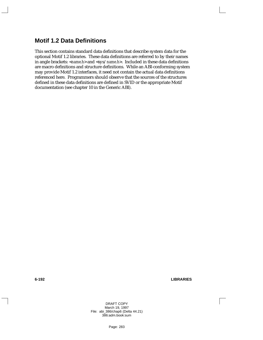# **Motif 1.2 Data Definitions**

This section contains standard data definitions that describe system data for the optional Motif 1.2 libraries. These data definitions are referred to by their names in angle brackets: <*name.h*> and <sys/*name.h*>. Included in these data definitions are macro definitions and structure definitions. While an ABI-conforming system may provide Motif 1.2 interfaces, it need not contain the actual data definitions referenced here. Programmers should observe that the sources of the structures defined in these data definitions are defined in SVID or the appropriate Motif documentation (see chapter 10 in the Generic ABI).

**6-192 LIBRARIES**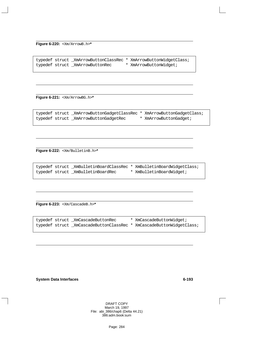**Figure 6-220:** <xm/ArrowB.h>\*

|  | typedef struct XmArrowButtonRec | * XmArrowButtonWidget; |
|--|---------------------------------|------------------------|

**Figure 6-221:** < $Xm/ATrowBG.h>*$ 

|  | typedef struct XmArrowButtonGadgetClassRec * XmArrowButtonGadgetClass; |                        |
|--|------------------------------------------------------------------------|------------------------|
|  | typedef struct XmArrowButtonGadgetRec                                  | * XmArrowButtonGadget; |

**Figure 6-222:**  $\langle$  Xm/BulletinB.h>\*

|  |                                   | typedef struct XmBulletinBoardClassRec * XmBulletinBoardWidgetClass; |
|--|-----------------------------------|----------------------------------------------------------------------|
|  | typedef struct XmBulletinBoardRec | * XmBulletinBoardWidget;                                             |

**Figure 6-223:** < $Xm/CascadeB.h>^*$ 

|  | typedef struct XmCascadeButtonRec | * XmCascadeButtonWidget; |
|--|-----------------------------------|--------------------------|
|  |                                   |                          |

**System Data Interfaces** 6-193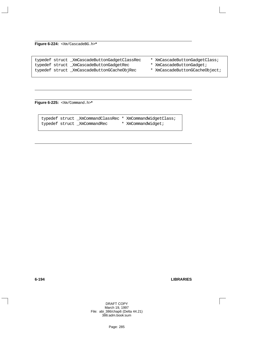**Figure 6-224:** < Xm/Cascade BG.h>\*

```
typedef struct _XmCascadeButtonGadgetClassRec * XmCascadeButtonGadgetClass;
typedef struct _XmCascadeButtonGadgetRec * XmCascadeButtonGadget;
typedef struct _XmCascadeButtonGCacheObjRec * XmCascadeButtonGCacheObject;
```
**Figure 6-225:** <xm/Command.h>\*

typedef struct \_XmCommandClassRec \* XmCommandWidgetClass; typedef struct \_XmCommandRec \* XmCommandWidget;

**6-194 LIBRARIES**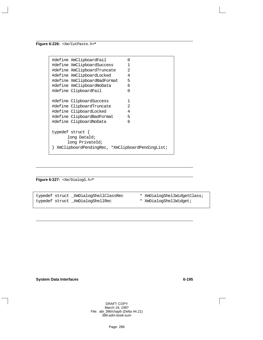**Figure 6-226:** < Xm/CutPaste.h>\*

```
#define XmClipboardFail 0
#define XmClipboardSuccess 1
#define XmClipboardTruncate 2
#define XmClipboardLocked 4
#define XmClipboardBadFormat 5
#define XmClipboardNoData 6
#define ClipboardFail 0
#define ClipboardSuccess 1
#define ClipboardTruncate 2
#define ClipboardLocked 4
#define ClipboardBadFormat 5
#define ClipboardNoData 6
typedef struct {
     long DataId;
     long PrivateId;
} XmClipboardPendingRec, *XmClipboardPendingList;
```
**Figure 6-227:** < Xm/DialogS.h>\*

typedef struct \_XmDialogShellClassRec \* XmDialogShellWidgetClass; typedef struct \_XmDialogShellRec \* XmDialogShellWidget;

- 
- 

**System Data Interfaces** 6-195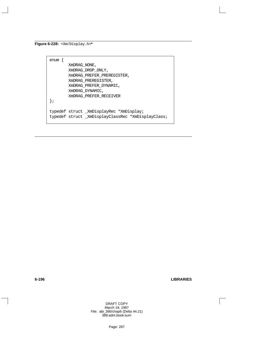**Figure 6-228:** <*Xm/Display.h>\** 

```
enum {
        \texttt{XmDRAG\_NONE} ,
        XmDRAG_DROP_ONLY,
        XmDRAG_PREFER_PREREGISTER,
        XmDRAG_PREREGISTER,
        XmDRAG_PREFER_DYNAMIC,
        XmDRAG_DYNAMIC,
        XmDRAG_PREFER_RECEIVER
} ;
typedef struct _XmDisplayRec *XmDisplay;
typedef struct _XmDisplayClassRec *XmDisplayClass;
```
**6-196 LIBRARIES**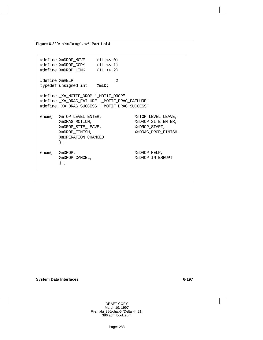**Figure 6-229:** < Xm/DragC.h>\*, Part 1 of 4

```
\# \text{define } \text{XmDROP} MOVE (1L \ll 0)\#define XmDROP_COPY (1L << 1)
\# \text{define } \text{XmDROP\_LINK} (1L << 2)
#define XmHELP 2
typedef unsigned int XmID;
#define _XA_MOTIF_DROP "_MOTIF_DROP"
#define _XA_DRAG_FAILURE "_MOTIF_DRAG_FAILURE"
#define _XA_DRAG_SUCCESS "_MOTIF_DRAG_SUCCESS"
\lceil \text{enum} \rceil XmTOP LEVEL ENTER, \lceil \text{XmTOP} \rceil and \lceil \text{NEWE} \rceil and \lceil \text{NEWE} \rceilXmDRAG_MOTION, xmDROP_SITE\_ENTER,
       XmDROP_SITE_LEAVE, XmDROP_START,
       XmDROP_FINISH, XmDROP_FINISH,
       XmOPERATION_CHANGED
        } ;
enum{ XmDROP, XmDROP HELP,
       XmDROP_CANCEL, \verb|XmDROP_INTERRUPT|} ;
```
**System Data Interfaces** 6-197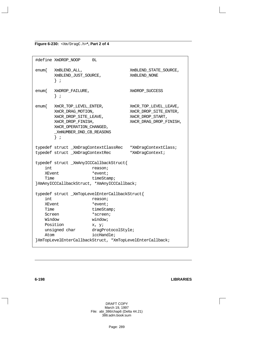**Figure 6-230:** < Xm/DragC.h >\*, Part 2 of 4

```
#define XmDROP NOOP 0L
\mathsf{enum} XmBLEND ALL, \mathsf{XmBLEND} STATE SOURCE,
      XmBLEND_JUST_SOURCE, XmBLEND_NONE
      } ;
enum{ XmDROP FAILURE, XmDROP SUCCESS
      } ;
enum{
XmCR_TOP_LEVEL_ENTER,
Where XmCR_TOP_LEVEL_LEAVE,
      XmCR_DRAG_MOTION, XmCR\_DROP\_SITE\_ENTER,
      XmCR DROP SITE LEAVE, XmCR DROP START,
      XmCR_DROP_FINISH, XmCR\_DROP\_FINISH,
      XmCR OPERATION CHANGED,
      _XmNUMBER_DND_CB_REASONS
      } ;
typedef struct _XmDragContextClassRec *XmDragContextClass;
typedef struct _XmDragContextRec *XmDragContext;
typedef struct _XmAnyICCCallbackStruct{
   int reason;
   XE v ent * e v ent iTime timeStamp;
} Xm Any I CCCallback Struct, * Xm Any I CCCallback;
typedef struct _XmTopLevelEnterCallbackStruct{
   int reason;
   XE v ent x t event xTime timeStamp;
   Screen *screen;
   Window window;
   Position x, y;
   unsigned char dragProtocolStyle;
   Atom iccHandle;
} XmTopLevelEnterCallbackStruct, * XmTopLevelEnterCallback;
```
**6-198 LIBRARIES**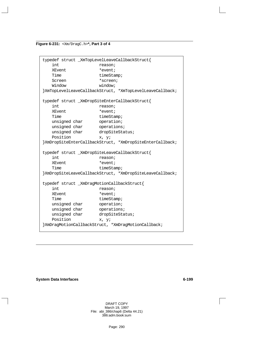**Figure 6-231:** < $Xm/DragC.h$ >\*, Part 3 of 4

```
t y p e d e f s t r u c t _ X m T o p L e v e l L e a v e C a l l b a c k S t r u c t {
    int reason;
    XEvent *event;
    Time timeStamp;
    Screen *screen;
    Window window;
} XmTopLevelLeaveCallbackStruct, * XmTopLevelLeaveCallback;
typedef struct _XmDropSiteEnterCallbackStruct{
    int reason;
   X E v ent in the vent is the vent in the vent in the vent in the vent in the vent in the vent in the vent in the vent in the vent in the vent in the vent in the vent in the vent in the vent in the vent in the vent in the v
   Time timeStamp;
   unsigned char operation;
    unsigned char operations;
    unsigned char dropSiteStatus;
    Position x, y;
} Xm D rop Site Enter Callback Struct, * Xm D rop Site Enter Callback;
typedef struct _XmDropSiteLeaveCallbackStruct{
    int reason;
    XEvent *event;
    Time timeStamp;
} Xm D rop Site Leave Callback Struct, * Xm D rop Site Leave Callback;
typedef struct _XmDragMotionCallbackStruct{
    int reason;
    XEvent *event;
    Time timeStamp;
    unsigned char operation;
    unsigned char operations;
   unsigned char dropSiteStatus;
    Position x, y;
} XmDragMotionCallbackStruct, * XmDragMotionCallback;
```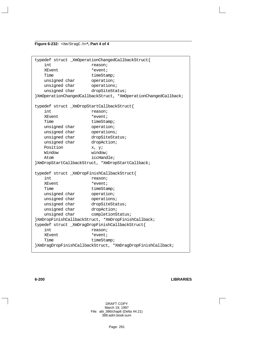**Figure 6-232:** < Xm/DragC.h>\*, Part 4 of 4

```
t y p e d e f s t r u c t _ X m O p e r a t i o n C h a n g e d C a l l b a c k S t r u c t {
   int reason;
   XEvent *event;
   Time timeStamp;
   unsigned char operation;
   unsigned char operations;
   unsigned char dropSiteStatus;
} XmOperationChangedCallbackStruct, * XmOperationChangedCallback;
typedef struct _XmDropStartCallbackStruct{
   int reason;
   XEvent *event;
   Time timeStamp;
   unsigned char operation;
   unsigned char operations;
   unsigned char dropSiteStatus;
   unsigned char dropAction;
   Position x, y;
   Window window;
   Atom iccHandle;
} Xm D rop Start Callback Struct, * Xm D rop Start Callback;
typedef struct _XmDropFinishCallbackStruct{
   int reason;
   XEvent *event;
   Time timeStamp;
   unsigned char operation;
   unsigned char operations;
   unsigned char dropSiteStatus;
   unsigned char dropAction;
   unsigned char completionStatus;
} Xm D rop Finish Callback Struct, * Xm D rop Finish Callback;
typedef struct _XmDragDropFinishCallbackStruct{
   int reason;
   XE v ent x t event xTime timeStamp;
} Xm D r ag D r o p F i n i s h C all b a ck S t r u c t , * Xm D r ag D r o p F i n i s h C all b a ck ;
```
**6-200 LIBRARIES**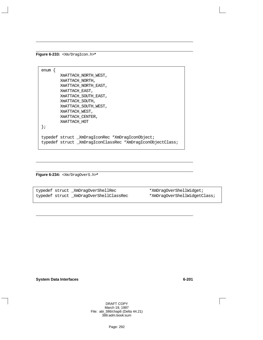**Figure 6-233:** < $Xm/DragIcon.h>$ <sup>\*</sup>

| enum |                      |
|------|----------------------|
|      | XmATTACH NORTH WEST, |
|      | XMATTACH NORTH,      |
|      | XMATTACH NORTH EAST, |
|      | XMATTACH EAST,       |
|      | XMATTACH SOUTH EAST, |
|      | XMATTACH SOUTH,      |
|      | XmATTACH SOUTH WEST, |
|      | XmATTACH WEST,       |
|      | XMATTACH CENTER,     |
|      | XMATTACH HOT         |
|      |                      |
|      |                      |
|      |                      |
|      |                      |
|      |                      |

**Figure 6-234:** < Xm/Drag0verS.h>\*

typedef struct \_XmDragOverShellRec \*XmDragOverShellWidget; typedef struct \_XmDragOverShellClassRec \*XmDragOverShellWidgetClass;

**System Data Interfaces** 6-201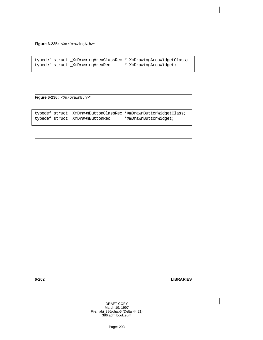**Figure 6-235:** < $Xm/DrawingA.h>{*}$ 

|  |                                 | typedef struct _XmDrawingAreaClassRec * XmDrawingAreaWidgetClass; |
|--|---------------------------------|-------------------------------------------------------------------|
|  | typedef struct XmDrawingAreaRec | * XmDrawingAreaWidget;                                            |

**Figure 6-236:** < $x_m/DrawnB.h>*$ 

|  | typedef struct _XmDrawnButtonRec | *XmDrawnButtonWidget; |
|--|----------------------------------|-----------------------|

**6-202 LIBRARIES**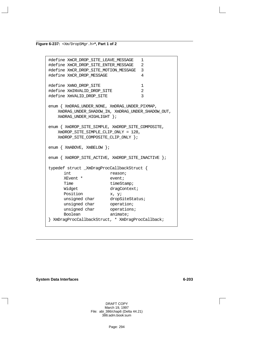**Figure 6-237:** < Xm/DropSMgr.h>\*, Part 1 of 2

```
#define XmCR DROP SITE LEAVE MESSAGE 1
#define XmCR_DROP_SITE_ENTER_MESSAGE 2
#define XmCR_DROP_SITE_MOTION_MESSAGE 3
#define XmCR_DROP_MESSAGE 4
#define XmNO_DROP_SITE 1
#define XmINVALID DROP SITE 2
#define XmVALID_DROP_SITE 3
enum { XmDRAG_UNDER_NONE, XmDRAG_UNDER_PIXMAP,
   XmDRAG_UNDER_SHADOW_IN, XmDRAG_UNDER_SHADOW_OUT,
   XmDRAG\_UNDER\_HIGHLIGHT } ;
enum { XmDROP_SITE_SIMPLE, XmDROP_SITE_COMPOSITE,
   XmDROP\_SITE\_SIMPLE\_CLIP\_ONLY = 128,
   XmDROP\_SITE\_COMPOSITION ;
enum \{ XmABOVE, XmBELOW \};
enum \{ XmDROP_SITE_ACTIVE, XmDROP_SITE_INACTIVE \};
typedef struct _XmDragProcCallbackStruct {
     int reason;
     XEvent * event;
     Time timeStamp;
     Widget dragContext;
     Position x, y;
     unsigned char dropSiteStatus;
     unsigned char operation;
     unsigned char operations;
     Boolean animate;
} XmDragProcCallbackStruct, * XmDragProcCallback;
```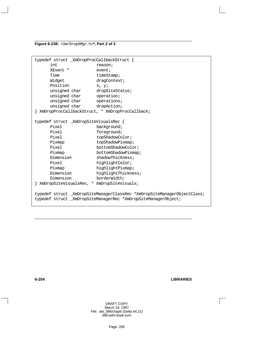**Figure 6-238:** < Xm/DropSMgr.h>\*, Part 2 of 2

```
typedef struct _XmDropProcCallbackStruct {
     int reason;
     XEvent * event;
     Time timeStamp;
     Widget dragContext;
     Position x, y;
     unsigned char dropSiteStatus;
     unsigned char operation;
     unsigned char operations;
     unsigned char dropAction;
} XmDropProcCallbackStruct, * XmDropProcCallback;
typedef struct _XmDropSiteVisualsRec {
     Pixel background;
     Pixel foreground;
     Pixel topShadowColor;
     Pixmap topShadowPixmap;
     Pixel bottomShadowColor;
     Pixmap bottomShadowPixmap;
     Dimension shadowThickness;
     Pixel highlightColor;
     Pixmap highlightPixmap;
     Dimension highlightThickness;
     Dimension borderWidth;
} XmDropSiteVisualsRec, * XmDropSiteVisuals;
typedef struct _XmDropSiteManagerClassRec *XmDropSiteManagerObjectClass;
typedef struct _XmDropSiteManagerRec *XmDropSiteManagerObject;
```
**6-204 LIBRARIES**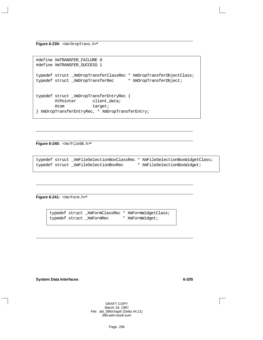**Figure 6-239:** <*Xm/DropTrans.h>\** 

```
#define XmTRANSFER FAILURE 0
#define XmTRANSFER_SUCCESS 1
typedef struct _XmDropTransferClassRec * XmDropTransferObjectClass;
typedef struct _XmDropTransferRec * XmDropTransferObject;
typedef struct _XmDropTransferEntryRec {
       XtPointer client_data;
       Atom target;
} XmDropTransferEntryRec, * XmDropTransferEntry;
```
**Figure 6-240:** < $Xm/Fi1eSB.h$ >\*

```
typedef struct _XmFileSelectionBoxClassRec * XmFileSelectionBoxWidgetClass;
typedef struct _XmFileSelectionBoxRec * XmFileSelectionBoxWidget;
```
**Figure 6-241:** < $x_{m}/$ Form.h>\*

typedef struct \_XmFormClassRec \* XmFormWidgetClass; typedef struct \_XmFormRec \* XmFormWidget;

**System Data Interfaces** 6-205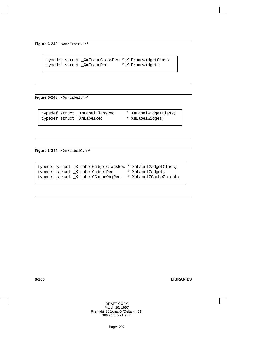**Figure 6-242:** < $Xm/Frame.h$ >\*

typedef struct \_XmFrameClassRec \* XmFrameWidgetClass; typedef struct \_XmFrameRec \* XmFrameWidget;

**Figure 6-243:** < $x_{m/Label.h>}$ \*

 $\texttt{typedef struct } \text{\_XmLabelClassRec} \qquad \texttt{* } \texttt{XmLabelClass};$ typedef struct \_XmLabelRec \* XmLabelWidget;

- 
- 

**Figure 6-244:** < $Xm/LabelG.h$ >\*

| typedef struct _XmLabelGadgetClassRec * XmLabelGadgetClass; |                        |
|-------------------------------------------------------------|------------------------|
|                                                             | * XmLabelGadget;       |
|                                                             | * XmLabelGCacheObject; |

**6-206 LIBRARIES**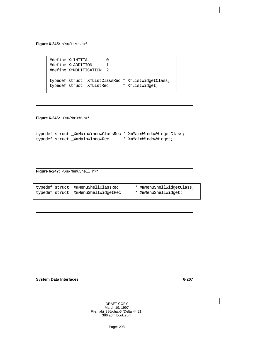**Figure 6-245:**  $\langle$  Xm/List.h>\*

```
#define XmINITIAL 0
#define XmADDITION 1
#define XmMODIFICATION 2
typedef struct _XmListClassRec * XmListWidgetClass;<br>typedef struct _XmListRec * XmListWidget;
typedef struct _XmListRec
```
**Figure 6-246:** < $Xm/MainW.h$ >\*

|  | typedef struct XmMainWindowRec | * XmMainWindowWidget; |
|--|--------------------------------|-----------------------|

**Figure 6-247:** < Xm/MenuShell.h>\*

|  | typedef struct XmMenuShellClassRec   |
|--|--------------------------------------|
|  | typedef struct _XmMenuShellWidgetRec |

- \* Xm M en u Shell Widget Class;
- \* XmMenuShellWidget;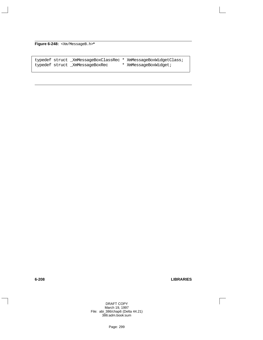Figure 6-248: < Xm/MessageB.h>\*

|  | typedef struct XmMessageBoxRec | * XmMessageBoxWidget; |
|--|--------------------------------|-----------------------|

**6-208 LIBRARIES**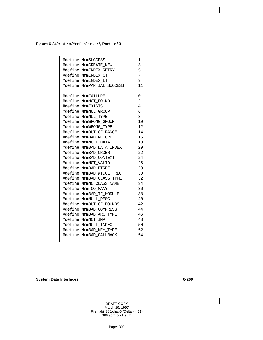**Figure 6-249:** <Mrm/MrmPublic.h>\*, Part 1 of 3

| #define MrmSUCCESS         | 1              |
|----------------------------|----------------|
| #define MrmCREATE_NEW      | 3              |
| #define MrmINDEX_RETRY     | 5              |
| #define MrmINDEX GT        | 7              |
| #define MrmINDEX_LT        | 9              |
| #define MrmPARTIAL SUCCESS | 11             |
|                            |                |
| #define MrmFAILURE         | 0              |
| #define MrmNOT FOUND       | $\overline{2}$ |
| #define MrmEXISTS          | 4              |
| #define MrmNUL GROUP       | 6              |
| #define MrmNUL TYPE        | 8              |
| #define MrmWRONG_GROUP     | 10             |
| #define MrmWRONG_TYPE      | 12             |
| #define MrmOUT_OF_RANGE    | 14             |
| #define MrmBAD_RECORD      | 16             |
| #define MrmNULL_DATA       | 18             |
| #define MrmBAD DATA INDEX  | 20             |
| #define MrmBAD ORDER       | 22             |
| #define MrmBAD CONTEXT     | 24             |
| #define MrmNOT VALID       | 26             |
| #define MrmBAD BTREE       | 28             |
| #define MrmBAD WIDGET REC  | 30             |
| #define MrmBAD_CLASS_TYPE  | 32             |
| #define MrmNO CLASS NAME   | 34             |
| #define MrmTOO_MANY        | 36             |
| #define MrmBAD_IF_MODULE   | 38             |
| #define MrmNULL_DESC       | 40             |
| #define MrmOUT OF BOUNDS   | 42             |
| #define MrmBAD COMPRESS    | 44             |
| #define MrmBAD ARG TYPE    | 46             |
| #define MrmNOT IMP         | 48             |
| #define MrmNULL INDEX      | 50             |
| #define MrmBAD KEY TYPE    | 52             |
| #define MrmBAD CALLBACK    | 54             |
|                            |                |

**System Data Interfaces** 6-209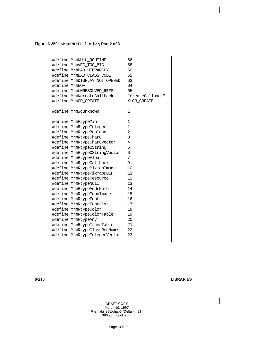**Figure 6-250:** <Mrm/MrmPublic.h>\*, Part 2 of 3

| #define MrmEOF | #define MrmNULL ROUTINE<br>#define MrmVEC_TOO_BIG<br>#define MrmBAD HIERARCHY<br>#define MrmBAD_CLASS_CODE<br>#define MrmDISPLAY NOT OPENED<br>#define MrmUNRESOLVED REFS<br>#define MrmNcreateCallback | 56<br>58<br>60<br>62<br>63<br>64<br>65<br>"createCallback" |
|----------------|---------------------------------------------------------------------------------------------------------------------------------------------------------------------------------------------------------|------------------------------------------------------------|
|                | #define MrmCR CREATE                                                                                                                                                                                    | XmCR CREATE                                                |
|                | #define MrmwcUnknown                                                                                                                                                                                    | 1                                                          |
|                | #define MrmRtypeMin                                                                                                                                                                                     | 1                                                          |
|                | #define MrmRtypeInteger                                                                                                                                                                                 | 1                                                          |
|                | #define MrmRtypeBoolean                                                                                                                                                                                 | $\overline{2}$                                             |
|                | #define MrmRtypeChar8                                                                                                                                                                                   | 3                                                          |
|                | #define MrmRtypeChar8Vector                                                                                                                                                                             | 4                                                          |
|                | #define MrmRtypeCString                                                                                                                                                                                 | 5                                                          |
|                | #define MrmRtypeCStringVector                                                                                                                                                                           | 6                                                          |
|                | #define MrmRtypeFloat                                                                                                                                                                                   | 7                                                          |
|                | #define MrmRtypeCallback                                                                                                                                                                                | 9                                                          |
|                | #define MrmRtypePixmapImage                                                                                                                                                                             | 10                                                         |
|                | #define MrmRtypePixmapDDIF                                                                                                                                                                              | 11                                                         |
|                | #define MrmRtypeResource                                                                                                                                                                                | 12                                                         |
|                | #define MrmRtypeNull                                                                                                                                                                                    | 13                                                         |
|                | #define MrmRtypeAddrName                                                                                                                                                                                | 14                                                         |
|                | #define MrmRtypeIconImage                                                                                                                                                                               | 15                                                         |
|                | #define MrmRtypeFont                                                                                                                                                                                    | 16                                                         |
|                | #define MrmRtypeFontList                                                                                                                                                                                | 17                                                         |
|                | #define MrmRtypeColor                                                                                                                                                                                   | 18                                                         |
|                | #define MrmRtypeColorTable                                                                                                                                                                              | 19                                                         |
|                | #define MrmRtypeAny                                                                                                                                                                                     | 20                                                         |
|                | #define MrmRtypeTransTable                                                                                                                                                                              | 21                                                         |
|                | #define MrmRtypeClassRecName                                                                                                                                                                            | 22                                                         |
|                | #define MrmRtypeIntegerVector                                                                                                                                                                           | 23                                                         |
|                |                                                                                                                                                                                                         |                                                            |

**6-210 LIBRARIES**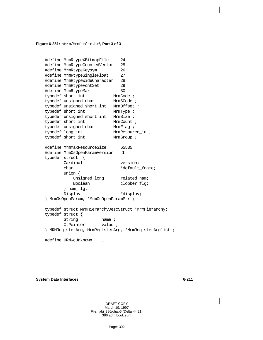**Figure 6-251:** <*Mrm/MrmPublic.h>\**, Part 3 of 3

```
#define MrmRtypeXBitmapFile 24
#define MrmRtypeCountedVector 25
#define MrmRtypeKeysym 26
#define MrmRtypeSingleFloat 27
#define MrmRtypeWideCharacter 28
#define MrmRtypeFontSet 29
#define MrmRtypeMax 30
typedef short int MrmCode ;
typedef unsigned char MrmSCode ;
typedef unsigned short int MrmOffset ;
typedef short int MrmType ;
typedef unsigned short int MrmSize ;
typedef short int MrmCount ;
typedef unsigned char MrmFlag ;
typedef long int MrmResource_id ;
typedef short int MrmGroup ;
#define MrmMaxResourceSize 65535
#define MrmOsOpenParamVersion 1
typedef struct {
      Cardinal version;
      {\tt char}~~{\tt^*default\_frame};union \{unsigned long related_nam;
          Boolean clobber_flg;
      } nam_flg;
      Display *display;
} MrmOsOpenParam, *MrmOsOpenParamPtr ;
typedef struct MrmHierarchyDescStruct *MrmHierarchy;
typedef struct {
      String name ;
      XtPointer value ;
} MRM Register Arg, Mrm Register Arg, * Mrm Register Arglist ;
# de fine URM w cUnknown 1
```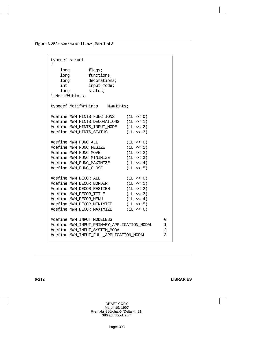```
typedef struct
{
   long flags;
   long functions;
   long decorations;
   int input mode;
   long status;
} MotifWmHints;
typedef MotifWmHints MwmHints;
# define MWM HINTS FUNCTIONS (1L \ll 0)#define MWM_HINTS_DECORATIONS (1L << 1)
#define MWM_HINTS_INPUT_MODE (1L << 2)
#define MWM_HINTS_STATUS (1L << 3)
\# \text{define } M\text{W} \text{ FUNC ALL} (1L << 0)
\# \text{define } M\ FUNC RESIZE (1L \ll 1)\# \text{define } \text{MWM\_FUNC\_MOVE} (1L << 2)
#define MWM_FUNC_MINIMIZE (1L << 3)
#define MWM_FUNC_MAXIMIZE (1L << 4)
\# \text{define } \text{MMM\_FUNCTIONE} (1L << 5)
\# \text{define } \text{MWM\_DECOR\_ALL} (1L << 0)
\# \text{define } M \text{W} \text{DECOR BORDER} (1L << 1)
#define MWM_DECOR_RESIZEH (1L << 2)
\#define MWM_DECOR_TITLE (1L << 3)\# \text{define } M\ DECOR MENU (1L \ll 4)\# \text{define } M \text{W} \text{ DECOR} \text{ MINIMIZE} (1L << 5)
#define MWM_DECOR_MAXIMIZE (1L << 6)
#define MWM_INPUT_MODELESS 0
#define MWM_INPUT_PRIMARY_APPLICATION_MODAL 1
#define MWM INPUT SYSTEM MODAL 2
#define MWM_INPUT_FULL_APPLICATION_MODAL 3
```
**6-212 LIBRARIES**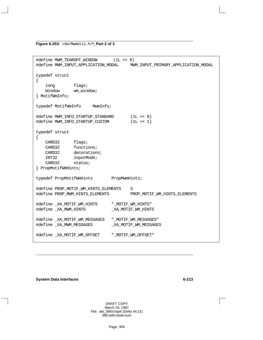**Figure 6-253:** < Xm/MwmUtil.h>\*, Part 2 of 3

```
\# \text{define } MWM TEAROFF WINDOW (1L << 0)#define MWM_INPUT_APPLICATION_MODAL MWM_INPUT_PRIMARY_APPLICATION_MODAL
typedef struct
{
   long flags;
   Window wm window;
} MotifWmInfo;
typedef MotifWmInfo MwmInfo;
# define MWM INFO STARTUP STANDARD (1L << 0)#define MWM_INFO_STARTUP_CUSTOM (1L << 1)typedef struct
{
   CARD32 flags;
   CARD32 functions;
   CARD32 decorations;
   INT32 input Mode;
   CARD32 status;
} PropMotifWmHints;
typedef PropMotifWmHints PropMwmHints;
#define PROP_MOTIF_WM_HINTS_ELEMENTS 5
#define PROP_MWM_HINTS_ELEMENTS PROP_MOTIF_WM_HINTS_ELEMENTS
#define _XA_MOTIF_WM_HINTS "_MOTIF_WM_HINTS"
# d e f i n e _ X A _ M W M _ H I N T S _ X A _ M O T I F _ W M _ H I N T S
#define _XA_MOTIF_WM_MESSAGES "_MOTIF_WM_MESSAGES"
# d e f i n e _ X A _ M W M _ M E S S A G E S _ X A _ M O T I F _ W M _ M E S S A G E S
#define _XA_MOTIF_WM_OFFSET "_MOTIF_WM_OFFSET"
```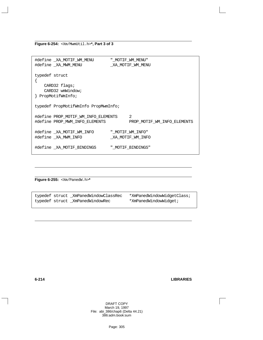**Figure 6-254:** < $x_{m}/M_{W}$   $WUUU11..h>^{*}$ , Part 3 of 3

| #define XA MOTIF WM MENU<br>#define XA MWM MENU                         | " MOTIF WM MENU"<br>XA MOTIF WM MENU          |
|-------------------------------------------------------------------------|-----------------------------------------------|
| typedef struct<br>CARD32 flags;<br>CARD32 wmWindow;<br>PropMotifWmInfo; |                                               |
| typedef PropMotifWmInfo PropMwmInfo;                                    |                                               |
| #define PROP MOTIF WM INFO ELEMENTS<br>#define PROP MWM INFO ELEMENTS   | $\mathfrak{D}$<br>PROP MOTIF WM INFO ELEMENTS |
| #define XA MOTIF WM INFO<br>#define XA MWM INFO                         | " MOTIF WM INFO"<br>XA MOTIF WM INFO          |
| #define XA MOTIF BINDINGS                                               | " MOTIF BINDINGS"                             |

**Figure 6-255:** < $x_m$ /Paned W.h>\*

|                                 | *XmPanedWindowWidgetClass; |
|---------------------------------|----------------------------|
| typedef struct XmPanedWindowRec | *XmPanedWindowWidget;      |

**6-214 LIBRARIES**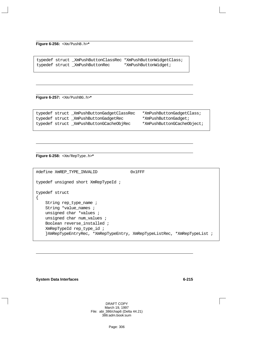**Figure 6-256:** < Xm/PushB.h>\*

```
typedef struct _XmPushButtonClassRec *XmPushButtonWidgetClass;
typedef struct _XmPushButtonRec *XmPushButtonWidget;
```
**Figure 6-257:** < Xm/PushBG.h>\*

|  | *XmPushButtonGadgetClass;  |
|--|----------------------------|
|  | *XmPushButtonGadget;       |
|  | *XmPushButtonGCacheObject; |

**Figure 6-258:** < Xm/RepType.h>\*

#define XmREP\_TYPE\_INVALID 0x1FFF typedef unsigned short XmRepTypeId ; typedef struct { String rep\_type\_name ; String \*value\_names ; unsigned char \*values ; unsigned char num\_values ; Boolean reverse\_installed  $i$ XmRepTypeId rep\_type\_id ;  ${}$  Xm R e p T y p e Entry R e c, \* X m R e p T y p e Entry, X m R e p T y p = L ist  $R$  e p T y p e L ist  $R$ 

**System Data Interfaces** 6-215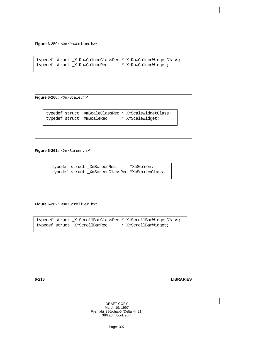**Figure 6-259:** < Xm/Row Column.h>\*

|  | typedef struct XmRowColumnRec | * XmRowColumnWidget; |
|--|-------------------------------|----------------------|

**Figure 6-260:** < $x_{m}/\text{Scale.h}>^*$ 

typedef struct \_XmScaleClassRec \* XmScaleWidgetClass; typedef struct \_XmScaleRec \* XmScaleWidget;

**Figure 6-261:** <*Xm/Screen.h>\** 

typedef struct \_XmScreenRec \*XmScreen; typedef struct \_XmScreenClassRec \*XmScreenClass;

**Figure 6-262:** < Xm/ScrollBar.h>\*

typedef struct \_XmScrollBarClassRec \* XmScrollBarWidgetClass; typedef struct \_XmScrollBarRec \* XmScrollBarWidget;

**6-216 LIBRARIES**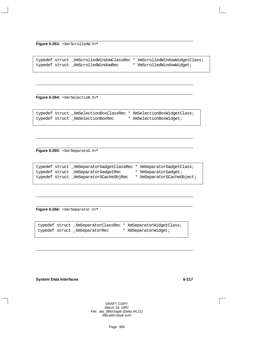**Figure 6-263:** <xm/ScrolledW.h>\*

|  |                                    | typedef struct XmScrolledWindowClassRec * XmScrolledWindowWidgetClass; |
|--|------------------------------------|------------------------------------------------------------------------|
|  | typedef struct XmScrolledWindowRec | * XmScrolledWindowWidget;                                              |

**Figure 6-264:** < $Xm/SelectionB.h$ <sup>\*</sup>

|  | typedef struct XmSelectionBoxRec | * XmSelectionBoxWidget; |
|--|----------------------------------|-------------------------|

Figure 6-265: < Xm/Separato G.h>\*

|  | typedef struct XmSeparatorGadgetRec    | * XmSeparatorGadget;       |
|--|----------------------------------------|----------------------------|
|  | typedef struct XmSeparatorGCacheObjRec | * XmSeparatorGCacheObject; |

Figure 6-266: < Xm/Separator.h>\*

| typedef struct XmSeparatorRec | * XmSeparatorWidget; |
|-------------------------------|----------------------|

**System Data Interfaces** 6-217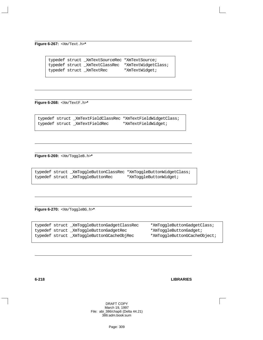**Figure 6-267:** <xm/Text.h>\*

```
typedef struct _XmTextSourceRec *XmTextSource;
typedef struct _XmTextClassRec *XmTextWidgetClass;
typedef struct _XmTextRec *XmTextWidget;
```
**Figure 6-268:** < $x_{m}/\text{TextF.h}>^*$ 

|  | typedef struct XmTextFieldRec | *XmTextFieldWidget; |
|--|-------------------------------|---------------------|

**Figure 6-269:** < $x_{m/Together}$  oggleB.h>\*

|  |                                  | typedef struct XmToqqleButtonClassRec *XmToqqleButtonWidgetClass; |
|--|----------------------------------|-------------------------------------------------------------------|
|  | typedef struct XmToqqleButtonRec | *XmToggleButtonWidget;                                            |

**Figure 6-270:** <xm/ToggleBG.h>\*

|                                            | *XmToqqleButtonGadqetClass;  |
|--------------------------------------------|------------------------------|
|                                            | *XmToqqleButtonGadget;       |
| typedef struct _XmToggleButtonGCacheObjRec | *XmToqgleButtonGCacheObject; |

**6-218 LIBRARIES**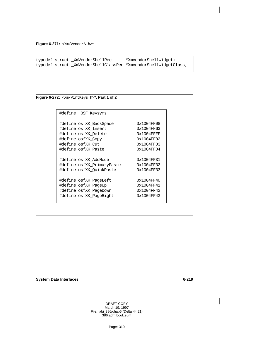**Figure 6-271:** < $Xm/V$ endorS.h>\*

```
typedef struct _XmVendorShellRec *XmVendorShellWidget;
typedef struct _XmVendorShellClassRec *XmVendorShellWidgetClass;
```
## **Figure 6-272:** < $x_{m}/\text{Virtkeys.h}>^*$ , Part 1 of 2

| #define OSF Keysyms                                                                                                                       |                                                                                        |
|-------------------------------------------------------------------------------------------------------------------------------------------|----------------------------------------------------------------------------------------|
| #define osfXK BackSpace<br>#define osfXK Insert<br>#define osfXK Delete<br>#define osfXK Copy<br>#define osfXK Cut<br>#define osfXK Paste | 0x1004FF08<br>0x1004FF63<br>$0x1004$ FFFF<br>0x1004FF02<br>0x1004FF03<br>$0x1004$ FF04 |
| #define osfXK_AddMode<br>#define osfXK PrimaryPaste<br>#define osfXK OuickPaste                                                           | 0x1004FF31<br>0x1004FF32<br>0x1004FF33                                                 |
| #define osfXK PaqeLeft<br>#define osfXK PaqeUp<br>#define osfXK PaqeDown<br>#define osfXK_PageRight                                       | 0x1004FF40<br>0x1004FF41<br>0x1004FF42<br>0x1004FF43                                   |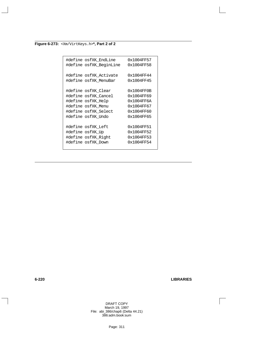## **Figure 6-273:** < $Xm/VirtKeys.h$ >\*, Part 2 of 2

```
# d e f i n e o s f X K _ E n d L i n e 0 x 1 0 0 4 F F 5 7
#define osfXK_BeginLine  0x1004FF58
# d e f i n e o s f X K _ A c t i v a t e 0 x 1 0 0 4 F F 4 4
#define osfXK_MenuBar 0x1004FF45
# d e f i n e o s f X K _ C l e a r 0 x 1 0 0 4 F F 0 B
#define osfXK_Cancel 0x1004FF69
# d e f i n e o s f X K _ H e l p 0 x 1 0 0 4 F F 6 A
# d e f i n e o s f X K _ M e n u 0 x 1 0 0 4 F F 6 7
#define osfXK_Select 0x1004FF60
# d e f i n e o s f X K _ U n d o 0 x 1 0 0 4 F F 6 5
#define osfXK_Left 0x1004FF51
# d e f i n e o s f X K _ U p 0 x 1 0 0 4 F F 5 2
# d e f i n e o s f X K _ R i g h t 0 x 1 0 0 4 F F 5 3
#define osfXK_Down 0x1004FF54
```
**6-220 LIBRARIES**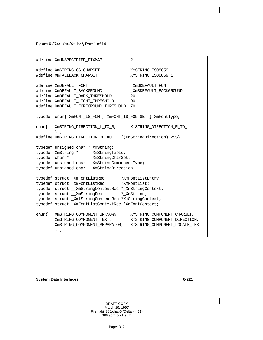**Figure 6-274:** < Xm/Xm.h>\*, Part 1 of 14

```
#define XmUNSPECIFIED PIXMAP 2
#define XmSTRING OS CHARSET XmSTRING ISO8859 1
#define XmFALLBACK_CHARSET XmSTRING_ISO8859_1
#define XmDEFAULT FONT WINNING TO XMSDEFAULT FONT
# d e f i n e X m D E F A U L T _ B A C K G R O U N D _ X m S D E F A U L T _ B A C K G R O U N D
#define XmDEFAULT DARK THRESHOLD 20
#define XmDEFAULT_LIGHT_THRESHOLD 90
#define XmDEFAULT_FOREGROUND_THRESHOLD 70
typedef enum{ XmFONT IS FONT, XmFONT IS FONTSET } XmFontType;
enum XmSTRING DIRECTION L TO R, XmSTRING DIRECTION R TO L
        } ;
#define XmSTRING_DIRECTION_DEFAULT ((XmStringDirection) 255)
typedef unsigned char * XmString;
typedef XmString * XmStringTable;
typedef char * XmStringCharSet;
typedef unsigned char XmStringComponentType;
typedef unsigned char XmStringDirection;
typedef struct _XmFontListRec *XmFontListEntry;
typedef struct _XmFontListRec *XmFontList;
typedef struct __XmStringContextRec *_XmStringContext;
typedef struct __XmStringRec *_XmString;
typedef struct _XmtStringContextRec *XmStringContext;
typedef struct _XmFontListContextRec *XmFontContext;
\mathsf{enum}\{\qquad \mathtt{XmSTRING\_COMPONENT\_UNKNOWN}, \qquad \mathtt{XmSTRING\_COMPONENT\_CHARSET},
       XmSTRING_COMPONENT_TEXT, XmSTRING_COMPONENT_DIRECTION,
       XmSTRING_COMPONENT_SEPARATOR, XmSTRING_COMPONENT_LOCALE_TEXT
       } ;
```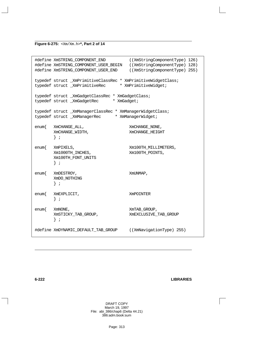**Figure 6-275:** < Xm/Xm. h >\*, Part 2 of 14

```
#define XmSTRING COMPONENT END ((XmStringComponentType) 126)
#define XmSTRING_COMPONENT_USER_BEGIN ((XmStringComponentType) 128)
#define XmSTRING_COMPONENT_USER_END ((XmStringComponentType) 255)
typedef struct _XmPrimitiveClassRec * XmPrimitiveWidgetClass;
typedef struct _XmPrimitiveRec * XmPrimitiveWidget;
typedef struct _XmGadgetClassRec * XmGadgetClass;
typedef struct _XmGadgetRec * XmGadget;
typedef struct _XmManagerClassRec * XmManagerWidgetClass;
typedef struct _XmManagerRec * XmManagerWidget;
\mathbb{R} = num { XmCHANGE ALL , \mathbb{R} XmCHANGE NONE ,
       \verb|XmCHANGE_WIDTH|, \verb|XmCHANGE_HEIGHT|} ;
enum{ XmPIXELS, Xml00TH MILLIMETERS,
       Xm1000TH_INCHES, Xm100TH_POINTS,
       Xm100TH_FONT_UNITS
       } ;
enum\{\ XmDESTROY, XmUMAP,
      XmDO_NOTHING
       } ;
enum{ XmEXPLICIT, XmPOINTER
       } ;
enum\{\ XmNONE, XmTAB_GROUP,XmSTICKY_TAB_GROUP, XmEXCLUSIVE_TAB_GROUP
       } ;
#define XmDYNAMIC DEFAULT TAB GROUP ((XmNavigationType) 255)
```
**6-222 LIBRARIES**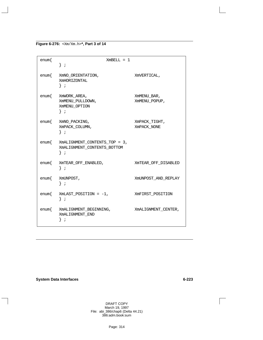**Figure 6-276:** < Xm/Xm.h>\*, Part 3 of 14

| enum{ | $XmBELL = 1$<br>$\}$ ;                                                 |                              |
|-------|------------------------------------------------------------------------|------------------------------|
| enum{ | XmNO ORIENTATION,<br>XmHORIZONTAL<br>$\}$ ;                            | XmVERTICAL,                  |
| enum{ | XmWORK_AREA,<br>XmMENU_PULLDOWN,<br>XmMENU_OPTION<br>$\}$ ;            | XmMENU_BAR,<br>XmMENU POPUP, |
| enum{ | XmNO PACKING,<br>XmPACK_COLUMN,<br>$\}$ ;                              | XmPACK_TIGHT,<br>XmPACK NONE |
| enum{ | XmALIGNMENT_CONTENTS_TOP = 3,<br>XMALIGNMENT CONTENTS BOTTOM<br>$\}$ ; |                              |
| enum{ | XMTEAR OFF ENABLED,<br>$\}$ ;                                          | XMTEAR OFF DISABLED          |
| enum{ | XmUNPOST,<br>$\}$ ;                                                    | XMUNPOST AND REPLAY          |
|       | $enum{$ XmLAST_POSITION = -1,<br>$\}$ ;                                | XmFIRST POSITION             |
| enum{ | XmALIGNMENT BEGINNING,<br>XmALIGNMENT END<br>$\}$ ;                    | XmALIGNMENT CENTER,          |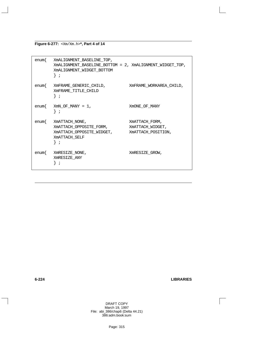**Figure 6-277:** < $x_{m}/x_{m}$ .h>\*, Part 4 of 14

| enum{ | XmALIGNMENT BASELINE TOP,<br>$XmALIGNMENT$ BASELINE BOTTOM = $2$ , $XmALIGNMENT$ WIDGET TOP,<br>XMALIGNMENT WIDGET BOTTOM<br>$\}$ ; |                                                          |
|-------|-------------------------------------------------------------------------------------------------------------------------------------|----------------------------------------------------------|
| enum{ | XMFRAME GENERIC CHILD,<br>XMFRAME TITLE CHILD<br>$\}$ ;                                                                             | XMFRAME WORKAREA CHILD,                                  |
| enum{ | $XmN$ OF MANY = 1,<br>$\vert \cdot$                                                                                                 | XMONE OF MANY                                            |
| enum{ | XMATTACH NONE,<br>XMATTACH OPPOSITE FORM,<br>XMATTACH OPPOSITE WIDGET,<br>XMATTACH SELF<br>$\}$ ;                                   | XMATTACH FORM,<br>XmATTACH WIDGET,<br>XMATTACH POSITION, |
| enum{ | XmRESIZE NONE,<br>XmRESIZE ANY                                                                                                      | XmRESIZE GROW,                                           |

**6-224 LIBRARIES**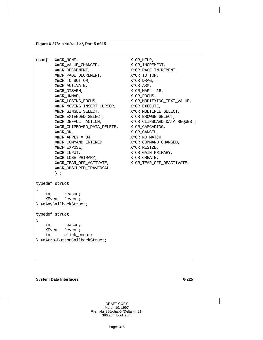## **Figure 6-278:** < Xm/Xm.h>\*, Part 5 of 15

| enum{          | XmCR NONE,                   | XmCR HELP,                   |
|----------------|------------------------------|------------------------------|
|                | XmCR VALUE CHANGED,          | XmCR_INCREMENT,              |
|                | XMCR DECREMENT,              | XmCR PAGE INCREMENT,         |
|                | XMCR PAGE DECREMENT,         | XmCR TO TOP,                 |
|                | XmCR TO BOTTOM,              | XmCR DRAG,                   |
|                | XmCR ACTIVATE,               | XmCR ARM,                    |
|                | XmCR DISARM,                 | $XmCR$ MAP = 16,             |
|                | XMCR UNMAP,                  | XmCR FOCUS,                  |
|                | XmCR_LOSING_FOCUS,           | XmCR_MODIFYING_TEXT_VALUE,   |
|                | XmCR_MOVING_INSERT_CURSOR,   | XMCR EXECUTE,                |
|                | XMCR SINGLE SELECT,          | XMCR MULTIPLE SELECT,        |
|                | XmCR_EXTENDED_SELECT,        | XmCR_BROWSE_SELECT,          |
|                | XmCR DEFAULT ACTION,         | XmCR_CLIPBOARD_DATA_REQUEST, |
|                | XmCR_CLIPBOARD_DATA_DELETE,  | XmCR_CASCADING,              |
|                | XmCR OK,                     | XmCR CANCEL,                 |
|                | $XmCR$ APPLY = 34,           | XmCR NO MATCH,               |
|                | XmCR_COMMAND_ENTERED,        | XmCR COMMAND CHANGED,        |
|                | XmCR EXPOSE,                 | XmCR RESIZE,                 |
|                | XmCR INPUT,                  | XmCR GAIN PRIMARY,           |
|                | XmCR_LOSE_PRIMARY,           | XmCR_CREATE,                 |
|                | XmCR_TEAR_OFF_ACTIVATE,      | XmCR TEAR OFF DEACTIVATE,    |
|                | XmCR OBSCURED TRAVERSAL      |                              |
|                | $\}$ ;                       |                              |
|                |                              |                              |
| typedef struct |                              |                              |
| $\{$           |                              |                              |
| int            | reason;                      |                              |
|                | XEvent *event;               |                              |
|                | } XmAnyCallbackStruct;       |                              |
|                |                              |                              |
| typedef struct |                              |                              |
| $\{$           |                              |                              |
| int            | reason;                      |                              |
|                | XEvent *event;               |                              |
| int            | click count;                 |                              |
|                | XmArrowButtonCallbackStruct; |                              |
|                |                              |                              |

**System Data Interfaces** 6-225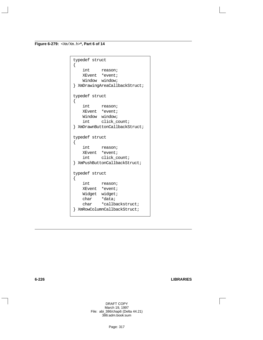**Figure 6-279:** <xm/xm.h>\*, Part 6 of 14

```
typedef struct
{
   int reason;
   XEvent * event;
   Window window;
} XmDrawingAreaCallbackStruct;
typedef struct
{
   int reason;
   XEvent * event;
   Window window;
   int click_count;
} XmDrawnButtonCallbackStruct;
typedef struct
{
   int reason;
   XEvent * event;
   int click_count;
} XmPushButtonCallbackStruct;
typedef struct
{
   int reason;
   XEvent * event;
   Widget widget;
   char * data;
   char * callbackstruct;
} XmRowColumnCallbackStruct;
```
**6-226 LIBRARIES**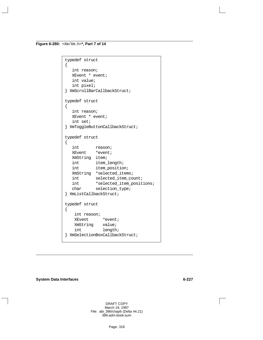**Figure 6-280:** <xm/xm.h>\*, Part 7 of 14

```
typedef struct
{
  int reason;
  XEvent * event;
  int value;
  int pixel;
} XmScrollBarCallbackStruct;
typedef struct
\{int reason;
  XEvent * event;
  int set;} XmToggleButtonCallbackStruct;
typedef struct
\{int reason;
  XEvent * event ;
  XmString item;
  int item_length;
  int item_position;
  XmString *selected_items;
  int selected_item_count;
  int *selected_item_positions;
  char selection_type;
} XmListCallbackStruct;
typedef struct
{
   int reason;
   XEvent *event;
   XmString value;
   int length;
} XmSelectionBoxCallbackStruct;
```
**System Data Interfaces** 6-227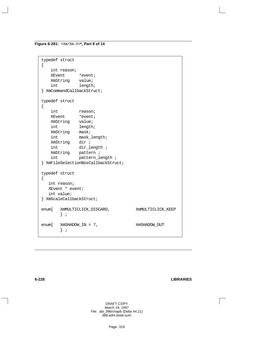**Figure 6-281:** <xm/xm.h>\*, Part 8 of 14

```
typedef struct
\{int reason;
   X Event * event iXmString value;
   int length;
} XmCommandCallbackStruct;
typedef struct
{
   int reason;
   XEvent *event;
   XmString value;
   int length;
   XmString mask;
   int mask_length;
   XmString dir ;
   int dir_length ;
   XmString pattern;
   int pattern_length ;
} XmFileSelectionBoxCallbackStruct;
typedef struct
{
  int reason;
  XEvent * event;
  int value;
} XmScaleCallbackStruct;
enum{
 XmMULTICLICK_DISCARD,
 XmMULTICLICK_KEEP
      } ;
enum{ XmSHADOW_in = 7, XmSHADOW_OUT} ;
```
**6-228 LIBRARIES**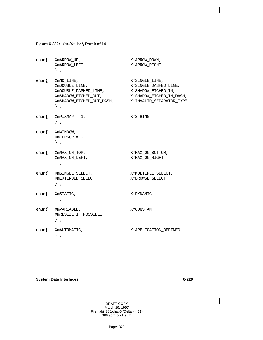**Figure 6-282:** < $x_{m}/x_{m}$ .h>\*, Part 9 of 14

| enum{   | XmARROW UP,<br>XmARROW LEFT,<br>$\}$ ;                                                                               | XmARROW DOWN,<br>XmARROW RIGHT                                                                                         |
|---------|----------------------------------------------------------------------------------------------------------------------|------------------------------------------------------------------------------------------------------------------------|
| enum{   | XmNO_LINE,<br>XmDOUBLE_LINE,<br>XmDOUBLE_DASHED_LINE,<br>XmSHADOW ETCHED OUT,<br>XMSHADOW ETCHED OUT DASH,<br>$\}$ ; | XmSINGLE_LINE,<br>XmSINGLE_DASHED_LINE,<br>XmSHADOW_ETCHED_IN,<br>XmSHADOW_ETCHED_IN_DASH,<br>XmINVALID SEPARATOR TYPE |
| enum{   | XmPIXMAP = 1,<br>$\}$ ;                                                                                              | XmSTRING                                                                                                               |
| $enum{$ | XmWINDOW,<br>$XmCURSOR = 2$<br>$\}$ ;                                                                                |                                                                                                                        |
| enum{   | XMMAX ON TOP,<br>XMMAX ON LEFT,<br>$\}$ ;                                                                            | XMMAX ON BOTTOM,<br>XMMAX ON RIGHT                                                                                     |
| enum{   | XmSINGLE SELECT,<br>XMEXTENDED_SELECT,<br>$\}$ ;                                                                     | XMMULTIPLE SELECT,<br>XmBROWSE_SELECT                                                                                  |
| enum{   | XmSTATIC,<br>$\vert \cdot \vert$                                                                                     | XmDYNAMIC                                                                                                              |
| enum{   | XmVARIABLE,<br>XmRESIZE IF POSSIBLE<br>$\}$ ;                                                                        | XmCONSTANT,                                                                                                            |
| enum{   | XmAUTOMATIC,<br>$\}$ ;                                                                                               | XmAPPLICATION DEFINED                                                                                                  |

**System Data Interfaces** 6-229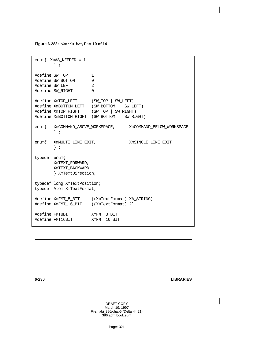**Figure 6-283:** < Xm/Xm. h>\*, Part 10 of 14

```
enum{ XmAS NEEDED = 1
       } ;
#define SW_TOP 1
#define SW_BOTTOM 0
#define SW_LEFT 2
#define SW RIGHT 0
#define XmTOP_LEFT (SW_TOP | SW_LEFT)
#define XmBOTTOM_LEFT (SW_BOTTOM | SW_LEFT)
# define XmTOP_RIGHT (SW_TOP | SW_RIGHT)
#define XmBOTTOM_RIGHT (SW_BOTTOM | SW_RIGHT)
enum{ XmCOMMAND_ABOVE_WORKSPACE, XmCOMMAND_BELOW_WORKSPACE
       } ;
enum{
XmMULTI_LINE_EDIT,
WINGLE_LINE_EDIT
       } ;
typedef enum{
       XmTEXT_FORWARD,
       XmTEXT_BACKWARD
       } XmTextDirection;
typedef long XmTextPosition;
typedef Atom XmTextFormat;
#define XmFMT_8_BIT ((XmTextFormat) XA_STRING)
#define XmFMT_16_BIT ((XmTextFormat) 2)
#define FMT8BIT XmFMT_8_BIT
#define FMT16BIT XmFMT_16_BIT
```
**6-230 LIBRARIES**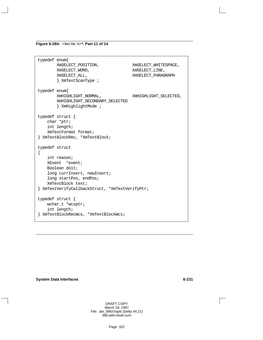**Figure 6-284:** < Xm/Xm.h>\*, Part 11 of 14

| typedef enum{                                                                                          | XmSELECT_POSITION,<br>XmSELECT WORD,<br>XmSELECT_ALL,<br>} XmTextScanType ;                                                                                                   | XmSELECT WHITESPACE,<br>XmSELECT LINE,<br>XmSELECT PARAGRAPH |  |
|--------------------------------------------------------------------------------------------------------|-------------------------------------------------------------------------------------------------------------------------------------------------------------------------------|--------------------------------------------------------------|--|
| typedef enum{                                                                                          | XmHIGHLIGHT NORMAL,<br>XmHIGHLIGHT SECONDARY SELECTED<br>} XmHighlightMode ;                                                                                                  | XmHIGHLIGHT SELECTED,                                        |  |
| typedef struct {<br>char *ptr;<br>int length;<br>XmTextFormat format;<br>XmTextBlockRec, *XmTextBlock; |                                                                                                                                                                               |                                                              |  |
| typedef struct<br>₹                                                                                    | int reason;<br>XEvent *event;<br>Boolean doit;<br>long currInsert, newInsert;<br>long startPos, endPos;<br>XmTextBlock text;<br>XmTextVerifyCallbackStruct, *XmTextVerifyPtr; |                                                              |  |
|                                                                                                        | typedef struct {<br>wchar t *wcsptr;<br>int length;<br>XmTextBlockRecWcs, *XmTextBlockWcs;                                                                                    |                                                              |  |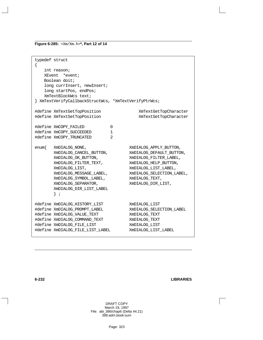**Figure 6-285:** < $x_{m}/x_{m}$ . h>\*, **Part 12 of 14** 

```
typedef struct
{
    int reason;
    XEvent *event;
    Boolean doit;
    long currInsert, newInsert;
    long startPos, endPos;
    XmTextBlockWcs text;
} XmTextVerifyCallbackStructWcs, *XmTextVerifyPtrWcs;
# d e f i n e X m T e x t G e t T o p P o s i t i o n X m T e x t G e t T o p C h a r a c t e r
# d e f i n e X m T e x t S e t T o p P o s i t i o n X m T e x t S e t T o p C h a r a c t e r
#define XmCOPY FAILED 0
#define XmCOPY_SUCCEEDED 1
#define XmCOPY_TRUNCATED 2
\lnot \lnot \lnot \lnot \lnot \lnot \lnot \lnot \lnot \lnot \lnot \lnot \lnot \lnot \lnot \lnot \lnot \lnot \lnot \lnot \lnot \lnot \lnot \lnot \lnot \lnot \lnot \lnot \lnot \lnot \lnot \lnot \lnot \lnot \lnot \lnot \lnotXmDIALOG_CANCEL_BUTTON, XmDIALOG_DEFAULT_BUTTON,
        XmDIALOG_OK_BUTTON, XmDIALOG_FILTER_LABEL,
        XmDIALOG_FILTER_TEXT, XmDIALOG_HELP_BUTTON,
        XmDIALOG_LIST, XmDIALOG_LIST_LABEL,
        XmDIALOG MESSAGE LABEL, XmDIALOG SELECTION LABEL,
        XmDIALOG_SYMBOL_LABEL, XmDIALOG_TEXT,
        XmDIALOG_SEPARATOR, XmDIALOG_DIR_LIST,
        XmDIALOG_DIR_LIST_LABEL
        } ;
#define XmDIALOG HISTORY LIST XmDIALOG LIST
#define XmDIALOG_PROMPT_LABEL XmDIALOG_SELECTION_LABEL
#define XmDIALOG_VALUE_TEXT XmDIALOG_TEXT
#define XmDIALOG_COMMAND_TEXT XmDIALOG_TEXT
# d e f i n e X m D I A L O G _ F I L E _ L I S T X m D I A L O G _ L I S T
#define XmDIALOG FILE LIST LABEL       XmDIALOG LIST LABEL
```
**6-232 LIBRARIES**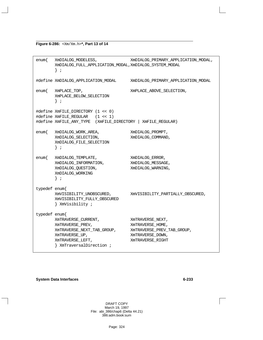**Figure 6-286:** < Xm/Xm. h >\*, **Part 13 of 14** 

e n u m { X m D I A L O G \_ M O D E L E S S , X m D I A L O G \_ P R I M A R Y \_ A P P L I C A T I O N \_ M O D A L , XmDIALOG\_FULL\_APPLICATION\_MODAL,XmDIALOG\_SYSTEM\_MODAL } ; #define XmDIALOG\_APPLICATION\_MODAL XmDIALOG\_PRIMARY\_APPLICATION\_MODAL  $\mathbb{R}$  = num { XmPLACE TOP,  $\mathbb{R}$  XmPLACE ABOVE SELECTION, XmPLACE\_BELOW\_SELECTION } ; #define XmFILE\_DIRECTORY (1 << 0) #define XmFILE REGULAR  $(1 \le 1)$ #define XmFILE\_ANY\_TYPE (XmFILE\_DIRECTORY | XmFILE\_REGULAR) enum{
XmDIALOG\_WORK\_AREA,
WORK METHOMPT,
WORK METHOM METHOM METHOM METHOM METHOM METHOM METHOM METHOM METHOM METHOM METHOM METHOM METHOM METHOM METHOM METHOM METHOM METHOM METHOM METHOM METHOM METHOM METHOM METHOM METHOM M XmDIALOG\_SELECTION, XmDIALOG\_COMMAND, XmDIALOG\_FILE\_SELECTION } ; enum{ XmDIALOG\_TEMPLATE, XmDIALOG\_ERROR, XmDIALOG\_INFORMATION, XmDIALOG\_MESSAGE, XmDIALOG\_QUESTION,  $x$ mDIALOG\_WARNING, XmDIALOG WORKING } ; typedef enum{ XmVISIBILITY\_UNOBSCURED, XmVISIBILITY\_PARTIALLY\_OBSCURED, XmVISIBILITY\_FULLY\_OBSCURED  $}$  XmVisibility ; typedef enum{ XMTRAVERSE\_CURRENT, XMTRAVERSE\_NEXT, XmTRAVERSE\_PREV, XmTRAVERSE\_HOME,  $X$ m TRAVERSE NEXT TAB GROUP,  $X$ m TRAVERSE PREV TAB GROUP, XmTRAVERSE\_UP,  $XmTRAVERSE\_DOWN$ , XMTRAVERSE LEFT, XMTRAVERSE RIGHT  $}$  XmTraversalDirection ;

**System Data Interfaces 6-233**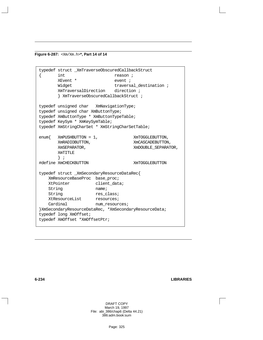**Figure 6-287:** <xm/xm.h>\*, Part 14 of 14

```
typedef struct _XmTraverseObscuredCallbackStruct
\{ int  reason ;
      XEvent * event ;
      Widget traversal_destination ;
      XmTraversalDirection direction;
      \} XmTraverseObscuredCallbackStruct ;
typedef unsigned char XmNavigationType;
typedef unsigned char XmButtonType;
typedef XmButtonType * XmButtonTypeTable;
typedef KeySym * XmKeySymTable;
typedef XmStringCharSet * XmStringCharSetTable;
enum{ XmPUSHBUTTON = 1, XmTOGGLEBUTTON,
      XmRADIOBUTTON, XmCASCADEBUTTON,
      \verb|XMSEPARATOR|, \verb|XmSDORSEPARATOR|,XmTITLE
      } ;
#define XmCHECKBUTTON XmTOGGLEBUTTON
typedef struct _XmSecondaryResourceDataRec{
   Xm Resource Base Proc base_proc;
   XtPointer client_data;
   String name;
   String res_class;
   XtResourceList resources;
   Cardinal num_resources;
} Xm Secondary Resource Data Rec, * Xm Secondary Resource Data;
typedef long XmOffset;
typedef XmOffset *XmOffsetPtr;
```
**6-234 LIBRARIES**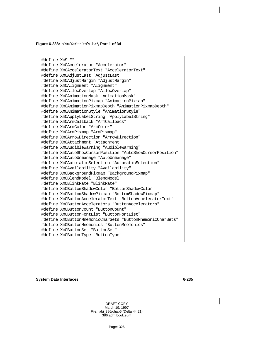**Figure 6-288:** < $Xm/XmSTP\eefs.h>{*}$ , Part 1 of 34

#define XmS "" #define XmCAccelerator "Accelerator" #define XmCAcceleratorText "AcceleratorText" #define XmCAdjustLast "AdjustLast" #define XmCAdjustMargin "AdjustMargin" #define XmCAlignment "Alignment" #define XmCAllowOverlap "AllowOverlap" #define XmCAnimationMask "AnimationMask" #define XmCAnimationPixmap "AnimationPixmap" #define XmCAnimationPixmapDepth "AnimationPixmapDepth" #define XmCAnimationStyle "AnimationStyle" #define XmCApplyLabelString "ApplyLabelString" #define XmCArmCallback "ArmCallback" #define XmCArmColor "ArmColor" #define XmCArmPixmap "ArmPixmap" #define XmCArrowDirection "ArrowDirection" #define XmCAttachment "Attachment" #define XmCAudibleWarning "AudibleWarning" #define XmCAutoShowCursorPosition "AutoShowCursorPosition" #define XmCAutoUnmanage "AutoUnmanage" #define XmCAutomaticSelection "AutomaticSelection" #define XmCAvailability "Availability" #define XmCBackgroundPixmap "BackgroundPixmap" #define XmCBlendModel "BlendModel" #define XmCBlinkRate "BlinkRate" #define XmCBottomShadowColor "BottomShadowColor" #define XmCBottomShadowPixmap "BottomShadowPixmap" #define XmCButtonAcceleratorText "ButtonAcceleratorText" #define XmCButtonAccelerators "ButtonAccelerators" #define XmCButtonCount "ButtonCount" #define XmCButtonFontList "ButtonFontList" #define XmCButtonMnemonicCharSets "ButtonMnemonicCharSets" #define XmCButtonMnemonics "ButtonMnemonics" #define XmCButtonSet "ButtonSet" #define XmCButtonType "ButtonType"

**System Data Interfaces 6-235**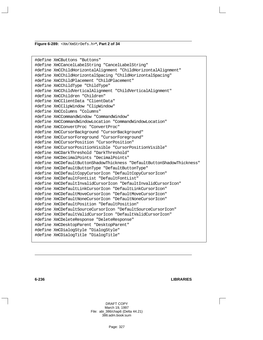**Figure 6-289:** < $Xm/Xm$ StrDefs.h>\*, Part 2 of 34

#define XmCButtons "Buttons" #define XmCCancelLabelString "CancelLabelString" #define XmCChildHorizontalAlignment "ChildHorizontalAlignment" #define XmCChildHorizontalSpacing "ChildHorizontalSpacing" #define XmCChildPlacement "ChildPlacement" #define XmCChildType "ChildType" #define XmCChildVerticalAlignment "ChildVerticalAlignment" #define XmCChildren "Children" #define XmCClientData "ClientData" #define XmCClipWindow "ClipWindow" #define XmCColumns "Columns" #define XmCCommandWindow "CommandWindow" #define XmCCommandWindowLocation "CommandWindowLocation" #define XmCConvertProc "ConvertProc" #define XmCCursorBackground "CursorBackground" #define XmCCursorForeground "CursorForeground" #define XmCCursorPosition "CursorPosition" #define XmCCursorPositionVisible "CursorPositionVisible" #define XmCDarkThreshold "DarkThreshold" #define XmCDecimalPoints "DecimalPoints" #define XmCDefaultButtonShadowThickness "DefaultButtonShadowThickness" #define XmCDefaultButtonType "DefaultButtonType" #define XmCDefaultCopyCursorIcon "DefaultCopyCursorIcon" #define XmCDefaultFontList "DefaultFontList" #define XmCDefaultInvalidCursorIcon "DefaultInvalidCursorIcon" #define XmCDefaultLinkCursorIcon "DefaultLinkCursorIcon" #define XmCDefaultMoveCursorIcon "DefaultMoveCursorIcon" #define XmCDefaultNoneCursorIcon "DefaultNoneCursorIcon" #define XmCDefaultPosition "DefaultPosition" #define XmCDefaultSourceCursorIcon "DefaultSourceCursorIcon" #define XmCDefaultValidCursorIcon "DefaultValidCursorIcon" #define XmCDeleteResponse "DeleteResponse" #define XmCDesktopParent "DesktopParent" #define XmCDialogStyle "DialogStyle" #define XmCDialogTitle "DialogTitle"

**6-236 LIBRARIES**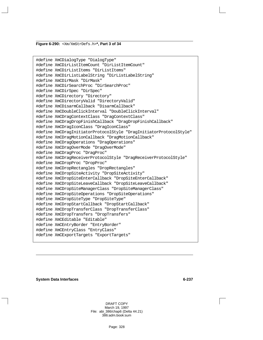**Figure 6-290:** < Xm/XmStrDefs.h>\*, Part 3 of 34

#define XmCDialoqType "DialoqType" #define XmCDirListItemCount "DirListItemCount" #define XmCDirListItems "DirListItems" #define XmCDirListLabelString "DirListLabelString" #define XmCDirMask "DirMask" #define XmCDirSearchProc "DirSearchProc" #define XmCDirSpec "DirSpec" #define XmCDirectory "Directory" #define XmCDirectoryValid "DirectoryValid" #define XmCDisarmCallback "DisarmCallback" #define XmCDoubleClickInterval "DoubleClickInterval" #define XmCDraqContextClass "DraqContextClass" #define XmCDragDropFinishCallback "DragDropFinishCallback" #define XmCDragIconClass "DragIconClass" #define XmCDragInitiatorProtocolStyle "DragInitiatorProtocolStyle" #define XmCDragMotionCallback "DragMotionCallback" #define XmCDragOperations "DragOperations" #define XmCDragOverMode "DragOverMode" #define XmCDragProc "DragProc" #define XmCDragReceiverProtocolStyle "DragReceiverProtocolStyle" #define XmCDropProc "DropProc" #define XmCDropRectangles "DropRectangles" #define XmCDropSiteActivity "DropSiteActivity" #define XmCDropSiteEnterCallback "DropSiteEnterCallback" #define XmCDropSiteLeaveCallback "DropSiteLeaveCallback" #define XmCDropSiteManagerClass "DropSiteManagerClass" #define XmCDropSiteOperations "DropSiteOperations" #define XmCDropSiteType "DropSiteType" #define XmCDropStartCallback "DropStartCallback" #define XmCDropTransferClass "DropTransferClass" #define XmCDropTransfers "DropTransfers" #define XmCEditable "Editable" #define XmCEntryBorder "EntryBorder" #define XmCEntryClass "EntryClass" #define XmCExportTargets "ExportTargets"

**System Data Interfaces 6-237**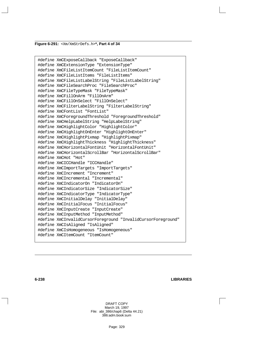**Figure 6-291:** < $Xm/Xm$ StrDefs.h>\*, Part 4 of 34

#define XmCExposeCallback "ExposeCallback" #define XmCExtensionType "ExtensionType" #define XmCFileListItemCount "FileListItemCount" #define XmCFileListItems "FileListItems" #define XmCFileListLabelString "FileListLabelString" #define XmCFileSearchProc "FileSearchProc" #define XmCFileTypeMask "FileTypeMask" #define XmCFillOnArm "FillOnArm" #define XmCFillOnSelect "FillOnSelect" #define XmCFilterLabelString "FilterLabelString" #define XmCFontList "FontList" #define XmCForegroundThreshold "ForegroundThreshold" #define XmCHelpLabelString "HelpLabelString" #define XmCHighlightColor "HighlightColor" #define XmCHighlightOnEnter "HighlightOnEnter" #define XmCHighlightPixmap "HighlightPixmap" #define XmCHighlightThickness "HighlightThickness" #define XmCHorizontalFontUnit "HorizontalFontUnit" #define XmCHorizontalScrollBar "HorizontalScrollBar" #define XmCHot "Hot" #define XmCICCHandle "ICCHandle" #define XmCImportTargets "ImportTargets" #define XmCIncrement "Increment" #define XmCIncremental "Incremental" #define XmCIndicatorOn "IndicatorOn" #define XmCIndicatorSize "IndicatorSize" #define XmCIndicatorType "IndicatorType" #define XmCInitialDelay "InitialDelay" #define XmCInitialFocus "InitialFocus" #define XmCInputCreate "InputCreate" #define XmCInputMethod "InputMethod" #define XmCInvalidCursorForeground "InvalidCursorForeground" #define XmCIsAligned "IsAligned" #define XmCIsHomogeneous "IsHomogeneous" #define XmCItemCount "ItemCount"

**6-238 LIBRARIES**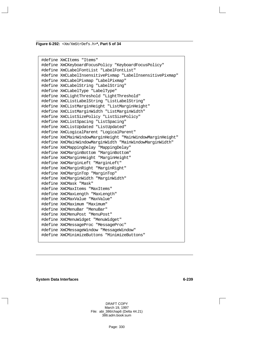**Figure 6-292:** < $Xm/Xm$ StrDefs.h>\*, Part 5 of 34

# define Xm CI tem s "I tem s" #define XmCKeyboardFocusPolicy "KeyboardFocusPolicy" #define XmCLabelFontList "LabelFontList" #define XmCLabelInsensitivePixmap "LabelInsensitivePixmap" #define XmCLabelPixmap "LabelPixmap" #define XmCLabelString "LabelString" #define XmCLabelType "LabelType" #define XmCLightThreshold "LightThreshold" #define XmCListLabelString "ListLabelString" #define XmCListMarginHeight "ListMarginHeight" #define XmCListMarginWidth "ListMarginWidth" #define XmCListSizePolicy "ListSizePolicy" #define XmCListSpacing "ListSpacing" #define XmCListUpdated "ListUpdated" #define XmCLogicalParent "LogicalParent" #define XmCMainWindowMarginHeight "MainWindowMarginHeight" #define XmCMainWindowMarginWidth "MainWindowMarginWidth" #define XmCMappingDelay "MappingDelay" #define XmCMarginBottom "MarginBottom" #define XmCMarginHeight "MarginHeight" #define XmCMarginLeft "MarginLeft" #define XmCMarginRight "MarginRight" #define XmCMarginTop "MarginTop" #define XmCMarginWidth "MarginWidth" #define XmCMask "Mask" #define XmCMaxItems "MaxItems" #define XmCMaxLength "MaxLength" #define XmCMaxValue "MaxValue" #define XmCMaximum "Maximum" #define XmCMenuBar "MenuBar" #define XmCMenuPost "MenuPost" #define XmCMenuWidget "MenuWidget" #define XmCMessageProc "MessageProc" #define XmCMessageWindow "MessageWindow" #define XmCMinimizeButtons "MinimizeButtons"

**System Data Interfaces 6-239**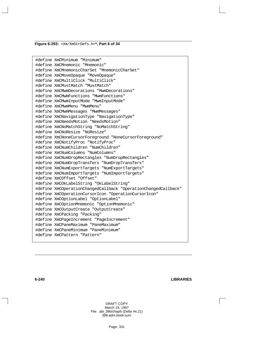**Figure 6-293:** < $Xm/Xm$ StrDefs.h>\*, Part 6 of 34

#define XmCMinimum "Minimum" #define XmCM nemonic "M nemonic" #define XmCM nemonic CharSet "M nemonic CharSet" #define XmCMoveOpaque "MoveOpaque" #define XmCMultiClick "MultiClick" #define XmCMustMatch "MustMatch" #define XmCMwmDecorations "MwmDecorations" #define XmCMwmFunctions "MwmFunctions" #define XmCMwmInputMode "MwmInputMode" #define XmCMwmMenu "MwmMenu" #define XmCMwmMessages "MwmMessages" #define XmCNavigationType "NavigationType" #define XmCNeedsMotion "NeedsMotion" #define XmCNoMatchString "NoMatchString" #define XmCNoResize "NoResize" #define XmCNoneCursorForeground "NoneCursorForeground" #define XmCNotifyProc "NotifyProc" #define XmCNumChildren "NumChildren" #define XmCNumColumns "NumColumns" #define XmCNumDropRectangles "NumDropRectangles" #define XmCNumDropTransfers "NumDropTransfers" #define XmCNumExportTargets "NumExportTargets" #define XmCNumImportTargets "NumImportTargets" #define XmCOffset "Offset" #define XmCOkLabelString "OkLabelString" #define XmCOperationChangedCallback "OperationChangedCallback" #define XmCOperationCursorIcon "OperationCursorIcon" #define XmCOptionLabel "OptionLabel" #define XmCOptionMnemonic "OptionMnemonic" #define XmCOutputCreate "OutputCreate" #define XmCPacking "Packing" #define XmCPageIncrement "PageIncrement" #define XmCPaneMaximum "PaneMaximum" #define XmCPaneMinimum "PaneMinimum" #define XmCPattern "Pattern"

**6-240 LIBRARIES**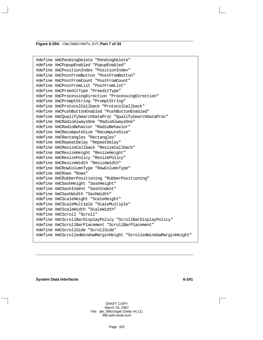**Figure 6-294:** < $Xm/Xm$ StrDefs.h>\*, Part 7 of 34

#define XmCPendingDelete "PendingDelete" #define XmCPopupEnabled "PopupEnabled" #define XmCPositionIndex "PositionIndex" #define XmCPostFromButton "PostFromButton" #define XmCPostFromCount "PostFromCount" #define XmCPostFromList "PostFromList" #define XmCPreeditType "PreeditType" #define XmCProcessingDirection "ProcessingDirection" #define XmCPromptString "PromptString" #define XmCProtocolCallback "ProtocolCallback" #define XmCPushButtonEnabled "PushButtonEnabled" #define XmCQualifySearchDataProc "QualifySearchDataProc" #define XmCRadioAlwaysOne "RadioAlwaysOne" #define XmCRadioBehavior "RadioBehavior" #define XmCRecomputeSize "RecomputeSize" #define XmCRectangles "Rectangles" #define XmCRepeatDelay "RepeatDelay" #define XmCResizeCallback "ResizeCallback" #define XmCResizeHeight "ResizeHeight" #define XmCResizePolicy "ResizePolicy" #define XmCResizeWidth "ResizeWidth" #define XmCRowColumnType "RowColumnType" #define XmCRows "Rows" #define XmCRubberPositioning "RubberPositioning" #define XmCSashHeight "SashHeight" #define XmCSashIndent "SashIndent" #define XmCSashWidth "SashWidth" #define XmCScaleHeight "ScaleHeight" #define XmCScaleMultiple "ScaleMultiple" #define XmCScaleWidth "ScaleWidth" #define XmCScroll "Scroll" #define XmCScrollBarDisplayPolicy "ScrollBarDisplayPolicy" #define XmCScrollBarPlacement "ScrollBarPlacement" #define XmCScrollSide "ScrollSide" #define XmCScrolledWindowMarginHeight "ScrolledWindowMarginHeight"

**System Data Interfaces** 6-241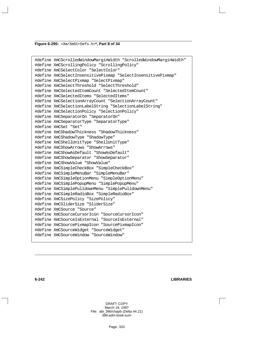**Figure 6-295:** < $Xm/Xm$ StrDefs.h>\*, Part 8 of 34

#define XmCScrolledWindowMarginWidth "ScrolledWindowMarginWidth" #define XmCScrollingPolicy "ScrollingPolicy" #define XmCSelectColor "SelectColor" #define XmCSelectInsensitivePixmap "SelectInsensitivePixmap" #define XmCSelectPixmap "SelectPixmap" #define XmCSelectThreshold "SelectThreshold" #define XmCSelectedItemCount "SelectedItemCount" #define XmCSelectedItems "SelectedItems" #define XmCSelectionArrayCount "SelectionArrayCount" #define XmCSelectionLabelString "SelectionLabelString" #define XmCSelectionPolicy "SelectionPolicy" #define XmCSeparatorOn "SeparatorOn" #define XmCSeparatorType "SeparatorType" #define XmCSet "Set" #define XmCShadowThickness "ShadowThickness" #define XmCShadowType "ShadowType" #define XmCShellUnitType "ShellUnitType" #define XmCShowArrows "ShowArrows" #define XmCShowAsDefault "ShowAsDefault" #define XmCShowSeparator "ShowSeparator" #define XmCShowValue "ShowValue" #define XmCSimpleCheckBox "SimpleCheckBox" #define XmCSimpleMenuBar "SimpleMenuBar" #define XmCSimpleOptionMenu "SimpleOptionMenu" #define XmCSimplePopupMenu "SimplePopupMenu" #define XmCSimplePulldownMenu "SimplePulldownMenu" #define XmCSimpleRadioBox "SimpleRadioBox" #define XmCSizePolicy "SizePolicy" #define XmCSliderSize "SliderSize" #define XmCSource "Source" #define XmCSourceCursorIcon "SourceCursorIcon" #define XmCSourceIsExternal "SourceIsExternal" #define XmCSourcePixmapIcon "SourcePixmapIcon" #define XmCSourceWidget "SourceWidget" #define XmCSourceWindow "SourceWindow"

**6-242 LIBRARIES**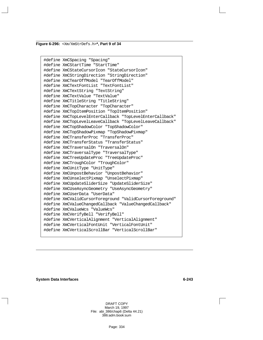**Figure 6-296:** < $Xm/Xm$ StrDefs.h>\*, Part 9 of 34

#define XmCSpacing "Spacing" #define XmCStartTime "StartTime" #define XmCStateCursorIcon "StateCursorIcon" #define XmCStringDirection "StringDirection" #define XmCTearOffModel "TearOffModel" #define XmCTextFontList "TextFontList" #define XmCTextString "TextString" #define XmCTextValue "TextValue" #define XmCTitleString "TitleString" #define XmCTopCharacter "TopCharacter" #define XmCTopItemPosition "TopItemPosition" #define XmCTopLevelEnterCallback "TopLevelEnterCallback" #define XmCTopLevelLeaveCallback "TopLevelLeaveCallback" #define XmCTopShadowColor "TopShadowColor" #define XmCTopShadowPixmap "TopShadowPixmap" #define XmCTransferProc "TransferProc" #define XmCTransferStatus "TransferStatus" #define XmCTraversalOn "TraversalOn" #define XmCTraversalType "TraversalType" #define XmCTreeUpdateProc "TreeUpdateProc" #define XmCTroughColor "TroughColor" #define XmCUnitType "UnitType" #define XmCUnpostBehavior "UnpostBehavior" #define XmCUnselectPixmap "UnselectPixmap" #define XmCUpdateSliderSize "UpdateSliderSize" #define XmCU se A syn c Geometry "U se A syn c Geometry" #define XmCUserData "UserData" #define XmCValidCursorForeground "ValidCursorForeground" #define XmCValueChangedCallback "ValueChangedCallback" #define XmCValueWcs "ValueWcs" #define XmCVerifyBell "VerifyBell" #define XmCVerticalAlignment "VerticalAlignment" #define XmCVerticalFontUnit "VerticalFontUnit" #define XmCVerticalScrollBar "VerticalScrollBar"

**System Data Interfaces 6-243**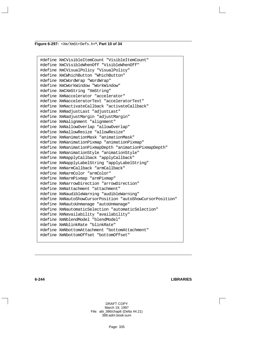**Figure 6-297:** < $Xm/Xm$ StrDefs.h>\*, Part 10 of 34

#define XmCVisibleItemCount "VisibleItemCount" #define XmCVisibleWhenOff "VisibleWhenOff" #define XmCVisualPolicy "VisualPolicy" #define XmCWhichButton "WhichButton" #define XmCWordWrap "WordWrap" #define XmCWorkWindow "WorkWindow" #define XmCXmString "XmString" #define XmNaccelerator "accelerator" #define XmNacceleratorText "acceleratorText" #define XmNactivateCallback "activateCallback" #define XmNadjustLast "adjustLast" #define XmNadjustMargin "adjustMargin" #define XmNalignment "alignment" #define XmNallowOverlap "allowOverlap" #define XmNallowResize "allowResize" #define XmNanimationMask "animationMask" #define XmNanimationPixmap "animationPixmap" #define XmNanimationPixmapDepth "animationPixmapDepth" #define XmNanimationStyle "animationStyle" #define XmNapplyCallback "applyCallback" #define XmNapplyLabelString "applyLabelString" #define XmNarmCallback "armCallback" #define XmNarmColor "armColor" #define XmNarmPixmap "armPixmap" #define XmNarrowDirection "arrowDirection" #define XmNattachment "attachment" #define XmNaudibleWarning "audibleWarning" #define XmNautoShowCursorPosition "autoShowCursorPosition" #define XmNautoUnmanage "autoUnmanage" #define XmNautomaticSelection "automaticSelection" #define XmNavailability "availability" #define XmNblendModel "blendModel" #define XmNblinkRate "blinkRate" #define XmNbottomAttachment "bottomAttachment" #define XmNbottomOffset "bottomOffset"

**6-244 LIBRARIES**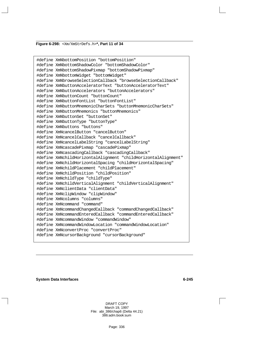**Figure 6-298:** < $Xm/Xm$ StrDefs.h>\*, Part 11 of 34

#define XmNbottomPosition "bottomPosition" #define XmNbottomShadowColor "bottomShadowColor" #define XmNbottomShadowPixmap "bottomShadowPixmap" #define XmNbottomWidget "bottomWidget" #define XmNbrowseSelectionCallback "browseSelectionCallback" #define XmNbuttonAcceleratorText "buttonAcceleratorText" #define XmNbuttonAccelerators "buttonAccelerators" #define XmNbuttonCount "buttonCount" #define XmNbuttonFontList "buttonFontList" #define XmNbuttonMnemonicCharSets "buttonMnemonicCharSets" #define XmNbuttonMnemonics "buttonMnemonics" #define XmNbuttonSet "buttonSet" #define XmNbuttonType "buttonType" #define XmNbuttons "buttons" #define XmN cancel Button "cancel Button" #define XmN cancel Callback "cancel Callback" #define XmNcancelLabelString "cancelLabelString" #define XmNcascadePixmap "cascadePixmap" #define XmN cascading Callback "cascading Callback" #define XmNchildHorizontalAlignment "childHorizontalAlignment" #define XmNchildHorizontalSpacing "childHorizontalSpacing" #define XmNchildPlacement "childPlacement" #define XmNchildPosition "childPosition" #define XmNchildType "childType" #define XmNchildVerticalAlignment "childVerticalAlignment" #define XmNclientData "clientData" #define XmNclipWindow "clipWindow" #define XmN columns "columns" #define XmN command "command" #define XmN command Changed Callback "command Changed Callback" #define XmN command Entered Callback "command Entered Callback" #define XmN command Window "command Window" #define XmN command Window Location "command Window Location" #define XmN convert Proc "convert Proc" #define XmNcursorBackground "cursorBackground"

**System Data Interfaces 6-245**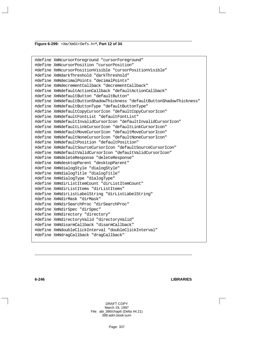**Figure 6-299:** < $Xm/Xm$ StrDefs.h>\*, Part 12 of 34

#define XmNcursorForeground "cursorForeground" #define XmNcursorPosition "cursorPosition" #define XmNcursorPositionVisible "cursorPositionVisible" #define XmNdarkThreshold "darkThreshold" #define XmNdecimalPoints "decimalPoints" #define XmNdecrementCallback "decrementCallback" #define XmNdefaultActionCallback "defaultActionCallback" #define XmNdefaultButton "defaultButton" #define XmNdefaultButtonShadowThickness "defaultButtonShadowThickness" #define XmNdefaultButtonType "defaultButtonType" #define XmNdefaultCopyCursorIcon "defaultCopyCursorIcon" #define XmNdefaultFontList "defaultFontList" #define XmNdefaultInvalidCursorIcon "defaultInvalidCursorIcon" #define XmNdefaultLinkCursorIcon "defaultLinkCursorIcon" #define XmNdefaultMoveCursorIcon "defaultMoveCursorIcon" #define XmNdefaultNoneCursorIcon "defaultNoneCursorIcon" #define XmNdefaultPosition "defaultPosition" #define XmNdefaultSourceCursorIcon "defaultSourceCursorIcon" #define XmNdefaultValidCursorIcon "defaultValidCursorIcon" #define XmNdeleteResponse "deleteResponse" #define XmNdesktopParent "desktopParent" #define XmNdialogStyle "dialogStyle" #define XmNdialogTitle "dialogTitle" #define XmNdialogType "dialogType" #define XmNdirListItemCount "dirListItemCount" #define XmNdirListItems "dirListItems" #define XmNdirListLabelString "dirListLabelString" #define XmNdirMask "dirMask" #define XmNdirSearchProc "dirSearchProc" #define XmNdirSpec "dirSpec" #define XmNdirectory "directory" #define XmNdirectoryValid "directoryValid" #define XmNdisarmCallback "disarmCallback" #define XmNdoubleClickInterval "doubleClickInterval" #define XmNdragCallback "dragCallback"

**6-246 LIBRARIES**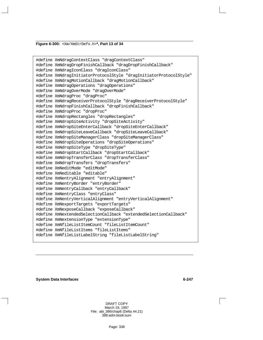**Figure 6-300:** < $Xm/Xm$ StrDefs.h>\*, Part 13 of 34

#define XmNdragContextClass "dragContextClass" #define XmNdragDropFinishCallback "dragDropFinishCallback" #define XmNdragIconClass "dragIconClass" #define XmNdragInitiatorProtocolStyle "dragInitiatorProtocolStyle" #define XmNdragMotionCallback "dragMotionCallback" #define XmNdragOperations "dragOperations" #define XmNdragOverMode "dragOverMode" #define XmNdragProc "dragProc" #define XmNdragReceiverProtocolStyle "dragReceiverProtocolStyle" #define XmNdropFinishCallback "dropFinishCallback" #define XmNdropProc "dropProc" #define XmNdropRectangles "dropRectangles" #define XmNdropSiteActivity "dropSiteActivity" #define XmNdropSiteEnterCallback "dropSiteEnterCallback" #define XmNdropSiteLeaveCallback "dropSiteLeaveCallback" #define XmNdropSiteManagerClass "dropSiteManagerClass" #define XmNdropSiteOperations "dropSiteOperations" #define XmNdropSiteType "dropSiteType" #define XmNdropStartCallback "dropStartCallback" #define XmNdropTransferClass "dropTransferClass" #define XmNdropTransfers "dropTransfers" #define XmNeditMode "editMode" #define XmNeditable "editable" #define XmNentryAlignment "entryAlignment" #define XmNentryBorder "entryBorder" #define XmNentryCallback "entryCallback" #define XmNentryClass "entryClass" #define XmNentryVerticalAlignment "entryVerticalAlignment" #define XmNexportTargets "exportTargets" #define XmNexposeCallback "exposeCallback" #define XmNextendedSelectionCallback "extendedSelectionCallback" #define XmNextensionType "extensionType" #define XmNfileListItemCount "fileListItemCount" #define XmNfileListItems "fileListItems" #define XmNfileListLabelString "fileListLabelString"

**System Data Interfaces 6-247**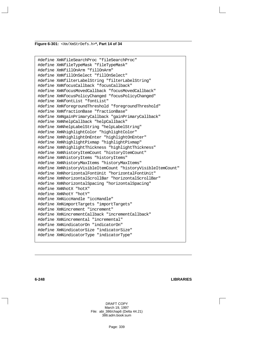**Figure 6-301:** < $Xm/Xm$ StrDefs.h>\*, Part 14 of 34

#define XmNfileSearchProc "fileSearchProc" #define XmNfileTypeMask "fileTypeMask" #define XmNfillOnArm "fillOnArm" #define XmNfillOnSelect "fillOnSelect" #define XmNfilterLabelString "filterLabelString" #define XmNfocusCallback "focusCallback" #define XmNfocusMovedCallback "focusMovedCallback" #define XmNfocusPolicyChanged "focusPolicyChanged" #define XmNfontList "fontList" #define XmNforegroundThreshold "foregroundThreshold" #define XmNfractionBase "fractionBase" #define XmNqainPrimaryCallback "qainPrimaryCallback" #define XmNhelpCallback "helpCallback" #define XmNhelpLabelString "helpLabelString" #define XmNhighlightColor "highlightColor" #define XmNhighlightOnEnter "highlightOnEnter" #define XmNhighlightPixmap "highlightPixmap" #define XmNhighlightThickness "highlightThickness" #define XmNhistoryItemCount "historyItemCount" #define XmNhistoryItems "historyItems" #define XmNhistoryMaxItems "historyMaxItems" #define XmNhistoryVisibleItemCount "historyVisibleItemCount" #define XmNhorizontalFontUnit "horizontalFontUnit" #define XmNhorizontalScrollBar "horizontalScrollBar" #define XmNhorizontalSpacing "horizontalSpacing" # define XmNhot X "hot X" # define XmNhot Y "hot Y" #define XmNiccHandle "iccHandle" #define XmNimportTargets "importTargets" #define XmNincrement "increment" #define XmNincrementCallback "incrementCallback" #define XmNincremental "incremental" #define XmNindicatorOn "indicatorOn" #define XmNindicatorSize "indicatorSize" #define XmNindicatorType "indicatorType"

**6-248 LIBRARIES**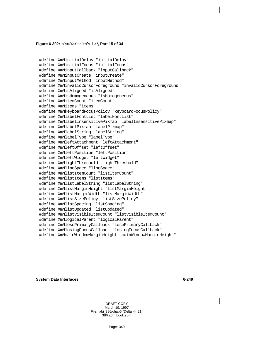**Figure 6-302:** < $Xm/Xm$ StrDefs.h>\*, Part 15 of 34

#define XmNinitialDelay "initialDelay" #define XmNinitialFocus "initialFocus" #define XmNinputCallback "inputCallback" #define XmNinputCreate "inputCreate" #define XmNinputMethod "inputMethod" #define XmNinvalidCursorForeground "invalidCursorForeground" #define XmNisAligned "isAligned" #define XmNisHomogeneous "isHomogeneous" #define XmNitemCount "itemCount" #define XmNitems "items" #define XmNkeyboardFocusPolicy "keyboardFocusPolicy" #define XmNlabelFontList "labelFontList" #define XmNlabelInsensitivePixmap "labelInsensitivePixmap" #define XmNlabelPixmap "labelPixmap" #define XmNlabelString "labelString" #define XmNlabelType "labelType" #define XmNleftAttachment "leftAttachment" #define XmNleftOffset "leftOffset" #define XmNleftPosition "leftPosition" #define XmNleftWidget "leftWidget" #define XmNlightThreshold "lightThreshold" #define XmNlineSpace "lineSpace" #define XmNlistItemCount "listItemCount" #define XmNlistItems "listItems" #define XmNlistLabelString "listLabelString" #define XmNlistMarginHeight "listMarginHeight" #define XmNlistMarginWidth "listMarginWidth" #define XmNlistSizePolicy "listSizePolicy" #define XmNlistSpacing "listSpacing" #define XmNlistUpdated "listUpdated" #define XmNlistVisibleItemCount "listVisibleItemCount" #define XmNlogicalParent "logicalParent" #define XmNlosePrimaryCallback "losePrimaryCallback" #define XmNlosingFocusCallback "losingFocusCallback" #define XmNmainWindowMarginHeight "mainWindowMarginHeight"

**System Data Interfaces 6-249**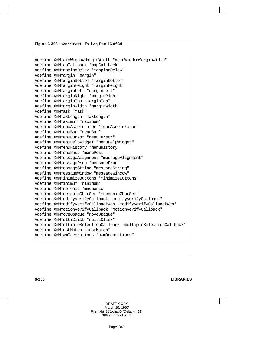**Figure 6-303:** < $Xm/Xm$ StrDefs.h>\*, Part 16 of 34

```
#define XmNmainWindowMarginWidth "mainWindowMarginWidth"
#define XmNmapCallback "mapCallback"
#define XmNmappingDelay "mappingDelay"
#define XmNmargin "margin"
#define XmNmarginBottom "marginBottom"
#define XmNmarginHeight "marginHeight"
#define XmNmarginLeft "marginLeft"
#define XmNmarginRight "marginRight"
#define XmNmarginTop "marginTop"
#define XmNmarginWidth "marginWidth"
# define X m N m ask " m ask "
#define XmNmaxLength "maxLength"
#define XmNmaximum "maximum"
#define XmNmenuAccelerator "menuAccelerator"
#define XmNmenuBar "menuBar"
#define XmNmenuCursor "menuCursor"
#define XmNmenuHelpWidget "menuHelpWidget"
#define XmNmenuHistory "menuHistory"
#define XmNmenuPost "menuPost"
#define XmNmessageAlignment "messageAlignment"
#define XmNmessageProc "messageProc"
#define XmNmessageString "messageString"
#define XmNmessageWindow "messageWindow"
#define XmNminimizeButtons "minimizeButtons"
#define XmNminimum "minimum"
#define XmNmnemonic "mnemonic"
#define XmNmnemonicCharSet "mnemonicCharSet"
#define XmNmodifyVerifyCallback "modifyVerifyCallback"
#define XmNmodifyVerifyCallbackWcs "modifyVerifyCallbackWcs"
#define XmNmotionVerifyCallback "motionVerifyCallback"
#define XmNmoveOpaque "moveOpaque"
#define XmNmultiClick "multiClick"
#define XmNmultipleSelectionCallback "multipleSelectionCallback"
#define XmNmustMatch "mustMatch"
#define XmNmwmDecorations "mwmDecorations"
```
**6-250 LIBRARIES**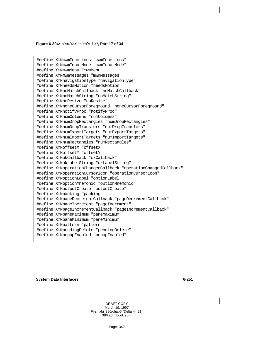**Figure 6-304:** < $Xm/Xm$ StrDefs.h>\*, Part 17 of 34

#define XmNmwmFunctions "mwmFunctions" #define XmNmwmInputMode "mwmInputMode" #define XmNmwmMenu "mwmMenu" #define XmNmwmMessages "mwmMessages" #define XmNnavigationType "navigationType" #define XmNneedsMotion "needsMotion" #define XmNnoMatchCallback "noMatchCallback" #define XmNnoMatchString "noMatchString" #define XmNnoResize "noResize" #define XmNnoneCursorForeground "noneCursorForeground" #define XmNnotifyProc "notifyProc" #define XmNnumColumns "numColumns" #define XmNnumDropRectangles "numDropRectangles" #define XmNnumDropTransfers "numDropTransfers" #define XmNnumExportTargets "numExportTargets" #define XmNnumImportTargets "numImportTargets" #define XmNnumRectangles "numRectangles" #define XmNoffsetX "offsetX" #define XmNoffsetY "offsetY" #define XmNokCallback "okCallback" #define XmNokLabelString "okLabelString" #define XmNoperationChangedCallback "operationChangedCallback" #define XmNoperationCursorIcon "operationCursorIcon" #define XmNoptionLabel "optionLabel" #define XmNoptionMnemonic "optionMnemonic" #define XmNoutputCreate "outputCreate" #define XmNpacking "packing" #define XmNpaqeDecrementCallback "paqeDecrementCallback" #define XmNpageIncrement "pageIncrement" #define XmNpageIncrementCallback "pageIncrementCallback" #define XmNpaneMaximum "paneMaximum" #define XmNpaneMinimum "paneMinimum" #define XmNpattern "pattern" #define XmNpendingDelete "pendingDelete" #define XmNpopupEnabled "popupEnabled"

**System Data Interfaces** 6-251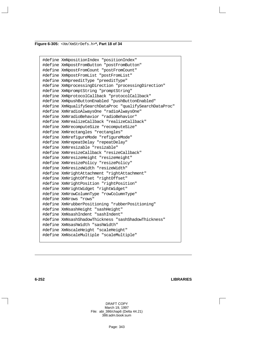**Figure 6-305:** < $Xm/Xm$ StrDefs.h>\*, Part 18 of 34

#define XmNpositionIndex "positionIndex" #define XmNpostFromButton "postFromButton" #define XmNpostFromCount "postFromCount" #define XmNpostFromList "postFromList" #define XmNpreeditType "preeditType" #define XmNprocessingDirection "processingDirection" #define XmNpromptString "promptString" #define XmNprotocolCallback "protocolCallback" #define XmNpushButtonEnabled "pushButtonEnabled" #define XmNqualifySearchDataProc "qualifySearchDataProc" #define XmNradioAlwaysOne "radioAlwaysOne" #define XmNradioBehavior "radioBehavior" #define XmNrealizeCallback "realizeCallback" #define XmN recompute Size "recompute Size" #define XmNrectangles "rectangles" #define XmNrefigureMode "refigureMode" #define XmNrepeatDelay "repeatDelay" #define XmNresizable "resizable" #define XmNresizeCallback "resizeCallback" #define XmNresizeHeight "resizeHeight" #define XmNresizePolicy "resizePolicy" #define XmNresizeWidth "resizeWidth" #define XmNrightAttachment "rightAttachment" #define XmNrightOffset "rightOffset" #define XmNrightPosition "rightPosition" #define XmNrightWidget "rightWidget" #define XmNrowColumnType "rowColumnType" #define XmNrows "rows" #define XmNrubberPositioning "rubberPositioning" #define XmNsashHeight "sashHeight" #define XmNsashIndent "sashIndent" #define XmNsashShadowThickness "sashShadowThickness" #define XmNsashWidth "sashWidth" #define XmNscaleHeight "scaleHeight" #define XmNscaleMultiple "scaleMultiple"

**6-252 LIBRARIES**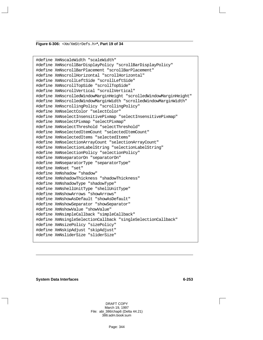**Figure 6-306:** < $Xm/Xm$ StrDefs.h>\*, Part 19 of 34

#define XmNscaleWidth "scaleWidth" #define XmNscrollBarDisplayPolicy "scrollBarDisplayPolicy" #define XmNscrollBarPlacement "scrollBarPlacement" #define XmNscrollHorizontal "scrollHorizontal" #define XmNscrollLeftSide "scrollLeftSide" #define XmNscrollTopSide "scrollTopSide" #define XmNscrollVertical "scrollVertical" #define XmNscrolledWindowMarginHeight "scrolledWindowMarginHeight" #define XmNscrolledWindowMarginWidth "scrolledWindowMarginWidth" #define XmNscrollingPolicy "scrollingPolicy" #define XmNselectColor "selectColor" #define XmNselectInsensitivePixmap "selectInsensitivePixmap" #define XmNselectPixmap "selectPixmap" #define XmNselectThreshold "selectThreshold" #define XmNselectedItemCount "selectedItemCount" #define XmNselectedItems "selectedItems" #define XmNselectionArrayCount "selectionArrayCount" #define XmNselectionLabelString "selectionLabelString" #define XmNselectionPolicy "selectionPolicy" #define XmN separatorOn "separatorOn" #define XmN separator Type "separator Type" #define XmNset "set" #define XmNshadow "shadow" #define XmNshadowThickness "shadowThickness" #define XmNshadowType "shadowType" #define XmNshellUnitType "shellUnitType" #define XmNshowArrows "showArrows" #define XmNshowAsDefault "showAsDefault" #define XmNshowSeparator "showSeparator" #define XmNshowValue "showValue" #define XmNsimpleCallback "simpleCallback" #define XmNsingleSelectionCallback "singleSelectionCallback" #define XmNsizePolicy "sizePolicy" #define XmNskipAdjust "skipAdjust" #define XmNsliderSize "sliderSize"

**System Data Interfaces 6-253**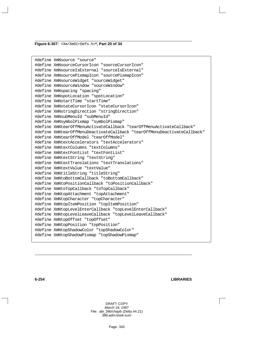**Figure 6-307:** < $Xm/Xm$ StrDefs.h>\*, Part 20 of 34

```
#define XmN source "source"
#define XmNsourceCursorIcon "sourceCursorIcon"
#define XmNsourceIsExternal "sourceIsExternal"
#define XmNsourcePixmapIcon "sourcePixmapIcon"
#define XmN source Widget "source Widget"
#define XmNsourceWindow "sourceWindow"
#define XmN spacing "spacing"
#define XmNspotLocation "spotLocation"
#define XmNstartTime "startTime"
#define XmNstateCursorIcon "stateCursorIcon"
#define XmNstringDirection "stringDirection"
#define XmNsubMenuId "subMenuId"
#define XmNsymbolPixmap "symbolPixmap"
#define XmNtearOffMenuActivateCallback "tearOffMenuActivateCallback"
#define XmNtearOffMenuDeactivateCallback "tearOffMenuDeactivateCallback"
#define XmNtearOffModel "tearOffModel"
#define XmNtextAccelerators "textAccelerators"
#define XmNtextColumns "textColumns"
#define XmNtextFontList "textFontList"
#define XmNtextString "textString"
#define XmNtextTranslations "textTranslations"
#define XmNtextValue "textValue"
#define XmNtitleString "titleString"
#define XmNtoBottomCallback "toBottomCallback"
#define XmNtoPositionCallback "toPositionCallback"
#define XmNtoTopCallback "toTopCallback"
#define XmNtopAttachment "topAttachment"
#define XmNtopCharacter "topCharacter"
#define XmNtopItemPosition "topItemPosition"
#define XmNtopLevelEnterCallback "topLevelEnterCallback"
#define XmNtopLevelLeaveCallback "topLevelLeaveCallback"
#define XmNtopOffset "topOffset"
#define XmNtopPosition "topPosition"
#define XmNtopShadowColor "topShadowColor"
#define XmNtopShadowPixmap "topShadowPixmap"
```
**6-254 LIBRARIES**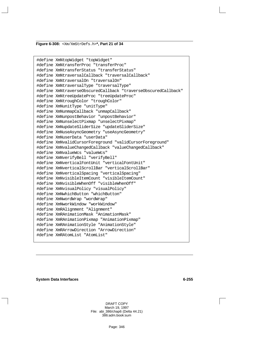**Figure 6-308:** < $Xm/Xm$ StrDefs.h>\*, Part 21 of 34

#define XmNtopWidget "topWidget" #define XmNtransferProc "transferProc" #define XmNtransferStatus "transferStatus" #define XmNtraversalCallback "traversalCallback" #define XmNtraversalOn "traversalOn" #define XmNtraversalType "traversalType" #define XmNtraverseObscuredCallback "traverseObscuredCallback" #define XmNtreeUpdateProc "treeUpdateProc" #define XmNtroughColor "troughColor" #define XmNunitType "unitType" #define XmNunmapCallback "unmapCallback" #define XmNunpostBehavior "unpostBehavior" #define XmNunselectPixmap "unselectPixmap" #define XmNupdateSliderSize "updateSliderSize" #define XmNuseAsyncGeometry "useAsyncGeometry" #define XmNuserData "userData" #define XmNvalidCursorForeground "validCursorForeground" #define XmNvalueChangedCallback "valueChangedCallback" #define XmNvalueWcs "valueWcs" #define XmNverifyBell "verifyBell" #define XmNverticalFontUnit "verticalFontUnit" #define XmNverticalScrollBar "verticalScrollBar" #define XmNverticalSpacing "verticalSpacing" #define XmNvisibleItemCount "visibleItemCount" #define XmNvisibleWhenOff "visibleWhenOff" #define XmNvisualPolicy "visualPolicy" #define XmNwhichButton "whichButton" #define XmNwordWrap "wordWrap" #define XmNworkWindow "workWindow" #define XmRAlignment "Alignment" #define XmRAnimationMask "AnimationMask" #define XmRAnimationPixmap "AnimationPixmap" #define XmRAnimationStyle "AnimationStyle" #define XmRArrowDirection "ArrowDirection" #define XmRAtomList "AtomList"

**System Data Interfaces 6-255**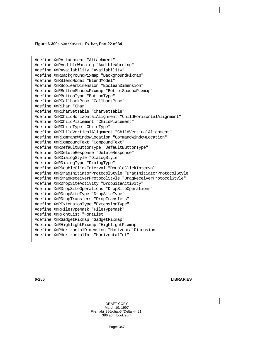**Figure 6-309:** < $Xm/Xm$ StrDefs.h>\*, Part 22 of 34

#define XmRAttachment "Attachment" #define XmRAudibleWarning "AudibleWarning" #define XmRAvailability "Availability" #define XmRBackgroundPixmap "BackgroundPixmap" #define XmRBlendModel "BlendModel" #define XmRBooleanDimension "BooleanDimension" #define XmRBottomShadowPixmap "BottomShadowPixmap" #define XmRButtonType "ButtonType" #define XmRCallbackProc "CallbackProc" #define XmRChar "Char" #define XmRCharSetTable "CharSetTable" #define XmRChildHorizontalAlignment "ChildHorizontalAlignment" #define XmRChildPlacement "ChildPlacement" #define XmRChildType "ChildType" #define XmRChildVerticalAlignment "ChildVerticalAlignment" #define XmRCommandWindowLocation "CommandWindowLocation" #define XmRCompoundText "CompoundText" #define XmRDefaultButtonType "DefaultButtonType" #define XmRDeleteResponse "DeleteResponse" #define XmRDialogStyle "DialogStyle" #define XmRDialogType "DialogType" #define XmRDoubleClickInterval "DoubleClickInterval" #define XmRDragInitiatorProtocolStyle "DragInitiatorProtocolStyle" #define XmRDragReceiverProtocolStyle "DragReceiverProtocolStyle" #define XmRD rop Site Activity "Drop Site Activity" #define XmRD rop Site Operations "Drop Site Operations" #define XmRDropSiteType "DropSiteType" #define XmRDropTransfers "DropTransfers" #define XmRExtensionType "ExtensionType" #define XmRFileTypeMask "FileTypeMask" #define XmRFontList "FontList" #define XmRGadgetPixmap "GadgetPixmap" #define XmRHighlightPixmap "HighlightPixmap" #define XmRHorizontalDimension "HorizontalDimension" #define XmRHorizontalInt "HorizontalInt"

**6-256 LIBRARIES**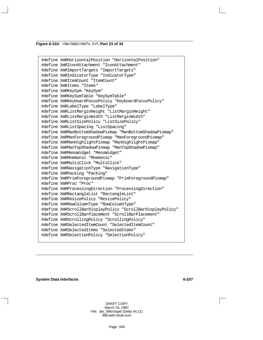**Figure 6-310:** < $Xm/Xm$ StrDefs.h>\*, Part 23 of 34

#define XmRHorizontalPosition "HorizontalPosition" #define XmRIconAttachment "IconAttachment" #define XmRImportTargets "ImportTargets" #define XmRIndicatorType "IndicatorType" #define XmRItemCount "ItemCount" #define XmRItems "Items" #define XmRKeySym "KeySym" #define XmRKeySymTable "KeySymTable" #define XmRKeyboardFocusPolicy "KeyboardFocusPolicy" #define XmRLabelType "LabelType" #define XmRListMarginHeight "ListMarginHeight" #define XmRListMarginWidth "ListMarginWidth" #define XmRListSizePolicy "ListSizePolicy" #define XmRListSpacing "ListSpacing" #define XmRManBottomShadowPixmap "ManBottomShadowPixmap" #define XmRManForegroundPixmap "ManForegroundPixmap" #define XmRManHighlightPixmap "ManHighlightPixmap" #define XmRManTopShadowPixmap "ManTopShadowPixmap" #define XmRMenuWidget "MenuWidget" #define XmRM nemonic "Mnemonic" #define XmRMultiClick "MultiClick" #define XmRNavigationType "NavigationType" #define XmRPacking "Packing" #define XmRPrimForegroundPixmap "PrimForegroundPixmap" #define XmRProc "Proc" #define XmRProcessingDirection "ProcessingDirection" #define XmRRectangleList "RectangleList" #define XmRResizePolicy "ResizePolicy" #define XmRRowColumnType "RowColumnType" #define XmRScrollBarDisplayPolicy "ScrollBarDisplayPolicy" #define XmRScrollBarPlacement "ScrollBarPlacement" #define XmRScrollingPolicy "ScrollingPolicy" #define XmRSelectedItemCount "SelectedItemCount" #define XmRSelectedItems "SelectedItems" #define XmRSelectionPolicy "SelectionPolicy"

**System Data Interfaces** 6-257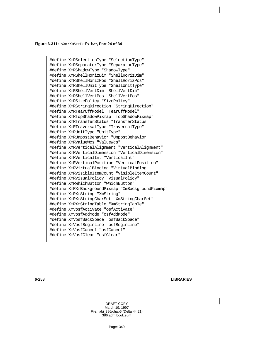## **Figure 6-311:** < $Xm/Xm$ StrDefs.h>\*, Part 24 of 34

```
#define XmRSelectionType "SelectionType"
#define XmRSeparatorType "SeparatorType"
#define XmRShadowType "ShadowType"
#define XmRShellHorizDim "ShellHorizDim"
#define XmRShellHorizPos "ShellHorizPos"
#define XmRShellUnitType "ShellUnitType"
#define XmRShellVertDim "ShellVertDim"
#define XmRShellVertPos "ShellVertPos"
#define XmRSizePolicy "SizePolicy"
#define XmRStringDirection "StringDirection"
#define XmRTearOffModel "TearOffModel"
#define XmRTopShadowPixmap "TopShadowPixmap"
#define XmRTransferStatus "TransferStatus"
#define XmRTraversalType "TraversalType"
#define XmRUnitType "UnitType"
#define XmRUnpostBehavior "UnpostBehavior"
#define XmRValueWcs "ValueWcs"
#define XmRVerticalAlignment "VerticalAlignment"
#define XmRVerticalDimension "VerticalDimension"
#define XmRVerticalInt "VerticalInt"
#define XmRVerticalPosition "VerticalPosition"
#define XmRVirtualBinding "VirtualBinding"
#define XmRVisibleItemCount "VisibleItemCount"
#define XmRVisualPolicy "VisualPolicy"
#define XmRWhichButton "WhichButton"
#define XmRXmBackgroundPixmap "XmBackgroundPixmap"
#define XmRXmString "XmString"
#define XmRXmStringCharSet "XmStringCharSet"
#define XmRXmStringTable "XmStringTable"
#define XmVosfActivate "osfActivate"
#define XmVosfAddMode "osfAddMode"
#define XmVosfBackSpace "osfBackSpace"
#define XmVosfBeginLine "osfBeginLine"
#define XmVosfCancel "osfCancel"
#define XmVosfClear "osfClear"
```
**6-258 LIBRARIES**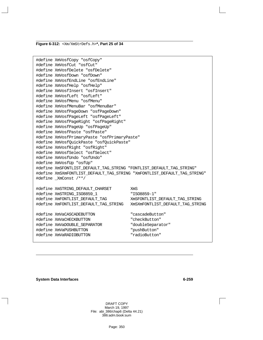**Figure 6-312:** < $Xm/Xm$ StrDefs.h>\*, Part 25 of 34

```
#define XmVosfCopy "osfCopy"
#define XmVosfCut "osfCut"
#define XmVosfDelete "osfDelete"
#define XmVosfDown "osfDown"
#define XmVosfEndLine "osfEndLine"
#define XmVosfHelp "osfHelp"
#define XmVosfInsert "osfInsert"
#define XmVosfLeft "osfLeft"
# define Xm Vosf Menu " osf Menu"
#define XmVosfMenuBar "osfMenuBar"
#define XmVosfPageDown "osfPageDown"
#define XmVosfPaqeLeft "osfPaqeLeft"
#define XmVosfPageRight "osfPageRight"
#define XmVosfPageUp "osfPageUp"
#define XmVosfPaste "osfPaste"
#define XmVosfPrimaryPaste "osfPrimaryPaste"
#define XmVosfQuickPaste "osfQuickPaste"
#define XmVosfRight "osfRight"
#define XmVosfSelect "osfSelect"
#define XmVosfUndo "osfUndo"
#define XmVosfUp "osfUp"
#define XmSFONTLIST_DEFAULT_TAG_STRING "FONTLIST_DEFAULT_TAG_STRING"
#define XmSXmFONTLIST DEFAULT TAG STRING "XmFONTLIST DEFAULT TAG STRING"
#define _XmConst /**/
#define XmSTRING_DEFAULT_CHARSET XmS
# d e f i n e X m S T R I N G _ I S O 8 8 5 9 _ 1 " I S O 8 8 5 9 - 1 "
#define XmFONTLIST DEFAULT TAG WASFONTLIST DEFAULT TAG STRING
#define XmFONTLIST_DEFAULT_TAG_STRING XmSXmFONTLIST_DEFAULT_TAG_STRING
#define XmVaCASCADEBUTTON TO ME "cascadeButton"
#define XmVaCHECKBUTTON "checkButton"
#define XmVaDOUBLE_SEPARATOR "doubleSeparator"
#define XmVaPUSHBUTTON "pushButton"
#define XmVaRADIOBUTTON "radioButton"
```
**System Data Interfaces 6-259**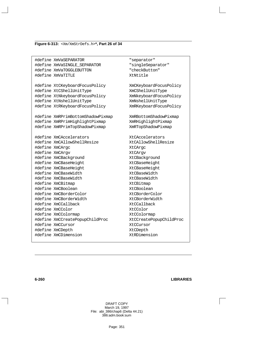### **Figure 6-313:** < $Xm/XmSLrDefs.h>^*$ , Part 26 of 34

```
#define XmVaSEPARATOR "separator"
#define XmVaSINGLE_SEPARATOR "singleSeparator"
#define XmVaTOGGLEBUTTON "checkButton"
# define Xm V a TITLE X www.state XtNtitle
#define XtCKeyboardFocusPolicy MCKeyboardFocusPolicy
# d e f i n e X t C S h e l l U n i t T y p e X m C S h e l l U n i t T y p e
# d e f i n e X t N k e y b o a r d F o c u s P o l i c y X m N k e y b o a r d F o c u s P o l i c y
#define XtNshellUnitType XmNshellUnitType
#define XtRKeyboardFocusPolicy XmRKeyboardFocusPolicy
#define XmRPrimBottomShadowPixmap XmRBottomShadowPixmap
#define XmRPrimHighlightPixmap XmRHighlightPixmap
# d e f i n e X m R P r i m T o p S h a d o w P i x m a p X m R T o p S h a d o w P i x m a p
#define XmCAccelerators XtCAccelerators
# d e f i n e X m C A l l o w S h e l l R e s i z e X t C A l l o w S h e l l R e s i z e
# de fine Xm C A r g c c x t C A r g c x t C A r g c x t C A r g c x t C A r g c x t C A r g c x t C A r g c x t C A r g c x t C A r g c x t C A r g c x t C A r g c x t C A r g c x t C A r g c x t C A r g c x t C A r g c x
# d e f i n e X m C A r g v X t C A r g v
#define XmCBackground XtCBackground
# d e f i n e X m C B a s e H e i g h t X t C B a s e H e i g h t
#define XmCBaseHeight XtCBaseHeight
#define XmCBaseWidth                             XtCBaseWidth
# d e f i n e X m C B a s e W i d t h X t C B a s e W i d t h
#define XmCBitmap XtCBitmap
#define XmCBoolean XtCBoolean
#define XmCBorderColor XtCBorderColor
#define XmCBorderWidth XtCBorderWidth
#define XmCCallback XtCCallback
# define XmC Color XtC Color
# define XmC Colormap XtC Colormap
#define XmCCreatePopupChildProc XtCCreatePopupChildProc
# de fine Xm C Cursor r and the Xt C Cursor
# de f i ne X m C D e p t h \mu X t C D e p t h \mu# d e f i n e X m C D i m e n s i o n X t R D i m e n s i o n
```
**6-260 LIBRARIES**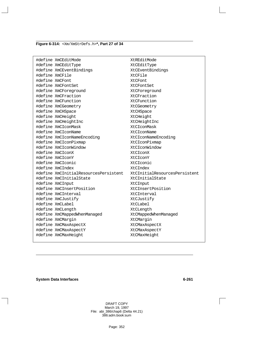**Figure 6-314:** < $x_{m}/x_{m}$ StrDefs.h>\*, Part 27 of 34

| #define XmCEditMode                   | XtREditMode                   |
|---------------------------------------|-------------------------------|
| #define XmCEditType                   | XtCEditType                   |
| #define XmCEventBindings              | XtCEventBindings              |
| #define XmCFile                       | XtCFile                       |
| #define XmCFont                       | XtCFont                       |
| #define XmCFontSet                    | XtCFontSet                    |
| #define XmCForeground                 | XtCForeground                 |
| #define XmCFraction                   | XtCFraction                   |
| #define XmCFunction                   | XtCFunction                   |
| #define XmCGeometry                   | XtCGeometry                   |
| #define XmCHSpace                     | XtCHSpace                     |
| #define XmCHeight                     | XtCHeight                     |
| #define XmCHeightInc                  | XtCHeightInc                  |
| #define XmCIconMask                   | XtCIconMask                   |
| #define XmCIconName                   | XtCIconName                   |
| #define XmCIconNameEncoding           | XtCIconNameEncoding           |
| #define XmCIconPixmap                 | XtCIconPixmap                 |
| #define XmCIconWindow                 | XtCIconWindow                 |
| #define XmCIconX                      | XtCIconX                      |
| #define XmCIconY                      | XtCIconY                      |
| #define XmCIconic                     | XtCIconic                     |
| #define XmCIndex                      | XtCIndex                      |
| #define XmCInitialResourcesPersistent | XtCInitialResourcesPersistent |
| #define XmCInitialState               | XtCInitialState               |
| #define XmCInput                      | XtCInput                      |
| #define XmCInsertPosition             | XtCInsertPosition             |
| #define XmCInterval                   | XtCInterval                   |
| #define XmCJustify                    | XtCJustify                    |
| #define XmCLabel                      | XtCLabel                      |
| #define XmCLength                     | XtCLength                     |
| #define XmCMappedWhenManaged          | XtCMappedWhenManaged          |
| #define XmCMargin                     | XtCMargin                     |
| #define XmCMaxAspectX                 | XtCMaxAspectX                 |
| #define XmCMaxAspectY                 | XtCMaxAspectY                 |
| #define XmCMaxHeight                  | XtCMaxHeight                  |

**System Data Interfaces** 6-261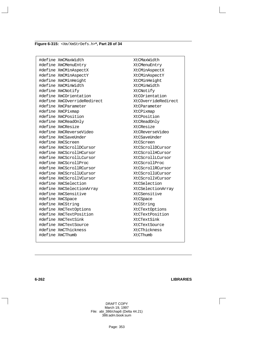### **Figure 6-315:** < $Xm/XmSLrDefs.h>^*$ , **Part 28 of 34**

# define Xm C Max Width #define XmCMenuEntry <br />
xtCMenuEntry<br />
xtCMenuEntry<br />
xtCMenuEntry #define XmCMinAspectX XtCMinAspectX #define XmCMinAspectY XtCMinAspectY #define XmCMinHeight XtCMinHeight # define Xm C Min Width Xt C Min Width # define Xm C Notify Xt C Notify # d e f i n e X m C O r i e n t a t i o n X t C O r i e n t a t i o n #define XmCOverrideRedirect XtCOverrideRedirect #define XmCParameter 7 a r XtCParameter # define Xm CP ix map Xt CP ix map # define Xm CP osition XtCP osition #define XmCReadOnly XtCReadOnly # define Xm C Resize Xt C Resize #define XmCReverseVideo XtCReverseVideo #define XmCSaveUnder <br/> XtCSaveUnder # de fine Xm C S c reen Xt C S c reen Xt C S c reen Xt C S c reen Xt C S c reen Xt C S c reen Xt C S c reen Xt C S c reen Xt C S c reen Xt C S c reen Xt C S c reen Xt C S c reen Xt C S c reen Xt C S c reen Xt C S c reen Xt # d e f i n e X m C S c r o l l D C u r s o r X t C S c r o l l D C u r s o r #define XmCScrollHCursor 7 XtCScrollHCursor # d e f i n e X m C S c r o l l L C u r s o r X t C S c r o l l L C u r s o r #define XmCScrollProc XtCScrollProc # define XmCS croll R Cursor xtCS croll R Cursor # d e f i n e X m C S c r o l l U C u r s o r X t C S c r o l l U C u r s o r # define XmCS croll V Cursor The XtCS croll V Cursor #define XmCSelection XtCSelection #define XmCSelectionArray MatCSelectionArray #define XmCSensitive XtCSensitive #define XmCSpace XXtCSpace #define XmCString 7.000 Million XtCString # d e f i n e X m C T e x t O p t i o n s X t C T e x t O p t i o n s # d e f i n e X m C T e x t P o s i t i o n X t C T e x t P o s i t i o n # de fine Xm C T ext Sink that we know the Xt C T ext Sink #define XmCTextSource XtCTextSource #define XmCThickness XtCThickness # de f i ne X m C T h u m b  $\mu$  X t C T h u m b  $\mu$ 

**6-262 LIBRARIES**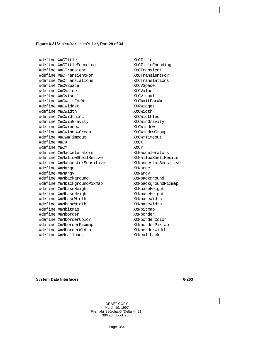**Figure 6-316:** < $Xm/Xm$ StrDefs.h>\*, Part 29 of 34

# define Xm C Title the Second Structure of the Xt C Title #define XmCTitleEncoding MatCTitleEncoding #define XmCTransient  $x$ t XtCTransient #define XmCTransientFor XtCTransientFor # d e f i n e X m C T r a n s l a t i o n s X t C T r a n s l a t i o n s # de fine Xm CV Space X t CV Space # define Xm C V a lue  $\sim$  Xt C V a lue # define Xm CV i sual Xt CV i sual #define XmCWaitForWm  $\qquad \qquad$  XtCWaitForWm # define Xm C Widget X t R Widget # define Xm C Width #define XmCWidthInc Xam XtCWidthInc #define XmCWinGravity xtCWinGravity # define Xm C Window What we Xt C Window # d e f i n e X m C W i n d o w G r o u p X t C W i n d o w G r o u p #define XmCWmTimeout XtCWmTimeout # de f i ne X m C X  $x$  t C X  $x$  C X t C X  $x$ # de f i ne X m C Y X t C Y X t C Y X t C Y X t C Y X t C Y X t C Y X t C Y # d e f i n e X m N a c c e l e r a t o r s X t N a c c e l e r a t o r s # d e f i n e X m N a l l o w S h e l l R e s i z e X t N a l l o w S h e l l R e s i z e #define XmNancestorSensitive XtNancestorSensitive # de fine Xm Narg c and the Xm Narg c Xt Narg c # d e f i n e X m N a r g v X t N a r g v #define XmNbackground XtNbackground # d e f i n e X m N b a c k g r o u n d P i x m a p X t N b a c k g r o u n d P i x m a p #define XmNbaseHeight XtNbaseHeight #define XmNbaseHeight XtNbaseHeight #define XmNbaseWidth XtNbaseWidth # d e f i n e X m N b a s e W i d t h X t N b a s e W i d t h #define XmNbitmap XtNbitmap # de fine XmNborder en en en ander XtNborder #define XmNborderColor XtNborderColor #define XmNborderPixmap XtNborderPixmap # d e f i n e X m N b o r d e r W i d t h X t N b o r d e r W i d t h #define XmNcallback XtNcallback

**System Data Interfaces 6-263**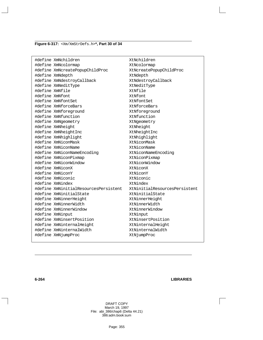**Figure 6-317:** < $Xm/XmSLrDefs.h>^*$ , Part 30 of 34

# d e f i n e X m N c h i l d r e n X t N c h i l d r e n #define XmNcolormap XtNcolormap #define XmNcreatePopupChildProc XtNcreatePopupChildProc #define XmNdepth XtNdepth #define XmNdestroyCallback XtNdestroyCallback #define XmNeditType Xangle XtNeditType # define XmNfile  $\overline{X}$  xtNfile # define XmNfont the Second State State State State State State State State State State State State State State State State State State State State State State State State State State State State State State State State St #define XmNfontSet  $\blacksquare$ #define XmNforceBars XtNforceBars #define XmNforeground and XtNforeground #define XmNfunction XtNfunction #define XmNqeometry with a XtNqeometry # define XmN h eight to the XtN h eight #define XmNheightInc <a> #define XmNhighlight XtNhighlight # define XmNicon Mask Xt Nicon Mask #define XmNiconName and a more in the XtNiconName # d e f i n e X m N i c o n N a m e E n c o d i n g X t N i c o n N a m e E n c o d i n g # d e f i n e X m N i c o n P i x m a p X t N i c o n P i x m a p #define XmNiconWindow xtNiconWindow # define XmNiconX  $\qquad x \sim 0$ # de fine XmNicon Y define XmNicon Y # define XmNiconic the Secret State of XtNiconic # define XmNindex XtNindex #define XmNinitialResourcesPersistent XtNinitialResourcesPersistent #define XmNinitialState Xan XtNinitialState #define XmNinnerHeight XtNinnerHeight # d e f i n e X m N i n n e r W i d t h X t N i n n e r W i d t h #define XmNinnerWindow <a>
xtNinnerWindow</a>
xtNinnerWindow # define XmNinput the Second State of Text XtNinput # d e f i n e X m N i n s e r t P o s i t i o n X t N i n s e r t P o s i t i o n #define XmNinternalHeight XtNinternalHeight # d e f i n e X m N i n t e r n a l W i d t h X t N i n t e r n a l W i d t h #define XmNjumpProc XXtNjumpProc

**6-264 LIBRARIES**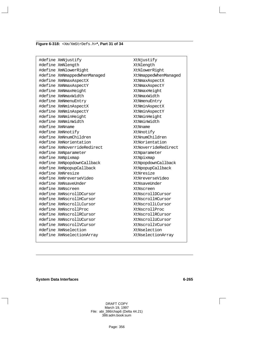## **Figure 6-318:** < $Xm/Xm$ StrDefs.h>\*, Part 31 of 34

# define XmN justify with the XtN justify #define XmNlength 7 and XtNlength # d e f i n e X m N l o w e r R i g h t X t N l o w e r R i g h t #define XmNmappedWhenManaged XtNmappedWhenManaged #define XmNmaxAspectX X XtNmaxAspectX #define XmNmaxAspectY XtNmaxAspectY #define XmNmaxHeight XtNmaxHeight #define XmNmaxWidth XtNmaxWidth #define XmNmenuEntry www.xtNmenuEntry #define XmNminAspectX X XtNminAspectX #define XmNminAspectY XtNminAspectY # d e f i n e X m N m i n H e i g h t X t N m i n H e i g h t # define XmN min Width XtN min Width # de fine XmN name entitled and the XtN name # define XmN notify The Monday St N notify # d e f i n e X m N n u m C h i l d r e n X t N n u m C h i l d r e n #define XmNorientation XtNorientation #define XmNoverrideRedirect XtNoverrideRedirect #define XmNparameter XXtNparameter # define XmNpixmap based of the XtNpixmap #define XmNpopdownCallback XtNpopdownCallback #define XmNpopupCallback XtNpopupCallback #define XmNresize Xandresse XtNresize #define XmNreverseVideo XtNreverseVideo # d e f i n e X m N s a v e U n d e r X t N s a v e U n d e r #define XmNscreen XtNscreen # define XmNs crollD Cursor xtNs crollD Cursor #define XmNscrollHCursor XtNscrollHCursor #define XmNscrollLCursor and XtNscrollLCursor #define XmNscrollProc XtNscrollProc #define XmNscrollRCursor and XtNscrollRCursor # d e f i n e X m N s c r o l l U C u r s o r X t N s c r o l l U C u r s o r # define XmNs croll V Cursor The XtNs croll V Cursor #define XmNselection XtNselection #define XmNselectionArray Munical ectionArray

**System Data Interfaces 6-265**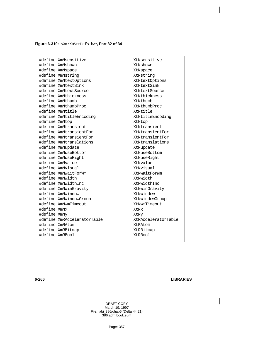## **Figure 6-319:** < $Xm/Xm$ StrDefs.h>\*, Part 32 of 34

#define XmNsensitive Xan extraordinate in the XtNsensitive # define XmNshown w n w XtNshown # de fine XmN space X and XtN space # define XmNstring and the XtNstring # define XmNtextOptions XtNtextOptions # d e f i n e X m N t e x t S i n k X t N t e x t S i n k #define XmNtextSource Xandreas XtNtextSource #define XmNthickness XtNthickness # define XmNthumb  $\qquad x$  t Nthumb # define XmNthumbProc XtNthumbProc # define XmNtitle XMOTIC XtNtitle #define XmNtitleEncoding 7 7 and XtNtitleEncoding # define XmNtop XXtNtop #define XmNtransient XtNtransient #define XmNtransientFor xtNtransientFor #define XmNtransientFor xtNtransientFor # d e f i n e X m N t r a n s l a t i o n s X t N t r a n s l a t i o n s # define XmNup date X = XtNup date #define XmNuseBottom XtNuseBottom # d e f i n e X m N u s e R i g h t X t N u s e R i g h t # define XmN value  $\overline{X}$  xtN value #define XmNvisual XtNvisual #define XmNwaitForWm www.xtNwaitForWm # define Xm N width Xt N width # define XmN wid th Inc # define XmNwin Gravity with the XtNwin Gravity # define XmN window with a XtN window #define XmNwindowGroup XtNwindowGroup # d e f i n e X m N w m T i m e o u t X t N w m T i m e o u t # d e f i n e X m N x X t N x # de f in e X m N y X t N y X t N y X + N y X + N y X + N y + N y + N y + N y + N y + N y + N y + N y + N y + N y + N y + N y + N y + N y + N y + N y + N y + N y + N y + N y + N y + N y + N y + N y + N y + N y + N y + N y # d e f i n e X m R A c c e l e r a t o r T a b l e X t R A c c e l e r a t o r T a b l e # de fine XmRA tom and the matrix of the XtRA tom #define XmRBitmap XtRBitmap # de fine XmRB oo l and XtRB oo l XtRB oo l XtRB oo l XtRB oo l  $X$ 

**6-266 LIBRARIES**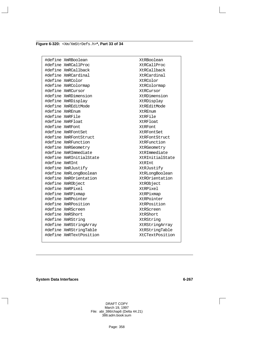#define XmRBoolean Natural Matchester XtRBoolean #define XmRCallProc Xangle XtRCallProc #define XmRCallback XtRCallback # define XmR Cardinal XtR Cardinal # define XmR Color XtR Color #define XmRColormap XtRColormap # define XmR Cursor research to the XtR Cursor # d e f i n e X m R D i m e n s i o n X t R D i m e n s i o n # define XmRD is play and the XMRD is play #define XmREditMode Xanadia XtREditMode # de f i n e Xm R E n u m x t R E n e Xm R E n u m x t R E n u m x t R E n u m x t R E n u m x t R E n u m x t R E n u m x t R E n u m x t R E n u m x t R E n u m x t R E n u m x t R E n u m x t R E n u m x t R E n u m x t # de fine XmRFile to the South State State State State State State State State State State State State State S # define XmRF loat the Contract to the XtRF loat # define XmRF ont the Second State State State State State State State State State State State State State State State State State State State State State State State State State State State State State State State State S #define XmRFontSet XtRFontSet #define XmRFontStruct XtRFontStruct # define XmRF unction XtRF unction # define XmR Geometry XtR Geometry #define XmRImmediate Xanglediate XtRImmediate #define XmRInitialState <br>
XtRInitialState # de fine Xm R In t t a m and the Xt R In t Xt R In t a m and the Xt R In t a m and the Xt R In t a m and the Xt R In t a m and the Xt R In t a m and the Xt R In t a m and the Xt R In t a m and the Xt R In t a m and the Xt # define Xm R Justify The South of The Xt R Justify # d e f i n e X m R L o n g B o o l e a n X t R L o n g B o o l e a n # d e f i n e X m R O r i e n t a t i o n X t R O r i e n t a t i o n # define XmRO b ject XtRO b ject # define XmRP i xel XtRP i xel XtRP i xel # define XmRP ix map  $X$ t RP i x map  $X$ # define XmRP o inter research to the XtRP o inter # define XmRP osition  $X$ t RP osition #define XmRScreen XtRScreen # de fine XmR Short XtR Short # d e f i n e X m R S t r i n g X t R S t r i n g #define XmRStringArray 71 Matchest XtRStringArray #define XmRStringTable  $\qquad x$ tRStringTable #define XmRTextPosition XtCTextPosition

## **System Data Interfaces** 6-267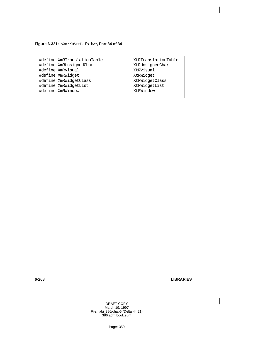**Figure 6-321:** <xm/xmStrDefs.h>\*, Part 34 of 34

# d e f i n e X m R T r a n s l a t i o n T a b l e X t R T r a n s l a t i o n T a b l e #define XmRUnsignedChar Maxware XtRUnsignedChar # define Xm RV i sual Xt RV i sual # de fine Xm R W i d get to compute the fine of the Xt R W i d get # d e f i n e X m R W i d g e t C l a s s X t R W i d g e t C l a s s # de fine X m R W i d get List # define Xm R W indow W t R W indow

**6-268 LIBRARIES**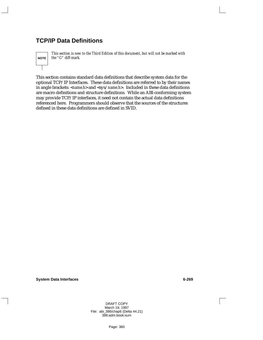# **TCP/IP Data Definitions**

**NOTE**

*This section is new to the Third Edition of this document, but will not be marked with the "G" diff-mark*.

This section contains standard data definitions that describe system data for the optional TCP/IP Interfaces. These data definitions are referred to by their names in angle brackets: <*name.h>* and <sys/name.h>. Included in these data definitions are macro definitions and structure definitions. While an ABI-conforming system may provide TCP/IP interfaces, it need not contain the actual data definitions referenced here. Programmers should observe that the sources of the structures defined in these data definitions are defined in SVID.

**System Data Interfaces** 6-269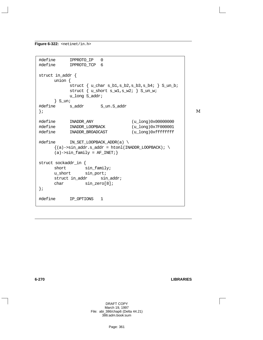Figure 6-322: < netinet/in.h>

```
#define IPPROTO IP 0
#define IPPROTO_TCP 6
struct in\_addr {
     union \{struct \{ u_{char} s_b1, s_b2, s_b3, s_b4 \} S_{un_b}struct \{ u_{{\rm short}} s_w1, s_w2 \} \} \sum_{u_1} w_iu_long S_addr;
      \} S_un i
#define s_addr S_un.S_addr
\}; M
# d e f i n e I N A D D R _ A N Y ( u _ l o n g ) 0 x 0 0 0 0 0 0 0 0
#define INADDR_LOOPBACK (u_long)0x7F000001
#define INADDR_BROADCAST (u_long)0xffffffff
\# \text{define} IN_SET_LOOPBACK_ADDR(a) \
      \{(a) \rightarrow sin\_addr \cdot s\_addr = htonl (INDDR\_LOOPBACK) \}(a)->\sin_f \frac{1}{y} = AF INET;
struct sockaddr_in {
     short sin_family;
     u_short sin_port;
     struct in_addr sin_addr;
     char sin zero[8];
} ;
#define IP_OPTIONS 1
```
**6-270 LIBRARIES**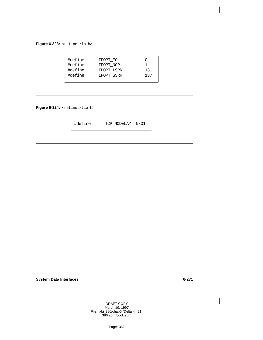**Figure 6-323:** <netinet/ip.h>

| #define | IPOPT EOL  |     |
|---------|------------|-----|
| #define | IPOPT NOP  |     |
| #define | IPOPT LSRR | 131 |
| #define | IPOPT SSRR | 137 |
|         |            |     |

**Figure 6-324:** < netinet/tcp.h>

#define TCP\_NODELAY 0x01

**System Data Interfaces** 6-271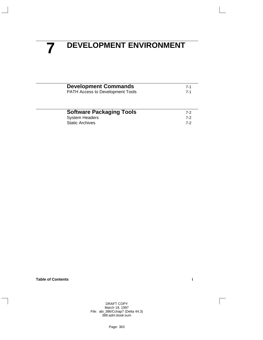## **7 DEVELOPMENT ENVIRONMENT**

| <b>Development Commands</b>                              | $7-1$   |
|----------------------------------------------------------|---------|
| PATH Access to Development Tools                         | $7 - 1$ |
|                                                          |         |
|                                                          |         |
|                                                          |         |
|                                                          | $7-2$   |
| <b>Software Packaging Tools</b><br><b>System Headers</b> | $7-2$   |

**Table of Contents i**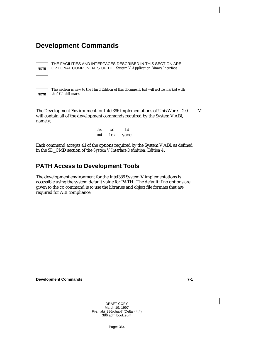## **Development Commands**



THE FACILITIES AND INTERFACES DESCRIBED IN THIS SECTION ARE OPTIONAL COMPONENTS OF THE *System V Application Binary Interface*.

| <b>NOTE</b> |  |
|-------------|--|

*This section is new to the Third Edition of this document, but will not be marked with the "G" diff-mark*.

The Development Environment for Intel386 implementations of UnixWare® 2.0 M will contain all of the development commands required by the System V ABI, namely;

| as | СC  | 1d   |
|----|-----|------|
| m4 | lex | yacc |

Each command accepts all of the options required by the System V ABI, as defined in the SD\_CMD section of the *System V Interface Definition, Edition 4*.

#### **PATH Access to Development Tools**

The development environment for the Intel386 System V implementations is accessible using the system default value for PATH. The default if no options are given to the cc command is to use the libraries and object file formats that are required for ABI compliance.

**Development Commands** 7-1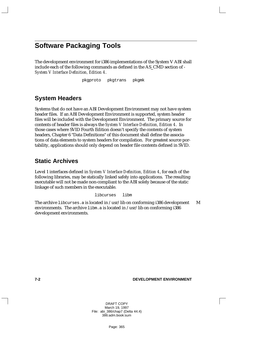## **Software Packaging Tools**

The development environment for i386 implementations of the System V ABI shall include each of the following commands as defined in the AS\_CMD section of - *System V Interface Definition, Edition 4*.

pkgproto pkgtrans pkgmk

### **System Headers**

Systems that do not have an ABI Development Environment may not have system header files. If an ABI Development Environment is supported, system header files will be included with the Development Environment. The primary source for contents of header files is always the *System V Interface Definition, Edition 4*. In those cases where SVID Fourth Edition doesn't specify the contents of system headers, Chapter 6 "Data Definitions" of this document shall define the associations of data elements to system headers for compilation. For greatest source portability, applications should only depend on header file contents defined in SVID.

#### **Static Archives**

Level 1 interfaces defined in *System V Interface Definition, Edition 4*, for each of the following libraries, may be statically linked safely into applications. The resulting executable will not be made non-compliant to the ABI solely because of the static linkage of such members in the executable.

libcurses libm

The archive libcurses . a is located in /usr/lib on conforming i386 development  $\dot{M}$ environments. The archive libm a is located in  $/\text{usr}$  /lib on conforming i386 development environments.

**7-2 DEVELOPMENT ENVIRONMENT**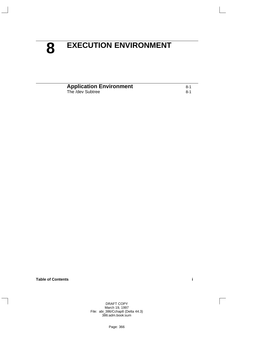## **8 EXECUTION ENVIRONMENT**

| <b>Application Environment</b> | 8-1 |
|--------------------------------|-----|
| The /dev Subtree               | 8-1 |

**Table of Contents i**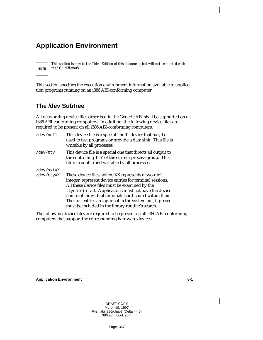## **Application Environment**

**NOTE**

*This section is new to the Third Edition of this document, but will not be marked with the "G" diff-mark*.

This section specifies the execution environment information available to application programs running on an i386 ABI-conforming computer.

#### **The /dev Subtree**

All networking device files described in the Generic ABI shall be supported on all i386 ABI-conforming computers. In addition, the following device files are required to be present on all i386 ABI-conforming computers.

| /dev/null  | This device file is a special "null" device that may be<br>used to test programs or provide a data sink. This file is<br>writable by all processes.                                                                                                                                                                                                                                                     |
|------------|---------------------------------------------------------------------------------------------------------------------------------------------------------------------------------------------------------------------------------------------------------------------------------------------------------------------------------------------------------------------------------------------------------|
| /dev/tty   | This device file is a special one that directs all output to<br>the controlling TTY of the current process group. This<br>file is readable and writable by all processes.                                                                                                                                                                                                                               |
| /dev/sxtXX |                                                                                                                                                                                                                                                                                                                                                                                                         |
| /dev/ttyXX | These device files, where XX represents a two-digit<br>integer, represent device entries for terminal sessions.<br>All these device files must be examined by the<br>ttyname () call. Applications must not have the device<br>names of individual terminals hard-coded within them.<br>The sxt entries are optional in the system but, if present<br>must be included in the library routine's search. |

The following device files are required to be present on all i386 ABI-conforming computers that support the corresponding hardware devices.

**Application Environment** 8-1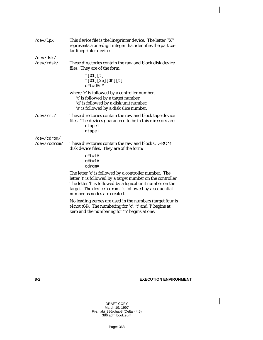| /dev/lpX     | This device file is the lineprinter device. The letter "X"<br>represents a one-digit integer that identifies the particu-<br>lar lineprinter device.                                                                                                                           |
|--------------|--------------------------------------------------------------------------------------------------------------------------------------------------------------------------------------------------------------------------------------------------------------------------------|
| /dev/dsk/    |                                                                                                                                                                                                                                                                                |
| /dev/rdsk/   | These directories contain the raw and block disk device<br>files. They are of the form:                                                                                                                                                                                        |
|              | f[01][t]<br>f[01][35][dh][t]<br>c#t#d#s#                                                                                                                                                                                                                                       |
|              | where 'c' is followed by a controller number,<br>'t' is followed by a target number,<br>'d' is followed by a disk unit number,<br>'s' is followed by a disk slice number.                                                                                                      |
| /dev/rmt/    | These directories contain the raw and block tape device<br>files. The devices guaranteed to be in this directory are:<br>ctape1<br>ntape1                                                                                                                                      |
| /dev/cdrom/  |                                                                                                                                                                                                                                                                                |
| /dev/rcdrom/ | These directories contain the raw and block CD-ROM<br>disk device files. They are of the form:                                                                                                                                                                                 |
|              | <b>C#t#1#</b><br>c#t#1#<br>cdrom#                                                                                                                                                                                                                                              |
|              | The letter 'c' is followed by a controller number. The<br>letter 't' is followed by a target number on the controller.<br>The letter 'l' is followed by a logical unit number on the<br>target. The device "cdrom" is followed by a sequential<br>number as nodes are created. |
|              | No leading zeroes are used in the numbers (target four is<br>t4 not t04). The numbering for 'c', 't' and 'l' begins at<br>zero and the numbering for 'n' begins at one.                                                                                                        |

**8-2 EXECUTION ENVIRONMENT**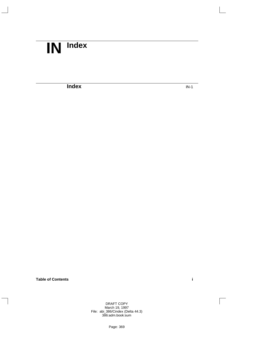# **IN Index**

**Index** IN-1

**Table of Contents i**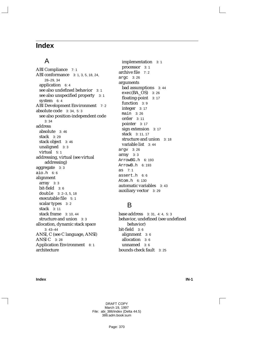## **Index**

#### A

ABI Compliance 7: 1 ABI conformance 3: 1, 3, 5, 18, 24, 28–29, 34 application 6: 4 see also undefined behavior 3: 1 see also unspecified property 3: 1 system 6:4 ABI Development Environment 7: 2 absolute code 3: 34, 5: 3 see also position-independent code 3: 34 address absolute 3: 46 stack 3: 29 stack object 3: 46 unaligned 3: 3 virtual 5: 1 addressing, virtual (see virtual addressing) aggregate 3: 3  $a$ io.h  $6:6$ alignment array 3: 3 bit-field 3: 6 double 3: 2-3, 5, 18 executable file 5: 1 scalar types 3:2 stack 3: 11 stack frame 3: 10, 44 structure and union 3:3 allocation, dynamic stack space 3: 43–44 ANSI, C (see C language, ANSI) ANSI C 3: 28 Application Environment 8: 1 architecture

implementation 3: 1 processor 3: 1 archive file 7: 2 argc 3:26 arguments bad assumptions 3: 44  $exec(BAOS) 3: 26$ floating-point 3: 17 function 3: 9 integer 3: 17 main 3:26 order 3: 11 pointer 3: 17 sign extension 3: 17 stack 3: 11, 17 structure and union 3: 18 variable list 3: 44  $arqv$  3: 26 array 3: 3 ArrowBG.h 6:193 ArrowB.h 6:193 as  $7:1$ assert.h 6:6 Atom.h 6:130 automatic variables 3: 43 auxiliary vector 3: 29

## B

base address 3: 31, 4: 4, 5: 3 behavior, undefined (see undefined behavior) bit-field 3: 6 alignment 3: 6 allocation 3: 6 unnamed 3: 6 bounds check fault 3:25

**Index IN-1**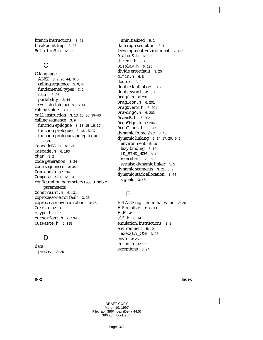branch instructions 3: 41 breakpoint trap 3: 25 BulletinB.h 6:193

## C

C language ANSI 3: 2, 26, 44, 6: 5 calling sequence 3: 9, 44 fundamental types 3: 2 main 3:26 portability 3: 44 switch statements 3:41 call by value 3:18 call instruction 3: 13, 15, 36, 39-40 calling sequence 3: 9 function epilogue 3: 13, 15–16, 37 function prologue 3: 13, 15, 37 function prologue and epilogue 3: 36 CascadeBG.h 6:194 Cascade.h 6:193  $char 3:2$ code generation 3: 34 code sequences 3: 34 Command.h 6:194 Composite.h 6:131 configuration parameters (see tunable parameters) Constraint.h 6:131 coprocessor error fault 3: 25 coprocessor overrun abort 3: 25 Core.h 6:131  $ctype.h 6:7$ cursorfont.h 6:134 Cut Paste.h 6:195

### D

data process 3: 20

uninitialized 5:2 data representation 3: 1 Development Environment 7: 1–2 DialogS.h 6:195 dirent.h 6:8 Display.h 6:196 divide error fault 3: 25 d $lfcn.h$  6:8 double 3:2 double fault abort 3: 25 doubleword 3: 1, 3 DragC.h 6:201 DragIcon.h 6:201 DragOverS.h 6:201 DrawingA.h 6:202 DrawnB.h 6:202 DropSMgr.h 6:204 DropTrans.h 6:205 dynamic frame size 3: 43 dynamic linking 3: 14, 17, 20, 5: 5 environment 5: 10 lazy binding 5: 10  $LD$  BIND NOW  $5: 10$ relocation 5: 5, 9 see also dynamic linker 5: 5 dynamic segments 3: 21, 5: 3 dynamic stack allocation 3: 44 signals 3:45

### E

EFLAGS register, initial value 3: 26 EIP-relative 3: 35, 41 ELF 4: 1 elf.h 6:14 emulation, instructions 3:1 environment 5: 10  $exec(BAOS) 3: 26$ envp 3:26 errno.h 6:17 exceptions 3: 24

**IN-2 Index**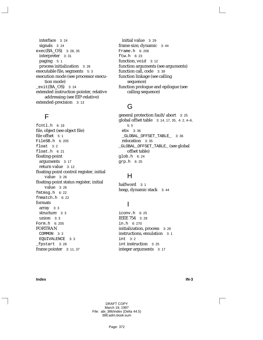interface 3: 24 signals 3: 24  $exec(BAOS) = 3: 28, 35$ interpreter 3: 31 paging 5:1 process initialization 3: 26 executable file, segments 5: 3 execution mode (see processor execution mode)  $\rule{0pt}{0pt}$  = exit(BA\_OS) 3: 24 extended instruction pointer, relative addressing (see EIP-relative) extended-precision 3: 13

#### F

f cntl.h 6:19 file, object (see object file) file offset 5: 1 FileSB.h 6:205  $float 3:2$  $float.h$  6: 21 floating-point arguments 3: 17 return value 3: 12 floating-point control register, initial value 3: 26 floating-point status register, initial value 3: 26  $f$ mtm $sq.h$  6: 22  $fmmatch.h$  6: 22 formats array 3: 3 structure 3: 3 union 3:3 Form.h 6:205 FORTRAN  $COMMON$  3: 3 EQUIVALENCE 3:3 \_fpstart 3:28 frame pointer 3: 11, 37

initial value 3: 29 frame size, dynamic 3: 44 Frame.h 6:206  $ftw.h$  6:23 function,  $void 3: 12$ function arguments (see arguments) function call, code 3:39 function linkage (see calling sequence) function prologue and epilogue (see calling sequence)

## G

general protection fault/abort 3: 25 global offset table 3: 14, 17, 35, 4: 2, 4–6, 5: 5 ebx 3:36 \_GLOBAL\_OFFSET\_TABLE\_ 3: 36 relocation 3: 35 \_GLOBAL\_OFFSET\_TABLE\_ (see global offset table) glob.h 6:24 grp.h 6:25

### H

halfword 3: 1 heap, dynamic stack 3: 44

## I

 $i$  conv.h 6:25 IEEE 754 3: 28 in.h 6:270 initialization, process 3: 26 instructions, emulation 3: 1  $int$  3: 2  $int instruction$  3: 25 integer arguments 3: 17

**Index IN-3**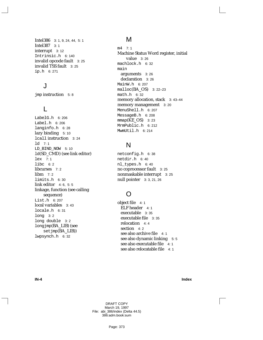Intel386 3: 1, 9, 24, 44, 5: 1 Intel387 3: 1 interrupt 3: 12 Intrinsic.h 6:140 invalid opcode fault 3: 25 invalid TSS fault 3: 25 ip.h 6:271

## J

 $j$ mp instruction  $5: 8$ 

#### L

LabelG.h 6:206 Label.h 6:206 langinfo.h 6:28 lazy binding 5:10 l call instruction 3:24  $1d$  7:1  $LD$ \_ $BIND$ \_ $NOW$  5:10 ld(SD\_CMD) (see link editor)  $lex$  7:1  $libc 6:2$ libcurses 7: 2 libm 7: 2 limits.h 6:30 link editor 4: 6, 5: 5 linkage, function (see calling sequence) List.h 6:207 local variables 3: 43 locale.h 6:31 long 3:2 long double 3:2  $long_jmp(BA LIB)$  (see  $set$  jmp $(BA_LIB)$ )  $lwpsynch.h$  6:32

#### M

 $m4$  7: 1 Machine Status Word register, initial value 3: 26 machlock.h 6:32 main arguments 3: 26 declaration 3: 26 MainW.h 6:207  $malloc(BA$  OS) 3: 22–23 math.h 6:32 memory allocation, stack 3: 43-44 memory management 3:20 MenuShell.h 6:207 MessageB.h 6:208  $mmap(KE_OS)$  3: 23 MrmPublic.h 6:212 MwmUtil.h 6:214

## N

net config.h 6:38 netdir.h 6:40 nl\_types.h 6:40 no coprocessor fault 3: 25 nonmaskable interrupt 3: 25 null pointer 3: 3, 21, 26

## O

object file 4: 1 ELF header 4:1 executable 3: 35 executable file 3: 35 relocation 4: 4 section 4:2 see also archive file 4: 1 see also dynamic linking 5: 5 see also executable file 4:1 see also relocatable file 4:1

**IN-4 Index**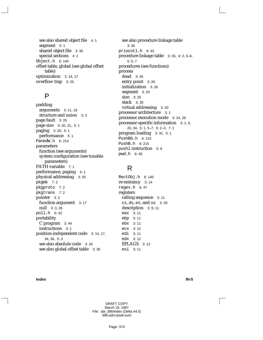see also shared object file 4:1 segment 5: 1 shared object file 3: 35 special sections 4: 2 Object.h 6:140 offset table, global (see global offset table) optimization 3: 14, 17 overflow trap 3: 25

### P

padding arguments 3: 11, 18 structure and union 3: 3 page fault 3: 25 page size 3: 20, 31, 5: 1 paging 3: 20, 5: 1 performance 5: 1 PanedW.h 6:214 parameters function (see arguments) system configuration (see tunable parameters) PATH variable 7:1 performance, paging 5: 1 physical addressing 3: 20 pkgmk 7:2 pkgproto 7:2 pk g t r an s 7: 2 pointer 3: 3 function argument 3: 17 null 3: 3, 26 poll.h 6:42 portability C program 3: 44 instructions 3: 1 position-independent code 3: 14, 17, 34, 36, 5: 3 see also absolute code 3: 34 see also global offset table 3: 35

see also procedure linkage table 3: 35 priocntl.h 6:43 procedure linkage table 3: 35, 4: 2, 5–6, 5: 5, 7 procedures (see functions) process dead 3: 45 entry point 3: 26 initialization 3: 26 segment 3:20 size 3: 20 stack 3: 28 virtual addressing 3: 20 processor architecture 3: 1 processor execution mode 3: 24, 26 processor-specific information 3: 1, 9, 20, 34, 5: 1, 5–7, 6: 2–3, 7: 1 program loading 3: 31, 5: 1 PushBG.h 6:215 PushB.h 6:215 push1 instruction 5: 8 pwd.h 6:45

## R

RectObj.h 6:140 re-entrancy 3: 14 regex.h 6:47 registers calling sequence 3: 11  $cs, ds, es, and ss 3: 29$ description 3: 9, 11 eax 3:11 ebp 3:11 ebx 3:11 ecx 3:12 edi 3:11 edx 3:12 EFLAGS 3: 12 esi 3:11

**Index IN-5**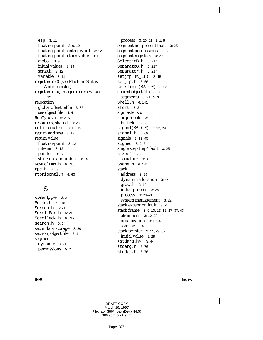esp 3:11 floating-point 3: 9, 12 floating-point control word 3: 12 floating-point return value 3: 13 global 3: 9 initial values 3: 29 scratch 3: 12 variable 3: 11 registers cr0 (see Machine Status Word register) registers eax, integer return value 3: 12 relocation global offset table 3: 35 see object file 4:4 RepType.h 6:215 resources, shared 3: 20 ret instruction 3: 13, 15 return address 3: 13 return value floating-point 3: 12 integer 3: 12 pointer 3: 12 structure and union 3: 14 RowColumn.h 6:216 rpc.h 6:63 rtpriocntl.h 6:63

## S

scalar types 3:2 Scale.h 6:216 Screen.h 6:216 ScrollBar.h 6:216 ScrolledW.h 6:217 search.h 6:64 secondary storage 3: 20 section, object file 5:1 segment dynamic 3: 21 permissions 5: 2

process 3: 20–21, 5: 1, 6 segment not present fault 3:25 segment permissions 3:23 segment registers 3:29 SelectioB.h 6:217 SeparatoG.h 6:217 Separator.h 6:217  $set$  jmp $(BA$   $LIB)$  3: 45  $set$  jmp.h  $6:66$  $set$ rlimit $(BA$  OS) 3: 23 shared object file 3:35 segments 3: 21, 5: 3 Shell.h 6:141  $short$  3:2 sign extension arguments 3: 17 bit-field 3: 6  $signal(BA OS)$  3: 12, 24  $signal.h$  6:69 signals 3: 12, 45 signed 3: 2, 6 single step trap/fault 3:25  $size of 3:2$ structure 3: 3 Ssape.h 6:141 stack address 3: 29 dynamic allocation 3: 44 growth 3: 10 initial process 3: 28 process 3: 20–21 system management 3: 22 stack exception fault 3: 25 stack frame 3: 9–10, 13–15, 17, 37, 43 alignment 3: 10, 29, 44 organization 3: 10, 43 size 3: 11, 43 stack pointer 3: 11, 29, 37 initial value 3: 29  $<$ stdarg.h>  $3:44$ stdarg.h 6:76  $stddef.h 6:76$ 

**IN-6 Index**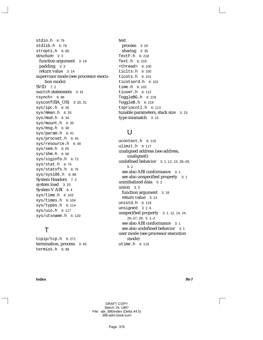stdio.h 6:79 stdlib.h 6:79 stropts.h 6:85 structure 3: 3 function argument 3:18 padding 3: 3 return value 3: 14 supervisor mode (see processor execution mode) SVID 7: 2 switch statements 3:41  $<$ synch $>$  6:88  $sysconf(BA$  OS) 3: 20, 31  $sys/ipo.h$  6:26 sys/mman.h 6:33  $sys/mol.h$  6:34  $sys/mount.h$  6:35  $sys/msq.h$  6:36  $sys/param.h$  6:41 sys/procset.h 6:44 sys/resource.h 6:48  $sys/sem.h$  6:65  $sys/shm.h$  6:66 sys/siginfo.h 6:72  $sys/stat.h$  6:74 sys/statvfs.h 6:75 sys/sysi86.h 6:88 System Headers 7:2 system load 3: 20 System V ABI 6:4  $sys/time.h$  6:103 sys/times.h 6:104 sys/types.h 6:114 sys/uio.h 6:117  $sys/utsname.h$  6: 120

#### T

 $t$  c pi  $p / t$  c  $p$ . h 6: 271 termination, process 3: 45 termios.h 6:98

text process 3: 20 sharing 3:35 TextF.h 6:218 Text.h 6:218  $\n <$  thread >  $6:100$ ticlts.h 6:100  $ticots.h$  6: 101 ticotsord.h 6:101 time.h 6:102  $t$ iuser.h 6:112 ToggleBG.h 6:218 ToggleB.h 6:218 tspriocntl.h 6:113 tunable parameters, stack size 3: 23 type mismatch 3: 15

## $\mathsf{U}$

ucontext.h 6:116 ulimit.h 6:117 unaligned address (see address, unaligned) undefined behavior 3: 1, 12, 15, 28–29, 5: 2 see also ABI conformance 3: 1 see also unspecified property 3: 1 uninitialized data 5: 2 union 3: 3 function argument 3: 18 return value 3: 14 unistd.h 6:119 unsigned  $3: 2, 6$ unspecified property 3: 1, 12, 14, 24, 26–27, 29, 5: 1–2 see also ABI conformance 3: 1 see also undefined behavior 3: 1 user mode (see processor execution mode) utime.h 6:119

#### **Index IN-7** Index Index Index Index Index Index Index Index Index Index Index Index Index Index Index Index Index Index Index Index Index Index Index Index Index Index Index Index Index Index Index Index Index Index Index